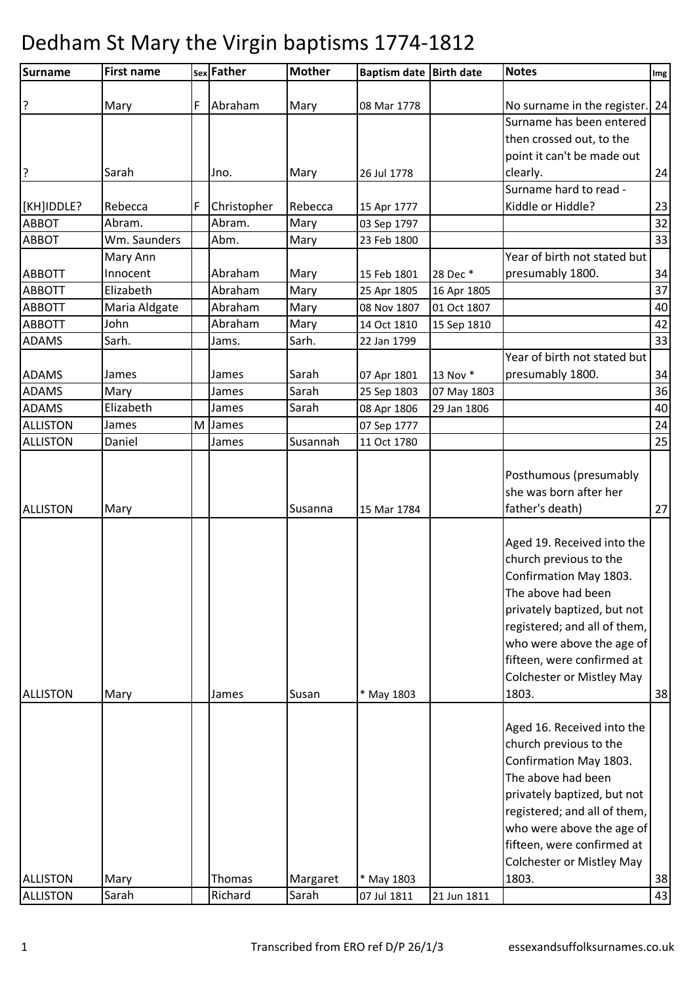| <b>Surname</b>  | <b>First name</b> |   | sex Father  | <b>Mother</b> | <b>Baptism date Birth date</b> |             | <b>Notes</b>                                                                                                                                                                                                                                                                | Img |
|-----------------|-------------------|---|-------------|---------------|--------------------------------|-------------|-----------------------------------------------------------------------------------------------------------------------------------------------------------------------------------------------------------------------------------------------------------------------------|-----|
|                 |                   |   |             |               |                                |             |                                                                                                                                                                                                                                                                             |     |
| ?               | Mary              | F | Abraham     | Mary          | 08 Mar 1778                    |             | No surname in the register. 24                                                                                                                                                                                                                                              |     |
|                 |                   |   |             |               |                                |             | Surname has been entered                                                                                                                                                                                                                                                    |     |
|                 |                   |   |             |               |                                |             | then crossed out, to the                                                                                                                                                                                                                                                    |     |
|                 |                   |   |             |               |                                |             | point it can't be made out                                                                                                                                                                                                                                                  |     |
| 3               | Sarah             |   | Jno.        | Mary          | 26 Jul 1778                    |             | clearly.                                                                                                                                                                                                                                                                    | 24  |
|                 |                   |   |             |               |                                |             | Surname hard to read -                                                                                                                                                                                                                                                      |     |
| [KH]IDDLE?      | Rebecca           | F | Christopher | Rebecca       | 15 Apr 1777                    |             | Kiddle or Hiddle?                                                                                                                                                                                                                                                           | 23  |
| <b>ABBOT</b>    | Abram.            |   | Abram.      | Mary          | 03 Sep 1797                    |             |                                                                                                                                                                                                                                                                             | 32  |
| <b>ABBOT</b>    | Wm. Saunders      |   | Abm.        | Mary          | 23 Feb 1800                    |             |                                                                                                                                                                                                                                                                             | 33  |
|                 | Mary Ann          |   |             |               |                                |             | Year of birth not stated but                                                                                                                                                                                                                                                |     |
| <b>ABBOTT</b>   | Innocent          |   | Abraham     | Mary          | 15 Feb 1801                    | 28 Dec *    | presumably 1800.                                                                                                                                                                                                                                                            | 34  |
| <b>ABBOTT</b>   | Elizabeth         |   | Abraham     | Mary          | 25 Apr 1805                    | 16 Apr 1805 |                                                                                                                                                                                                                                                                             | 37  |
| <b>ABBOTT</b>   | Maria Aldgate     |   | Abraham     | Mary          | 08 Nov 1807                    | 01 Oct 1807 |                                                                                                                                                                                                                                                                             | 40  |
| <b>ABBOTT</b>   | John              |   | Abraham     | Mary          | 14 Oct 1810                    | 15 Sep 1810 |                                                                                                                                                                                                                                                                             | 42  |
| <b>ADAMS</b>    | Sarh.             |   | Jams.       | Sarh.         | 22 Jan 1799                    |             |                                                                                                                                                                                                                                                                             | 33  |
|                 |                   |   |             |               |                                |             | Year of birth not stated but                                                                                                                                                                                                                                                |     |
| <b>ADAMS</b>    | James             |   | James       | Sarah         | 07 Apr 1801                    | 13 Nov *    | presumably 1800.                                                                                                                                                                                                                                                            | 34  |
| <b>ADAMS</b>    | Mary              |   | James       | Sarah         | 25 Sep 1803                    | 07 May 1803 |                                                                                                                                                                                                                                                                             | 36  |
| <b>ADAMS</b>    | Elizabeth         |   | James       | Sarah         | 08 Apr 1806                    | 29 Jan 1806 |                                                                                                                                                                                                                                                                             | 40  |
| <b>ALLISTON</b> | James             | M | James       |               | 07 Sep 1777                    |             |                                                                                                                                                                                                                                                                             | 24  |
| <b>ALLISTON</b> | Daniel            |   | James       | Susannah      | 11 Oct 1780                    |             |                                                                                                                                                                                                                                                                             | 25  |
| ALLISTON        | Mary              |   |             | Susanna       | 15 Mar 1784                    |             | Posthumous (presumably<br>she was born after her<br>father's death)                                                                                                                                                                                                         | 27  |
| <b>ALLISTON</b> | Mary              |   | James       | Susan         | * May 1803                     |             | Aged 19. Received into the<br>church previous to the<br>Confirmation May 1803.<br>The above had been<br>privately baptized, but not<br>registered; and all of them,<br>who were above the age of<br>fifteen, were confirmed at<br><b>Colchester or Mistley May</b><br>1803. | 38  |
|                 |                   |   |             |               |                                |             | Aged 16. Received into the<br>church previous to the                                                                                                                                                                                                                        |     |
|                 |                   |   |             |               |                                |             | Confirmation May 1803.<br>The above had been<br>privately baptized, but not<br>registered; and all of them,<br>who were above the age of<br>fifteen, were confirmed at<br><b>Colchester or Mistley May</b>                                                                  |     |
| <b>ALLISTON</b> | Mary              |   | Thomas      | Margaret      | * May 1803                     |             | 1803.                                                                                                                                                                                                                                                                       | 38  |
| <b>ALLISTON</b> | Sarah             |   | Richard     | Sarah         | 07 Jul 1811                    | 21 Jun 1811 |                                                                                                                                                                                                                                                                             | 43  |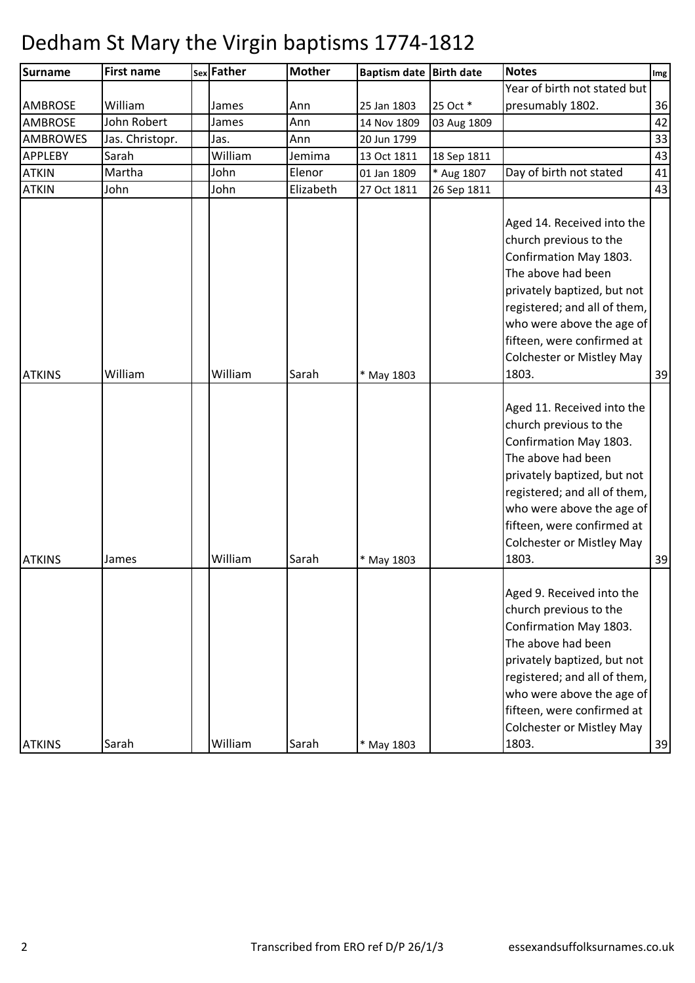| <b>Surname</b>  | <b>First name</b> | sex Father | <b>Mother</b> | Baptism date Birth date |             | <b>Notes</b>                                                                                                                                                                                                                                                                                                                                                                                                                                                                                                                               | Img |
|-----------------|-------------------|------------|---------------|-------------------------|-------------|--------------------------------------------------------------------------------------------------------------------------------------------------------------------------------------------------------------------------------------------------------------------------------------------------------------------------------------------------------------------------------------------------------------------------------------------------------------------------------------------------------------------------------------------|-----|
|                 |                   |            |               |                         |             | Year of birth not stated but                                                                                                                                                                                                                                                                                                                                                                                                                                                                                                               |     |
| <b>AMBROSE</b>  | William           | James      | Ann           | 25 Jan 1803             | 25 Oct *    | presumably 1802.                                                                                                                                                                                                                                                                                                                                                                                                                                                                                                                           | 36  |
| <b>AMBROSE</b>  | John Robert       | James      | Ann           | 14 Nov 1809             | 03 Aug 1809 |                                                                                                                                                                                                                                                                                                                                                                                                                                                                                                                                            | 42  |
| <b>AMBROWES</b> | Jas. Christopr.   | Jas.       | Ann           | 20 Jun 1799             |             |                                                                                                                                                                                                                                                                                                                                                                                                                                                                                                                                            | 33  |
| <b>APPLEBY</b>  | Sarah             | William    | Jemima        | 13 Oct 1811             | 18 Sep 1811 |                                                                                                                                                                                                                                                                                                                                                                                                                                                                                                                                            | 43  |
| <b>ATKIN</b>    | Martha            | John       | Elenor        | 01 Jan 1809             | * Aug 1807  | Day of birth not stated                                                                                                                                                                                                                                                                                                                                                                                                                                                                                                                    | 41  |
| <b>ATKIN</b>    | John              | John       | Elizabeth     | 27 Oct 1811             | 26 Sep 1811 |                                                                                                                                                                                                                                                                                                                                                                                                                                                                                                                                            | 43  |
| <b>ATKINS</b>   | William           | William    | Sarah         | * May 1803              |             | Aged 14. Received into the<br>church previous to the<br>Confirmation May 1803.<br>The above had been<br>privately baptized, but not<br>registered; and all of them,<br>who were above the age of<br>fifteen, were confirmed at<br>Colchester or Mistley May<br>1803.<br>Aged 11. Received into the<br>church previous to the<br>Confirmation May 1803.<br>The above had been<br>privately baptized, but not<br>registered; and all of them,<br>who were above the age of<br>fifteen, were confirmed at<br><b>Colchester or Mistley May</b> | 39  |
| <b>ATKINS</b>   | James             | William    | Sarah         | * May 1803              |             | 1803.                                                                                                                                                                                                                                                                                                                                                                                                                                                                                                                                      | 39  |
| <b>ATKINS</b>   | Sarah             | William    | Sarah         | * May 1803              |             | Aged 9. Received into the<br>church previous to the<br>Confirmation May 1803.<br>The above had been<br>privately baptized, but not<br>registered; and all of them,<br>who were above the age of<br>fifteen, were confirmed at<br>Colchester or Mistley May<br>1803.                                                                                                                                                                                                                                                                        | 39  |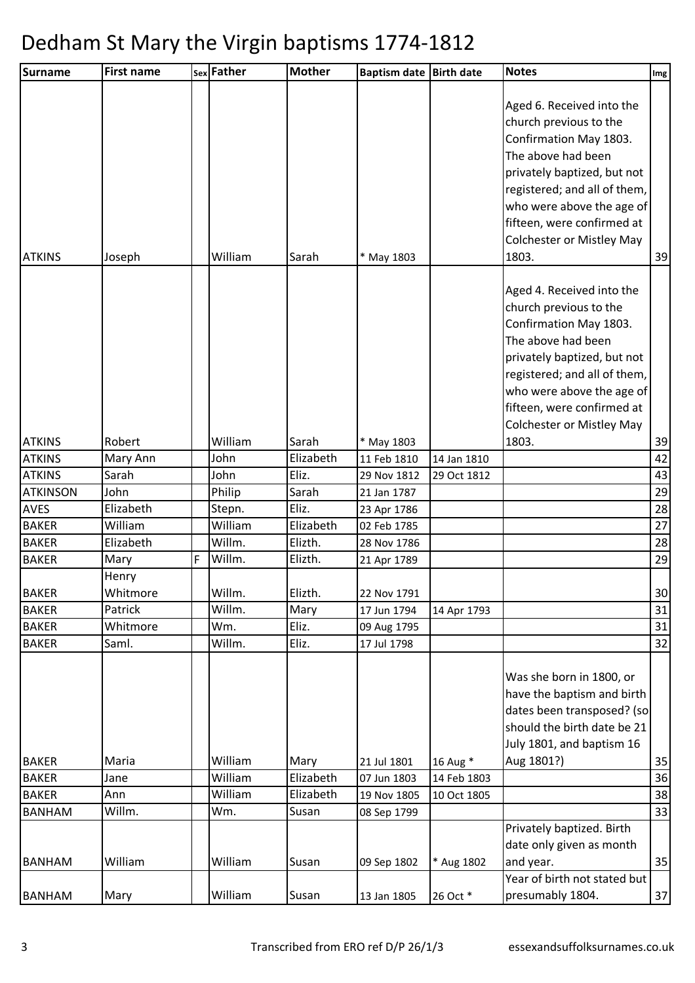| <b>Surname</b>  | <b>First name</b> |   | sex Father | <b>Mother</b> | Baptism date Birth date |             | <b>Notes</b>                                                                                                                                                                                                                                                               | Img |
|-----------------|-------------------|---|------------|---------------|-------------------------|-------------|----------------------------------------------------------------------------------------------------------------------------------------------------------------------------------------------------------------------------------------------------------------------------|-----|
| <b>ATKINS</b>   | Joseph            |   | William    | Sarah         | * May 1803              |             | Aged 6. Received into the<br>church previous to the<br>Confirmation May 1803.<br>The above had been<br>privately baptized, but not<br>registered; and all of them,<br>who were above the age of<br>fifteen, were confirmed at<br><b>Colchester or Mistley May</b><br>1803. | 39  |
|                 |                   |   |            |               |                         |             | Aged 4. Received into the<br>church previous to the<br>Confirmation May 1803.<br>The above had been<br>privately baptized, but not<br>registered; and all of them,<br>who were above the age of<br>fifteen, were confirmed at<br><b>Colchester or Mistley May</b>          |     |
| <b>ATKINS</b>   | Robert            |   | William    | Sarah         | * May 1803              |             | 1803.                                                                                                                                                                                                                                                                      | 39  |
| <b>ATKINS</b>   | Mary Ann          |   | John       | Elizabeth     | 11 Feb 1810             | 14 Jan 1810 |                                                                                                                                                                                                                                                                            | 42  |
| <b>ATKINS</b>   | Sarah             |   | John       | Eliz.         | 29 Nov 1812             | 29 Oct 1812 |                                                                                                                                                                                                                                                                            | 43  |
| <b>ATKINSON</b> | John              |   | Philip     | Sarah         | 21 Jan 1787             |             |                                                                                                                                                                                                                                                                            | 29  |
| <b>AVES</b>     | Elizabeth         |   | Stepn.     | Eliz.         | 23 Apr 1786             |             |                                                                                                                                                                                                                                                                            | 28  |
| <b>BAKER</b>    | William           |   | William    | Elizabeth     | 02 Feb 1785             |             |                                                                                                                                                                                                                                                                            | 27  |
| <b>BAKER</b>    | Elizabeth         |   | Willm.     | Elizth.       | 28 Nov 1786             |             |                                                                                                                                                                                                                                                                            | 28  |
| <b>BAKER</b>    | Mary              | F | Willm.     | Elizth.       | 21 Apr 1789             |             |                                                                                                                                                                                                                                                                            | 29  |
| <b>BAKER</b>    | Henry<br>Whitmore |   | Willm.     | Elizth.       | 22 Nov 1791             |             |                                                                                                                                                                                                                                                                            | 30  |
| <b>BAKER</b>    | Patrick           |   | Willm.     | Mary          | 17 Jun 1794             | 14 Apr 1793 |                                                                                                                                                                                                                                                                            | 31  |
| <b>BAKER</b>    | Whitmore          |   | Wm.        | Eliz.         | 09 Aug 1795             |             |                                                                                                                                                                                                                                                                            | 31  |
| <b>BAKER</b>    | Saml.             |   | Willm.     | Eliz.         | 17 Jul 1798             |             |                                                                                                                                                                                                                                                                            | 32  |
| <b>BAKER</b>    | Maria             |   | William    | Mary          | 21 Jul 1801             | 16 Aug *    | Was she born in 1800, or<br>have the baptism and birth<br>dates been transposed? (so<br>should the birth date be 21<br>July 1801, and baptism 16<br>Aug 1801?)                                                                                                             | 35  |
| <b>BAKER</b>    | Jane              |   | William    | Elizabeth     | 07 Jun 1803             | 14 Feb 1803 |                                                                                                                                                                                                                                                                            | 36  |
| <b>BAKER</b>    | Ann               |   | William    | Elizabeth     | 19 Nov 1805             | 10 Oct 1805 |                                                                                                                                                                                                                                                                            | 38  |
| <b>BANHAM</b>   | Willm.            |   | Wm.        | Susan         | 08 Sep 1799             |             |                                                                                                                                                                                                                                                                            | 33  |
|                 |                   |   |            |               |                         |             | Privately baptized. Birth<br>date only given as month                                                                                                                                                                                                                      |     |
| <b>BANHAM</b>   | William           |   | William    | Susan         | 09 Sep 1802             | * Aug 1802  | and year.                                                                                                                                                                                                                                                                  | 35  |
| <b>BANHAM</b>   | Mary              |   | William    | Susan         | 13 Jan 1805             | 26 Oct *    | Year of birth not stated but<br>presumably 1804.                                                                                                                                                                                                                           | 37  |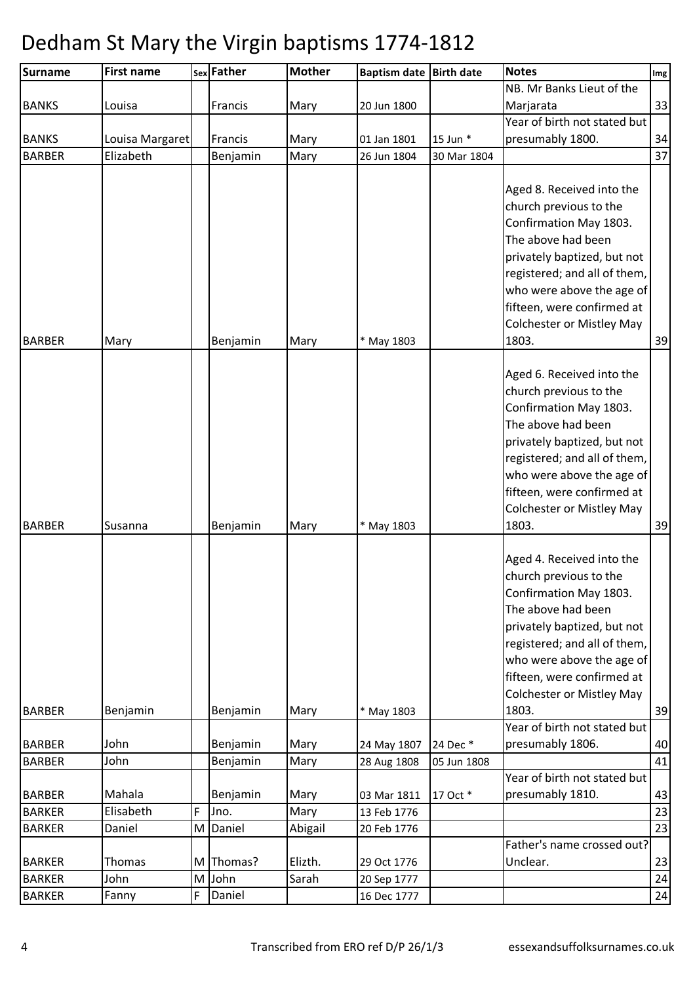| <b>Surname</b>                 | <b>First name</b>   |   | sex Father       | <b>Mother</b> | <b>Baptism date</b>        | <b>Birth date</b> | <b>Notes</b>                                                                                                                                                                                                                                                               | Img      |
|--------------------------------|---------------------|---|------------------|---------------|----------------------------|-------------------|----------------------------------------------------------------------------------------------------------------------------------------------------------------------------------------------------------------------------------------------------------------------------|----------|
|                                |                     |   |                  |               |                            |                   | NB. Mr Banks Lieut of the                                                                                                                                                                                                                                                  |          |
| <b>BANKS</b>                   | Louisa              |   | Francis          | Mary          | 20 Jun 1800                |                   | Marjarata                                                                                                                                                                                                                                                                  | 33       |
|                                |                     |   |                  |               |                            |                   | Year of birth not stated but                                                                                                                                                                                                                                               |          |
| <b>BANKS</b>                   | Louisa Margaret     |   | Francis          | Mary          | 01 Jan 1801                | 15 Jun *          | presumably 1800.                                                                                                                                                                                                                                                           | 34       |
| <b>BARBER</b>                  | Elizabeth           |   | Benjamin         | Mary          | 26 Jun 1804                | 30 Mar 1804       |                                                                                                                                                                                                                                                                            | 37       |
| <b>BARBER</b>                  | Mary                |   | Benjamin         | Mary          | * May 1803                 |                   | Aged 8. Received into the<br>church previous to the<br>Confirmation May 1803.<br>The above had been<br>privately baptized, but not<br>registered; and all of them,<br>who were above the age of<br>fifteen, were confirmed at<br><b>Colchester or Mistley May</b><br>1803. | 39       |
|                                |                     |   |                  |               |                            |                   |                                                                                                                                                                                                                                                                            |          |
| <b>BARBER</b>                  | Susanna             |   | Benjamin         | Mary          | * May 1803                 |                   | Aged 6. Received into the<br>church previous to the<br>Confirmation May 1803.<br>The above had been<br>privately baptized, but not<br>registered; and all of them,<br>who were above the age of<br>fifteen, were confirmed at<br><b>Colchester or Mistley May</b><br>1803. | 39       |
|                                |                     |   |                  |               |                            |                   |                                                                                                                                                                                                                                                                            |          |
|                                |                     |   |                  |               |                            |                   | Aged 4. Received into the<br>church previous to the<br>Confirmation May 1803.<br>The above had been<br>privately baptized, but not<br>registered; and all of them,<br>who were above the age of<br>fifteen, were confirmed at<br><b>Colchester or Mistley May</b>          |          |
| <b>BARBER</b>                  | Benjamin            |   | Benjamin         | Mary          | * May 1803                 |                   | 1803.                                                                                                                                                                                                                                                                      | 39       |
| <b>BARBER</b>                  | John                |   | Benjamin         | Mary          | 24 May 1807                | 24 Dec *          | Year of birth not stated but<br>presumably 1806.                                                                                                                                                                                                                           | 40       |
| <b>BARBER</b>                  | John                |   | Benjamin         | Mary          | 28 Aug 1808                | 05 Jun 1808       |                                                                                                                                                                                                                                                                            | 41       |
| <b>BARBER</b><br><b>BARKER</b> | Mahala<br>Elisabeth | F | Benjamin<br>Jno. | Mary<br>Mary  | 03 Mar 1811<br>13 Feb 1776 | 17 Oct *          | Year of birth not stated but<br>presumably 1810.                                                                                                                                                                                                                           | 43<br>23 |
| <b>BARKER</b>                  | Daniel              | M | Daniel           | Abigail       | 20 Feb 1776                |                   |                                                                                                                                                                                                                                                                            | 23       |
| <b>BARKER</b>                  | Thomas              | M | Thomas?          | Elizth.       | 29 Oct 1776                |                   | Father's name crossed out?<br>Unclear.                                                                                                                                                                                                                                     | 23       |
| <b>BARKER</b>                  | John                | M | John             | Sarah         | 20 Sep 1777                |                   |                                                                                                                                                                                                                                                                            | 24       |
| <b>BARKER</b>                  | Fanny               | F | Daniel           |               | 16 Dec 1777                |                   |                                                                                                                                                                                                                                                                            | 24       |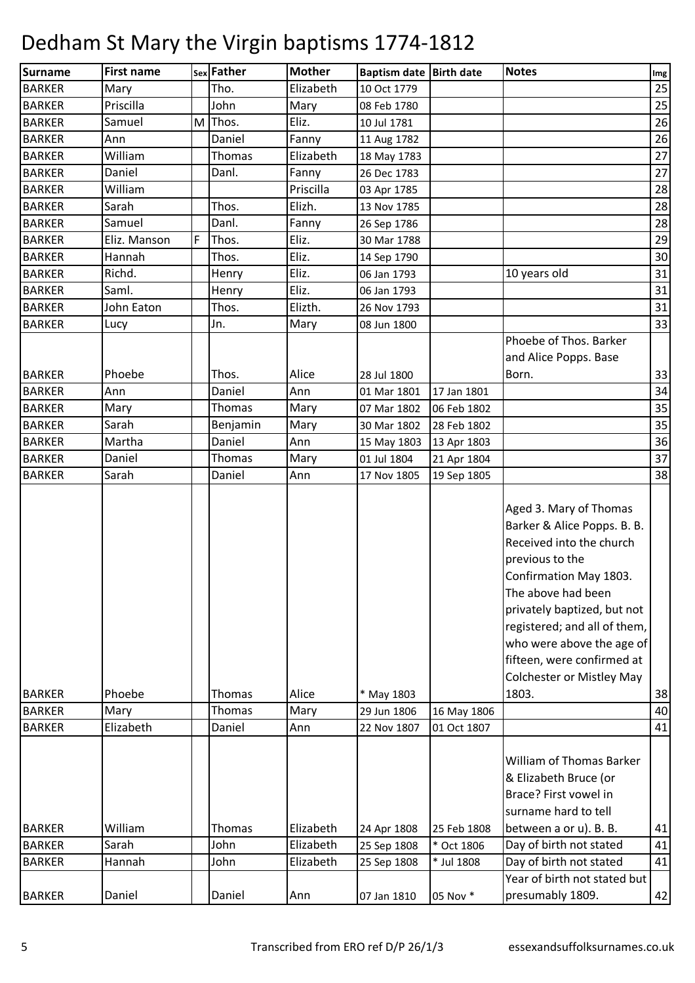| Surname                        | <b>First name</b> |   | sex Father       | <b>Mother</b> | Baptism date Birth date   |             | <b>Notes</b>                                                                                                                                                                                                                                                                                                                | Img      |
|--------------------------------|-------------------|---|------------------|---------------|---------------------------|-------------|-----------------------------------------------------------------------------------------------------------------------------------------------------------------------------------------------------------------------------------------------------------------------------------------------------------------------------|----------|
| <b>BARKER</b>                  | Mary              |   | Tho.             | Elizabeth     | 10 Oct 1779               |             |                                                                                                                                                                                                                                                                                                                             | 25       |
| <b>BARKER</b>                  | Priscilla         |   | John             | Mary          | 08 Feb 1780               |             |                                                                                                                                                                                                                                                                                                                             | 25       |
| <b>BARKER</b>                  | Samuel            | M | Thos.            | Eliz.         | 10 Jul 1781               |             |                                                                                                                                                                                                                                                                                                                             | 26       |
| <b>BARKER</b>                  | Ann               |   | Daniel           | Fanny         | 11 Aug 1782               |             |                                                                                                                                                                                                                                                                                                                             | 26       |
| <b>BARKER</b>                  | William           |   | Thomas           | Elizabeth     | 18 May 1783               |             |                                                                                                                                                                                                                                                                                                                             | 27       |
| <b>BARKER</b>                  | Daniel            |   | Danl.            | Fanny         | 26 Dec 1783               |             |                                                                                                                                                                                                                                                                                                                             | 27       |
| <b>BARKER</b>                  | William           |   |                  | Priscilla     | 03 Apr 1785               |             |                                                                                                                                                                                                                                                                                                                             | 28       |
| <b>BARKER</b>                  | Sarah             |   | Thos.            | Elizh.        | 13 Nov 1785               |             |                                                                                                                                                                                                                                                                                                                             | 28       |
| <b>BARKER</b>                  | Samuel            |   | Danl.            | Fanny         | 26 Sep 1786               |             |                                                                                                                                                                                                                                                                                                                             | 28       |
| <b>BARKER</b>                  | Eliz. Manson      | F | Thos.            | Eliz.         | 30 Mar 1788               |             |                                                                                                                                                                                                                                                                                                                             | 29       |
| <b>BARKER</b>                  | Hannah            |   | Thos.            | Eliz.         | 14 Sep 1790               |             |                                                                                                                                                                                                                                                                                                                             | 30       |
| <b>BARKER</b>                  | Richd.            |   | Henry            | Eliz.         | 06 Jan 1793               |             | 10 years old                                                                                                                                                                                                                                                                                                                | 31       |
| <b>BARKER</b>                  | Saml.             |   | Henry            | Eliz.         | 06 Jan 1793               |             |                                                                                                                                                                                                                                                                                                                             | 31       |
| <b>BARKER</b>                  | John Eaton        |   | Thos.            | Elizth.       | 26 Nov 1793               |             |                                                                                                                                                                                                                                                                                                                             | 31       |
| <b>BARKER</b>                  | Lucy              |   | Jn.              | Mary          | 08 Jun 1800               |             |                                                                                                                                                                                                                                                                                                                             | 33       |
|                                |                   |   |                  |               |                           |             | Phoebe of Thos. Barker                                                                                                                                                                                                                                                                                                      |          |
|                                |                   |   |                  |               |                           |             | and Alice Popps. Base                                                                                                                                                                                                                                                                                                       |          |
| <b>BARKER</b>                  | Phoebe            |   | Thos.            | Alice         | 28 Jul 1800               |             | Born.                                                                                                                                                                                                                                                                                                                       | 33       |
| <b>BARKER</b>                  | Ann               |   | Daniel           | Ann           | 01 Mar 1801               | 17 Jan 1801 |                                                                                                                                                                                                                                                                                                                             | 34       |
| <b>BARKER</b>                  | Mary              |   | Thomas           | Mary          | 07 Mar 1802               | 06 Feb 1802 |                                                                                                                                                                                                                                                                                                                             | 35       |
| <b>BARKER</b>                  | Sarah             |   | Benjamin         | Mary          | 30 Mar 1802               | 28 Feb 1802 |                                                                                                                                                                                                                                                                                                                             | 35       |
| <b>BARKER</b>                  | Martha            |   | Daniel           | Ann           | 15 May 1803               | 13 Apr 1803 |                                                                                                                                                                                                                                                                                                                             | 36       |
| <b>BARKER</b>                  | Daniel            |   | Thomas           | Mary          | 01 Jul 1804               | 21 Apr 1804 |                                                                                                                                                                                                                                                                                                                             | 37       |
| <b>BARKER</b>                  | Sarah             |   | Daniel           | Ann           | 17 Nov 1805               | 19 Sep 1805 |                                                                                                                                                                                                                                                                                                                             | 38       |
| <b>BARKER</b><br><b>BARKER</b> | Phoebe<br>Mary    |   | Thomas<br>Thomas | Alice<br>Mary | * May 1803<br>29 Jun 1806 | 16 May 1806 | Aged 3. Mary of Thomas<br>Barker & Alice Popps. B. B.<br>Received into the church<br>previous to the<br>Confirmation May 1803.<br>The above had been<br>privately baptized, but not<br>registered; and all of them,<br>who were above the age of<br>fifteen, were confirmed at<br><b>Colchester or Mistley May</b><br>1803. | 38<br>40 |
| <b>BARKER</b>                  | Elizabeth         |   | Daniel           | Ann           | 22 Nov 1807               | 01 Oct 1807 |                                                                                                                                                                                                                                                                                                                             | 41       |
| <b>BARKER</b>                  | William           |   | Thomas           | Elizabeth     | 24 Apr 1808               | 25 Feb 1808 | William of Thomas Barker<br>& Elizabeth Bruce (or<br>Brace? First vowel in<br>surname hard to tell<br>between a or u). B. B.                                                                                                                                                                                                | 41       |
| <b>BARKER</b>                  | Sarah             |   | John             | Elizabeth     | 25 Sep 1808               | * Oct 1806  | Day of birth not stated                                                                                                                                                                                                                                                                                                     | 41       |
| <b>BARKER</b>                  | Hannah            |   | John             | Elizabeth     | 25 Sep 1808               | * Jul 1808  | Day of birth not stated                                                                                                                                                                                                                                                                                                     | 41       |
|                                |                   |   |                  |               |                           |             | Year of birth not stated but                                                                                                                                                                                                                                                                                                |          |
| <b>BARKER</b>                  | Daniel            |   | Daniel           | Ann           | 07 Jan 1810               | 05 Nov *    | presumably 1809.                                                                                                                                                                                                                                                                                                            | 42       |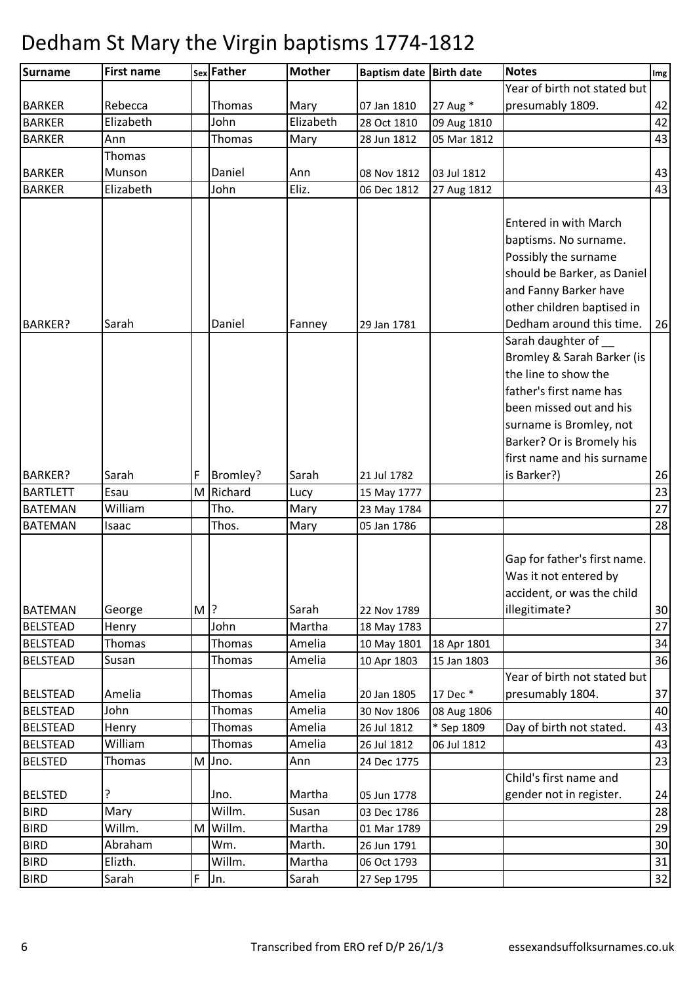| <b>Surname</b>  | <b>First name</b> |        | sex Father    | <b>Mother</b> | Baptism date Birth date |             | <b>Notes</b>                                                                                                                                                                                                        | Img |
|-----------------|-------------------|--------|---------------|---------------|-------------------------|-------------|---------------------------------------------------------------------------------------------------------------------------------------------------------------------------------------------------------------------|-----|
|                 |                   |        |               |               |                         |             | Year of birth not stated but                                                                                                                                                                                        |     |
| <b>BARKER</b>   | Rebecca           |        | Thomas        | Mary          | 07 Jan 1810             | 27 Aug *    | presumably 1809.                                                                                                                                                                                                    | 42  |
| <b>BARKER</b>   | Elizabeth         |        | John          | Elizabeth     | 28 Oct 1810             | 09 Aug 1810 |                                                                                                                                                                                                                     | 42  |
| <b>BARKER</b>   | Ann               |        | Thomas        | Mary          | 28 Jun 1812             | 05 Mar 1812 |                                                                                                                                                                                                                     | 43  |
|                 | Thomas            |        |               |               |                         |             |                                                                                                                                                                                                                     |     |
| <b>BARKER</b>   | Munson            |        | Daniel        | Ann           | 08 Nov 1812             | 03 Jul 1812 |                                                                                                                                                                                                                     | 43  |
| <b>BARKER</b>   | Elizabeth         |        | John          | Eliz.         | 06 Dec 1812             | 27 Aug 1812 |                                                                                                                                                                                                                     | 43  |
| <b>BARKER?</b>  | Sarah             |        | Daniel        | Fanney        | 29 Jan 1781             |             | <b>Entered in with March</b><br>baptisms. No surname.<br>Possibly the surname<br>should be Barker, as Daniel<br>and Fanny Barker have<br>other children baptised in<br>Dedham around this time.                     | 26  |
|                 |                   |        |               |               |                         |             | Sarah daughter of<br>Bromley & Sarah Barker (is<br>the line to show the<br>father's first name has<br>been missed out and his<br>surname is Bromley, not<br>Barker? Or is Bromely his<br>first name and his surname |     |
| <b>BARKER?</b>  | Sarah             | F      | Bromley?      | Sarah         | 21 Jul 1782             |             | is Barker?)                                                                                                                                                                                                         | 26  |
| <b>BARTLETT</b> | Esau              | M      | Richard       | Lucy          | 15 May 1777             |             |                                                                                                                                                                                                                     | 23  |
| <b>BATEMAN</b>  | William           |        | Tho.          | Mary          | 23 May 1784             |             |                                                                                                                                                                                                                     | 27  |
| <b>BATEMAN</b>  | Isaac             |        | Thos.         | Mary          | 05 Jan 1786             |             |                                                                                                                                                                                                                     | 28  |
| <b>BATEMAN</b>  | George            | M $ ?$ |               | Sarah         | 22 Nov 1789             |             | Gap for father's first name.<br>Was it not entered by<br>accident, or was the child<br>illegitimate?                                                                                                                | 30  |
| <b>BELSTEAD</b> | Henry             |        | John          | Martha        | 18 May 1783             |             |                                                                                                                                                                                                                     | 27  |
| <b>BELSTEAD</b> | Thomas            |        | Thomas        | Amelia        | 10 May 1801             | 18 Apr 1801 |                                                                                                                                                                                                                     | 34  |
| <b>BELSTEAD</b> | Susan             |        | Thomas        | Amelia        | 10 Apr 1803             | 15 Jan 1803 |                                                                                                                                                                                                                     | 36  |
|                 |                   |        |               |               |                         |             | Year of birth not stated but                                                                                                                                                                                        |     |
| <b>BELSTEAD</b> | Amelia            |        | Thomas        | Amelia        | 20 Jan 1805             | 17 Dec *    | presumably 1804.                                                                                                                                                                                                    | 37  |
| <b>BELSTEAD</b> | John              |        | <b>Thomas</b> | Amelia        | 30 Nov 1806             | 08 Aug 1806 |                                                                                                                                                                                                                     | 40  |
| <b>BELSTEAD</b> | Henry             |        | Thomas        | Amelia        | 26 Jul 1812             | * Sep 1809  | Day of birth not stated.                                                                                                                                                                                            | 43  |
| <b>BELSTEAD</b> | William           |        | Thomas        | Amelia        | 26 Jul 1812             | 06 Jul 1812 |                                                                                                                                                                                                                     | 43  |
| <b>BELSTED</b>  | Thomas            | M      | Jno.          | Ann           | 24 Dec 1775             |             |                                                                                                                                                                                                                     | 23  |
|                 |                   |        |               |               |                         |             | Child's first name and                                                                                                                                                                                              |     |
| <b>BELSTED</b>  |                   |        | Jno.          | Martha        | 05 Jun 1778             |             | gender not in register.                                                                                                                                                                                             | 24  |
| <b>BIRD</b>     | Mary              |        | Willm.        | Susan         | 03 Dec 1786             |             |                                                                                                                                                                                                                     | 28  |
| <b>BIRD</b>     | Willm.            | M      | Willm.        | Martha        | 01 Mar 1789             |             |                                                                                                                                                                                                                     | 29  |
| <b>BIRD</b>     | Abraham           |        | Wm.           | Marth.        | 26 Jun 1791             |             |                                                                                                                                                                                                                     | 30  |
| <b>BIRD</b>     | Elizth.           |        | Willm.        | Martha        | 06 Oct 1793             |             |                                                                                                                                                                                                                     | 31  |
| <b>BIRD</b>     | Sarah             | F      | Jn.           | Sarah         | 27 Sep 1795             |             |                                                                                                                                                                                                                     | 32  |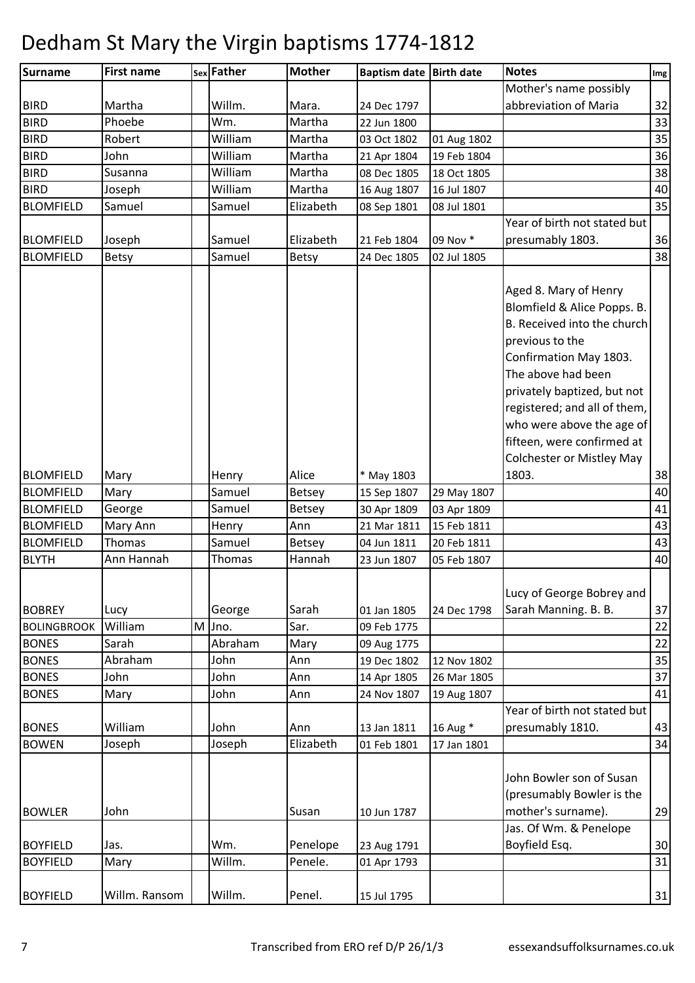| Mother's name possibly<br>abbreviation of Maria<br>Willm.<br>Martha<br>Mara.<br>24 Dec 1797<br>Phoebe<br>Martha<br>Wm.<br>22 Jun 1800<br>William<br>35<br><b>BIRD</b><br>Robert<br>Martha<br>03 Oct 1802<br>01 Aug 1802<br>36<br>William<br>Martha<br>John<br>21 Apr 1804<br>19 Feb 1804<br>William<br>Martha<br>Susanna<br>08 Dec 1805<br>18 Oct 1805<br>William<br>Martha<br>Joseph<br>16 Aug 1807<br>16 Jul 1807<br>Elizabeth<br>Samuel<br>Samuel<br>08 Sep 1801<br>08 Jul 1801<br>Year of birth not stated but<br>Elizabeth<br>09 Nov *<br>presumably 1803.<br>Joseph<br>Samuel<br>21 Feb 1804<br>Samuel<br>Betsy<br><b>Betsy</b><br>24 Dec 1805<br>02 Jul 1805<br>Aged 8. Mary of Henry<br>Blomfield & Alice Popps. B.<br>B. Received into the church<br>previous to the<br>Confirmation May 1803.<br>The above had been<br>privately baptized, but not<br>registered; and all of them,<br>who were above the age of<br>fifteen, were confirmed at<br><b>Colchester or Mistley May</b><br>Alice<br>1803.<br>Mary<br>Henry<br>* May 1803<br>Mary<br>Samuel<br><b>Betsey</b><br>29 May 1807<br>15 Sep 1807<br>Samuel<br><b>Betsey</b><br>41<br>George<br>30 Apr 1809<br>03 Apr 1809<br>Ann<br>43<br>21 Mar 1811<br>15 Feb 1811<br>Mary Ann<br>Henry<br>Samuel<br>Thomas<br><b>Betsey</b><br>04 Jun 1811<br>20 Feb 1811<br>Ann Hannah<br>40<br>Thomas<br>Hannah<br>23 Jun 1807<br>05 Feb 1807<br>Lucy of George Bobrey and<br>Sarah<br>Sarah Manning. B. B.<br>37<br>Lucy<br>George<br>01 Jan 1805<br>24 Dec 1798<br>William<br>Sar.<br>M<br>Jno.<br>09 Feb 1775<br>22<br>Abraham<br>Sarah<br>Mary<br>09 Aug 1775<br>John<br>35<br><b>BONES</b><br>Abraham<br>Ann<br>19 Dec 1802<br>12 Nov 1802<br>John<br>John<br>37<br>Ann<br>26 Mar 1805<br>14 Apr 1805<br><b>BONES</b><br>John<br>24 Nov 1807<br>19 Aug 1807<br>Mary<br>Ann<br>Year of birth not stated but<br>William<br>16 Aug *<br>John<br>13 Jan 1811<br>presumably 1810.<br>Ann<br>Joseph<br>Elizabeth<br>Joseph<br>34<br>01 Feb 1801<br>17 Jan 1801<br>John Bowler son of Susan<br>(presumably Bowler is the<br>mother's surname).<br>John<br>Susan<br>10 Jun 1787<br>Jas. Of Wm. & Penelope<br>Boyfield Esq.<br>Jas.<br>Wm.<br>Penelope<br>23 Aug 1791<br>Willm.<br>Penele.<br>Mary<br>01 Apr 1793<br>Willm. Ransom<br>Willm.<br>Penel.<br>15 Jul 1795 | <b>Surname</b>     | <b>First name</b> | sex Father | <b>Mother</b> | Baptism date Birth date | <b>Notes</b> | Img |
|---------------------------------------------------------------------------------------------------------------------------------------------------------------------------------------------------------------------------------------------------------------------------------------------------------------------------------------------------------------------------------------------------------------------------------------------------------------------------------------------------------------------------------------------------------------------------------------------------------------------------------------------------------------------------------------------------------------------------------------------------------------------------------------------------------------------------------------------------------------------------------------------------------------------------------------------------------------------------------------------------------------------------------------------------------------------------------------------------------------------------------------------------------------------------------------------------------------------------------------------------------------------------------------------------------------------------------------------------------------------------------------------------------------------------------------------------------------------------------------------------------------------------------------------------------------------------------------------------------------------------------------------------------------------------------------------------------------------------------------------------------------------------------------------------------------------------------------------------------------------------------------------------------------------------------------------------------------------------------------------------------------------------------------------------------------------------------------------------------------------------------------------------------------------------------------------------------------------------------------------------------------------------------------------------------------------|--------------------|-------------------|------------|---------------|-------------------------|--------------|-----|
| 32<br>33<br>38<br>40<br>35<br>36<br>38<br>38<br>40<br>43<br>22<br>41<br>43<br>29<br>30<br>31<br>31                                                                                                                                                                                                                                                                                                                                                                                                                                                                                                                                                                                                                                                                                                                                                                                                                                                                                                                                                                                                                                                                                                                                                                                                                                                                                                                                                                                                                                                                                                                                                                                                                                                                                                                                                                                                                                                                                                                                                                                                                                                                                                                                                                                                                  |                    |                   |            |               |                         |              |     |
|                                                                                                                                                                                                                                                                                                                                                                                                                                                                                                                                                                                                                                                                                                                                                                                                                                                                                                                                                                                                                                                                                                                                                                                                                                                                                                                                                                                                                                                                                                                                                                                                                                                                                                                                                                                                                                                                                                                                                                                                                                                                                                                                                                                                                                                                                                                     | <b>BIRD</b>        |                   |            |               |                         |              |     |
|                                                                                                                                                                                                                                                                                                                                                                                                                                                                                                                                                                                                                                                                                                                                                                                                                                                                                                                                                                                                                                                                                                                                                                                                                                                                                                                                                                                                                                                                                                                                                                                                                                                                                                                                                                                                                                                                                                                                                                                                                                                                                                                                                                                                                                                                                                                     | <b>BIRD</b>        |                   |            |               |                         |              |     |
|                                                                                                                                                                                                                                                                                                                                                                                                                                                                                                                                                                                                                                                                                                                                                                                                                                                                                                                                                                                                                                                                                                                                                                                                                                                                                                                                                                                                                                                                                                                                                                                                                                                                                                                                                                                                                                                                                                                                                                                                                                                                                                                                                                                                                                                                                                                     |                    |                   |            |               |                         |              |     |
|                                                                                                                                                                                                                                                                                                                                                                                                                                                                                                                                                                                                                                                                                                                                                                                                                                                                                                                                                                                                                                                                                                                                                                                                                                                                                                                                                                                                                                                                                                                                                                                                                                                                                                                                                                                                                                                                                                                                                                                                                                                                                                                                                                                                                                                                                                                     | <b>BIRD</b>        |                   |            |               |                         |              |     |
|                                                                                                                                                                                                                                                                                                                                                                                                                                                                                                                                                                                                                                                                                                                                                                                                                                                                                                                                                                                                                                                                                                                                                                                                                                                                                                                                                                                                                                                                                                                                                                                                                                                                                                                                                                                                                                                                                                                                                                                                                                                                                                                                                                                                                                                                                                                     | <b>BIRD</b>        |                   |            |               |                         |              |     |
|                                                                                                                                                                                                                                                                                                                                                                                                                                                                                                                                                                                                                                                                                                                                                                                                                                                                                                                                                                                                                                                                                                                                                                                                                                                                                                                                                                                                                                                                                                                                                                                                                                                                                                                                                                                                                                                                                                                                                                                                                                                                                                                                                                                                                                                                                                                     | <b>BIRD</b>        |                   |            |               |                         |              |     |
|                                                                                                                                                                                                                                                                                                                                                                                                                                                                                                                                                                                                                                                                                                                                                                                                                                                                                                                                                                                                                                                                                                                                                                                                                                                                                                                                                                                                                                                                                                                                                                                                                                                                                                                                                                                                                                                                                                                                                                                                                                                                                                                                                                                                                                                                                                                     | <b>BLOMFIELD</b>   |                   |            |               |                         |              |     |
|                                                                                                                                                                                                                                                                                                                                                                                                                                                                                                                                                                                                                                                                                                                                                                                                                                                                                                                                                                                                                                                                                                                                                                                                                                                                                                                                                                                                                                                                                                                                                                                                                                                                                                                                                                                                                                                                                                                                                                                                                                                                                                                                                                                                                                                                                                                     |                    |                   |            |               |                         |              |     |
|                                                                                                                                                                                                                                                                                                                                                                                                                                                                                                                                                                                                                                                                                                                                                                                                                                                                                                                                                                                                                                                                                                                                                                                                                                                                                                                                                                                                                                                                                                                                                                                                                                                                                                                                                                                                                                                                                                                                                                                                                                                                                                                                                                                                                                                                                                                     | <b>BLOMFIELD</b>   |                   |            |               |                         |              |     |
|                                                                                                                                                                                                                                                                                                                                                                                                                                                                                                                                                                                                                                                                                                                                                                                                                                                                                                                                                                                                                                                                                                                                                                                                                                                                                                                                                                                                                                                                                                                                                                                                                                                                                                                                                                                                                                                                                                                                                                                                                                                                                                                                                                                                                                                                                                                     | <b>BLOMFIELD</b>   |                   |            |               |                         |              |     |
|                                                                                                                                                                                                                                                                                                                                                                                                                                                                                                                                                                                                                                                                                                                                                                                                                                                                                                                                                                                                                                                                                                                                                                                                                                                                                                                                                                                                                                                                                                                                                                                                                                                                                                                                                                                                                                                                                                                                                                                                                                                                                                                                                                                                                                                                                                                     |                    |                   |            |               |                         |              |     |
|                                                                                                                                                                                                                                                                                                                                                                                                                                                                                                                                                                                                                                                                                                                                                                                                                                                                                                                                                                                                                                                                                                                                                                                                                                                                                                                                                                                                                                                                                                                                                                                                                                                                                                                                                                                                                                                                                                                                                                                                                                                                                                                                                                                                                                                                                                                     |                    |                   |            |               |                         |              |     |
|                                                                                                                                                                                                                                                                                                                                                                                                                                                                                                                                                                                                                                                                                                                                                                                                                                                                                                                                                                                                                                                                                                                                                                                                                                                                                                                                                                                                                                                                                                                                                                                                                                                                                                                                                                                                                                                                                                                                                                                                                                                                                                                                                                                                                                                                                                                     |                    |                   |            |               |                         |              |     |
|                                                                                                                                                                                                                                                                                                                                                                                                                                                                                                                                                                                                                                                                                                                                                                                                                                                                                                                                                                                                                                                                                                                                                                                                                                                                                                                                                                                                                                                                                                                                                                                                                                                                                                                                                                                                                                                                                                                                                                                                                                                                                                                                                                                                                                                                                                                     |                    |                   |            |               |                         |              |     |
|                                                                                                                                                                                                                                                                                                                                                                                                                                                                                                                                                                                                                                                                                                                                                                                                                                                                                                                                                                                                                                                                                                                                                                                                                                                                                                                                                                                                                                                                                                                                                                                                                                                                                                                                                                                                                                                                                                                                                                                                                                                                                                                                                                                                                                                                                                                     |                    |                   |            |               |                         |              |     |
|                                                                                                                                                                                                                                                                                                                                                                                                                                                                                                                                                                                                                                                                                                                                                                                                                                                                                                                                                                                                                                                                                                                                                                                                                                                                                                                                                                                                                                                                                                                                                                                                                                                                                                                                                                                                                                                                                                                                                                                                                                                                                                                                                                                                                                                                                                                     |                    |                   |            |               |                         |              |     |
|                                                                                                                                                                                                                                                                                                                                                                                                                                                                                                                                                                                                                                                                                                                                                                                                                                                                                                                                                                                                                                                                                                                                                                                                                                                                                                                                                                                                                                                                                                                                                                                                                                                                                                                                                                                                                                                                                                                                                                                                                                                                                                                                                                                                                                                                                                                     |                    |                   |            |               |                         |              |     |
|                                                                                                                                                                                                                                                                                                                                                                                                                                                                                                                                                                                                                                                                                                                                                                                                                                                                                                                                                                                                                                                                                                                                                                                                                                                                                                                                                                                                                                                                                                                                                                                                                                                                                                                                                                                                                                                                                                                                                                                                                                                                                                                                                                                                                                                                                                                     |                    |                   |            |               |                         |              |     |
|                                                                                                                                                                                                                                                                                                                                                                                                                                                                                                                                                                                                                                                                                                                                                                                                                                                                                                                                                                                                                                                                                                                                                                                                                                                                                                                                                                                                                                                                                                                                                                                                                                                                                                                                                                                                                                                                                                                                                                                                                                                                                                                                                                                                                                                                                                                     |                    |                   |            |               |                         |              |     |
|                                                                                                                                                                                                                                                                                                                                                                                                                                                                                                                                                                                                                                                                                                                                                                                                                                                                                                                                                                                                                                                                                                                                                                                                                                                                                                                                                                                                                                                                                                                                                                                                                                                                                                                                                                                                                                                                                                                                                                                                                                                                                                                                                                                                                                                                                                                     |                    |                   |            |               |                         |              |     |
|                                                                                                                                                                                                                                                                                                                                                                                                                                                                                                                                                                                                                                                                                                                                                                                                                                                                                                                                                                                                                                                                                                                                                                                                                                                                                                                                                                                                                                                                                                                                                                                                                                                                                                                                                                                                                                                                                                                                                                                                                                                                                                                                                                                                                                                                                                                     |                    |                   |            |               |                         |              |     |
|                                                                                                                                                                                                                                                                                                                                                                                                                                                                                                                                                                                                                                                                                                                                                                                                                                                                                                                                                                                                                                                                                                                                                                                                                                                                                                                                                                                                                                                                                                                                                                                                                                                                                                                                                                                                                                                                                                                                                                                                                                                                                                                                                                                                                                                                                                                     |                    |                   |            |               |                         |              |     |
|                                                                                                                                                                                                                                                                                                                                                                                                                                                                                                                                                                                                                                                                                                                                                                                                                                                                                                                                                                                                                                                                                                                                                                                                                                                                                                                                                                                                                                                                                                                                                                                                                                                                                                                                                                                                                                                                                                                                                                                                                                                                                                                                                                                                                                                                                                                     | <b>BLOMFIELD</b>   |                   |            |               |                         |              |     |
|                                                                                                                                                                                                                                                                                                                                                                                                                                                                                                                                                                                                                                                                                                                                                                                                                                                                                                                                                                                                                                                                                                                                                                                                                                                                                                                                                                                                                                                                                                                                                                                                                                                                                                                                                                                                                                                                                                                                                                                                                                                                                                                                                                                                                                                                                                                     | <b>BLOMFIELD</b>   |                   |            |               |                         |              |     |
|                                                                                                                                                                                                                                                                                                                                                                                                                                                                                                                                                                                                                                                                                                                                                                                                                                                                                                                                                                                                                                                                                                                                                                                                                                                                                                                                                                                                                                                                                                                                                                                                                                                                                                                                                                                                                                                                                                                                                                                                                                                                                                                                                                                                                                                                                                                     | <b>BLOMFIELD</b>   |                   |            |               |                         |              |     |
|                                                                                                                                                                                                                                                                                                                                                                                                                                                                                                                                                                                                                                                                                                                                                                                                                                                                                                                                                                                                                                                                                                                                                                                                                                                                                                                                                                                                                                                                                                                                                                                                                                                                                                                                                                                                                                                                                                                                                                                                                                                                                                                                                                                                                                                                                                                     | <b>BLOMFIELD</b>   |                   |            |               |                         |              |     |
|                                                                                                                                                                                                                                                                                                                                                                                                                                                                                                                                                                                                                                                                                                                                                                                                                                                                                                                                                                                                                                                                                                                                                                                                                                                                                                                                                                                                                                                                                                                                                                                                                                                                                                                                                                                                                                                                                                                                                                                                                                                                                                                                                                                                                                                                                                                     | <b>BLOMFIELD</b>   |                   |            |               |                         |              |     |
|                                                                                                                                                                                                                                                                                                                                                                                                                                                                                                                                                                                                                                                                                                                                                                                                                                                                                                                                                                                                                                                                                                                                                                                                                                                                                                                                                                                                                                                                                                                                                                                                                                                                                                                                                                                                                                                                                                                                                                                                                                                                                                                                                                                                                                                                                                                     | <b>BLYTH</b>       |                   |            |               |                         |              |     |
|                                                                                                                                                                                                                                                                                                                                                                                                                                                                                                                                                                                                                                                                                                                                                                                                                                                                                                                                                                                                                                                                                                                                                                                                                                                                                                                                                                                                                                                                                                                                                                                                                                                                                                                                                                                                                                                                                                                                                                                                                                                                                                                                                                                                                                                                                                                     |                    |                   |            |               |                         |              |     |
|                                                                                                                                                                                                                                                                                                                                                                                                                                                                                                                                                                                                                                                                                                                                                                                                                                                                                                                                                                                                                                                                                                                                                                                                                                                                                                                                                                                                                                                                                                                                                                                                                                                                                                                                                                                                                                                                                                                                                                                                                                                                                                                                                                                                                                                                                                                     |                    |                   |            |               |                         |              |     |
|                                                                                                                                                                                                                                                                                                                                                                                                                                                                                                                                                                                                                                                                                                                                                                                                                                                                                                                                                                                                                                                                                                                                                                                                                                                                                                                                                                                                                                                                                                                                                                                                                                                                                                                                                                                                                                                                                                                                                                                                                                                                                                                                                                                                                                                                                                                     | <b>BOBREY</b>      |                   |            |               |                         |              |     |
|                                                                                                                                                                                                                                                                                                                                                                                                                                                                                                                                                                                                                                                                                                                                                                                                                                                                                                                                                                                                                                                                                                                                                                                                                                                                                                                                                                                                                                                                                                                                                                                                                                                                                                                                                                                                                                                                                                                                                                                                                                                                                                                                                                                                                                                                                                                     | <b>BOLINGBROOK</b> |                   |            |               |                         |              |     |
|                                                                                                                                                                                                                                                                                                                                                                                                                                                                                                                                                                                                                                                                                                                                                                                                                                                                                                                                                                                                                                                                                                                                                                                                                                                                                                                                                                                                                                                                                                                                                                                                                                                                                                                                                                                                                                                                                                                                                                                                                                                                                                                                                                                                                                                                                                                     | <b>BONES</b>       |                   |            |               |                         |              |     |
|                                                                                                                                                                                                                                                                                                                                                                                                                                                                                                                                                                                                                                                                                                                                                                                                                                                                                                                                                                                                                                                                                                                                                                                                                                                                                                                                                                                                                                                                                                                                                                                                                                                                                                                                                                                                                                                                                                                                                                                                                                                                                                                                                                                                                                                                                                                     |                    |                   |            |               |                         |              |     |
|                                                                                                                                                                                                                                                                                                                                                                                                                                                                                                                                                                                                                                                                                                                                                                                                                                                                                                                                                                                                                                                                                                                                                                                                                                                                                                                                                                                                                                                                                                                                                                                                                                                                                                                                                                                                                                                                                                                                                                                                                                                                                                                                                                                                                                                                                                                     | <b>BONES</b>       |                   |            |               |                         |              |     |
|                                                                                                                                                                                                                                                                                                                                                                                                                                                                                                                                                                                                                                                                                                                                                                                                                                                                                                                                                                                                                                                                                                                                                                                                                                                                                                                                                                                                                                                                                                                                                                                                                                                                                                                                                                                                                                                                                                                                                                                                                                                                                                                                                                                                                                                                                                                     |                    |                   |            |               |                         |              |     |
|                                                                                                                                                                                                                                                                                                                                                                                                                                                                                                                                                                                                                                                                                                                                                                                                                                                                                                                                                                                                                                                                                                                                                                                                                                                                                                                                                                                                                                                                                                                                                                                                                                                                                                                                                                                                                                                                                                                                                                                                                                                                                                                                                                                                                                                                                                                     |                    |                   |            |               |                         |              |     |
|                                                                                                                                                                                                                                                                                                                                                                                                                                                                                                                                                                                                                                                                                                                                                                                                                                                                                                                                                                                                                                                                                                                                                                                                                                                                                                                                                                                                                                                                                                                                                                                                                                                                                                                                                                                                                                                                                                                                                                                                                                                                                                                                                                                                                                                                                                                     | <b>BONES</b>       |                   |            |               |                         |              |     |
|                                                                                                                                                                                                                                                                                                                                                                                                                                                                                                                                                                                                                                                                                                                                                                                                                                                                                                                                                                                                                                                                                                                                                                                                                                                                                                                                                                                                                                                                                                                                                                                                                                                                                                                                                                                                                                                                                                                                                                                                                                                                                                                                                                                                                                                                                                                     | <b>BOWEN</b>       |                   |            |               |                         |              |     |
|                                                                                                                                                                                                                                                                                                                                                                                                                                                                                                                                                                                                                                                                                                                                                                                                                                                                                                                                                                                                                                                                                                                                                                                                                                                                                                                                                                                                                                                                                                                                                                                                                                                                                                                                                                                                                                                                                                                                                                                                                                                                                                                                                                                                                                                                                                                     |                    |                   |            |               |                         |              |     |
|                                                                                                                                                                                                                                                                                                                                                                                                                                                                                                                                                                                                                                                                                                                                                                                                                                                                                                                                                                                                                                                                                                                                                                                                                                                                                                                                                                                                                                                                                                                                                                                                                                                                                                                                                                                                                                                                                                                                                                                                                                                                                                                                                                                                                                                                                                                     |                    |                   |            |               |                         |              |     |
|                                                                                                                                                                                                                                                                                                                                                                                                                                                                                                                                                                                                                                                                                                                                                                                                                                                                                                                                                                                                                                                                                                                                                                                                                                                                                                                                                                                                                                                                                                                                                                                                                                                                                                                                                                                                                                                                                                                                                                                                                                                                                                                                                                                                                                                                                                                     |                    |                   |            |               |                         |              |     |
|                                                                                                                                                                                                                                                                                                                                                                                                                                                                                                                                                                                                                                                                                                                                                                                                                                                                                                                                                                                                                                                                                                                                                                                                                                                                                                                                                                                                                                                                                                                                                                                                                                                                                                                                                                                                                                                                                                                                                                                                                                                                                                                                                                                                                                                                                                                     | <b>BOWLER</b>      |                   |            |               |                         |              |     |
|                                                                                                                                                                                                                                                                                                                                                                                                                                                                                                                                                                                                                                                                                                                                                                                                                                                                                                                                                                                                                                                                                                                                                                                                                                                                                                                                                                                                                                                                                                                                                                                                                                                                                                                                                                                                                                                                                                                                                                                                                                                                                                                                                                                                                                                                                                                     |                    |                   |            |               |                         |              |     |
|                                                                                                                                                                                                                                                                                                                                                                                                                                                                                                                                                                                                                                                                                                                                                                                                                                                                                                                                                                                                                                                                                                                                                                                                                                                                                                                                                                                                                                                                                                                                                                                                                                                                                                                                                                                                                                                                                                                                                                                                                                                                                                                                                                                                                                                                                                                     | <b>BOYFIELD</b>    |                   |            |               |                         |              |     |
|                                                                                                                                                                                                                                                                                                                                                                                                                                                                                                                                                                                                                                                                                                                                                                                                                                                                                                                                                                                                                                                                                                                                                                                                                                                                                                                                                                                                                                                                                                                                                                                                                                                                                                                                                                                                                                                                                                                                                                                                                                                                                                                                                                                                                                                                                                                     | <b>BOYFIELD</b>    |                   |            |               |                         |              |     |
|                                                                                                                                                                                                                                                                                                                                                                                                                                                                                                                                                                                                                                                                                                                                                                                                                                                                                                                                                                                                                                                                                                                                                                                                                                                                                                                                                                                                                                                                                                                                                                                                                                                                                                                                                                                                                                                                                                                                                                                                                                                                                                                                                                                                                                                                                                                     |                    |                   |            |               |                         |              |     |
|                                                                                                                                                                                                                                                                                                                                                                                                                                                                                                                                                                                                                                                                                                                                                                                                                                                                                                                                                                                                                                                                                                                                                                                                                                                                                                                                                                                                                                                                                                                                                                                                                                                                                                                                                                                                                                                                                                                                                                                                                                                                                                                                                                                                                                                                                                                     | <b>BOYFIELD</b>    |                   |            |               |                         |              |     |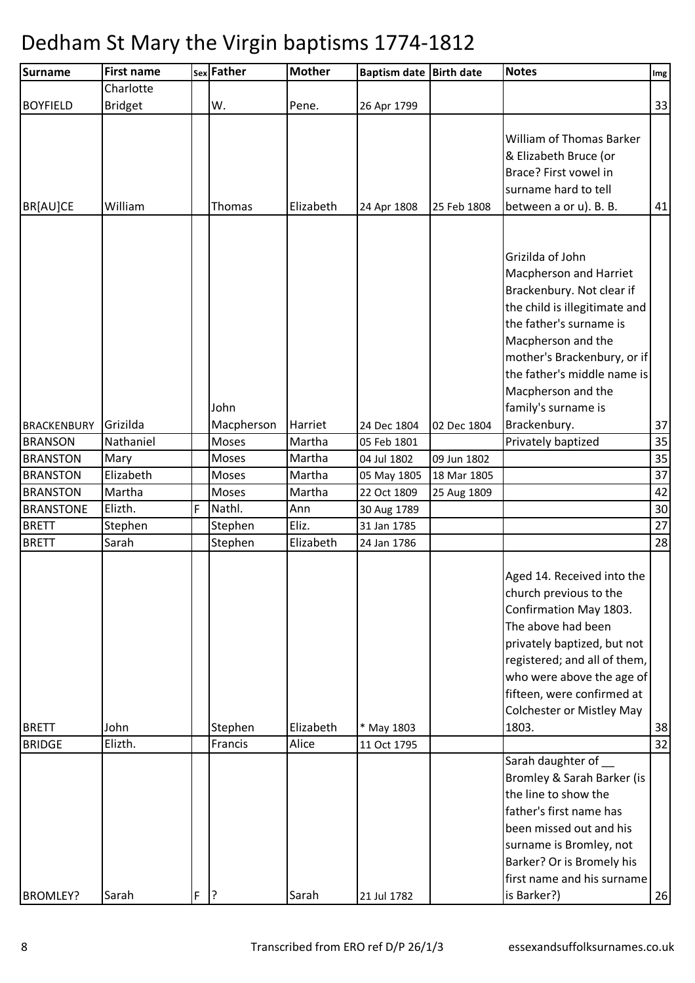| Charlotte<br><b>BOYFIELD</b><br><b>Bridget</b><br>W.<br>Pene.<br>26 Apr 1799<br>William of Thomas Barker<br>& Elizabeth Bruce (or<br>Brace? First vowel in<br>surname hard to tell<br>William<br>Elizabeth<br>between a or u). B. B.<br>BR[AU]CE<br>Thomas<br>25 Feb 1808<br>24 Apr 1808<br>Grizilda of John<br><b>Macpherson and Harriet</b><br>Brackenbury. Not clear if<br>the child is illegitimate and<br>the father's surname is<br>Macpherson and the<br>mother's Brackenbury, or if<br>the father's middle name is<br>Macpherson and the<br>family's surname is<br>John<br>Grizilda<br>Macpherson<br>Brackenbury.<br>Harriet<br><b>BRACKENBURY</b><br>24 Dec 1804<br>02 Dec 1804<br>Moses<br>Privately baptized<br><b>BRANSON</b><br>Nathaniel<br>Martha<br>05 Feb 1801<br>Moses<br>Martha<br><b>BRANSTON</b><br>Mary<br>04 Jul 1802<br>09 Jun 1802<br>Elizabeth<br>Moses<br>Martha<br><b>BRANSTON</b><br>18 Mar 1805<br>05 May 1805<br>Martha<br><b>BRANSTON</b><br>Martha<br>Moses<br>22 Oct 1809<br>25 Aug 1809<br>F<br>Elizth.<br>Nathl.<br><b>BRANSTONE</b><br>Ann<br>30 Aug 1789<br><b>BRETT</b><br>Eliz.<br>31 Jan 1785<br>Stephen<br>Stephen<br>Stephen<br>Sarah<br>Elizabeth<br><b>BRETT</b><br>24 Jan 1786<br>Aged 14. Received into the<br>church previous to the<br>Confirmation May 1803.<br>The above had been<br>privately baptized, but not<br>registered; and all of them,<br>who were above the age of<br>fifteen, were confirmed at<br><b>Colchester or Mistley May</b><br><b>BRETT</b><br>John<br>Stephen<br>Elizabeth<br>1803.<br>* May 1803<br>Francis<br>Alice<br>Elizth.<br><b>BRIDGE</b><br>11 Oct 1795<br>Sarah daughter of<br>Bromley & Sarah Barker (is<br>the line to show the<br>father's first name has<br>been missed out and his<br>surname is Bromley, not<br>Barker? Or is Bromely his<br>first name and his surname | <b>Surname</b>  | <b>First name</b> |   | sex Father | <b>Mother</b> | Baptism date Birth date | <b>Notes</b> | $\mathop{\textsf{Img}}$ |
|-----------------------------------------------------------------------------------------------------------------------------------------------------------------------------------------------------------------------------------------------------------------------------------------------------------------------------------------------------------------------------------------------------------------------------------------------------------------------------------------------------------------------------------------------------------------------------------------------------------------------------------------------------------------------------------------------------------------------------------------------------------------------------------------------------------------------------------------------------------------------------------------------------------------------------------------------------------------------------------------------------------------------------------------------------------------------------------------------------------------------------------------------------------------------------------------------------------------------------------------------------------------------------------------------------------------------------------------------------------------------------------------------------------------------------------------------------------------------------------------------------------------------------------------------------------------------------------------------------------------------------------------------------------------------------------------------------------------------------------------------------------------------------------------------------------------------------------------------------------------|-----------------|-------------------|---|------------|---------------|-------------------------|--------------|-------------------------|
|                                                                                                                                                                                                                                                                                                                                                                                                                                                                                                                                                                                                                                                                                                                                                                                                                                                                                                                                                                                                                                                                                                                                                                                                                                                                                                                                                                                                                                                                                                                                                                                                                                                                                                                                                                                                                                                                 |                 |                   |   |            |               |                         |              |                         |
|                                                                                                                                                                                                                                                                                                                                                                                                                                                                                                                                                                                                                                                                                                                                                                                                                                                                                                                                                                                                                                                                                                                                                                                                                                                                                                                                                                                                                                                                                                                                                                                                                                                                                                                                                                                                                                                                 |                 |                   |   |            |               |                         |              | 33                      |
|                                                                                                                                                                                                                                                                                                                                                                                                                                                                                                                                                                                                                                                                                                                                                                                                                                                                                                                                                                                                                                                                                                                                                                                                                                                                                                                                                                                                                                                                                                                                                                                                                                                                                                                                                                                                                                                                 |                 |                   |   |            |               |                         |              | 41                      |
|                                                                                                                                                                                                                                                                                                                                                                                                                                                                                                                                                                                                                                                                                                                                                                                                                                                                                                                                                                                                                                                                                                                                                                                                                                                                                                                                                                                                                                                                                                                                                                                                                                                                                                                                                                                                                                                                 |                 |                   |   |            |               |                         |              |                         |
|                                                                                                                                                                                                                                                                                                                                                                                                                                                                                                                                                                                                                                                                                                                                                                                                                                                                                                                                                                                                                                                                                                                                                                                                                                                                                                                                                                                                                                                                                                                                                                                                                                                                                                                                                                                                                                                                 |                 |                   |   |            |               |                         |              |                         |
|                                                                                                                                                                                                                                                                                                                                                                                                                                                                                                                                                                                                                                                                                                                                                                                                                                                                                                                                                                                                                                                                                                                                                                                                                                                                                                                                                                                                                                                                                                                                                                                                                                                                                                                                                                                                                                                                 |                 |                   |   |            |               |                         |              |                         |
|                                                                                                                                                                                                                                                                                                                                                                                                                                                                                                                                                                                                                                                                                                                                                                                                                                                                                                                                                                                                                                                                                                                                                                                                                                                                                                                                                                                                                                                                                                                                                                                                                                                                                                                                                                                                                                                                 |                 |                   |   |            |               |                         |              | 37                      |
|                                                                                                                                                                                                                                                                                                                                                                                                                                                                                                                                                                                                                                                                                                                                                                                                                                                                                                                                                                                                                                                                                                                                                                                                                                                                                                                                                                                                                                                                                                                                                                                                                                                                                                                                                                                                                                                                 |                 |                   |   |            |               |                         |              | 35                      |
|                                                                                                                                                                                                                                                                                                                                                                                                                                                                                                                                                                                                                                                                                                                                                                                                                                                                                                                                                                                                                                                                                                                                                                                                                                                                                                                                                                                                                                                                                                                                                                                                                                                                                                                                                                                                                                                                 |                 |                   |   |            |               |                         |              | 35                      |
|                                                                                                                                                                                                                                                                                                                                                                                                                                                                                                                                                                                                                                                                                                                                                                                                                                                                                                                                                                                                                                                                                                                                                                                                                                                                                                                                                                                                                                                                                                                                                                                                                                                                                                                                                                                                                                                                 |                 |                   |   |            |               |                         |              | 37                      |
|                                                                                                                                                                                                                                                                                                                                                                                                                                                                                                                                                                                                                                                                                                                                                                                                                                                                                                                                                                                                                                                                                                                                                                                                                                                                                                                                                                                                                                                                                                                                                                                                                                                                                                                                                                                                                                                                 |                 |                   |   |            |               |                         |              | 42                      |
|                                                                                                                                                                                                                                                                                                                                                                                                                                                                                                                                                                                                                                                                                                                                                                                                                                                                                                                                                                                                                                                                                                                                                                                                                                                                                                                                                                                                                                                                                                                                                                                                                                                                                                                                                                                                                                                                 |                 |                   |   |            |               |                         |              | 30                      |
|                                                                                                                                                                                                                                                                                                                                                                                                                                                                                                                                                                                                                                                                                                                                                                                                                                                                                                                                                                                                                                                                                                                                                                                                                                                                                                                                                                                                                                                                                                                                                                                                                                                                                                                                                                                                                                                                 |                 |                   |   |            |               |                         |              | 27                      |
|                                                                                                                                                                                                                                                                                                                                                                                                                                                                                                                                                                                                                                                                                                                                                                                                                                                                                                                                                                                                                                                                                                                                                                                                                                                                                                                                                                                                                                                                                                                                                                                                                                                                                                                                                                                                                                                                 |                 |                   |   |            |               |                         |              | 28                      |
|                                                                                                                                                                                                                                                                                                                                                                                                                                                                                                                                                                                                                                                                                                                                                                                                                                                                                                                                                                                                                                                                                                                                                                                                                                                                                                                                                                                                                                                                                                                                                                                                                                                                                                                                                                                                                                                                 |                 |                   |   |            |               |                         |              | 38                      |
|                                                                                                                                                                                                                                                                                                                                                                                                                                                                                                                                                                                                                                                                                                                                                                                                                                                                                                                                                                                                                                                                                                                                                                                                                                                                                                                                                                                                                                                                                                                                                                                                                                                                                                                                                                                                                                                                 |                 |                   |   |            |               |                         |              |                         |
|                                                                                                                                                                                                                                                                                                                                                                                                                                                                                                                                                                                                                                                                                                                                                                                                                                                                                                                                                                                                                                                                                                                                                                                                                                                                                                                                                                                                                                                                                                                                                                                                                                                                                                                                                                                                                                                                 |                 |                   |   |            |               |                         |              | 32                      |
|                                                                                                                                                                                                                                                                                                                                                                                                                                                                                                                                                                                                                                                                                                                                                                                                                                                                                                                                                                                                                                                                                                                                                                                                                                                                                                                                                                                                                                                                                                                                                                                                                                                                                                                                                                                                                                                                 | <b>BROMLEY?</b> | Sarah             | F | ?          | Sarah         | 21 Jul 1782             | is Barker?)  | 26                      |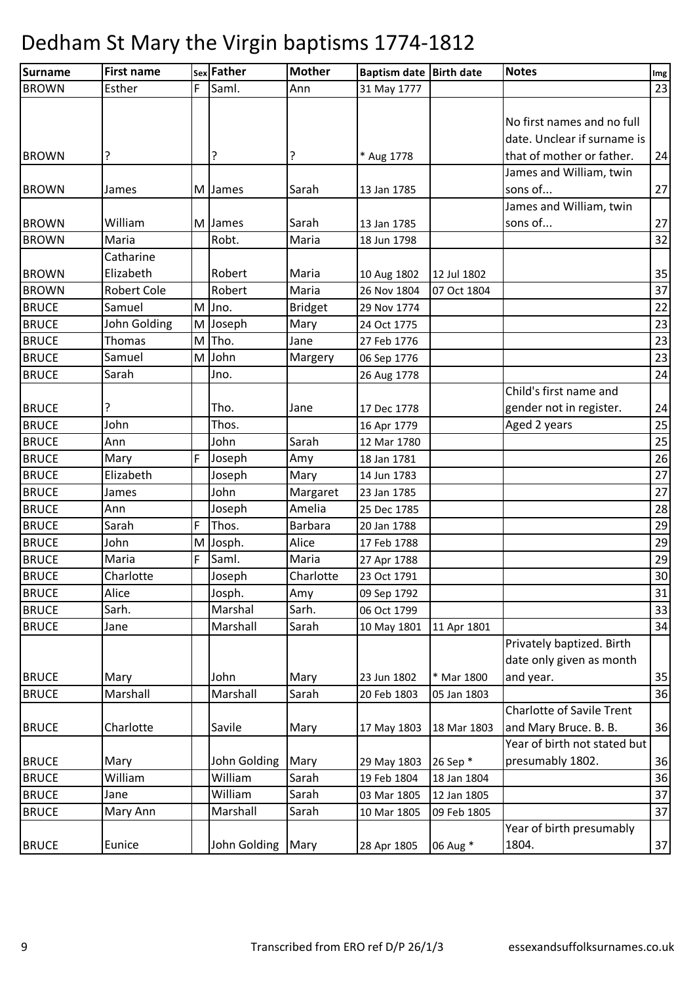| <b>Surname</b>               | <b>First name</b>      |   | sex Father    | <b>Mother</b>  | Baptism date Birth date    |             | <b>Notes</b>                                                       | Img      |
|------------------------------|------------------------|---|---------------|----------------|----------------------------|-------------|--------------------------------------------------------------------|----------|
| <b>BROWN</b>                 | Esther                 | F | Saml.         | Ann            | 31 May 1777                |             |                                                                    | 23       |
|                              |                        |   |               |                |                            |             | No first names and no full<br>date. Unclear if surname is          |          |
| <b>BROWN</b>                 |                        |   | ?             | ?              | * Aug 1778                 |             | that of mother or father.                                          | 24       |
| <b>BROWN</b>                 | James                  |   | M James       | Sarah          | 13 Jan 1785                |             | James and William, twin<br>sons of                                 | 27       |
| <b>BROWN</b>                 | William                |   | M James       | Sarah          | 13 Jan 1785                |             | James and William, twin<br>sons of                                 | 27       |
| <b>BROWN</b>                 | Maria                  |   | Robt.         | Maria          | 18 Jun 1798                |             |                                                                    | 32       |
| <b>BROWN</b>                 | Catharine<br>Elizabeth |   | Robert        | Maria          | 10 Aug 1802                | 12 Jul 1802 |                                                                    | 35       |
| <b>BROWN</b>                 | <b>Robert Cole</b>     |   | Robert        | Maria          | 26 Nov 1804                | 07 Oct 1804 |                                                                    | 37       |
| <b>BRUCE</b>                 | Samuel                 | M | Jno.          | <b>Bridget</b> | 29 Nov 1774                |             |                                                                    | 22       |
| <b>BRUCE</b>                 | John Golding           |   | M Joseph      | Mary           | 24 Oct 1775                |             |                                                                    | 23       |
| <b>BRUCE</b>                 | <b>Thomas</b>          | M | Tho.          | Jane           | 27 Feb 1776                |             |                                                                    | 23       |
| <b>BRUCE</b>                 | Samuel                 | M | John          | Margery        | 06 Sep 1776                |             |                                                                    | 23       |
| <b>BRUCE</b>                 | Sarah                  |   | Jno.          |                | 26 Aug 1778                |             |                                                                    | 24       |
|                              |                        |   |               |                |                            |             | Child's first name and                                             |          |
| <b>BRUCE</b><br><b>BRUCE</b> | John                   |   | Tho.<br>Thos. | Jane           | 17 Dec 1778                |             | gender not in register.                                            | 24<br>25 |
| <b>BRUCE</b>                 | Ann                    |   | John          | Sarah          | 16 Apr 1779<br>12 Mar 1780 |             | Aged 2 years                                                       | 25       |
| <b>BRUCE</b>                 | Mary                   | F | Joseph        | Amy            | 18 Jan 1781                |             |                                                                    | 26       |
| <b>BRUCE</b>                 | Elizabeth              |   | Joseph        | Mary           | 14 Jun 1783                |             |                                                                    | 27       |
| <b>BRUCE</b>                 | James                  |   | John          | Margaret       | 23 Jan 1785                |             |                                                                    | 27       |
| <b>BRUCE</b>                 | Ann                    |   | Joseph        | Amelia         | 25 Dec 1785                |             |                                                                    | 28       |
| <b>BRUCE</b>                 | Sarah                  | F | Thos.         | <b>Barbara</b> | 20 Jan 1788                |             |                                                                    | 29       |
| <b>BRUCE</b>                 | John                   | M | Josph.        | Alice          | 17 Feb 1788                |             |                                                                    | 29       |
| <b>BRUCE</b>                 | Maria                  | F | Saml.         | Maria          | 27 Apr 1788                |             |                                                                    | 29       |
| <b>BRUCE</b>                 | Charlotte              |   | Joseph        | Charlotte      | 23 Oct 1791                |             |                                                                    | 30       |
| <b>BRUCE</b>                 | Alice                  |   | Josph.        | Amy            | 09 Sep 1792                |             |                                                                    | 31       |
| <b>BRUCE</b>                 | Sarh.                  |   | Marshal       | Sarh.          | 06 Oct 1799                |             |                                                                    | 33       |
| <b>BRUCE</b>                 | Jane                   |   | Marshall      | Sarah          | 10 May 1801                | 11 Apr 1801 |                                                                    | 34       |
| <b>BRUCE</b>                 | Mary                   |   | John          | Mary           | 23 Jun 1802                | * Mar 1800  | Privately baptized. Birth<br>date only given as month<br>and year. | 35       |
| <b>BRUCE</b>                 | Marshall               |   | Marshall      | Sarah          | 20 Feb 1803                | 05 Jan 1803 |                                                                    | 36       |
|                              |                        |   |               |                |                            |             | <b>Charlotte of Savile Trent</b>                                   |          |
| <b>BRUCE</b>                 | Charlotte              |   | Savile        | Mary           | 17 May 1803                | 18 Mar 1803 | and Mary Bruce. B. B.                                              | 36       |
| <b>BRUCE</b>                 | Mary                   |   | John Golding  | Mary           | 29 May 1803                | 26 Sep *    | Year of birth not stated but<br>presumably 1802.                   | 36       |
| <b>BRUCE</b>                 | William                |   | William       | Sarah          | 19 Feb 1804                | 18 Jan 1804 |                                                                    | 36       |
| <b>BRUCE</b>                 | Jane                   |   | William       | Sarah          | 03 Mar 1805                | 12 Jan 1805 |                                                                    | 37       |
| <b>BRUCE</b>                 | Mary Ann               |   | Marshall      | Sarah          | 10 Mar 1805                | 09 Feb 1805 |                                                                    | 37       |
| <b>BRUCE</b>                 | Eunice                 |   | John Golding  | Mary           | 28 Apr 1805                | 06 Aug *    | Year of birth presumably<br>1804.                                  | 37       |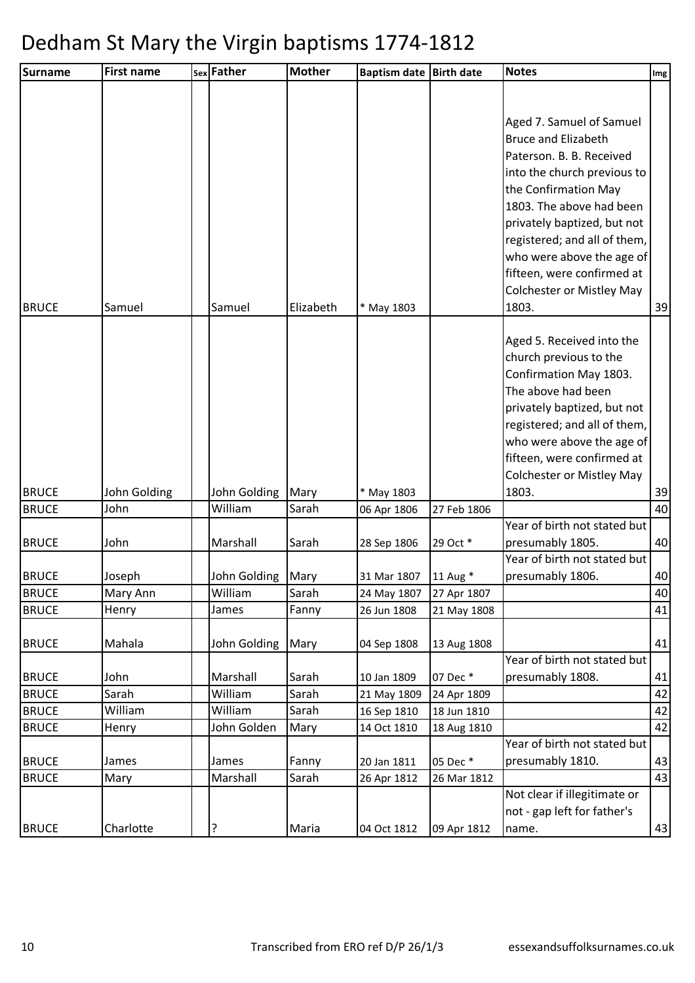| <b>Surname</b> | <b>First name</b>  | sex Father              | <b>Mother</b> | <b>Baptism date</b> | <b>Birth date</b>       | <b>Notes</b>                                     | Img |
|----------------|--------------------|-------------------------|---------------|---------------------|-------------------------|--------------------------------------------------|-----|
|                |                    |                         |               |                     |                         |                                                  |     |
|                |                    |                         |               |                     |                         |                                                  |     |
|                |                    |                         |               |                     |                         | Aged 7. Samuel of Samuel                         |     |
|                |                    |                         |               |                     |                         | <b>Bruce and Elizabeth</b>                       |     |
|                |                    |                         |               |                     |                         | Paterson. B. B. Received                         |     |
|                |                    |                         |               |                     |                         | into the church previous to                      |     |
|                |                    |                         |               |                     |                         | the Confirmation May                             |     |
|                |                    |                         |               |                     |                         | 1803. The above had been                         |     |
|                |                    |                         |               |                     |                         | privately baptized, but not                      |     |
|                |                    |                         |               |                     |                         | registered; and all of them,                     |     |
|                |                    |                         |               |                     |                         | who were above the age of                        |     |
|                |                    |                         |               |                     |                         | fifteen, were confirmed at                       |     |
|                |                    |                         |               |                     |                         | <b>Colchester or Mistley May</b>                 |     |
| <b>BRUCE</b>   | Samuel             | Samuel                  | Elizabeth     | * May 1803          |                         | 1803.                                            | 39  |
|                |                    |                         |               |                     |                         |                                                  |     |
|                |                    |                         |               |                     |                         | Aged 5. Received into the                        |     |
|                |                    |                         |               |                     |                         | church previous to the                           |     |
|                |                    |                         |               |                     |                         | Confirmation May 1803.<br>The above had been     |     |
|                |                    |                         |               |                     |                         |                                                  |     |
|                |                    |                         |               |                     |                         | privately baptized, but not                      |     |
|                |                    |                         |               |                     |                         | registered; and all of them,                     |     |
|                |                    |                         |               |                     |                         | who were above the age of                        |     |
|                |                    |                         |               |                     |                         | fifteen, were confirmed at                       |     |
|                |                    |                         |               |                     |                         | <b>Colchester or Mistley May</b>                 |     |
| <b>BRUCE</b>   | John Golding       | John Golding            | Mary          | * May 1803          |                         | 1803.                                            | 39  |
| <b>BRUCE</b>   | John               | William                 | Sarah         | 06 Apr 1806         | 27 Feb 1806             |                                                  | 40  |
|                |                    |                         |               |                     |                         | Year of birth not stated but                     |     |
| <b>BRUCE</b>   | John               | Marshall                | Sarah         | 28 Sep 1806         | 29 Oct *                | presumably 1805.<br>Year of birth not stated but | 40  |
| <b>BRUCE</b>   |                    |                         |               | 31 Mar 1807         |                         |                                                  | 40  |
| <b>BRUCE</b>   | Joseph<br>Mary Ann | John Golding<br>William | Mary<br>Sarah | 24 May 1807         | 11 Aug *<br>27 Apr 1807 | presumably 1806.                                 | 40  |
| <b>BRUCE</b>   | Henry              | James                   | Fanny         | 26 Jun 1808         | 21 May 1808             |                                                  | 41  |
|                |                    |                         |               |                     |                         |                                                  |     |
| <b>BRUCE</b>   | Mahala             | John Golding            | Mary          | 04 Sep 1808         | 13 Aug 1808             |                                                  | 41  |
|                |                    |                         |               |                     |                         | Year of birth not stated but                     |     |
| <b>BRUCE</b>   | John               | Marshall                | Sarah         | 10 Jan 1809         | 07 Dec *                | presumably 1808.                                 | 41  |
| <b>BRUCE</b>   | Sarah              | William                 | Sarah         | 21 May 1809         | 24 Apr 1809             |                                                  | 42  |
| <b>BRUCE</b>   | William            | William                 | Sarah         | 16 Sep 1810         | 18 Jun 1810             |                                                  | 42  |
| <b>BRUCE</b>   | Henry              | John Golden             | Mary          | 14 Oct 1810         | 18 Aug 1810             |                                                  | 42  |
|                |                    |                         |               |                     |                         | Year of birth not stated but                     |     |
| <b>BRUCE</b>   | James              | James                   | Fanny         | 20 Jan 1811         | 05 Dec *                | presumably 1810.                                 | 43  |
| <b>BRUCE</b>   | Mary               | Marshall                | Sarah         | 26 Apr 1812         | 26 Mar 1812             |                                                  | 43  |
|                |                    |                         |               |                     |                         | Not clear if illegitimate or                     |     |
|                |                    |                         |               |                     |                         | not - gap left for father's                      |     |
| <b>BRUCE</b>   | Charlotte          | ?                       | Maria         | 04 Oct 1812         | 09 Apr 1812             | name.                                            | 43  |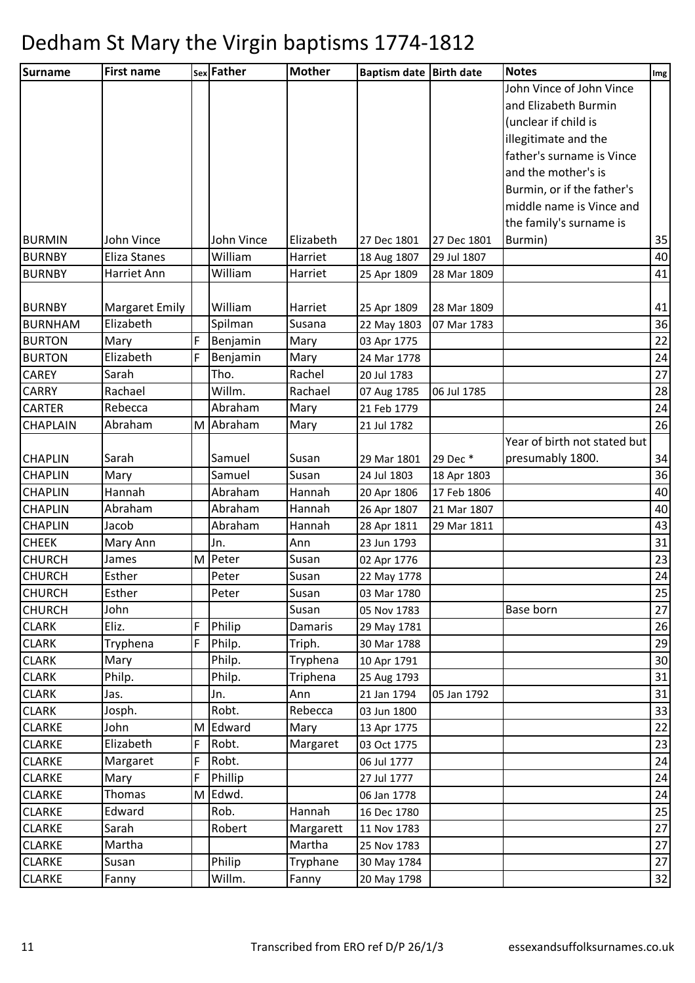| <b>Surname</b>                | <b>First name</b>     |   | sex Father     | <b>Mother</b> | Baptism date Birth date    |             | <b>Notes</b>                 | Img      |
|-------------------------------|-----------------------|---|----------------|---------------|----------------------------|-------------|------------------------------|----------|
|                               |                       |   |                |               |                            |             | John Vince of John Vince     |          |
|                               |                       |   |                |               |                            |             | and Elizabeth Burmin         |          |
|                               |                       |   |                |               |                            |             | (unclear if child is         |          |
|                               |                       |   |                |               |                            |             | illegitimate and the         |          |
|                               |                       |   |                |               |                            |             | father's surname is Vince    |          |
|                               |                       |   |                |               |                            |             | and the mother's is          |          |
|                               |                       |   |                |               |                            |             | Burmin, or if the father's   |          |
|                               |                       |   |                |               |                            |             | middle name is Vince and     |          |
|                               |                       |   |                |               |                            |             | the family's surname is      |          |
| <b>BURMIN</b>                 | John Vince            |   | John Vince     | Elizabeth     | 27 Dec 1801                | 27 Dec 1801 | Burmin)                      | 35       |
| <b>BURNBY</b>                 | Eliza Stanes          |   | William        | Harriet       | 18 Aug 1807                | 29 Jul 1807 |                              | 40       |
| <b>BURNBY</b>                 | Harriet Ann           |   | William        | Harriet       | 25 Apr 1809                | 28 Mar 1809 |                              | 41       |
|                               |                       |   |                |               |                            |             |                              |          |
| <b>BURNBY</b>                 | <b>Margaret Emily</b> |   | William        | Harriet       | 25 Apr 1809                | 28 Mar 1809 |                              | 41       |
| <b>BURNHAM</b>                | Elizabeth             |   | Spilman        | Susana        | 22 May 1803                | 07 Mar 1783 |                              | 36       |
| <b>BURTON</b>                 | Mary                  | F | Benjamin       | Mary          | 03 Apr 1775                |             |                              | 22       |
| <b>BURTON</b>                 | Elizabeth             | F | Benjamin       | Mary          | 24 Mar 1778                |             |                              | 24       |
| <b>CAREY</b>                  | Sarah                 |   | Tho.<br>Willm. | Rachel        | 20 Jul 1783                |             |                              | 27       |
| <b>CARRY</b><br><b>CARTER</b> | Rachael               |   | Abraham        | Rachael       | 07 Aug 1785                | 06 Jul 1785 |                              | 28       |
| <b>CHAPLAIN</b>               | Rebecca<br>Abraham    |   | M Abraham      | Mary          | 21 Feb 1779<br>21 Jul 1782 |             |                              | 24<br>26 |
|                               |                       |   |                | Mary          |                            |             | Year of birth not stated but |          |
| <b>CHAPLIN</b>                | Sarah                 |   | Samuel         | Susan         | 29 Mar 1801                | 29 Dec *    | presumably 1800.             | 34       |
| <b>CHAPLIN</b>                | Mary                  |   | Samuel         | Susan         | 24 Jul 1803                | 18 Apr 1803 |                              | 36       |
| <b>CHAPLIN</b>                | Hannah                |   | Abraham        | Hannah        | 20 Apr 1806                | 17 Feb 1806 |                              | 40       |
| <b>CHAPLIN</b>                | Abraham               |   | Abraham        | Hannah        | 26 Apr 1807                | 21 Mar 1807 |                              | 40       |
| <b>CHAPLIN</b>                | Jacob                 |   | Abraham        | Hannah        | 28 Apr 1811                | 29 Mar 1811 |                              | 43       |
| <b>CHEEK</b>                  | Mary Ann              |   | Jn.            | Ann           | 23 Jun 1793                |             |                              | 31       |
| <b>CHURCH</b>                 | James                 | M | Peter          | Susan         | 02 Apr 1776                |             |                              | 23       |
| <b>CHURCH</b>                 | Esther                |   | Peter          | Susan         | 22 May 1778                |             |                              | 24       |
| <b>CHURCH</b>                 | Esther                |   | Peter          | Susan         | 03 Mar 1780                |             |                              | 25       |
| <b>CHURCH</b>                 | John                  |   |                | Susan         | 05 Nov 1783                |             | Base born                    | 27       |
| <b>CLARK</b>                  | Eliz.                 | F | Philip         | Damaris       | 29 May 1781                |             |                              | 26       |
| <b>CLARK</b>                  | Tryphena              | F | Philp.         | Triph.        | 30 Mar 1788                |             |                              | 29       |
| <b>CLARK</b>                  | Mary                  |   | Philp.         | Tryphena      | 10 Apr 1791                |             |                              | 30       |
| <b>CLARK</b>                  | Philp.                |   | Philp.         | Triphena      | 25 Aug 1793                |             |                              | 31       |
| <b>CLARK</b>                  | Jas.                  |   | Jn.            | Ann           | 21 Jan 1794                | 05 Jan 1792 |                              | 31       |
| <b>CLARK</b>                  | Josph.                |   | Robt.          | Rebecca       | 03 Jun 1800                |             |                              | 33       |
| <b>CLARKE</b>                 | John                  | M | Edward         | Mary          | 13 Apr 1775                |             |                              | 22       |
| <b>CLARKE</b>                 | Elizabeth             | F | Robt.          | Margaret      | 03 Oct 1775                |             |                              | 23       |
| <b>CLARKE</b>                 | Margaret              | F | Robt.          |               | 06 Jul 1777                |             |                              | 24       |
| <b>CLARKE</b>                 | Mary                  | F | Phillip        |               | 27 Jul 1777                |             |                              | 24       |
| <b>CLARKE</b>                 | Thomas                | M | Edwd.          |               | 06 Jan 1778                |             |                              | 24       |
| <b>CLARKE</b>                 | Edward                |   | Rob.           | Hannah        | 16 Dec 1780                |             |                              | 25       |
| <b>CLARKE</b>                 | Sarah                 |   | Robert         | Margarett     | 11 Nov 1783                |             |                              | 27       |
| <b>CLARKE</b>                 | Martha                |   |                | Martha        | 25 Nov 1783                |             |                              | 27       |
| <b>CLARKE</b>                 | Susan                 |   | Philip         | Tryphane      | 30 May 1784                |             |                              | 27       |
| <b>CLARKE</b>                 | Fanny                 |   | Willm.         | Fanny         | 20 May 1798                |             |                              | 32       |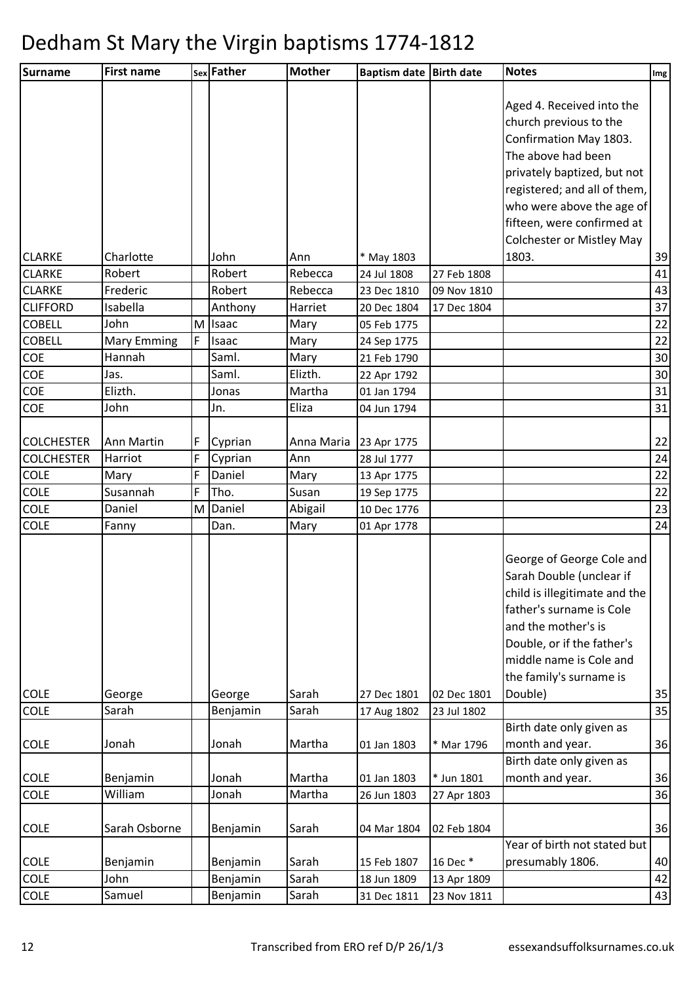| Surname           | <b>First name</b>  |   | sex Father   | <b>Mother</b> | <b>Baptism date Birth date</b> |             | <b>Notes</b>                     | Img             |
|-------------------|--------------------|---|--------------|---------------|--------------------------------|-------------|----------------------------------|-----------------|
|                   |                    |   |              |               |                                |             |                                  |                 |
|                   |                    |   |              |               |                                |             | Aged 4. Received into the        |                 |
|                   |                    |   |              |               |                                |             | church previous to the           |                 |
|                   |                    |   |              |               |                                |             | Confirmation May 1803.           |                 |
|                   |                    |   |              |               |                                |             | The above had been               |                 |
|                   |                    |   |              |               |                                |             | privately baptized, but not      |                 |
|                   |                    |   |              |               |                                |             | registered; and all of them,     |                 |
|                   |                    |   |              |               |                                |             | who were above the age of        |                 |
|                   |                    |   |              |               |                                |             | fifteen, were confirmed at       |                 |
|                   |                    |   |              |               |                                |             | <b>Colchester or Mistley May</b> |                 |
| <b>CLARKE</b>     | Charlotte          |   | John         | Ann           | * May 1803                     |             | 1803.                            | 39              |
| <b>CLARKE</b>     | Robert             |   | Robert       | Rebecca       | 24 Jul 1808                    | 27 Feb 1808 |                                  | 41              |
| <b>CLARKE</b>     | Frederic           |   | Robert       | Rebecca       | 23 Dec 1810                    | 09 Nov 1810 |                                  | 43              |
| <b>CLIFFORD</b>   | Isabella           |   | Anthony      | Harriet       | 20 Dec 1804                    | 17 Dec 1804 |                                  | 37              |
| <b>COBELL</b>     | John               | M | <b>Isaac</b> | Mary          | 05 Feb 1775                    |             |                                  | 22              |
| <b>COBELL</b>     | <b>Mary Emming</b> | F | Isaac        | Mary          | 24 Sep 1775                    |             |                                  | 22              |
| <b>COE</b>        | Hannah             |   | Saml.        | Mary          | 21 Feb 1790                    |             |                                  | 30              |
| COE               | Jas.               |   | Saml.        | Elizth.       | 22 Apr 1792                    |             |                                  | 30 <sup>°</sup> |
| COE               | Elizth.            |   | Jonas        | Martha        | 01 Jan 1794                    |             |                                  | 31              |
| COE               | John               |   | Jn.          | Eliza         | 04 Jun 1794                    |             |                                  | 31              |
| <b>COLCHESTER</b> | Ann Martin         | F | Cyprian      | Anna Maria    | 23 Apr 1775                    |             |                                  | 22              |
| <b>COLCHESTER</b> | Harriot            | F | Cyprian      | Ann           | 28 Jul 1777                    |             |                                  | 24              |
| <b>COLE</b>       | Mary               | F | Daniel       | Mary          | 13 Apr 1775                    |             |                                  | 22              |
| <b>COLE</b>       | Susannah           | F | Tho.         | Susan         | 19 Sep 1775                    |             |                                  | 22              |
| COLE              | Daniel             | M | Daniel       | Abigail       | 10 Dec 1776                    |             |                                  | 23              |
| <b>COLE</b>       | Fanny              |   | Dan.         | Mary          | 01 Apr 1778                    |             |                                  | 24              |
|                   |                    |   |              |               |                                |             |                                  |                 |
|                   |                    |   |              |               |                                |             | George of George Cole and        |                 |
|                   |                    |   |              |               |                                |             | Sarah Double (unclear if         |                 |
|                   |                    |   |              |               |                                |             | child is illegitimate and the    |                 |
|                   |                    |   |              |               |                                |             | father's surname is Cole         |                 |
|                   |                    |   |              |               |                                |             | and the mother's is              |                 |
|                   |                    |   |              |               |                                |             | Double, or if the father's       |                 |
|                   |                    |   |              |               |                                |             | middle name is Cole and          |                 |
|                   |                    |   |              |               |                                |             | the family's surname is          |                 |
| <b>COLE</b>       | George             |   | George       | Sarah         | 27 Dec 1801                    | 02 Dec 1801 | Double)                          | 35              |
| <b>COLE</b>       | Sarah              |   | Benjamin     | Sarah         | 17 Aug 1802                    | 23 Jul 1802 |                                  | 35              |
|                   |                    |   |              |               |                                |             | Birth date only given as         |                 |
| <b>COLE</b>       | Jonah              |   | Jonah        | Martha        | 01 Jan 1803                    | * Mar 1796  | month and year.                  | 36              |
|                   |                    |   |              |               |                                |             | Birth date only given as         |                 |
| <b>COLE</b>       | Benjamin           |   | Jonah        | Martha        | 01 Jan 1803                    | * Jun 1801  | month and year.                  | 36              |
| COLE              | William            |   | Jonah        | Martha        | 26 Jun 1803                    | 27 Apr 1803 |                                  | 36              |
|                   | Sarah Osborne      |   |              | Sarah         |                                |             |                                  |                 |
| <b>COLE</b>       |                    |   | Benjamin     |               | 04 Mar 1804                    | 02 Feb 1804 | Year of birth not stated but     | 36              |
| <b>COLE</b>       | Benjamin           |   | Benjamin     | Sarah         | 15 Feb 1807                    | 16 Dec *    | presumably 1806.                 | 40              |
| COLE              | John               |   | Benjamin     | Sarah         | 18 Jun 1809                    | 13 Apr 1809 |                                  | 42              |
| COLE              | Samuel             |   | Benjamin     | Sarah         | 31 Dec 1811                    | 23 Nov 1811 |                                  | 43              |
|                   |                    |   |              |               |                                |             |                                  |                 |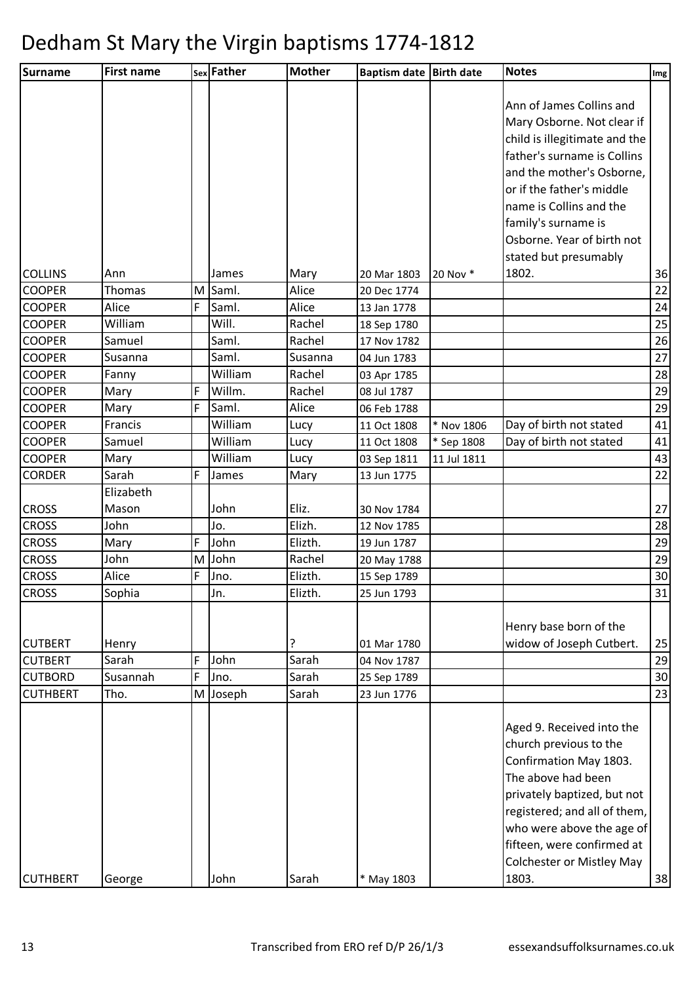| Surname                        | <b>First name</b> |        | sex Father        | <b>Mother</b> | <b>Baptism date</b>        | <b>Birth date</b>        | <b>Notes</b>                     | Img      |
|--------------------------------|-------------------|--------|-------------------|---------------|----------------------------|--------------------------|----------------------------------|----------|
|                                |                   |        |                   |               |                            |                          |                                  |          |
|                                |                   |        |                   |               |                            |                          | Ann of James Collins and         |          |
|                                |                   |        |                   |               |                            |                          | Mary Osborne. Not clear if       |          |
|                                |                   |        |                   |               |                            |                          | child is illegitimate and the    |          |
|                                |                   |        |                   |               |                            |                          | father's surname is Collins      |          |
|                                |                   |        |                   |               |                            |                          | and the mother's Osborne,        |          |
|                                |                   |        |                   |               |                            |                          | or if the father's middle        |          |
|                                |                   |        |                   |               |                            |                          | name is Collins and the          |          |
|                                |                   |        |                   |               |                            |                          | family's surname is              |          |
|                                |                   |        |                   |               |                            |                          | Osborne. Year of birth not       |          |
|                                |                   |        |                   |               |                            |                          | stated but presumably            |          |
| <b>COLLINS</b>                 | Ann               |        | James             | Mary          | 20 Mar 1803                | 20 Nov *                 | 1802.                            | 36       |
| <b>COOPER</b>                  | Thomas            | M      | Saml.             | Alice         | 20 Dec 1774                |                          |                                  | 22       |
| <b>COOPER</b>                  | Alice             | F      | Saml.             | Alice         | 13 Jan 1778                |                          |                                  | 24       |
| <b>COOPER</b>                  | William           |        | Will.             | Rachel        | 18 Sep 1780                |                          |                                  | 25       |
| <b>COOPER</b>                  | Samuel            |        | Saml.             | Rachel        | 17 Nov 1782                |                          |                                  | 26       |
| <b>COOPER</b>                  | Susanna           |        | Saml.             | Susanna       | 04 Jun 1783                |                          |                                  | 27       |
| <b>COOPER</b>                  | Fanny             |        | William<br>Willm. | Rachel        | 03 Apr 1785                |                          |                                  | 28       |
| <b>COOPER</b>                  | Mary              | F<br>F |                   | Rachel        | 08 Jul 1787                |                          |                                  | 29       |
| <b>COOPER</b><br><b>COOPER</b> | Mary              |        | Saml.<br>William  | Alice         | 06 Feb 1788                |                          | Day of birth not stated          | 29<br>41 |
| <b>COOPER</b>                  | Francis<br>Samuel |        | William           | Lucy<br>Lucy  | 11 Oct 1808<br>11 Oct 1808 | * Nov 1806<br>* Sep 1808 | Day of birth not stated          | 41       |
| <b>COOPER</b>                  | Mary              |        | William           | Lucy          | 03 Sep 1811                | 11 Jul 1811              |                                  | 43       |
| <b>CORDER</b>                  | Sarah             | F      | James             | Mary          | 13 Jun 1775                |                          |                                  | 22       |
|                                | Elizabeth         |        |                   |               |                            |                          |                                  |          |
| <b>CROSS</b>                   | Mason             |        | John              | Eliz.         | 30 Nov 1784                |                          |                                  | 27       |
| <b>CROSS</b>                   | John              |        | Jo.               | Elizh.        | 12 Nov 1785                |                          |                                  | 28       |
| <b>CROSS</b>                   | Mary              | F      | John              | Elizth.       | 19 Jun 1787                |                          |                                  | 29       |
| <b>CROSS</b>                   | John              | M      | John              | Rachel        | 20 May 1788                |                          |                                  | 29       |
| <b>CROSS</b>                   | Alice             | F      | Jno.              | Elizth.       | 15 Sep 1789                |                          |                                  | 30       |
| <b>CROSS</b>                   | Sophia            |        | Jn.               | Elizth.       | 25 Jun 1793                |                          |                                  | 31       |
|                                |                   |        |                   |               |                            |                          |                                  |          |
|                                |                   |        |                   |               |                            |                          | Henry base born of the           |          |
| <b>CUTBERT</b>                 | Henry             |        |                   | ?             | 01 Mar 1780                |                          | widow of Joseph Cutbert.         | 25       |
| <b>CUTBERT</b>                 | Sarah             | F      | John              | Sarah         | 04 Nov 1787                |                          |                                  | 29       |
| <b>CUTBORD</b>                 | Susannah          | F      | Jno.              | Sarah         | 25 Sep 1789                |                          |                                  | 30       |
| <b>CUTHBERT</b>                | Tho.              | M      | Joseph            | Sarah         | 23 Jun 1776                |                          |                                  | 23       |
|                                |                   |        |                   |               |                            |                          |                                  |          |
|                                |                   |        |                   |               |                            |                          | Aged 9. Received into the        |          |
|                                |                   |        |                   |               |                            |                          | church previous to the           |          |
|                                |                   |        |                   |               |                            |                          | Confirmation May 1803.           |          |
|                                |                   |        |                   |               |                            |                          | The above had been               |          |
|                                |                   |        |                   |               |                            |                          | privately baptized, but not      |          |
|                                |                   |        |                   |               |                            |                          | registered; and all of them,     |          |
|                                |                   |        |                   |               |                            |                          | who were above the age of        |          |
|                                |                   |        |                   |               |                            |                          | fifteen, were confirmed at       |          |
|                                |                   |        |                   |               |                            |                          | <b>Colchester or Mistley May</b> |          |
| <b>CUTHBERT</b>                | George            |        | John              | Sarah         | * May 1803                 |                          | 1803.                            | 38       |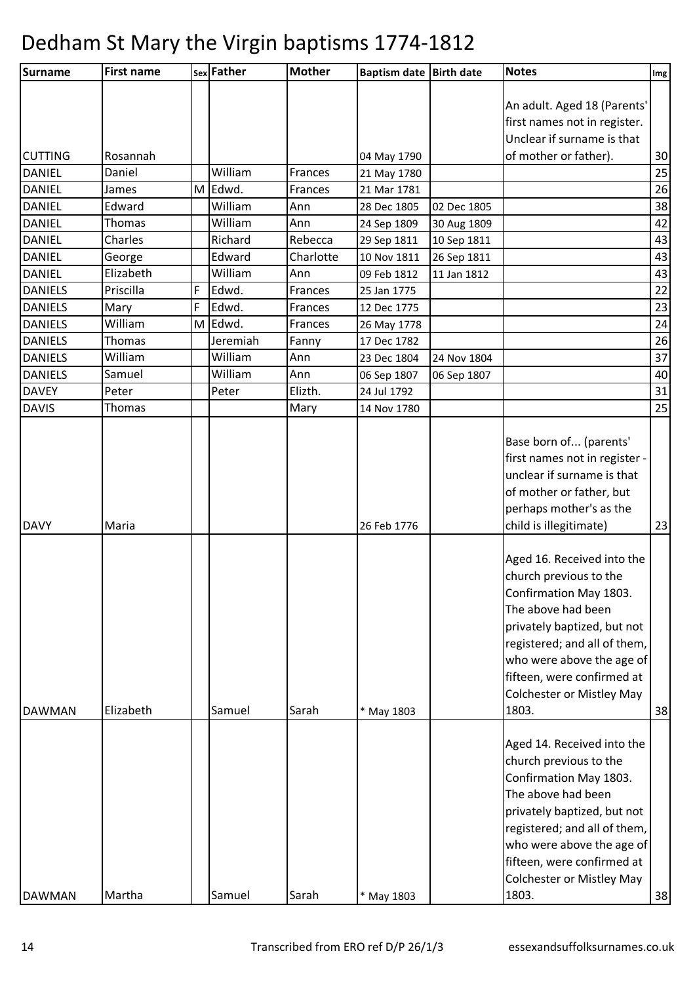| Surname                      | <b>First name</b> |   | sex Father          | <b>Mother</b>  | Baptism date Birth date |             | <b>Notes</b>                  | Img      |
|------------------------------|-------------------|---|---------------------|----------------|-------------------------|-------------|-------------------------------|----------|
|                              |                   |   |                     |                |                         |             |                               |          |
|                              |                   |   |                     |                |                         |             | An adult. Aged 18 (Parents'   |          |
|                              |                   |   |                     |                |                         |             | first names not in register.  |          |
|                              |                   |   |                     |                |                         |             | Unclear if surname is that    |          |
| <b>CUTTING</b>               | Rosannah          |   |                     |                | 04 May 1790             |             | of mother or father).         | 30       |
| <b>DANIEL</b>                | Daniel            |   | William             | Frances        | 21 May 1780             |             |                               | 25       |
| <b>DANIEL</b>                | James             |   | M Edwd.             | Frances        | 21 Mar 1781             |             |                               | 26       |
| <b>DANIEL</b>                | Edward            |   | William             | Ann            | 28 Dec 1805             | 02 Dec 1805 |                               | 38       |
| <b>DANIEL</b>                | Thomas            |   | William             | Ann            | 24 Sep 1809             | 30 Aug 1809 |                               | 42       |
| <b>DANIEL</b>                | Charles           |   | Richard             | Rebecca        | 29 Sep 1811             | 10 Sep 1811 |                               | 43       |
| <b>DANIEL</b>                | George            |   | Edward              | Charlotte      | 10 Nov 1811             | 26 Sep 1811 |                               | 43       |
| <b>DANIEL</b>                | Elizabeth         |   | William             | Ann            | 09 Feb 1812             | 11 Jan 1812 |                               | 43       |
| <b>DANIELS</b>               | Priscilla         | F | Edwd.               | Frances        | 25 Jan 1775             |             |                               | 22       |
| <b>DANIELS</b>               | Mary              | F | Edwd.               | Frances        | 12 Dec 1775             |             |                               | 23       |
| <b>DANIELS</b>               | William           | M | Edwd.               | Frances        | 26 May 1778             |             |                               | 24       |
| <b>DANIELS</b>               | Thomas            |   | Jeremiah<br>William | Fanny          | 17 Dec 1782             |             |                               | 26       |
| <b>DANIELS</b>               | William           |   | William             | Ann            | 23 Dec 1804             | 24 Nov 1804 |                               | 37       |
| <b>DANIELS</b>               | Samuel            |   |                     | Ann<br>Elizth. | 06 Sep 1807             | 06 Sep 1807 |                               | 40<br>31 |
| <b>DAVEY</b><br><b>DAVIS</b> | Peter             |   | Peter               |                | 24 Jul 1792             |             |                               | 25       |
|                              | Thomas            |   |                     | Mary           | 14 Nov 1780             |             |                               |          |
|                              |                   |   |                     |                |                         |             | Base born of (parents'        |          |
|                              |                   |   |                     |                |                         |             | first names not in register - |          |
|                              |                   |   |                     |                |                         |             | unclear if surname is that    |          |
|                              |                   |   |                     |                |                         |             | of mother or father, but      |          |
|                              |                   |   |                     |                |                         |             | perhaps mother's as the       |          |
| <b>DAVY</b>                  | Maria             |   |                     |                | 26 Feb 1776             |             | child is illegitimate)        | 23       |
|                              |                   |   |                     |                |                         |             |                               |          |
|                              |                   |   |                     |                |                         |             | Aged 16. Received into the    |          |
|                              |                   |   |                     |                |                         |             | church previous to the        |          |
|                              |                   |   |                     |                |                         |             | Confirmation May 1803.        |          |
|                              |                   |   |                     |                |                         |             | The above had been            |          |
|                              |                   |   |                     |                |                         |             | privately baptized, but not   |          |
|                              |                   |   |                     |                |                         |             | registered; and all of them,  |          |
|                              |                   |   |                     |                |                         |             | who were above the age of     |          |
|                              |                   |   |                     |                |                         |             | fifteen, were confirmed at    |          |
|                              |                   |   |                     |                |                         |             | Colchester or Mistley May     |          |
| <b>DAWMAN</b>                | Elizabeth         |   | Samuel              | Sarah          | * May 1803              |             | 1803.                         | 38       |
|                              |                   |   |                     |                |                         |             |                               |          |
|                              |                   |   |                     |                |                         |             | Aged 14. Received into the    |          |
|                              |                   |   |                     |                |                         |             | church previous to the        |          |
|                              |                   |   |                     |                |                         |             | Confirmation May 1803.        |          |
|                              |                   |   |                     |                |                         |             | The above had been            |          |
|                              |                   |   |                     |                |                         |             | privately baptized, but not   |          |
|                              |                   |   |                     |                |                         |             | registered; and all of them,  |          |
|                              |                   |   |                     |                |                         |             | who were above the age of     |          |
|                              |                   |   |                     |                |                         |             | fifteen, were confirmed at    |          |
|                              |                   |   |                     |                |                         |             | Colchester or Mistley May     |          |
| <b>DAWMAN</b>                | Martha            |   | Samuel              | Sarah          | * May 1803              |             | 1803.                         | 38       |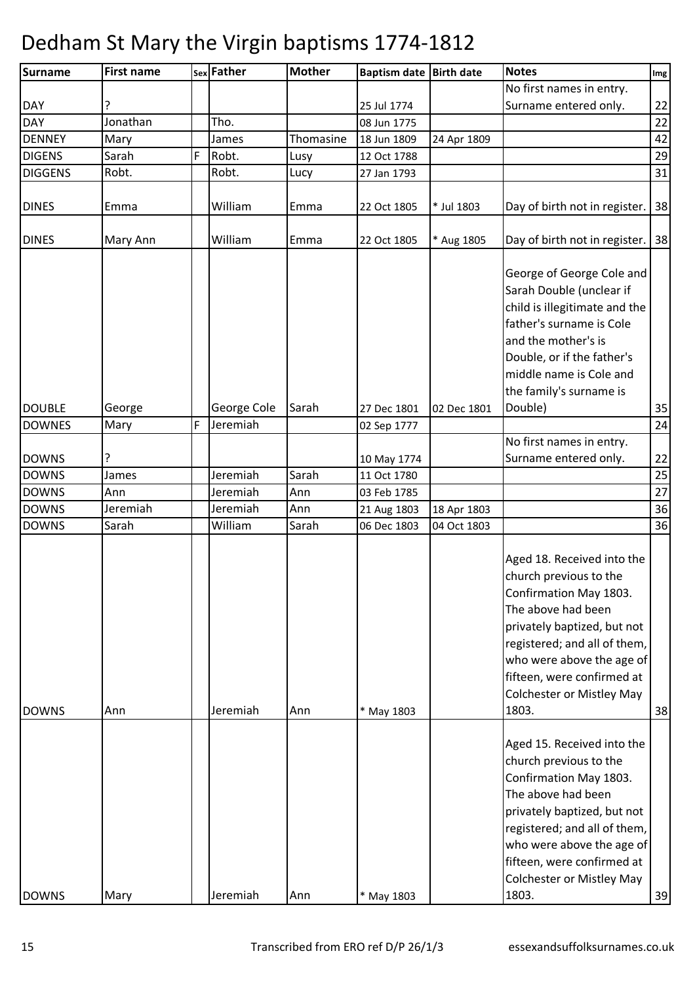| <b>Surname</b> | <b>First name</b> |   | sex Father  | <b>Mother</b> | Baptism date Birth date |             | <b>Notes</b>                       | Img             |
|----------------|-------------------|---|-------------|---------------|-------------------------|-------------|------------------------------------|-----------------|
|                |                   |   |             |               |                         |             | No first names in entry.           |                 |
| <b>DAY</b>     |                   |   |             |               | 25 Jul 1774             |             | Surname entered only.              | 22              |
| <b>DAY</b>     | Jonathan          |   | Tho.        |               | 08 Jun 1775             |             |                                    | 22              |
| <b>DENNEY</b>  | Mary              |   | James       | Thomasine     | 18 Jun 1809             | 24 Apr 1809 |                                    | 42              |
| <b>DIGENS</b>  | Sarah             | F | Robt.       | Lusy          | 12 Oct 1788             |             |                                    | 29              |
| <b>DIGGENS</b> | Robt.             |   | Robt.       | Lucy          | 27 Jan 1793             |             |                                    | 31              |
|                |                   |   |             |               |                         |             |                                    |                 |
| <b>DINES</b>   | Emma              |   | William     | Emma          | 22 Oct 1805             | * Jul 1803  | Day of birth not in register.   38 |                 |
|                |                   |   |             |               |                         |             |                                    |                 |
| <b>DINES</b>   | Mary Ann          |   | William     | Emma          | 22 Oct 1805             | * Aug 1805  | Day of birth not in register.   38 |                 |
|                |                   |   |             |               |                         |             |                                    |                 |
|                |                   |   |             |               |                         |             | George of George Cole and          |                 |
|                |                   |   |             |               |                         |             | Sarah Double (unclear if           |                 |
|                |                   |   |             |               |                         |             | child is illegitimate and the      |                 |
|                |                   |   |             |               |                         |             | father's surname is Cole           |                 |
|                |                   |   |             |               |                         |             | and the mother's is                |                 |
|                |                   |   |             |               |                         |             |                                    |                 |
|                |                   |   |             |               |                         |             | Double, or if the father's         |                 |
|                |                   |   |             |               |                         |             | middle name is Cole and            |                 |
|                |                   |   |             |               |                         |             | the family's surname is            |                 |
| <b>DOUBLE</b>  | George            |   | George Cole | Sarah         | 27 Dec 1801             | 02 Dec 1801 | Double)                            | 35              |
| <b>DOWNES</b>  | Mary              | F | Jeremiah    |               | 02 Sep 1777             |             |                                    | 24              |
|                |                   |   |             |               |                         |             | No first names in entry.           |                 |
| <b>DOWNS</b>   | ?                 |   |             |               | 10 May 1774             |             | Surname entered only.              | 22              |
| <b>DOWNS</b>   | James             |   | Jeremiah    | Sarah         | 11 Oct 1780             |             |                                    | $\overline{25}$ |
| <b>DOWNS</b>   | Ann               |   | Jeremiah    | Ann           | 03 Feb 1785             |             |                                    | 27              |
| <b>DOWNS</b>   | Jeremiah          |   | Jeremiah    | Ann           | 21 Aug 1803             | 18 Apr 1803 |                                    | 36              |
| <b>DOWNS</b>   | Sarah             |   | William     | Sarah         | 06 Dec 1803             | 04 Oct 1803 |                                    | 36              |
|                |                   |   |             |               |                         |             |                                    |                 |
|                |                   |   |             |               |                         |             | Aged 18. Received into the         |                 |
|                |                   |   |             |               |                         |             | church previous to the             |                 |
|                |                   |   |             |               |                         |             | Confirmation May 1803.             |                 |
|                |                   |   |             |               |                         |             | The above had been                 |                 |
|                |                   |   |             |               |                         |             | privately baptized, but not        |                 |
|                |                   |   |             |               |                         |             | registered; and all of them,       |                 |
|                |                   |   |             |               |                         |             | who were above the age of          |                 |
|                |                   |   |             |               |                         |             | fifteen, were confirmed at         |                 |
|                |                   |   |             |               |                         |             | <b>Colchester or Mistley May</b>   |                 |
| <b>DOWNS</b>   |                   |   | Jeremiah    | Ann           |                         |             | 1803.                              |                 |
|                | Ann               |   |             |               | * May 1803              |             |                                    | 38              |
|                |                   |   |             |               |                         |             |                                    |                 |
|                |                   |   |             |               |                         |             | Aged 15. Received into the         |                 |
|                |                   |   |             |               |                         |             | church previous to the             |                 |
|                |                   |   |             |               |                         |             | Confirmation May 1803.             |                 |
|                |                   |   |             |               |                         |             | The above had been                 |                 |
|                |                   |   |             |               |                         |             | privately baptized, but not        |                 |
|                |                   |   |             |               |                         |             | registered; and all of them,       |                 |
|                |                   |   |             |               |                         |             | who were above the age of          |                 |
|                |                   |   |             |               |                         |             | fifteen, were confirmed at         |                 |
|                |                   |   |             |               |                         |             | <b>Colchester or Mistley May</b>   |                 |
| <b>DOWNS</b>   | Mary              |   | Jeremiah    | Ann           | * May 1803              |             | 1803.                              | 39              |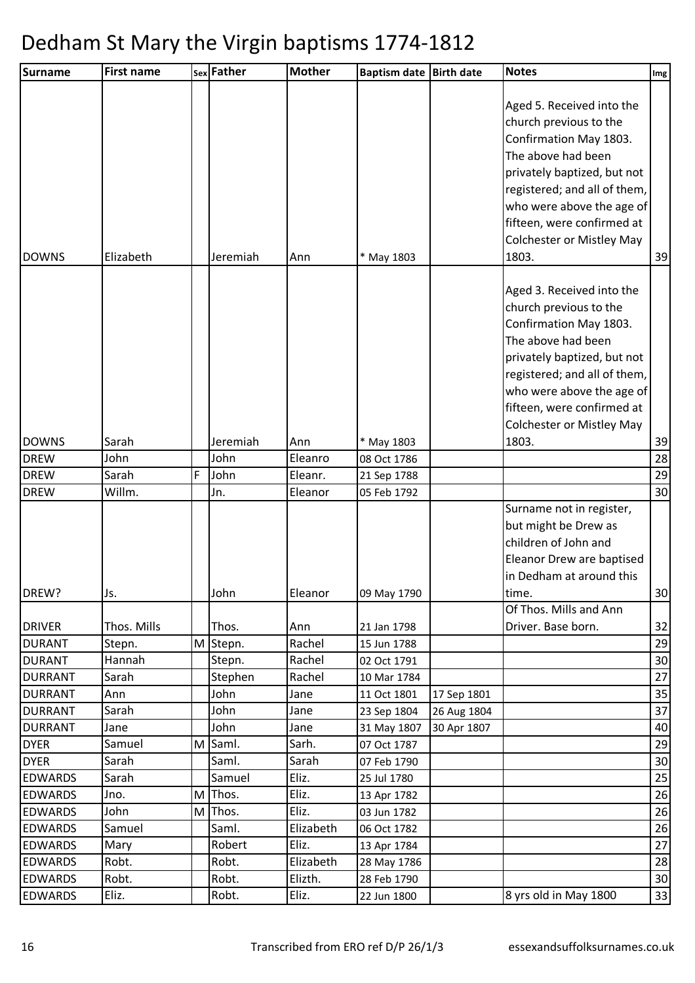| <b>Surname</b>       | <b>First name</b> |   | sex Father  | <b>Mother</b>      | Baptism date Birth date    |             | <b>Notes</b>                                                                                                                                                                                                                                                        | Img      |
|----------------------|-------------------|---|-------------|--------------------|----------------------------|-------------|---------------------------------------------------------------------------------------------------------------------------------------------------------------------------------------------------------------------------------------------------------------------|----------|
| <b>DOWNS</b>         | Elizabeth         |   | Jeremiah    | Ann                | * May 1803                 |             | Aged 5. Received into the<br>church previous to the<br>Confirmation May 1803.<br>The above had been<br>privately baptized, but not<br>registered; and all of them,<br>who were above the age of<br>fifteen, were confirmed at<br>Colchester or Mistley May<br>1803. | 39       |
|                      |                   |   |             |                    |                            |             | Aged 3. Received into the<br>church previous to the<br>Confirmation May 1803.<br>The above had been<br>privately baptized, but not<br>registered; and all of them,<br>who were above the age of<br>fifteen, were confirmed at<br>Colchester or Mistley May          |          |
| <b>DOWNS</b>         | Sarah             |   | Jeremiah    | Ann                | * May 1803                 |             | 1803.                                                                                                                                                                                                                                                               | 39       |
| <b>DREW</b>          | John              |   | John        | Eleanro            | 08 Oct 1786                |             |                                                                                                                                                                                                                                                                     | 28       |
| <b>DREW</b>          | Sarah             | F | John        | Eleanr.            | 21 Sep 1788                |             |                                                                                                                                                                                                                                                                     | 29       |
| <b>DREW</b><br>DREW? | Willm.<br>Js.     |   | Jn.<br>John | Eleanor<br>Eleanor | 05 Feb 1792<br>09 May 1790 |             | Surname not in register,<br>but might be Drew as<br>children of John and<br>Eleanor Drew are baptised<br>in Dedham at around this<br>time.                                                                                                                          | 30<br>30 |
|                      |                   |   |             |                    |                            |             | Of Thos. Mills and Ann                                                                                                                                                                                                                                              |          |
| <b>DRIVER</b>        | Thos. Mills       |   | Thos.       | Ann                | 21 Jan 1798                |             | Driver. Base born.                                                                                                                                                                                                                                                  | 32       |
| <b>DURANT</b>        | Stepn.            | M | Stepn.      | Rachel             | 15 Jun 1788                |             |                                                                                                                                                                                                                                                                     | 29       |
| <b>DURANT</b>        | Hannah            |   | Stepn.      | Rachel             | 02 Oct 1791                |             |                                                                                                                                                                                                                                                                     | 30       |
| <b>DURRANT</b>       | Sarah             |   | Stephen     | Rachel             | 10 Mar 1784                |             |                                                                                                                                                                                                                                                                     | 27       |
| <b>DURRANT</b>       | Ann               |   | John        | Jane               | 11 Oct 1801                | 17 Sep 1801 |                                                                                                                                                                                                                                                                     | 35       |
| <b>DURRANT</b>       | Sarah             |   | John        | Jane               | 23 Sep 1804                | 26 Aug 1804 |                                                                                                                                                                                                                                                                     | 37       |
| <b>DURRANT</b>       | Jane              |   | John        | Jane               | 31 May 1807                | 30 Apr 1807 |                                                                                                                                                                                                                                                                     | 40       |
| <b>DYER</b>          | Samuel            | M | Saml.       | Sarh.              | 07 Oct 1787                |             |                                                                                                                                                                                                                                                                     | 29       |
| <b>DYER</b>          | Sarah             |   | Saml.       | Sarah              | 07 Feb 1790                |             |                                                                                                                                                                                                                                                                     | 30       |
| <b>EDWARDS</b>       | Sarah             |   | Samuel      | Eliz.              | 25 Jul 1780                |             |                                                                                                                                                                                                                                                                     | 25       |
| <b>EDWARDS</b>       | Jno.              | M | Thos.       | Eliz.              | 13 Apr 1782                |             |                                                                                                                                                                                                                                                                     | 26       |
| <b>EDWARDS</b>       | John              | M | Thos.       | Eliz.              | 03 Jun 1782                |             |                                                                                                                                                                                                                                                                     | 26       |
| <b>EDWARDS</b>       | Samuel            |   | Saml.       | Elizabeth          | 06 Oct 1782                |             |                                                                                                                                                                                                                                                                     | 26       |
| <b>EDWARDS</b>       | Mary              |   | Robert      | Eliz.              | 13 Apr 1784                |             |                                                                                                                                                                                                                                                                     | 27       |
| <b>EDWARDS</b>       | Robt.             |   | Robt.       | Elizabeth          | 28 May 1786                |             |                                                                                                                                                                                                                                                                     | 28       |
| <b>EDWARDS</b>       | Robt.             |   | Robt.       | Elizth.            | 28 Feb 1790                |             |                                                                                                                                                                                                                                                                     | 30       |
| <b>EDWARDS</b>       | Eliz.             |   | Robt.       | Eliz.              | 22 Jun 1800                |             | 8 yrs old in May 1800                                                                                                                                                                                                                                               | 33       |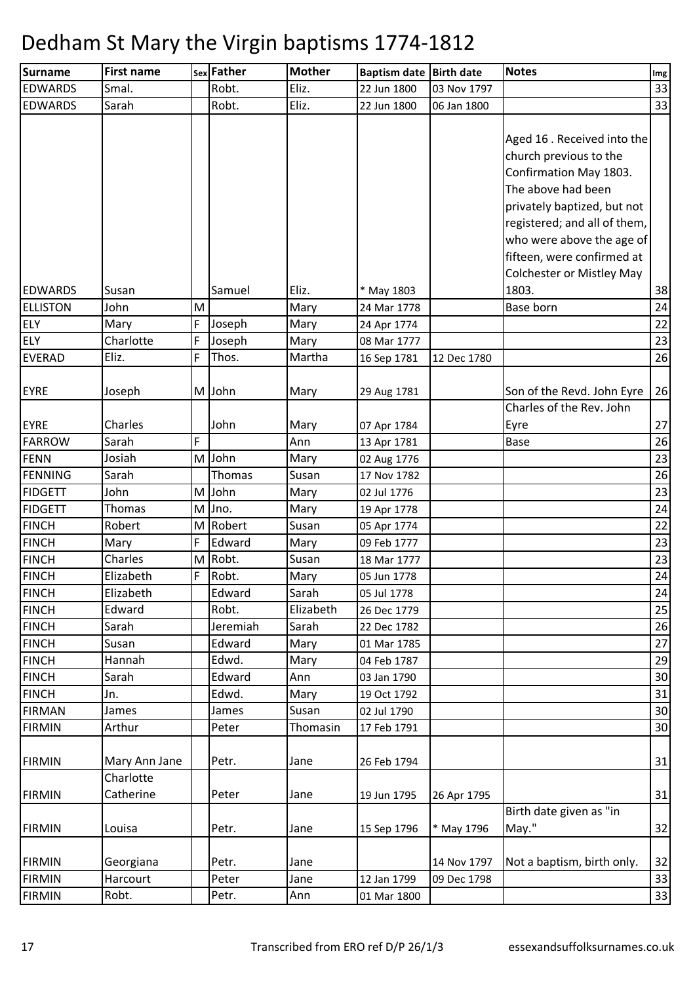| <b>Surname</b>  | <b>First name</b>      |   | sex Father | <b>Mother</b> | Baptism date Birth date    |             | <b>Notes</b>                                                                                                                                                                                                                                                        | Img |
|-----------------|------------------------|---|------------|---------------|----------------------------|-------------|---------------------------------------------------------------------------------------------------------------------------------------------------------------------------------------------------------------------------------------------------------------------|-----|
| <b>EDWARDS</b>  | Smal.                  |   | Robt.      | Eliz.         | 22 Jun 1800                | 03 Nov 1797 |                                                                                                                                                                                                                                                                     | 33  |
| <b>EDWARDS</b>  | Sarah                  |   | Robt.      | Eliz.         | 22 Jun 1800                | 06 Jan 1800 |                                                                                                                                                                                                                                                                     | 33  |
|                 |                        |   |            |               |                            |             | Aged 16 . Received into the<br>church previous to the<br>Confirmation May 1803.<br>The above had been<br>privately baptized, but not<br>registered; and all of them,<br>who were above the age of<br>fifteen, were confirmed at<br><b>Colchester or Mistley May</b> |     |
| <b>EDWARDS</b>  | Susan                  |   | Samuel     | Eliz.         | * May 1803                 |             | 1803.                                                                                                                                                                                                                                                               | 38  |
| <b>ELLISTON</b> | John                   | M |            | Mary          | 24 Mar 1778                |             | Base born                                                                                                                                                                                                                                                           | 24  |
| <b>ELY</b>      | Mary                   | F | Joseph     | Mary          | 24 Apr 1774                |             |                                                                                                                                                                                                                                                                     | 22  |
| <b>ELY</b>      | Charlotte              | F | Joseph     | Mary          | 08 Mar 1777                |             |                                                                                                                                                                                                                                                                     | 23  |
| <b>EVERAD</b>   | Eliz.                  | F | Thos.      | Martha        | 16 Sep 1781                | 12 Dec 1780 |                                                                                                                                                                                                                                                                     | 26  |
| <b>EYRE</b>     | Joseph                 |   | M John     | Mary          | 29 Aug 1781                |             | Son of the Revd. John Eyre<br>Charles of the Rev. John                                                                                                                                                                                                              | 26  |
| <b>EYRE</b>     | Charles                |   | John       | Mary          |                            |             | Eyre                                                                                                                                                                                                                                                                | 27  |
| <b>FARROW</b>   | Sarah                  | F |            | Ann           | 07 Apr 1784<br>13 Apr 1781 |             | <b>Base</b>                                                                                                                                                                                                                                                         | 26  |
| <b>FENN</b>     | Josiah                 | M | John       | Mary          | 02 Aug 1776                |             |                                                                                                                                                                                                                                                                     | 23  |
| <b>FENNING</b>  | Sarah                  |   | Thomas     | Susan         | 17 Nov 1782                |             |                                                                                                                                                                                                                                                                     | 26  |
| <b>FIDGETT</b>  | John                   |   | M John     | Mary          | 02 Jul 1776                |             |                                                                                                                                                                                                                                                                     | 23  |
| <b>FIDGETT</b>  | Thomas                 | M | Jno.       | Mary          | 19 Apr 1778                |             |                                                                                                                                                                                                                                                                     | 24  |
| <b>FINCH</b>    | Robert                 | M | Robert     | Susan         | 05 Apr 1774                |             |                                                                                                                                                                                                                                                                     | 22  |
| <b>FINCH</b>    | Mary                   | F | Edward     | Mary          | 09 Feb 1777                |             |                                                                                                                                                                                                                                                                     | 23  |
| <b>FINCH</b>    | Charles                | M | Robt.      | Susan         | 18 Mar 1777                |             |                                                                                                                                                                                                                                                                     | 23  |
| <b>FINCH</b>    | Elizabeth              | F | Robt.      | Mary          | 05 Jun 1778                |             |                                                                                                                                                                                                                                                                     | 24  |
| <b>FINCH</b>    | Elizabeth              |   | Edward     | Sarah         | 05 Jul 1778                |             |                                                                                                                                                                                                                                                                     | 24  |
| <b>FINCH</b>    | Edward                 |   | Robt.      | Elizabeth     | 26 Dec 1779                |             |                                                                                                                                                                                                                                                                     | 25  |
| <b>FINCH</b>    | Sarah                  |   | Jeremiah   | Sarah         | 22 Dec 1782                |             |                                                                                                                                                                                                                                                                     | 26  |
| <b>FINCH</b>    | Susan                  |   | Edward     | Mary          | 01 Mar 1785                |             |                                                                                                                                                                                                                                                                     | 27  |
| <b>FINCH</b>    | Hannah                 |   | Edwd.      | Mary          | 04 Feb 1787                |             |                                                                                                                                                                                                                                                                     | 29  |
| <b>FINCH</b>    | Sarah                  |   | Edward     | Ann           | 03 Jan 1790                |             |                                                                                                                                                                                                                                                                     | 30  |
| <b>FINCH</b>    | Jn.                    |   | Edwd.      | Mary          | 19 Oct 1792                |             |                                                                                                                                                                                                                                                                     | 31  |
| <b>FIRMAN</b>   | James                  |   | James      | Susan         | 02 Jul 1790                |             |                                                                                                                                                                                                                                                                     | 30  |
| <b>FIRMIN</b>   | Arthur                 |   | Peter      | Thomasin      | 17 Feb 1791                |             |                                                                                                                                                                                                                                                                     | 30  |
| <b>FIRMIN</b>   | Mary Ann Jane          |   | Petr.      | Jane          | 26 Feb 1794                |             |                                                                                                                                                                                                                                                                     | 31  |
| <b>FIRMIN</b>   | Charlotte<br>Catherine |   | Peter      | Jane          | 19 Jun 1795                | 26 Apr 1795 |                                                                                                                                                                                                                                                                     | 31  |
| <b>FIRMIN</b>   | Louisa                 |   | Petr.      | Jane          | 15 Sep 1796                | * May 1796  | Birth date given as "in<br>May."                                                                                                                                                                                                                                    | 32  |
| <b>FIRMIN</b>   | Georgiana              |   | Petr.      | Jane          |                            | 14 Nov 1797 | Not a baptism, birth only.                                                                                                                                                                                                                                          | 32  |
| <b>FIRMIN</b>   | Harcourt               |   | Peter      | Jane          | 12 Jan 1799                | 09 Dec 1798 |                                                                                                                                                                                                                                                                     | 33  |
| <b>FIRMIN</b>   | Robt.                  |   | Petr.      | Ann           | 01 Mar 1800                |             |                                                                                                                                                                                                                                                                     | 33  |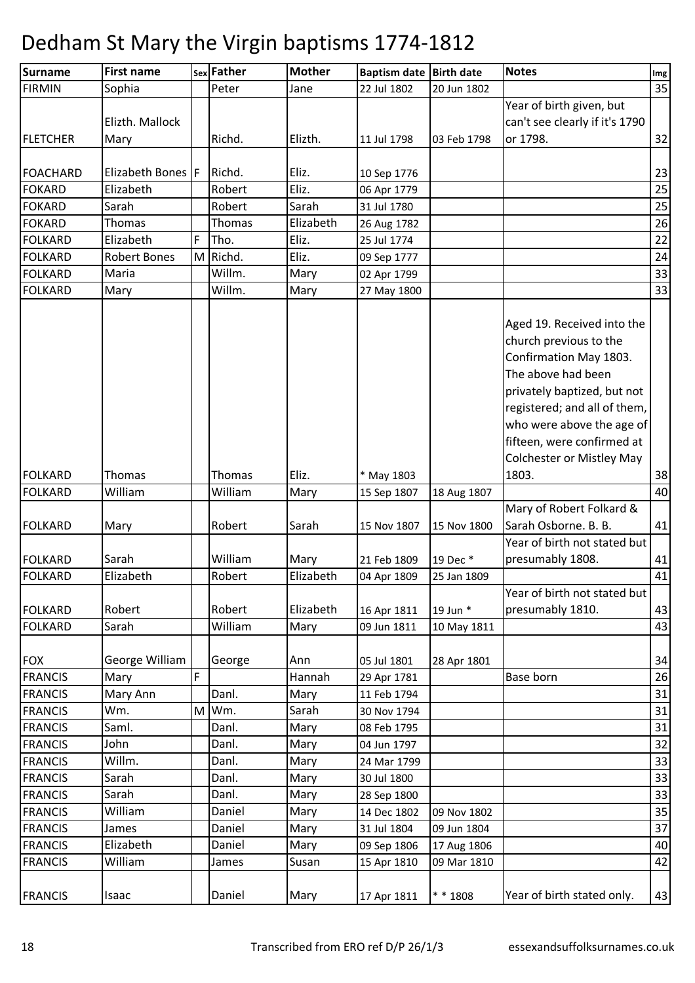| Surname         | <b>First name</b>  |   | sex Father | <b>Mother</b> | Baptism date Birth date |             | <b>Notes</b>                                         | Img |
|-----------------|--------------------|---|------------|---------------|-------------------------|-------------|------------------------------------------------------|-----|
| <b>FIRMIN</b>   | Sophia             |   | Peter      | Jane          | 22 Jul 1802             | 20 Jun 1802 |                                                      | 35  |
|                 |                    |   |            |               |                         |             | Year of birth given, but                             |     |
|                 | Elizth. Mallock    |   |            |               |                         |             | can't see clearly if it's 1790                       |     |
| <b>FLETCHER</b> | Mary               |   | Richd.     | Elizth.       | 11 Jul 1798             | 03 Feb 1798 | or 1798.                                             | 32  |
|                 |                    |   |            |               |                         |             |                                                      |     |
| <b>FOACHARD</b> | Elizabeth Bones  F |   | Richd.     | Eliz.         | 10 Sep 1776             |             |                                                      | 23  |
| <b>FOKARD</b>   | Elizabeth          |   | Robert     | Eliz.         | 06 Apr 1779             |             |                                                      | 25  |
| <b>FOKARD</b>   | Sarah              |   | Robert     | Sarah         | 31 Jul 1780             |             |                                                      | 25  |
| <b>FOKARD</b>   | Thomas             |   | Thomas     | Elizabeth     | 26 Aug 1782             |             |                                                      | 26  |
| <b>FOLKARD</b>  | Elizabeth          | F | Tho.       | Eliz.         | 25 Jul 1774             |             |                                                      | 22  |
| <b>FOLKARD</b>  | Robert Bones       |   | M Richd.   | Eliz.         | 09 Sep 1777             |             |                                                      | 24  |
| <b>FOLKARD</b>  | Maria              |   | Willm.     | Mary          | 02 Apr 1799             |             |                                                      | 33  |
| <b>FOLKARD</b>  | Mary               |   | Willm.     | Mary          | 27 May 1800             |             |                                                      | 33  |
|                 |                    |   |            |               |                         |             | Aged 19. Received into the<br>church previous to the |     |
|                 |                    |   |            |               |                         |             | Confirmation May 1803.                               |     |
|                 |                    |   |            |               |                         |             | The above had been                                   |     |
|                 |                    |   |            |               |                         |             | privately baptized, but not                          |     |
|                 |                    |   |            |               |                         |             | registered; and all of them,                         |     |
|                 |                    |   |            |               |                         |             | who were above the age of                            |     |
|                 |                    |   |            |               |                         |             | fifteen, were confirmed at                           |     |
|                 |                    |   |            |               |                         |             | <b>Colchester or Mistley May</b>                     |     |
| <b>FOLKARD</b>  | Thomas             |   | Thomas     | Eliz.         | * May 1803              |             | 1803.                                                | 38  |
| <b>FOLKARD</b>  | William            |   | William    | Mary          | 15 Sep 1807             | 18 Aug 1807 |                                                      | 40  |
|                 |                    |   |            |               |                         |             | Mary of Robert Folkard &                             |     |
| <b>FOLKARD</b>  |                    |   | Robert     | Sarah         | 15 Nov 1807             | 15 Nov 1800 | Sarah Osborne. B. B.                                 | 41  |
|                 | Mary               |   |            |               |                         |             | Year of birth not stated but                         |     |
| <b>FOLKARD</b>  | Sarah              |   | William    | Mary          | 21 Feb 1809             | 19 Dec *    | presumably 1808.                                     | 41  |
| <b>FOLKARD</b>  | Elizabeth          |   | Robert     | Elizabeth     | 04 Apr 1809             | 25 Jan 1809 |                                                      | 41  |
|                 |                    |   |            |               |                         |             | Year of birth not stated but                         |     |
| <b>FOLKARD</b>  | Robert             |   | Robert     | Elizabeth     | 16 Apr 1811             | 19 Jun *    | presumably 1810.                                     | 43  |
| <b>FOLKARD</b>  | Sarah              |   | William    | Mary          |                         |             |                                                      | 43  |
|                 |                    |   |            |               | 09 Jun 1811             | 10 May 1811 |                                                      |     |
| <b>FOX</b>      | George William     |   | George     | Ann           | 05 Jul 1801             | 28 Apr 1801 |                                                      | 34  |
| <b>FRANCIS</b>  | Mary               | F |            | Hannah        | 29 Apr 1781             |             | Base born                                            | 26  |
| <b>FRANCIS</b>  | Mary Ann           |   | Danl.      | Mary          | 11 Feb 1794             |             |                                                      | 31  |
| <b>FRANCIS</b>  | Wm.                | M | Wm.        | Sarah         | 30 Nov 1794             |             |                                                      | 31  |
| <b>FRANCIS</b>  | Saml.              |   | Danl.      | Mary          | 08 Feb 1795             |             |                                                      | 31  |
| <b>FRANCIS</b>  | John               |   | Danl.      | Mary          | 04 Jun 1797             |             |                                                      | 32  |
| <b>FRANCIS</b>  | Willm.             |   | Danl.      | Mary          | 24 Mar 1799             |             |                                                      | 33  |
| <b>FRANCIS</b>  | Sarah              |   | Danl.      | Mary          | 30 Jul 1800             |             |                                                      | 33  |
| <b>FRANCIS</b>  | Sarah              |   | Danl.      | Mary          | 28 Sep 1800             |             |                                                      | 33  |
| <b>FRANCIS</b>  | William            |   | Daniel     | Mary          | 14 Dec 1802             | 09 Nov 1802 |                                                      | 35  |
| <b>FRANCIS</b>  | James              |   | Daniel     | Mary          | 31 Jul 1804             | 09 Jun 1804 |                                                      | 37  |
| <b>FRANCIS</b>  | Elizabeth          |   | Daniel     | Mary          | 09 Sep 1806             | 17 Aug 1806 |                                                      | 40  |
| <b>FRANCIS</b>  | William            |   | James      | Susan         | 15 Apr 1810             | 09 Mar 1810 |                                                      | 42  |
|                 |                    |   |            |               |                         |             |                                                      |     |
| <b>FRANCIS</b>  | Isaac              |   | Daniel     | Mary          | 17 Apr 1811             | * * 1808    | Year of birth stated only.                           | 43  |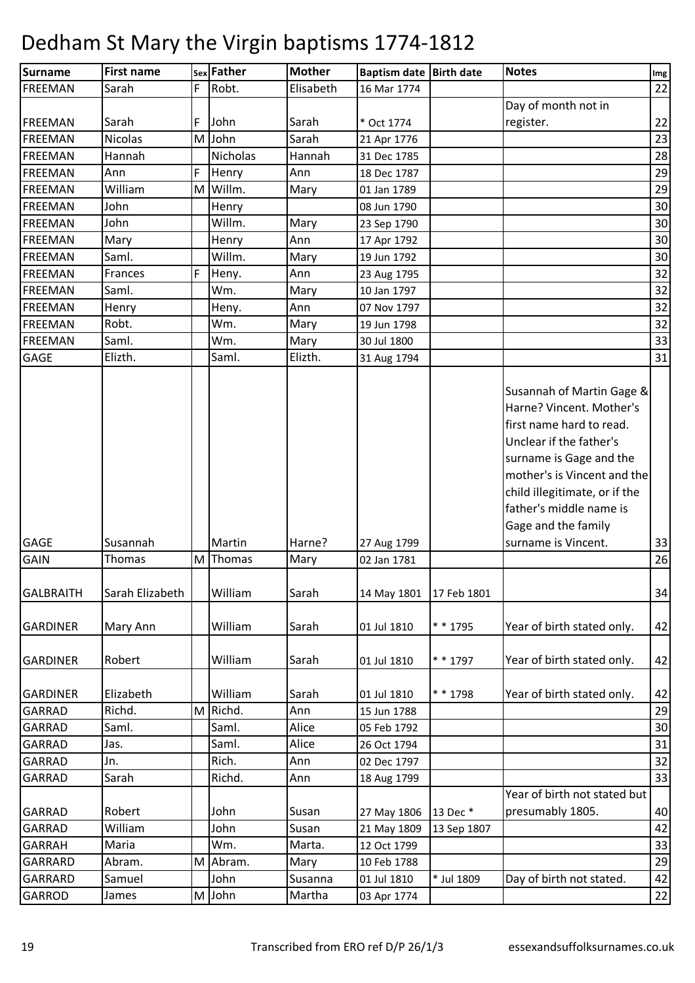| <b>Surname</b>   | <b>First name</b> |   | sex Father | <b>Mother</b> | Baptism date Birth date |             | <b>Notes</b>                                                                                                                                                                                                                                              | Img |
|------------------|-------------------|---|------------|---------------|-------------------------|-------------|-----------------------------------------------------------------------------------------------------------------------------------------------------------------------------------------------------------------------------------------------------------|-----|
| <b>FREEMAN</b>   | Sarah             | F | Robt.      | Elisabeth     | 16 Mar 1774             |             |                                                                                                                                                                                                                                                           | 22  |
|                  |                   |   |            |               |                         |             | Day of month not in                                                                                                                                                                                                                                       |     |
| <b>FREEMAN</b>   | Sarah             | F | John       | Sarah         | * Oct 1774              |             | register.                                                                                                                                                                                                                                                 | 22  |
| <b>FREEMAN</b>   | Nicolas           | M | John       | Sarah         | 21 Apr 1776             |             |                                                                                                                                                                                                                                                           | 23  |
| <b>FREEMAN</b>   | Hannah            |   | Nicholas   | Hannah        | 31 Dec 1785             |             |                                                                                                                                                                                                                                                           | 28  |
| <b>FREEMAN</b>   | Ann               | F | Henry      | Ann           | 18 Dec 1787             |             |                                                                                                                                                                                                                                                           | 29  |
| <b>FREEMAN</b>   | William           | M | Willm.     | Mary          | 01 Jan 1789             |             |                                                                                                                                                                                                                                                           | 29  |
| <b>FREEMAN</b>   | John              |   | Henry      |               | 08 Jun 1790             |             |                                                                                                                                                                                                                                                           | 30  |
| <b>FREEMAN</b>   | John              |   | Willm.     | Mary          | 23 Sep 1790             |             |                                                                                                                                                                                                                                                           | 30  |
| <b>FREEMAN</b>   | Mary              |   | Henry      | Ann           | 17 Apr 1792             |             |                                                                                                                                                                                                                                                           | 30  |
| <b>FREEMAN</b>   | Saml.             |   | Willm.     | Mary          | 19 Jun 1792             |             |                                                                                                                                                                                                                                                           | 30  |
| <b>FREEMAN</b>   | Frances           | F | Heny.      | Ann           | 23 Aug 1795             |             |                                                                                                                                                                                                                                                           | 32  |
| <b>FREEMAN</b>   | Saml.             |   | Wm.        | Mary          | 10 Jan 1797             |             |                                                                                                                                                                                                                                                           | 32  |
| <b>FREEMAN</b>   | Henry             |   | Heny.      | Ann           | 07 Nov 1797             |             |                                                                                                                                                                                                                                                           | 32  |
| <b>FREEMAN</b>   | Robt.             |   | Wm.        | Mary          | 19 Jun 1798             |             |                                                                                                                                                                                                                                                           | 32  |
| <b>FREEMAN</b>   | Saml.             |   | Wm.        | Mary          | 30 Jul 1800             |             |                                                                                                                                                                                                                                                           | 33  |
| GAGE             | Elizth.           |   | Saml.      | Elizth.       | 31 Aug 1794             |             |                                                                                                                                                                                                                                                           | 31  |
|                  |                   |   |            |               |                         |             | Susannah of Martin Gage &<br>Harne? Vincent. Mother's<br>first name hard to read.<br>Unclear if the father's<br>surname is Gage and the<br>mother's is Vincent and the<br>child illegitimate, or if the<br>father's middle name is<br>Gage and the family |     |
| <b>GAGE</b>      | Susannah          |   | Martin     | Harne?        | 27 Aug 1799             |             | surname is Vincent.                                                                                                                                                                                                                                       | 33  |
| <b>GAIN</b>      | Thomas            | M | Thomas     | Mary          | 02 Jan 1781             |             |                                                                                                                                                                                                                                                           | 26  |
| <b>GALBRAITH</b> | Sarah Elizabeth   |   | William    | Sarah         | 14 May 1801             | 17 Feb 1801 |                                                                                                                                                                                                                                                           | 34  |
| <b>GARDINER</b>  | Mary Ann          |   | William    | Sarah         | 01 Jul 1810             | * * 1795    | Year of birth stated only.                                                                                                                                                                                                                                | 42  |
| <b>GARDINER</b>  | Robert            |   | William    | Sarah         | 01 Jul 1810             | * * 1797    | Year of birth stated only.                                                                                                                                                                                                                                | 42  |
| <b>GARDINER</b>  | Elizabeth         |   | William    | Sarah         | 01 Jul 1810             | * * 1798    | Year of birth stated only.                                                                                                                                                                                                                                | 42  |
| <b>GARRAD</b>    | Richd.            | M | Richd.     | Ann           | 15 Jun 1788             |             |                                                                                                                                                                                                                                                           | 29  |
| <b>GARRAD</b>    | Saml.             |   | Saml.      | Alice         | 05 Feb 1792             |             |                                                                                                                                                                                                                                                           | 30  |
| <b>GARRAD</b>    | Jas.              |   | Saml.      | Alice         | 26 Oct 1794             |             |                                                                                                                                                                                                                                                           | 31  |
| GARRAD           | Jn.               |   | Rich.      | Ann           | 02 Dec 1797             |             |                                                                                                                                                                                                                                                           | 32  |
| GARRAD           | Sarah             |   | Richd.     | Ann           | 18 Aug 1799             |             |                                                                                                                                                                                                                                                           | 33  |
|                  |                   |   |            |               |                         |             | Year of birth not stated but                                                                                                                                                                                                                              |     |
| <b>GARRAD</b>    | Robert            |   | John       | Susan         | 27 May 1806             | 13 Dec *    | presumably 1805.                                                                                                                                                                                                                                          | 40  |
| <b>GARRAD</b>    | William           |   | John       | Susan         | 21 May 1809             | 13 Sep 1807 |                                                                                                                                                                                                                                                           | 42  |
| <b>GARRAH</b>    | Maria             |   | Wm.        | Marta.        | 12 Oct 1799             |             |                                                                                                                                                                                                                                                           | 33  |
| GARRARD          | Abram.            | M | Abram.     | Mary          | 10 Feb 1788             |             |                                                                                                                                                                                                                                                           | 29  |
| GARRARD          | Samuel            |   | John       | Susanna       | 01 Jul 1810             | * Jul 1809  | Day of birth not stated.                                                                                                                                                                                                                                  | 42  |
| <b>GARROD</b>    | James             |   | M John     | Martha        | 03 Apr 1774             |             |                                                                                                                                                                                                                                                           | 22  |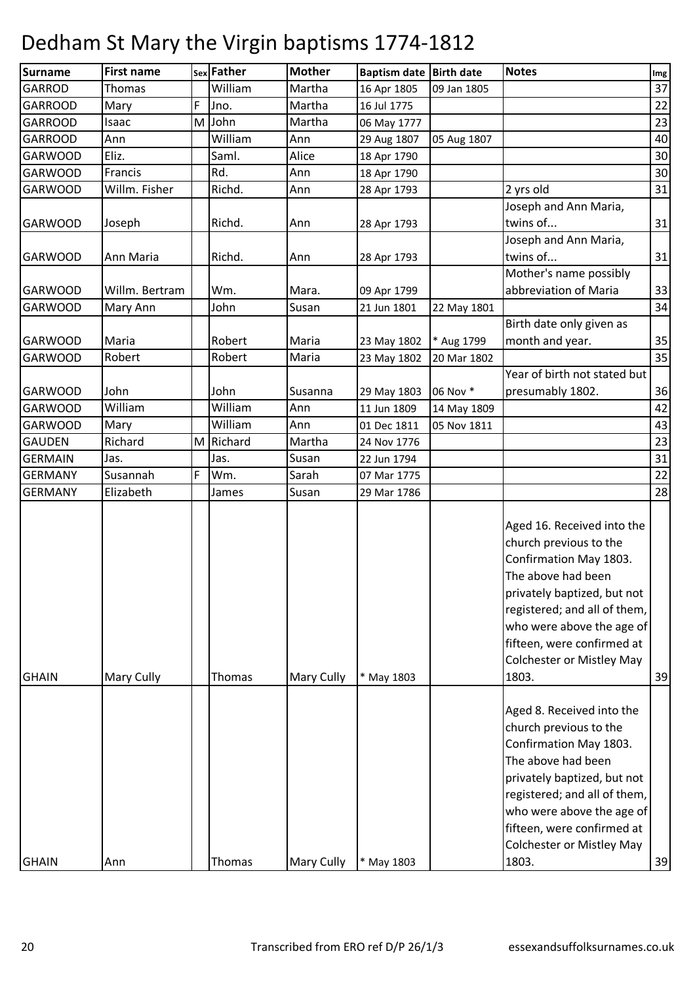| <b>Surname</b> | <b>First name</b> |   | sex Father | <b>Mother</b> | <b>Baptism date</b> | <b>Birth date</b> | <b>Notes</b>                                                                                                                                                                                                                                                                | Img |
|----------------|-------------------|---|------------|---------------|---------------------|-------------------|-----------------------------------------------------------------------------------------------------------------------------------------------------------------------------------------------------------------------------------------------------------------------------|-----|
| <b>GARROD</b>  | Thomas            |   | William    | Martha        | 16 Apr 1805         | 09 Jan 1805       |                                                                                                                                                                                                                                                                             | 37  |
| <b>GARROOD</b> | Mary              | F | Jno.       | Martha        | 16 Jul 1775         |                   |                                                                                                                                                                                                                                                                             | 22  |
| <b>GARROOD</b> | Isaac             | M | John       | Martha        | 06 May 1777         |                   |                                                                                                                                                                                                                                                                             | 23  |
| <b>GARROOD</b> | Ann               |   | William    | Ann           | 29 Aug 1807         | 05 Aug 1807       |                                                                                                                                                                                                                                                                             | 40  |
| <b>GARWOOD</b> | Eliz.             |   | Saml.      | Alice         | 18 Apr 1790         |                   |                                                                                                                                                                                                                                                                             | 30  |
| <b>GARWOOD</b> | Francis           |   | Rd.        | Ann           | 18 Apr 1790         |                   |                                                                                                                                                                                                                                                                             | 30  |
| <b>GARWOOD</b> | Willm. Fisher     |   | Richd.     | Ann           | 28 Apr 1793         |                   | 2 yrs old                                                                                                                                                                                                                                                                   | 31  |
| <b>GARWOOD</b> | Joseph            |   | Richd.     | Ann           | 28 Apr 1793         |                   | Joseph and Ann Maria,<br>twins of                                                                                                                                                                                                                                           | 31  |
| <b>GARWOOD</b> | Ann Maria         |   | Richd.     | Ann           | 28 Apr 1793         |                   | Joseph and Ann Maria,<br>twins of                                                                                                                                                                                                                                           | 31  |
| <b>GARWOOD</b> | Willm. Bertram    |   | Wm.        | Mara.         | 09 Apr 1799         |                   | Mother's name possibly<br>abbreviation of Maria                                                                                                                                                                                                                             | 33  |
| <b>GARWOOD</b> | Mary Ann          |   | John       | Susan         | 21 Jun 1801         | 22 May 1801       |                                                                                                                                                                                                                                                                             | 34  |
|                |                   |   |            |               |                     |                   | Birth date only given as                                                                                                                                                                                                                                                    |     |
| <b>GARWOOD</b> | Maria             |   | Robert     | Maria         | 23 May 1802         | * Aug 1799        | month and year.                                                                                                                                                                                                                                                             | 35  |
| <b>GARWOOD</b> | Robert            |   | Robert     | Maria         | 23 May 1802         | 20 Mar 1802       |                                                                                                                                                                                                                                                                             | 35  |
| <b>GARWOOD</b> | John              |   | John       | Susanna       | 29 May 1803         | 06 Nov *          | Year of birth not stated but<br>presumably 1802.                                                                                                                                                                                                                            | 36  |
| <b>GARWOOD</b> | William           |   | William    | Ann           | 11 Jun 1809         | 14 May 1809       |                                                                                                                                                                                                                                                                             | 42  |
| <b>GARWOOD</b> | Mary              |   | William    | Ann           | 01 Dec 1811         | 05 Nov 1811       |                                                                                                                                                                                                                                                                             | 43  |
| <b>GAUDEN</b>  | Richard           | M | Richard    | Martha        | 24 Nov 1776         |                   |                                                                                                                                                                                                                                                                             | 23  |
| <b>GERMAIN</b> | Jas.              |   | Jas.       | Susan         | 22 Jun 1794         |                   |                                                                                                                                                                                                                                                                             | 31  |
| <b>GERMANY</b> | Susannah          | F | Wm.        | Sarah         | 07 Mar 1775         |                   |                                                                                                                                                                                                                                                                             | 22  |
| <b>GERMANY</b> | Elizabeth         |   | James      | Susan         | 29 Mar 1786         |                   |                                                                                                                                                                                                                                                                             | 28  |
| <b>GHAIN</b>   | Mary Cully        |   | Thomas     | Mary Cully    | * May 1803          |                   | Aged 16. Received into the<br>church previous to the<br>Confirmation May 1803.<br>The above had been<br>privately baptized, but not<br>registered; and all of them,<br>who were above the age of<br>fifteen, were confirmed at<br><b>Colchester or Mistley May</b><br>1803. | 39  |
| <b>GHAIN</b>   | Ann               |   | Thomas     | Mary Cully    | * May 1803          |                   | Aged 8. Received into the<br>church previous to the<br>Confirmation May 1803.<br>The above had been<br>privately baptized, but not<br>registered; and all of them,<br>who were above the age of<br>fifteen, were confirmed at<br><b>Colchester or Mistley May</b><br>1803.  | 39  |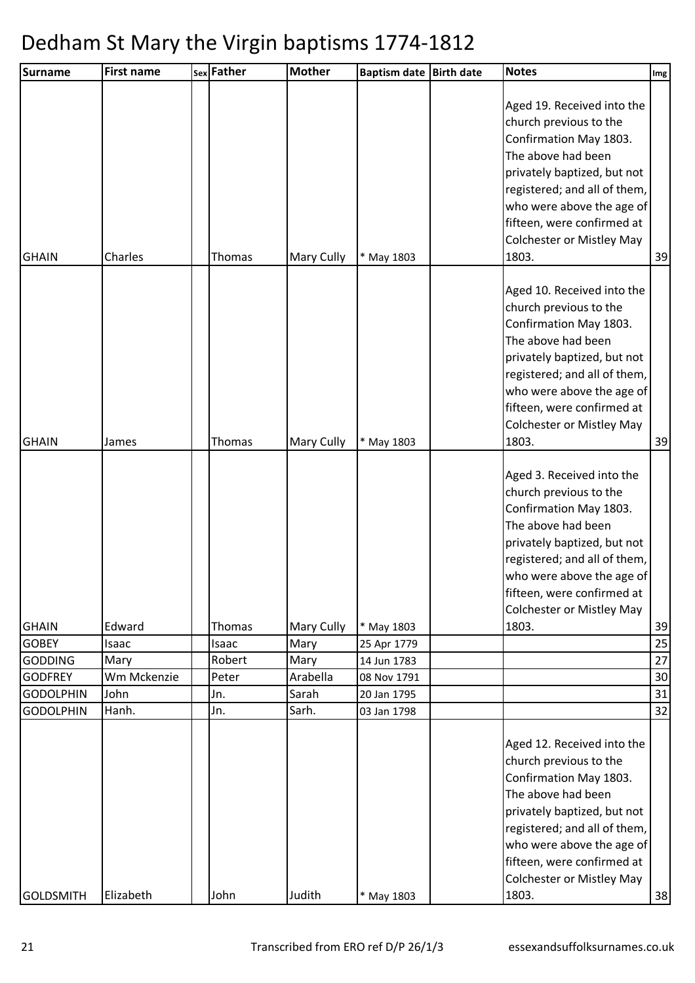| <b>First name</b> |                            | sex Father | <b>Mother</b>                                                       |                                               |                                                        | <b>Notes</b>                                                                                                                                                                                                                                   | Img                                                                                                                       |
|-------------------|----------------------------|------------|---------------------------------------------------------------------|-----------------------------------------------|--------------------------------------------------------|------------------------------------------------------------------------------------------------------------------------------------------------------------------------------------------------------------------------------------------------|---------------------------------------------------------------------------------------------------------------------------|
| Charles           |                            |            | Mary Cully                                                          | * May 1803                                    |                                                        | Aged 19. Received into the<br>church previous to the<br>Confirmation May 1803.<br>The above had been<br>privately baptized, but not<br>registered; and all of them,<br>fifteen, were confirmed at<br><b>Colchester or Mistley May</b><br>1803. | 39                                                                                                                        |
| James             |                            |            | <b>Mary Cully</b>                                                   | * May 1803                                    |                                                        | Aged 10. Received into the<br>church previous to the<br>Confirmation May 1803.<br>The above had been<br>privately baptized, but not<br>registered; and all of them,<br>fifteen, were confirmed at<br><b>Colchester or Mistley May</b><br>1803. | 39                                                                                                                        |
| Edward            |                            |            |                                                                     |                                               |                                                        | Aged 3. Received into the<br>church previous to the<br>Confirmation May 1803.<br>The above had been<br>privately baptized, but not<br>registered; and all of them,<br>fifteen, were confirmed at<br><b>Colchester or Mistley May</b><br>1803.  | 39                                                                                                                        |
| Isaac             |                            | Isaac      | Mary                                                                | 25 Apr 1779                                   |                                                        |                                                                                                                                                                                                                                                | 25                                                                                                                        |
| Mary              |                            |            | Mary                                                                | 14 Jun 1783                                   |                                                        |                                                                                                                                                                                                                                                | 27                                                                                                                        |
| Wm Mckenzie       |                            |            | Arabella                                                            | 08 Nov 1791                                   |                                                        |                                                                                                                                                                                                                                                | 30                                                                                                                        |
|                   |                            |            |                                                                     |                                               |                                                        |                                                                                                                                                                                                                                                | 31                                                                                                                        |
|                   |                            |            |                                                                     |                                               |                                                        |                                                                                                                                                                                                                                                | 32                                                                                                                        |
|                   |                            |            |                                                                     |                                               |                                                        | Aged 12. Received into the<br>church previous to the<br>Confirmation May 1803.<br>The above had been<br>privately baptized, but not<br>registered; and all of them,<br>fifteen, were confirmed at<br><b>Colchester or Mistley May</b>          | 38                                                                                                                        |
|                   | John<br>Hanh.<br>Elizabeth |            | Thomas<br>Thomas<br>Thomas<br>Robert<br>Peter<br>Jn.<br>Jn.<br>John | <b>Mary Cully</b><br>Sarah<br>Sarh.<br>Judith | * May 1803<br>20 Jan 1795<br>03 Jan 1798<br>* May 1803 | Baptism date Birth date                                                                                                                                                                                                                        | who were above the age of<br>who were above the age of<br>who were above the age of<br>who were above the age of<br>1803. |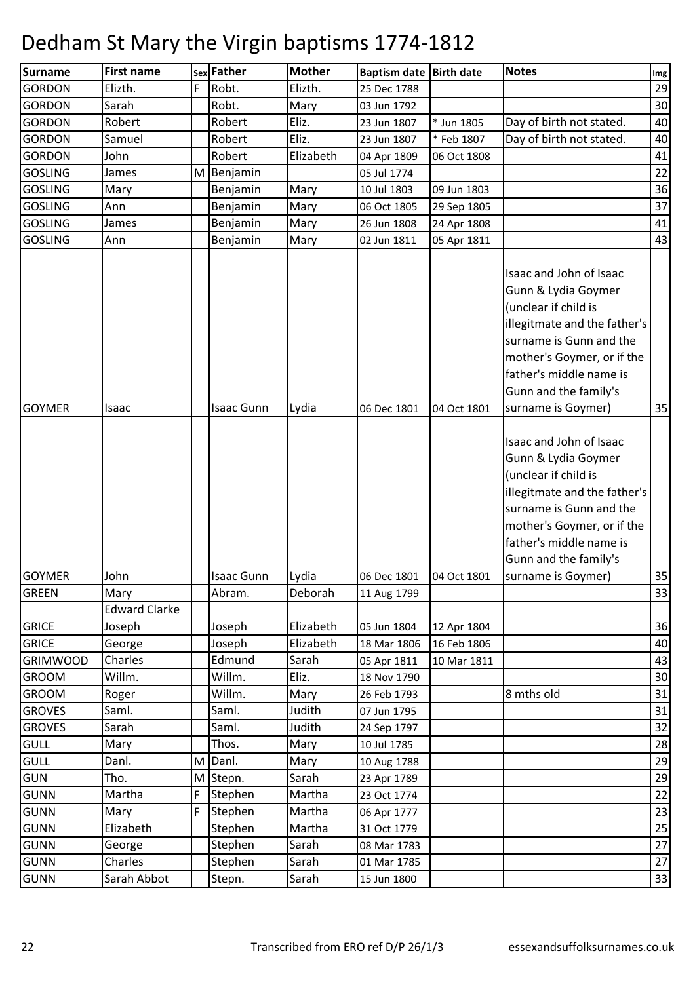| <b>Surname</b>  | <b>First name</b>    |   | sex Father        | <b>Mother</b> | <b>Baptism date</b> | <b>Birth date</b> | <b>Notes</b>                                                                                                                                                                                                                              | Img |
|-----------------|----------------------|---|-------------------|---------------|---------------------|-------------------|-------------------------------------------------------------------------------------------------------------------------------------------------------------------------------------------------------------------------------------------|-----|
| <b>GORDON</b>   | Elizth.              | F | Robt.             | Elizth.       | 25 Dec 1788         |                   |                                                                                                                                                                                                                                           | 29  |
| <b>GORDON</b>   | Sarah                |   | Robt.             | Mary          | 03 Jun 1792         |                   |                                                                                                                                                                                                                                           | 30  |
| <b>GORDON</b>   | Robert               |   | Robert            | Eliz.         | 23 Jun 1807         | * Jun 1805        | Day of birth not stated.                                                                                                                                                                                                                  | 40  |
| <b>GORDON</b>   | Samuel               |   | Robert            | Eliz.         | 23 Jun 1807         | * Feb 1807        | Day of birth not stated.                                                                                                                                                                                                                  | 40  |
| <b>GORDON</b>   | John                 |   | Robert            | Elizabeth     | 04 Apr 1809         | 06 Oct 1808       |                                                                                                                                                                                                                                           | 41  |
| <b>GOSLING</b>  | James                | M | Benjamin          |               | 05 Jul 1774         |                   |                                                                                                                                                                                                                                           | 22  |
| <b>GOSLING</b>  | Mary                 |   | Benjamin          | Mary          | 10 Jul 1803         | 09 Jun 1803       |                                                                                                                                                                                                                                           | 36  |
| <b>GOSLING</b>  | Ann                  |   | Benjamin          | Mary          | 06 Oct 1805         | 29 Sep 1805       |                                                                                                                                                                                                                                           | 37  |
| <b>GOSLING</b>  | James                |   | Benjamin          | Mary          | 26 Jun 1808         | 24 Apr 1808       |                                                                                                                                                                                                                                           | 41  |
| <b>GOSLING</b>  | Ann                  |   | Benjamin          | Mary          | 02 Jun 1811         | 05 Apr 1811       |                                                                                                                                                                                                                                           | 43  |
| <b>GOYMER</b>   | Isaac                |   | <b>Isaac Gunn</b> | Lydia         | 06 Dec 1801         | 04 Oct 1801       | Isaac and John of Isaac<br>Gunn & Lydia Goymer<br>(unclear if child is<br>illegitmate and the father's<br>surname is Gunn and the<br>mother's Goymer, or if the<br>father's middle name is<br>Gunn and the family's<br>surname is Goymer) | 35  |
| <b>GOYMER</b>   | John                 |   | <b>Isaac Gunn</b> | Lydia         | 06 Dec 1801         | 04 Oct 1801       | Isaac and John of Isaac<br>Gunn & Lydia Goymer<br>(unclear if child is<br>illegitmate and the father's<br>surname is Gunn and the<br>mother's Goymer, or if the<br>father's middle name is<br>Gunn and the family's<br>surname is Goymer) | 35  |
| <b>GREEN</b>    | Mary                 |   | Abram.            | Deborah       | 11 Aug 1799         |                   |                                                                                                                                                                                                                                           | 33  |
|                 | <b>Edward Clarke</b> |   |                   |               |                     |                   |                                                                                                                                                                                                                                           |     |
| <b>GRICE</b>    | Joseph               |   | Joseph            | Elizabeth     | 05 Jun 1804         | 12 Apr 1804       |                                                                                                                                                                                                                                           | 36  |
| <b>GRICE</b>    | George               |   | Joseph            | Elizabeth     | 18 Mar 1806         | 16 Feb 1806       |                                                                                                                                                                                                                                           | 40  |
| <b>GRIMWOOD</b> | Charles              |   | Edmund            | Sarah         | 05 Apr 1811         | 10 Mar 1811       |                                                                                                                                                                                                                                           | 43  |
| <b>GROOM</b>    | Willm.               |   | Willm.            | Eliz.         | 18 Nov 1790         |                   |                                                                                                                                                                                                                                           | 30  |
| <b>GROOM</b>    | Roger                |   | Willm.            | Mary          | 26 Feb 1793         |                   | 8 mths old                                                                                                                                                                                                                                | 31  |
| <b>GROVES</b>   | Saml.                |   | Saml.             | Judith        | 07 Jun 1795         |                   |                                                                                                                                                                                                                                           | 31  |
| <b>GROVES</b>   | Sarah                |   | Saml.             | Judith        | 24 Sep 1797         |                   |                                                                                                                                                                                                                                           | 32  |
| <b>GULL</b>     | Mary                 |   | Thos.             | Mary          | 10 Jul 1785         |                   |                                                                                                                                                                                                                                           | 28  |
| <b>GULL</b>     | Danl.                | M | Danl.             | Mary          | 10 Aug 1788         |                   |                                                                                                                                                                                                                                           | 29  |
| <b>GUN</b>      | Tho.                 | M | Stepn.            | Sarah         | 23 Apr 1789         |                   |                                                                                                                                                                                                                                           | 29  |
| <b>GUNN</b>     | Martha               | F | Stephen           | Martha        | 23 Oct 1774         |                   |                                                                                                                                                                                                                                           | 22  |
| <b>GUNN</b>     | Mary                 | F | Stephen           | Martha        | 06 Apr 1777         |                   |                                                                                                                                                                                                                                           | 23  |
| <b>GUNN</b>     | Elizabeth            |   | Stephen           | Martha        | 31 Oct 1779         |                   |                                                                                                                                                                                                                                           | 25  |
| <b>GUNN</b>     | George               |   | Stephen           | Sarah         | 08 Mar 1783         |                   |                                                                                                                                                                                                                                           | 27  |
| <b>GUNN</b>     | Charles              |   | Stephen           | Sarah         | 01 Mar 1785         |                   |                                                                                                                                                                                                                                           | 27  |
| <b>GUNN</b>     | Sarah Abbot          |   | Stepn.            | Sarah         | 15 Jun 1800         |                   |                                                                                                                                                                                                                                           | 33  |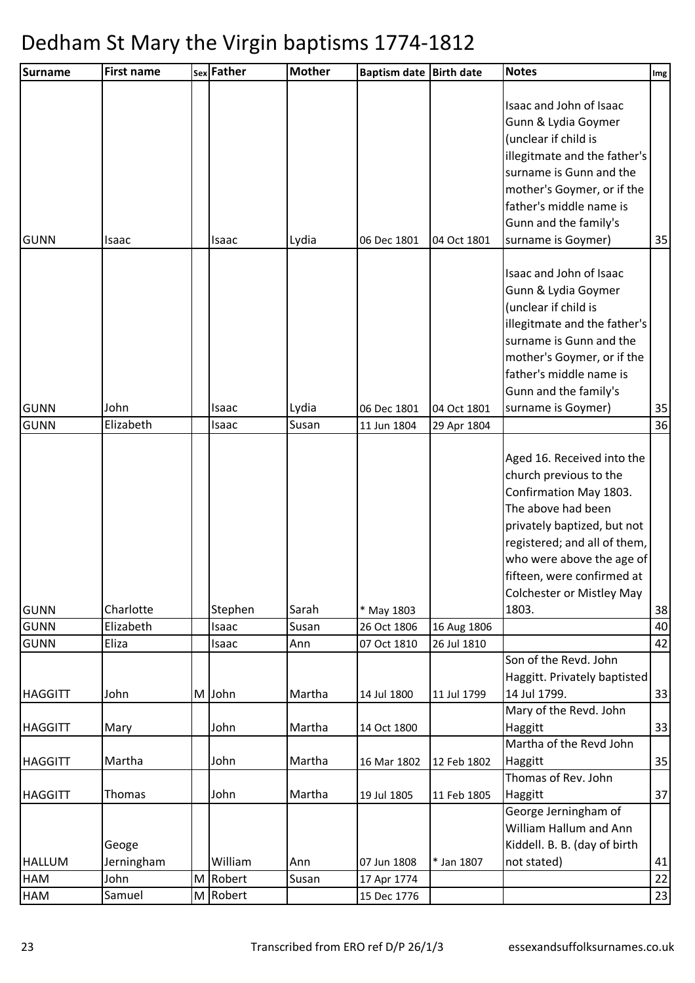| <b>Surname</b> | <b>First name</b>   |   | sex Father | <b>Mother</b> | <b>Baptism date</b> | <b>Birth date</b> | <b>Notes</b>                                                                                                                                                                                                                                                                | Img |
|----------------|---------------------|---|------------|---------------|---------------------|-------------------|-----------------------------------------------------------------------------------------------------------------------------------------------------------------------------------------------------------------------------------------------------------------------------|-----|
| <b>GUNN</b>    | Isaac               |   | Isaac      | Lydia         | 06 Dec 1801         | 04 Oct 1801       | Isaac and John of Isaac<br>Gunn & Lydia Goymer<br>(unclear if child is<br>illegitmate and the father's<br>surname is Gunn and the<br>mother's Goymer, or if the<br>father's middle name is<br>Gunn and the family's<br>surname is Goymer)                                   | 35  |
| <b>GUNN</b>    | John                |   | Isaac      | Lydia         | 06 Dec 1801         | 04 Oct 1801       | Isaac and John of Isaac<br>Gunn & Lydia Goymer<br>(unclear if child is<br>illegitmate and the father's<br>surname is Gunn and the<br>mother's Goymer, or if the<br>father's middle name is<br>Gunn and the family's<br>surname is Goymer)                                   | 35  |
| <b>GUNN</b>    | Elizabeth           |   | Isaac      | Susan         | 11 Jun 1804         | 29 Apr 1804       |                                                                                                                                                                                                                                                                             | 36  |
| <b>GUNN</b>    | Charlotte           |   | Stephen    | Sarah         | * May 1803          |                   | Aged 16. Received into the<br>church previous to the<br>Confirmation May 1803.<br>The above had been<br>privately baptized, but not<br>registered; and all of them,<br>who were above the age of<br>fifteen, were confirmed at<br><b>Colchester or Mistley May</b><br>1803. | 38  |
| <b>GUNN</b>    | Elizabeth           |   | Isaac      | Susan         | 26 Oct 1806         | 16 Aug 1806       |                                                                                                                                                                                                                                                                             | 40  |
| <b>GUNN</b>    | Eliza               |   | Isaac      | Ann           | 07 Oct 1810         | 26 Jul 1810       |                                                                                                                                                                                                                                                                             | 42  |
| <b>HAGGITT</b> | John                |   | M John     | Martha        | 14 Jul 1800         | 11 Jul 1799       | Son of the Revd. John<br>Haggitt. Privately baptisted<br>14 Jul 1799.<br>Mary of the Revd. John                                                                                                                                                                             | 33  |
| <b>HAGGITT</b> | Mary                |   | John       | Martha        | 14 Oct 1800         |                   | Haggitt                                                                                                                                                                                                                                                                     | 33  |
| <b>HAGGITT</b> | Martha              |   | John       | Martha        | 16 Mar 1802         | 12 Feb 1802       | Martha of the Revd John<br>Haggitt                                                                                                                                                                                                                                          | 35  |
| <b>HAGGITT</b> | Thomas              |   | John       | Martha        | 19 Jul 1805         | 11 Feb 1805       | Thomas of Rev. John<br>Haggitt                                                                                                                                                                                                                                              | 37  |
| <b>HALLUM</b>  | Geoge<br>Jerningham |   | William    | Ann           | 07 Jun 1808         | * Jan 1807        | George Jerningham of<br>William Hallum and Ann<br>Kiddell. B. B. (day of birth<br>not stated)                                                                                                                                                                               | 41  |
| HAM            | John                |   | M Robert   | Susan         | 17 Apr 1774         |                   |                                                                                                                                                                                                                                                                             | 22  |
| <b>HAM</b>     | Samuel              | M | Robert     |               | 15 Dec 1776         |                   |                                                                                                                                                                                                                                                                             | 23  |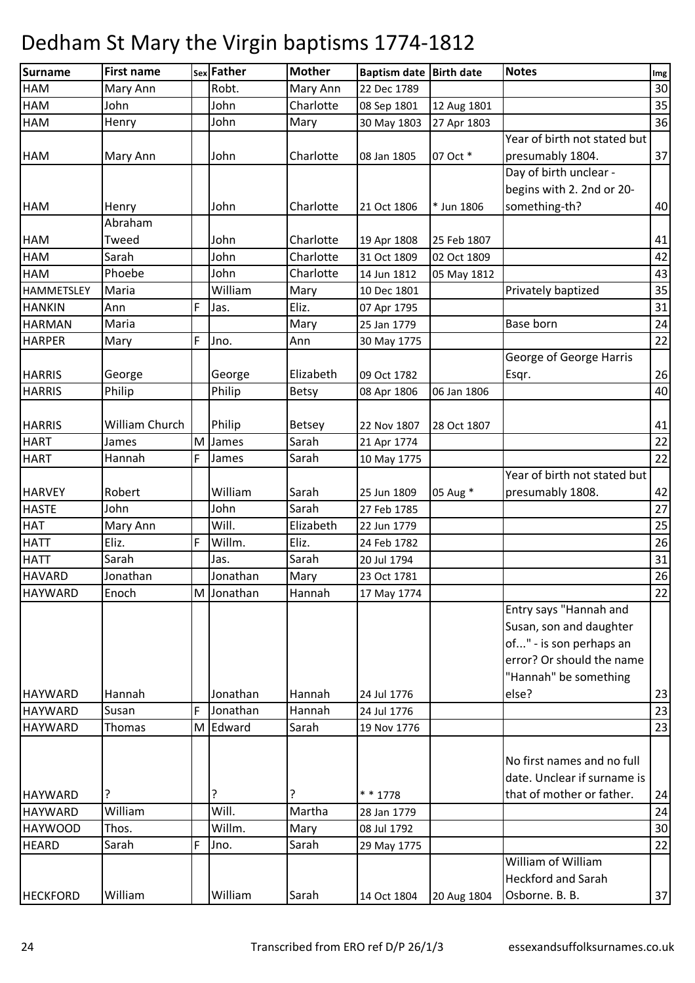| <b>Surname</b>    | <b>First name</b> |   | sex Father | <b>Mother</b> | Baptism date Birth date |             | <b>Notes</b>                 | Img |
|-------------------|-------------------|---|------------|---------------|-------------------------|-------------|------------------------------|-----|
| <b>HAM</b>        | Mary Ann          |   | Robt.      | Mary Ann      | 22 Dec 1789             |             |                              | 30  |
| <b>HAM</b>        | John              |   | John       | Charlotte     | 08 Sep 1801             | 12 Aug 1801 |                              | 35  |
| <b>HAM</b>        | Henry             |   | John       | Mary          | 30 May 1803             | 27 Apr 1803 |                              | 36  |
|                   |                   |   |            |               |                         |             | Year of birth not stated but |     |
| <b>HAM</b>        | Mary Ann          |   | John       | Charlotte     | 08 Jan 1805             | 07 Oct *    | presumably 1804.             | 37  |
|                   |                   |   |            |               |                         |             | Day of birth unclear -       |     |
|                   |                   |   |            |               |                         |             | begins with 2. 2nd or 20-    |     |
| <b>HAM</b>        | Henry             |   | John       | Charlotte     | 21 Oct 1806             | * Jun 1806  | something-th?                | 40  |
|                   | Abraham           |   |            |               |                         |             |                              |     |
| <b>HAM</b>        | Tweed             |   | John       | Charlotte     | 19 Apr 1808             | 25 Feb 1807 |                              | 41  |
| <b>HAM</b>        | Sarah             |   | John       | Charlotte     | 31 Oct 1809             | 02 Oct 1809 |                              | 42  |
| <b>HAM</b>        | Phoebe            |   | John       | Charlotte     | 14 Jun 1812             | 05 May 1812 |                              | 43  |
| <b>HAMMETSLEY</b> | Maria             |   | William    | Mary          | 10 Dec 1801             |             | Privately baptized           | 35  |
| <b>HANKIN</b>     | Ann               | F | Jas.       | Eliz.         | 07 Apr 1795             |             |                              | 31  |
| <b>HARMAN</b>     | Maria             |   |            | Mary          | 25 Jan 1779             |             | Base born                    | 24  |
| <b>HARPER</b>     | Mary              | F | Jno.       | Ann           | 30 May 1775             |             |                              | 22  |
|                   |                   |   |            |               |                         |             | George of George Harris      |     |
| <b>HARRIS</b>     | George            |   | George     | Elizabeth     | 09 Oct 1782             |             | Esqr.                        | 26  |
| <b>HARRIS</b>     | Philip            |   | Philip     | Betsy         | 08 Apr 1806             | 06 Jan 1806 |                              | 40  |
|                   |                   |   |            |               |                         |             |                              |     |
| <b>HARRIS</b>     | William Church    |   | Philip     | <b>Betsey</b> | 22 Nov 1807             | 28 Oct 1807 |                              | 41  |
| <b>HART</b>       | James             | M | James      | Sarah         | 21 Apr 1774             |             |                              | 22  |
| <b>HART</b>       | Hannah            | F | James      | Sarah         | 10 May 1775             |             |                              | 22  |
|                   |                   |   |            |               |                         |             | Year of birth not stated but |     |
| <b>HARVEY</b>     | Robert            |   | William    | Sarah         | 25 Jun 1809             | 05 Aug *    | presumably 1808.             | 42  |
| <b>HASTE</b>      | John              |   | John       | Sarah         | 27 Feb 1785             |             |                              | 27  |
| <b>HAT</b>        | Mary Ann          |   | Will.      | Elizabeth     | 22 Jun 1779             |             |                              | 25  |
| <b>HATT</b>       | Eliz.             | F | Willm.     | Eliz.         | 24 Feb 1782             |             |                              | 26  |
| <b>HATT</b>       | Sarah             |   | Jas.       | Sarah         | 20 Jul 1794             |             |                              | 31  |
| <b>HAVARD</b>     | Jonathan          |   | Jonathan   | Mary          | 23 Oct 1781             |             |                              | 26  |
| <b>HAYWARD</b>    | Enoch             |   | M Jonathan | Hannah        | 17 May 1774             |             |                              | 22  |
|                   |                   |   |            |               |                         |             | Entry says "Hannah and       |     |
|                   |                   |   |            |               |                         |             | Susan, son and daughter      |     |
|                   |                   |   |            |               |                         |             | of" - is son perhaps an      |     |
|                   |                   |   |            |               |                         |             | error? Or should the name    |     |
|                   |                   |   |            |               |                         |             | "Hannah" be something        |     |
| <b>HAYWARD</b>    | Hannah            |   | Jonathan   | Hannah        | 24 Jul 1776             |             | else?                        | 23  |
| <b>HAYWARD</b>    | Susan             | F | Jonathan   | Hannah        | 24 Jul 1776             |             |                              | 23  |
| <b>HAYWARD</b>    | Thomas            |   | M Edward   | Sarah         | 19 Nov 1776             |             |                              | 23  |
|                   |                   |   |            |               |                         |             |                              |     |
|                   |                   |   |            |               |                         |             | No first names and no full   |     |
|                   |                   |   |            |               |                         |             | date. Unclear if surname is  |     |
| <b>HAYWARD</b>    | ?                 |   | ?          |               | $* * 1778$              |             | that of mother or father.    | 24  |
| <b>HAYWARD</b>    | William           |   | Will.      | Martha        | 28 Jan 1779             |             |                              | 24  |
| <b>HAYWOOD</b>    | Thos.             |   | Willm.     | Mary          | 08 Jul 1792             |             |                              | 30  |
| <b>HEARD</b>      | Sarah             | F | Jno.       | Sarah         | 29 May 1775             |             |                              | 22  |
|                   |                   |   |            |               |                         |             | William of William           |     |
|                   |                   |   |            |               |                         |             | <b>Heckford and Sarah</b>    |     |
| <b>HECKFORD</b>   | William           |   | William    | Sarah         | 14 Oct 1804             | 20 Aug 1804 | Osborne. B. B.               | 37  |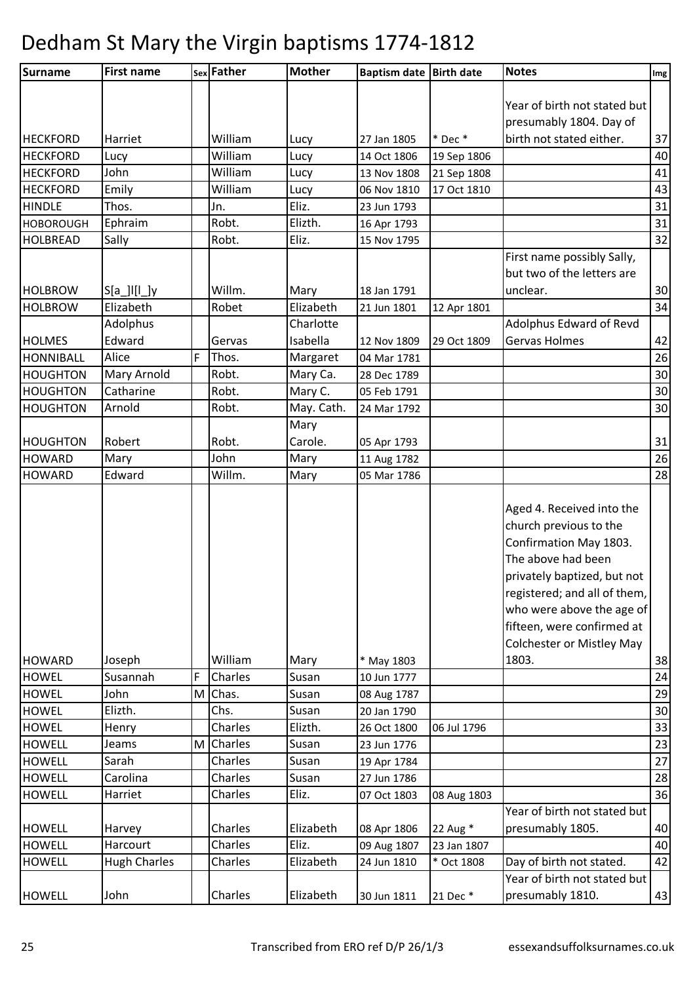| <b>Surname</b>   | <b>First name</b>   |   | sex Father | <b>Mother</b> | Baptism date Birth date |             | <b>Notes</b>                                                                                                                                                                                                                  | Img |
|------------------|---------------------|---|------------|---------------|-------------------------|-------------|-------------------------------------------------------------------------------------------------------------------------------------------------------------------------------------------------------------------------------|-----|
|                  |                     |   |            |               |                         |             |                                                                                                                                                                                                                               |     |
|                  |                     |   |            |               |                         |             | Year of birth not stated but                                                                                                                                                                                                  |     |
|                  |                     |   |            |               |                         |             | presumably 1804. Day of                                                                                                                                                                                                       |     |
| <b>HECKFORD</b>  | Harriet             |   | William    | Lucy          | 27 Jan 1805             | $*$ Dec $*$ | birth not stated either.                                                                                                                                                                                                      | 37  |
| <b>HECKFORD</b>  | Lucy                |   | William    | Lucy          | 14 Oct 1806             | 19 Sep 1806 |                                                                                                                                                                                                                               | 40  |
| <b>HECKFORD</b>  | John                |   | William    | Lucy          | 13 Nov 1808             | 21 Sep 1808 |                                                                                                                                                                                                                               | 41  |
| <b>HECKFORD</b>  | Emily               |   | William    | Lucy          | 06 Nov 1810             | 17 Oct 1810 |                                                                                                                                                                                                                               | 43  |
| <b>HINDLE</b>    | Thos.               |   | Jn.        | Eliz.         | 23 Jun 1793             |             |                                                                                                                                                                                                                               | 31  |
| <b>HOBOROUGH</b> | Ephraim             |   | Robt.      | Elizth.       | 16 Apr 1793             |             |                                                                                                                                                                                                                               | 31  |
| <b>HOLBREAD</b>  | Sally               |   | Robt.      | Eliz.         | 15 Nov 1795             |             |                                                                                                                                                                                                                               | 32  |
|                  |                     |   |            |               |                         |             | First name possibly Sally,                                                                                                                                                                                                    |     |
|                  |                     |   |            |               |                         |             | but two of the letters are                                                                                                                                                                                                    |     |
| <b>HOLBROW</b>   | $S[a$   [ $ $ ]y    |   | Willm.     | Mary          | 18 Jan 1791             |             | unclear.                                                                                                                                                                                                                      | 30  |
| <b>HOLBROW</b>   | Elizabeth           |   | Robet      | Elizabeth     | 21 Jun 1801             | 12 Apr 1801 |                                                                                                                                                                                                                               | 34  |
|                  | Adolphus            |   |            | Charlotte     |                         |             | Adolphus Edward of Revd                                                                                                                                                                                                       |     |
| <b>HOLMES</b>    | Edward              |   | Gervas     | Isabella      | 12 Nov 1809             | 29 Oct 1809 | Gervas Holmes                                                                                                                                                                                                                 | 42  |
| <b>HONNIBALL</b> | Alice               | F | Thos.      | Margaret      | 04 Mar 1781             |             |                                                                                                                                                                                                                               | 26  |
| <b>HOUGHTON</b>  | Mary Arnold         |   | Robt.      | Mary Ca.      | 28 Dec 1789             |             |                                                                                                                                                                                                                               | 30  |
| <b>HOUGHTON</b>  | Catharine           |   | Robt.      | Mary C.       | 05 Feb 1791             |             |                                                                                                                                                                                                                               | 30  |
| HOUGHTON         | Arnold              |   | Robt.      | May. Cath.    | 24 Mar 1792             |             |                                                                                                                                                                                                                               | 30  |
|                  |                     |   |            | Mary          |                         |             |                                                                                                                                                                                                                               |     |
| <b>HOUGHTON</b>  | Robert              |   | Robt.      | Carole.       | 05 Apr 1793             |             |                                                                                                                                                                                                                               | 31  |
| <b>HOWARD</b>    | Mary                |   | John       | Mary          | 11 Aug 1782             |             |                                                                                                                                                                                                                               | 26  |
| <b>HOWARD</b>    | Edward              |   | Willm.     | Mary          | 05 Mar 1786             |             |                                                                                                                                                                                                                               | 28  |
|                  |                     |   |            |               |                         |             | Aged 4. Received into the<br>church previous to the<br>Confirmation May 1803.<br>The above had been<br>privately baptized, but not<br>registered; and all of them,<br>who were above the age of<br>fifteen, were confirmed at |     |
| <b>HOWARD</b>    | Joseph              |   | William    | Mary          | * May 1803              |             | <b>Colchester or Mistley May</b><br>1803.                                                                                                                                                                                     | 38  |
| <b>HOWEL</b>     | Susannah            | F | Charles    | Susan         | 10 Jun 1777             |             |                                                                                                                                                                                                                               | 24  |
| <b>HOWEL</b>     | John                | M | Chas.      | Susan         | 08 Aug 1787             |             |                                                                                                                                                                                                                               | 29  |
| <b>HOWEL</b>     | Elizth.             |   | Chs.       | Susan         | 20 Jan 1790             |             |                                                                                                                                                                                                                               | 30  |
| <b>HOWEL</b>     |                     |   | Charles    |               |                         |             |                                                                                                                                                                                                                               | 33  |
|                  | Henry               |   | M Charles  | Elizth.       | 26 Oct 1800             | 06 Jul 1796 |                                                                                                                                                                                                                               |     |
| <b>HOWELL</b>    | Jeams               |   | Charles    | Susan         | 23 Jun 1776             |             |                                                                                                                                                                                                                               | 23  |
| <b>HOWELL</b>    | Sarah               |   |            | Susan         | 19 Apr 1784             |             |                                                                                                                                                                                                                               | 27  |
| <b>HOWELL</b>    | Carolina            |   | Charles    | Susan         | 27 Jun 1786             |             |                                                                                                                                                                                                                               | 28  |
| <b>HOWELL</b>    | Harriet             |   | Charles    | Eliz.         | 07 Oct 1803             | 08 Aug 1803 |                                                                                                                                                                                                                               | 36  |
| <b>HOWELL</b>    | Harvey              |   | Charles    | Elizabeth     | 08 Apr 1806             | 22 Aug *    | Year of birth not stated but<br>presumably 1805.                                                                                                                                                                              | 40  |
| <b>HOWELL</b>    | Harcourt            |   | Charles    | Eliz.         | 09 Aug 1807             | 23 Jan 1807 |                                                                                                                                                                                                                               | 40  |
| <b>HOWELL</b>    | <b>Hugh Charles</b> |   | Charles    | Elizabeth     | 24 Jun 1810             | * Oct 1808  | Day of birth not stated.                                                                                                                                                                                                      | 42  |
|                  |                     |   |            |               |                         |             | Year of birth not stated but                                                                                                                                                                                                  |     |
| <b>HOWELL</b>    | John                |   | Charles    | Elizabeth     | 30 Jun 1811             | 21 Dec *    | presumably 1810.                                                                                                                                                                                                              | 43  |
|                  |                     |   |            |               |                         |             |                                                                                                                                                                                                                               |     |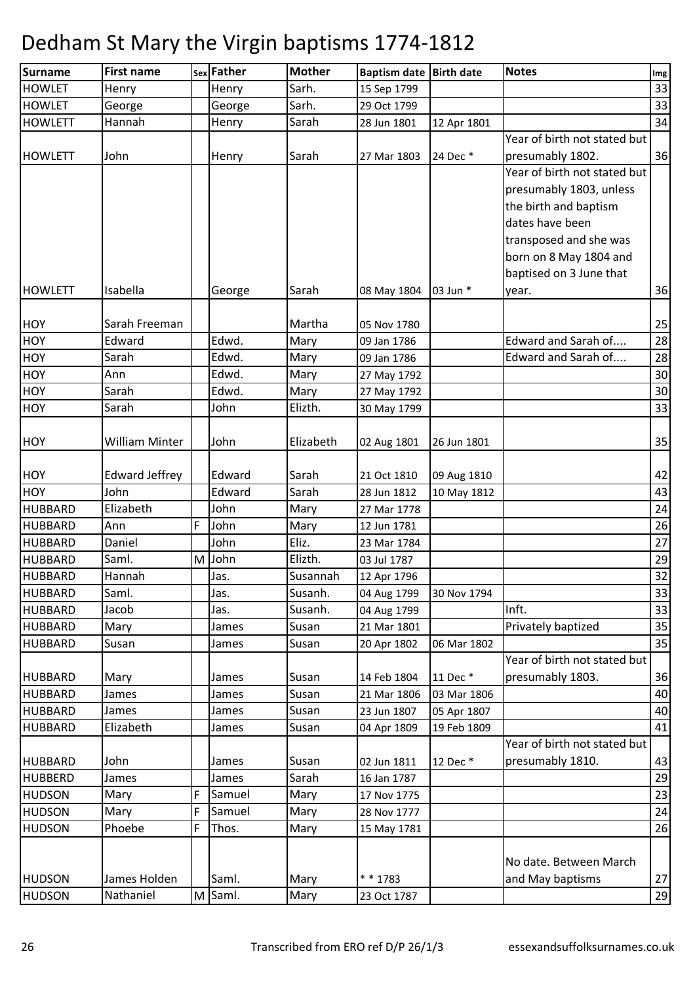| <b>Surname</b>                   | <b>First name</b>     |   | sex Father     | <b>Mother</b>    | Baptism date Birth date    |             | <b>Notes</b>                 | Img      |
|----------------------------------|-----------------------|---|----------------|------------------|----------------------------|-------------|------------------------------|----------|
| <b>HOWLET</b>                    | Henry                 |   | Henry          | Sarh.            | 15 Sep 1799                |             |                              | 33       |
| <b>HOWLET</b>                    | George                |   | George         | Sarh.            | 29 Oct 1799                |             |                              | 33       |
| <b>HOWLETT</b>                   | Hannah                |   | Henry          | Sarah            | 28 Jun 1801                | 12 Apr 1801 |                              | 34       |
|                                  |                       |   |                |                  |                            |             | Year of birth not stated but |          |
| <b>HOWLETT</b>                   | John                  |   | Henry          | Sarah            | 27 Mar 1803                | 24 Dec *    | presumably 1802.             | 36       |
|                                  |                       |   |                |                  |                            |             | Year of birth not stated but |          |
|                                  |                       |   |                |                  |                            |             | presumably 1803, unless      |          |
|                                  |                       |   |                |                  |                            |             | the birth and baptism        |          |
|                                  |                       |   |                |                  |                            |             | dates have been              |          |
|                                  |                       |   |                |                  |                            |             | transposed and she was       |          |
|                                  |                       |   |                |                  |                            |             | born on 8 May 1804 and       |          |
|                                  |                       |   |                |                  |                            |             | baptised on 3 June that      |          |
| <b>HOWLETT</b>                   | Isabella              |   | George         | Sarah            | 08 May 1804                | 03 Jun *    | year.                        | 36       |
| <b>HOY</b>                       | Sarah Freeman         |   |                | Martha           | 05 Nov 1780                |             |                              | 25       |
| <b>HOY</b>                       | Edward                |   | Edwd.          | Mary             | 09 Jan 1786                |             | Edward and Sarah of          | 28       |
| <b>HOY</b>                       | Sarah                 |   | Edwd.          | Mary             | 09 Jan 1786                |             | Edward and Sarah of          | 28       |
| <b>HOY</b>                       | Ann                   |   | Edwd.          | Mary             | 27 May 1792                |             |                              | 30       |
| <b>HOY</b>                       | Sarah                 |   | Edwd.          | Mary             | 27 May 1792                |             |                              | 30       |
| <b>HOY</b>                       | Sarah                 |   | John           | Elizth.          | 30 May 1799                |             |                              | 33       |
|                                  |                       |   |                |                  |                            |             |                              |          |
| <b>HOY</b>                       | <b>William Minter</b> |   | John           | Elizabeth        | 02 Aug 1801                | 26 Jun 1801 |                              | 35       |
|                                  |                       |   |                |                  |                            |             |                              |          |
| <b>HOY</b>                       | <b>Edward Jeffrey</b> |   | Edward         | Sarah            | 21 Oct 1810                | 09 Aug 1810 |                              | 42       |
| <b>HOY</b>                       | John                  |   | Edward         | Sarah            | 28 Jun 1812                | 10 May 1812 |                              | 43       |
| <b>HUBBARD</b>                   | Elizabeth             |   | John           | Mary             | 27 Mar 1778                |             |                              | 24       |
| <b>HUBBARD</b>                   | Ann                   | F | John           | Mary             | 12 Jun 1781                |             |                              | 26       |
| <b>HUBBARD</b>                   | Daniel                |   | John           | Eliz.            | 23 Mar 1784                |             |                              | 27       |
| <b>HUBBARD</b>                   | Saml.                 |   | M John         | Elizth.          | 03 Jul 1787                |             |                              | 29       |
| <b>HUBBARD</b>                   | Hannah                |   | Jas.           | Susannah         | 12 Apr 1796                |             |                              | 32       |
| <b>HUBBARD</b>                   | Saml.                 |   | Jas.           | Susanh.          | 04 Aug 1799                | 30 Nov 1794 |                              | 33       |
| <b>HUBBARD</b>                   | Jacob                 |   | Jas.           | Susanh.<br>Susan | 04 Aug 1799                |             | Inft.<br>Privately baptized  | 33<br>35 |
| <b>HUBBARD</b><br><b>HUBBARD</b> | Mary<br>Susan         |   | James<br>James | Susan            | 21 Mar 1801<br>20 Apr 1802 | 06 Mar 1802 |                              | 35       |
|                                  |                       |   |                |                  |                            |             | Year of birth not stated but |          |
| HUBBARD                          | Mary                  |   | James          | Susan            | 14 Feb 1804                | 11 Dec *    | presumably 1803.             | 36       |
| <b>HUBBARD</b>                   | James                 |   | James          | Susan            | 21 Mar 1806                | 03 Mar 1806 |                              | 40       |
| <b>HUBBARD</b>                   | James                 |   | James          | Susan            | 23 Jun 1807                | 05 Apr 1807 |                              | 40       |
| <b>HUBBARD</b>                   | Elizabeth             |   | James          | Susan            | 04 Apr 1809                | 19 Feb 1809 |                              | 41       |
|                                  |                       |   |                |                  |                            |             | Year of birth not stated but |          |
| <b>HUBBARD</b>                   | John                  |   | James          | Susan            | 02 Jun 1811                | 12 Dec *    | presumably 1810.             | 43       |
| <b>HUBBERD</b>                   | James                 |   | James          | Sarah            | 16 Jan 1787                |             |                              | 29       |
| <b>HUDSON</b>                    | Mary                  | F | Samuel         | Mary             | 17 Nov 1775                |             |                              | 23       |
| <b>HUDSON</b>                    | Mary                  | F | Samuel         | Mary             | 28 Nov 1777                |             |                              | 24       |
| <b>HUDSON</b>                    | Phoebe                | F | Thos.          | Mary             | 15 May 1781                |             |                              | 26       |
|                                  |                       |   |                |                  |                            |             |                              |          |
|                                  |                       |   |                |                  |                            |             | No date. Between March       |          |
| <b>HUDSON</b>                    | James Holden          |   | Saml.          | Mary             | * * 1783                   |             | and May baptisms             | 27       |
| <b>HUDSON</b>                    | Nathaniel             |   | M Saml.        | Mary             | 23 Oct 1787                |             |                              | 29       |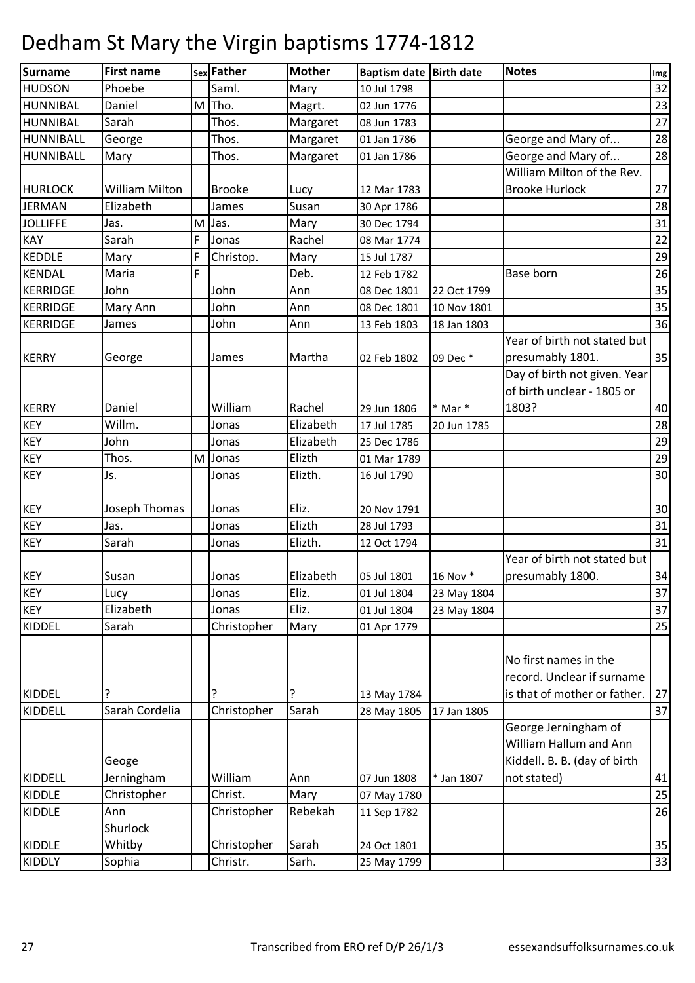| <b>Surname</b>   | <b>First name</b>     |   | sex Father    | <b>Mother</b> | Baptism date Birth date |             | <b>Notes</b>                 | Img             |
|------------------|-----------------------|---|---------------|---------------|-------------------------|-------------|------------------------------|-----------------|
| <b>HUDSON</b>    | Phoebe                |   | Saml.         | Mary          | 10 Jul 1798             |             |                              | 32              |
| HUNNIBAL         | Daniel                | M | Tho.          | Magrt.        | 02 Jun 1776             |             |                              | 23              |
| HUNNIBAL         | Sarah                 |   | Thos.         | Margaret      | 08 Jun 1783             |             |                              | 27              |
| <b>HUNNIBALL</b> | George                |   | Thos.         | Margaret      | 01 Jan 1786             |             | George and Mary of           | 28              |
| HUNNIBALL        | Mary                  |   | Thos.         | Margaret      | 01 Jan 1786             |             | George and Mary of           | 28              |
|                  |                       |   |               |               |                         |             | William Milton of the Rev.   |                 |
| <b>HURLOCK</b>   | <b>William Milton</b> |   | <b>Brooke</b> | Lucy          | 12 Mar 1783             |             | <b>Brooke Hurlock</b>        | 27              |
| <b>JERMAN</b>    | Elizabeth             |   | James         | Susan         | 30 Apr 1786             |             |                              | 28              |
| <b>JOLLIFFE</b>  | Jas.                  | M | Jas.          | Mary          | 30 Dec 1794             |             |                              | 31              |
| KAY              | Sarah                 | F | Jonas         | Rachel        | 08 Mar 1774             |             |                              | 22              |
| <b>KEDDLE</b>    | Mary                  | F | Christop.     | Mary          | 15 Jul 1787             |             |                              | 29              |
| <b>KENDAL</b>    | Maria                 | F |               | Deb.          | 12 Feb 1782             |             | Base born                    | 26              |
| <b>KERRIDGE</b>  | John                  |   | John          | Ann           | 08 Dec 1801             | 22 Oct 1799 |                              | 35              |
| <b>KERRIDGE</b>  | Mary Ann              |   | John          | Ann           | 08 Dec 1801             | 10 Nov 1801 |                              | 35              |
| KERRIDGE         | James                 |   | John          | Ann           | 13 Feb 1803             | 18 Jan 1803 |                              | 36              |
|                  |                       |   |               |               |                         |             | Year of birth not stated but |                 |
| <b>KERRY</b>     | George                |   | James         | Martha        | 02 Feb 1802             | 09 Dec *    | presumably 1801.             | 35              |
|                  |                       |   |               |               |                         |             | Day of birth not given. Year |                 |
|                  |                       |   |               |               |                         |             | of birth unclear - 1805 or   |                 |
| <b>KERRY</b>     | Daniel                |   | William       | Rachel        | 29 Jun 1806             | $*$ Mar $*$ | 1803?                        | 40              |
| <b>KEY</b>       | Willm.                |   | Jonas         | Elizabeth     | 17 Jul 1785             | 20 Jun 1785 |                              | 28              |
| <b>KEY</b>       | John                  |   | Jonas         | Elizabeth     | 25 Dec 1786             |             |                              | 29              |
| <b>KEY</b>       | Thos.                 | M | Jonas         | Elizth        | 01 Mar 1789             |             |                              | 29              |
| <b>KEY</b>       | Js.                   |   | Jonas         | Elizth.       | 16 Jul 1790             |             |                              | 30              |
|                  |                       |   |               |               |                         |             |                              |                 |
| <b>KEY</b>       | Joseph Thomas         |   | Jonas         | Eliz.         | 20 Nov 1791             |             |                              | 30 <sup>°</sup> |
| <b>KEY</b>       | Jas.                  |   | Jonas         | Elizth        | 28 Jul 1793             |             |                              | 31              |
| <b>KEY</b>       | Sarah                 |   | Jonas         | Elizth.       | 12 Oct 1794             |             |                              | 31              |
|                  |                       |   |               |               |                         |             | Year of birth not stated but |                 |
| <b>KEY</b>       | Susan                 |   | Jonas         | Elizabeth     | 05 Jul 1801             | 16 Nov *    | presumably 1800.             | 34              |
| <b>KEY</b>       | Lucy                  |   | Jonas         | Eliz.         | 01 Jul 1804             | 23 May 1804 |                              | 37              |
| <b>KEY</b>       | Elizabeth             |   | Jonas         | Eliz.         | 01 Jul 1804             | 23 May 1804 |                              | 37              |
| <b>KIDDEL</b>    | Sarah                 |   | Christopher   | Mary          | 01 Apr 1779             |             |                              | 25              |
|                  |                       |   |               |               |                         |             |                              |                 |
|                  |                       |   |               |               |                         |             | No first names in the        |                 |
|                  |                       |   |               |               |                         |             | record. Unclear if surname   |                 |
| <b>KIDDEL</b>    | ?                     |   | ?             | 7             | 13 May 1784             |             | is that of mother or father. | 27              |
| KIDDELL          | Sarah Cordelia        |   | Christopher   | Sarah         | 28 May 1805             | 17 Jan 1805 |                              | 37              |
|                  |                       |   |               |               |                         |             | George Jerningham of         |                 |
|                  |                       |   |               |               |                         |             | William Hallum and Ann       |                 |
|                  | Geoge                 |   |               |               |                         |             | Kiddell. B. B. (day of birth |                 |
| <b>KIDDELL</b>   | Jerningham            |   | William       | Ann           | 07 Jun 1808             | * Jan 1807  | not stated)                  | 41              |
| <b>KIDDLE</b>    | Christopher           |   | Christ.       | Mary          | 07 May 1780             |             |                              | 25              |
| <b>KIDDLE</b>    | Ann                   |   | Christopher   | Rebekah       | 11 Sep 1782             |             |                              | 26              |
|                  | Shurlock              |   |               |               |                         |             |                              |                 |
| <b>KIDDLE</b>    | Whitby                |   | Christopher   | Sarah         | 24 Oct 1801             |             |                              | 35              |
| <b>KIDDLY</b>    | Sophia                |   | Christr.      | Sarh.         | 25 May 1799             |             |                              | 33              |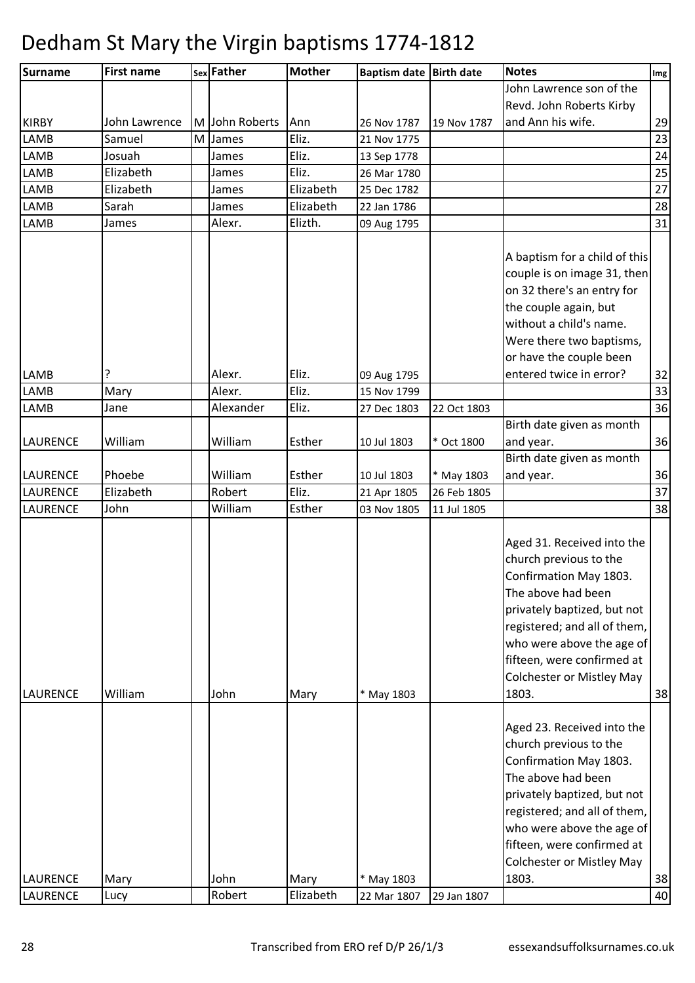| <b>Surname</b>  | <b>First name</b> |   | sex Father   | <b>Mother</b> | Baptism date Birth date |             | <b>Notes</b>                     | Img             |
|-----------------|-------------------|---|--------------|---------------|-------------------------|-------------|----------------------------------|-----------------|
|                 |                   |   |              |               |                         |             | John Lawrence son of the         |                 |
|                 |                   |   |              |               |                         |             | Revd. John Roberts Kirby         |                 |
| <b>KIRBY</b>    | John Lawrence     | M | John Roberts | Ann           | 26 Nov 1787             | 19 Nov 1787 | and Ann his wife.                | 29              |
| LAMB            | Samuel            | M | James        | Eliz.         | 21 Nov 1775             |             |                                  | $\overline{23}$ |
| <b>LAMB</b>     | Josuah            |   | James        | Eliz.         | 13 Sep 1778             |             |                                  | 24              |
| LAMB            | Elizabeth         |   | James        | Eliz.         | 26 Mar 1780             |             |                                  | 25              |
| LAMB            | Elizabeth         |   | James        | Elizabeth     | 25 Dec 1782             |             |                                  | 27              |
| LAMB            | Sarah             |   | James        | Elizabeth     | 22 Jan 1786             |             |                                  | 28              |
| <b>LAMB</b>     | James             |   | Alexr.       | Elizth.       | 09 Aug 1795             |             |                                  | 31              |
|                 |                   |   |              |               |                         |             |                                  |                 |
|                 |                   |   |              |               |                         |             | A baptism for a child of this    |                 |
|                 |                   |   |              |               |                         |             | couple is on image 31, then      |                 |
|                 |                   |   |              |               |                         |             | on 32 there's an entry for       |                 |
|                 |                   |   |              |               |                         |             | the couple again, but            |                 |
|                 |                   |   |              |               |                         |             | without a child's name.          |                 |
|                 |                   |   |              |               |                         |             | Were there two baptisms,         |                 |
|                 |                   |   |              |               |                         |             | or have the couple been          |                 |
| <b>LAMB</b>     | ?                 |   | Alexr.       | Eliz.         | 09 Aug 1795             |             | entered twice in error?          | 32              |
| <b>LAMB</b>     | Mary              |   | Alexr.       | Eliz.         | 15 Nov 1799             |             |                                  | 33              |
| <b>LAMB</b>     | Jane              |   | Alexander    | Eliz.         | 27 Dec 1803             | 22 Oct 1803 |                                  | 36              |
|                 |                   |   |              |               |                         |             | Birth date given as month        |                 |
| <b>LAURENCE</b> | William           |   | William      | Esther        | 10 Jul 1803             | * Oct 1800  | and year.                        | 36              |
|                 |                   |   |              |               |                         |             | Birth date given as month        |                 |
| <b>LAURENCE</b> | Phoebe            |   | William      | Esther        | 10 Jul 1803             | * May 1803  | and year.                        | 36              |
| LAURENCE        | Elizabeth         |   | Robert       | Eliz.         | 21 Apr 1805             | 26 Feb 1805 |                                  | 37              |
| <b>LAURENCE</b> | John              |   | William      | Esther        | 03 Nov 1805             | 11 Jul 1805 |                                  | 38              |
|                 |                   |   |              |               |                         |             |                                  |                 |
|                 |                   |   |              |               |                         |             | Aged 31. Received into the       |                 |
|                 |                   |   |              |               |                         |             | church previous to the           |                 |
|                 |                   |   |              |               |                         |             | Confirmation May 1803.           |                 |
|                 |                   |   |              |               |                         |             | The above had been               |                 |
|                 |                   |   |              |               |                         |             | privately baptized, but not      |                 |
|                 |                   |   |              |               |                         |             | registered; and all of them,     |                 |
|                 |                   |   |              |               |                         |             | who were above the age of        |                 |
|                 |                   |   |              |               |                         |             | fifteen, were confirmed at       |                 |
|                 |                   |   |              |               |                         |             | Colchester or Mistley May        |                 |
| <b>LAURENCE</b> | William           |   | John         | Mary          | * May 1803              |             | 1803.                            | 38              |
|                 |                   |   |              |               |                         |             |                                  |                 |
|                 |                   |   |              |               |                         |             | Aged 23. Received into the       |                 |
|                 |                   |   |              |               |                         |             | church previous to the           |                 |
|                 |                   |   |              |               |                         |             | Confirmation May 1803.           |                 |
|                 |                   |   |              |               |                         |             | The above had been               |                 |
|                 |                   |   |              |               |                         |             | privately baptized, but not      |                 |
|                 |                   |   |              |               |                         |             | registered; and all of them,     |                 |
|                 |                   |   |              |               |                         |             | who were above the age of        |                 |
|                 |                   |   |              |               |                         |             | fifteen, were confirmed at       |                 |
|                 |                   |   |              |               |                         |             | <b>Colchester or Mistley May</b> |                 |
| <b>LAURENCE</b> | Mary              |   | John         | Mary          | * May 1803              |             | 1803.                            | 38              |
| <b>LAURENCE</b> | Lucy              |   | Robert       | Elizabeth     | 22 Mar 1807             | 29 Jan 1807 |                                  | 40              |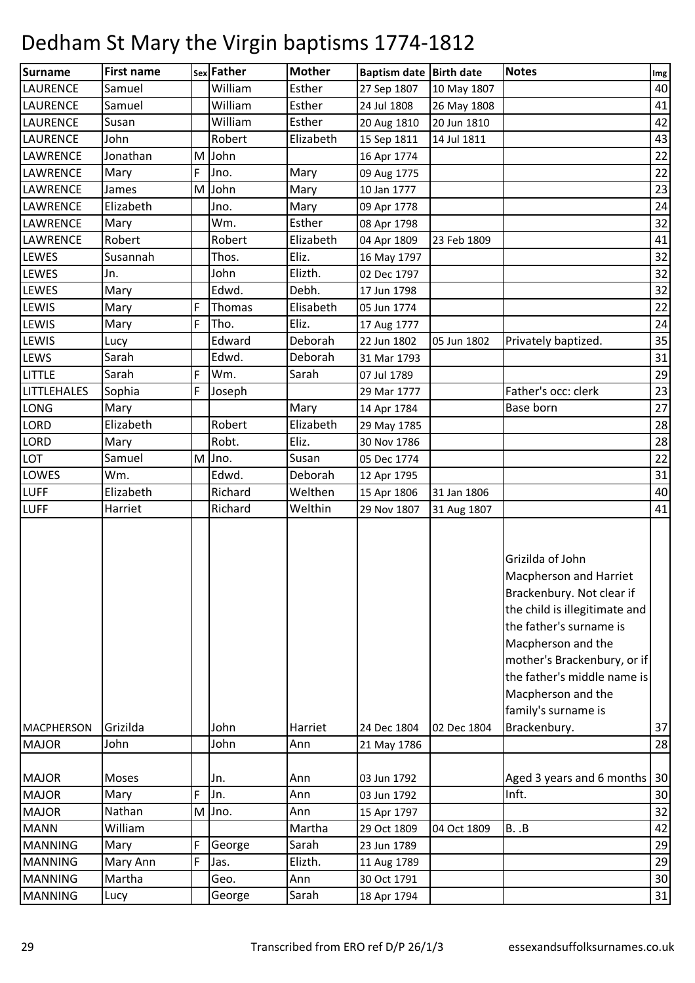| <b>Surname</b>     | <b>First name</b> |   | sex Father | <b>Mother</b> | Baptism date Birth date |             | <b>Notes</b>                                                                                                                                                                                                                                                                         | Img |
|--------------------|-------------------|---|------------|---------------|-------------------------|-------------|--------------------------------------------------------------------------------------------------------------------------------------------------------------------------------------------------------------------------------------------------------------------------------------|-----|
| <b>LAURENCE</b>    | Samuel            |   | William    | Esther        | 27 Sep 1807             | 10 May 1807 |                                                                                                                                                                                                                                                                                      | 40  |
| LAURENCE           | Samuel            |   | William    | Esther        | 24 Jul 1808             | 26 May 1808 |                                                                                                                                                                                                                                                                                      | 41  |
| LAURENCE           | Susan             |   | William    | Esther        | 20 Aug 1810             | 20 Jun 1810 |                                                                                                                                                                                                                                                                                      | 42  |
| LAURENCE           | John              |   | Robert     | Elizabeth     | 15 Sep 1811             | 14 Jul 1811 |                                                                                                                                                                                                                                                                                      | 43  |
| LAWRENCE           | Jonathan          | M | John       |               | 16 Apr 1774             |             |                                                                                                                                                                                                                                                                                      | 22  |
| LAWRENCE           | Mary              | F | Jno.       | Mary          | 09 Aug 1775             |             |                                                                                                                                                                                                                                                                                      | 22  |
| LAWRENCE           | James             | M | John       | Mary          | 10 Jan 1777             |             |                                                                                                                                                                                                                                                                                      | 23  |
| LAWRENCE           | Elizabeth         |   | Jno.       | Mary          | 09 Apr 1778             |             |                                                                                                                                                                                                                                                                                      | 24  |
| LAWRENCE           | Mary              |   | Wm.        | Esther        | 08 Apr 1798             |             |                                                                                                                                                                                                                                                                                      | 32  |
| LAWRENCE           | Robert            |   | Robert     | Elizabeth     | 04 Apr 1809             | 23 Feb 1809 |                                                                                                                                                                                                                                                                                      | 41  |
| LEWES              | Susannah          |   | Thos.      | Eliz.         | 16 May 1797             |             |                                                                                                                                                                                                                                                                                      | 32  |
| LEWES              | Jn.               |   | John       | Elizth.       | 02 Dec 1797             |             |                                                                                                                                                                                                                                                                                      | 32  |
| LEWES              | Mary              |   | Edwd.      | Debh.         | 17 Jun 1798             |             |                                                                                                                                                                                                                                                                                      | 32  |
| LEWIS              | Mary              | F | Thomas     | Elisabeth     | 05 Jun 1774             |             |                                                                                                                                                                                                                                                                                      | 22  |
| LEWIS              | Mary              | F | Tho.       | Eliz.         | 17 Aug 1777             |             |                                                                                                                                                                                                                                                                                      | 24  |
| LEWIS              | Lucy              |   | Edward     | Deborah       | 22 Jun 1802             | 05 Jun 1802 | Privately baptized.                                                                                                                                                                                                                                                                  | 35  |
| LEWS               | Sarah             |   | Edwd.      | Deborah       | 31 Mar 1793             |             |                                                                                                                                                                                                                                                                                      | 31  |
| <b>LITTLE</b>      | Sarah             | F | Wm.        | Sarah         | 07 Jul 1789             |             |                                                                                                                                                                                                                                                                                      | 29  |
| <b>LITTLEHALES</b> | Sophia            | F | Joseph     |               | 29 Mar 1777             |             | Father's occ: clerk                                                                                                                                                                                                                                                                  | 23  |
| LONG               | Mary              |   |            | Mary          | 14 Apr 1784             |             | Base born                                                                                                                                                                                                                                                                            | 27  |
| LORD               | Elizabeth         |   | Robert     | Elizabeth     | 29 May 1785             |             |                                                                                                                                                                                                                                                                                      | 28  |
| LORD               | Mary              |   | Robt.      | Eliz.         | 30 Nov 1786             |             |                                                                                                                                                                                                                                                                                      | 28  |
| LOT                | Samuel            | M | Jno.       | Susan         | 05 Dec 1774             |             |                                                                                                                                                                                                                                                                                      | 22  |
| LOWES              | Wm.               |   | Edwd.      | Deborah       | 12 Apr 1795             |             |                                                                                                                                                                                                                                                                                      | 31  |
| <b>LUFF</b>        | Elizabeth         |   | Richard    | Welthen       | 15 Apr 1806             | 31 Jan 1806 |                                                                                                                                                                                                                                                                                      | 40  |
| <b>LUFF</b>        | Harriet           |   | Richard    | Welthin       | 29 Nov 1807             | 31 Aug 1807 |                                                                                                                                                                                                                                                                                      | 41  |
| <b>MACPHERSON</b>  | Grizilda          |   | John       | Harriet       | 24 Dec 1804             | 02 Dec 1804 | Grizilda of John<br>Macpherson and Harriet<br>Brackenbury. Not clear if<br>the child is illegitimate and<br>the father's surname is<br>Macpherson and the<br>mother's Brackenbury, or if<br>the father's middle name is<br>Macpherson and the<br>family's surname is<br>Brackenbury. | 37  |
|                    |                   |   |            |               |                         |             |                                                                                                                                                                                                                                                                                      |     |
| <b>MAJOR</b>       | John              |   | John       | Ann           | 21 May 1786             |             |                                                                                                                                                                                                                                                                                      | 28  |
| <b>MAJOR</b>       | Moses             |   | Jn.        | Ann           | 03 Jun 1792             |             | Aged 3 years and 6 months                                                                                                                                                                                                                                                            | 30  |
| <b>MAJOR</b>       | Mary              | F | Jn.        | Ann           | 03 Jun 1792             |             | Inft.                                                                                                                                                                                                                                                                                | 30  |
| <b>MAJOR</b>       | Nathan            | M | Jno.       | Ann           | 15 Apr 1797             |             |                                                                                                                                                                                                                                                                                      | 32  |
| <b>MANN</b>        | William           |   |            | Martha        | 29 Oct 1809             | 04 Oct 1809 | B. .B                                                                                                                                                                                                                                                                                | 42  |
| <b>MANNING</b>     | Mary              | F | George     | Sarah         | 23 Jun 1789             |             |                                                                                                                                                                                                                                                                                      | 29  |
| <b>MANNING</b>     | Mary Ann          | F | Jas.       | Elizth.       | 11 Aug 1789             |             |                                                                                                                                                                                                                                                                                      | 29  |
| <b>MANNING</b>     | Martha            |   | Geo.       | Ann           | 30 Oct 1791             |             |                                                                                                                                                                                                                                                                                      | 30  |
| <b>MANNING</b>     | Lucy              |   | George     | Sarah         | 18 Apr 1794             |             |                                                                                                                                                                                                                                                                                      | 31  |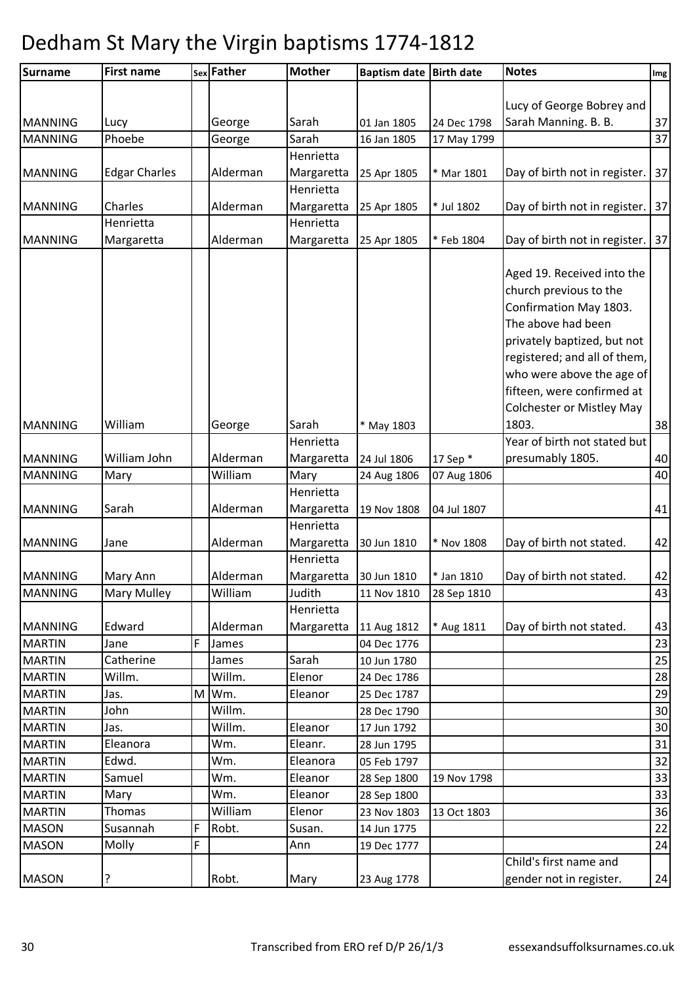| <b>Surname</b> | <b>First name</b>    |   | sex Father | <b>Mother</b> | Baptism date Birth date |             | <b>Notes</b>                                         | $\lfloor$ lmg $\rfloor$ |
|----------------|----------------------|---|------------|---------------|-------------------------|-------------|------------------------------------------------------|-------------------------|
|                |                      |   |            |               |                         |             |                                                      |                         |
|                |                      |   |            |               |                         |             | Lucy of George Bobrey and                            |                         |
| <b>MANNING</b> | Lucy                 |   | George     | Sarah         | 01 Jan 1805             | 24 Dec 1798 | Sarah Manning. B. B.                                 | 37                      |
| <b>MANNING</b> | Phoebe               |   | George     | Sarah         | 16 Jan 1805             | 17 May 1799 |                                                      | 37                      |
|                |                      |   |            | Henrietta     |                         |             |                                                      |                         |
| <b>MANNING</b> | <b>Edgar Charles</b> |   | Alderman   | Margaretta    | 25 Apr 1805             | * Mar 1801  | Day of birth not in register.                        | 37                      |
|                |                      |   |            | Henrietta     |                         |             |                                                      |                         |
| <b>MANNING</b> | Charles              |   | Alderman   | Margaretta    | 25 Apr 1805             | * Jul 1802  | Day of birth not in register.                        | 37                      |
|                | Henrietta            |   |            | Henrietta     |                         |             |                                                      |                         |
| <b>MANNING</b> | Margaretta           |   | Alderman   | Margaretta    | 25 Apr 1805             | * Feb 1804  | Day of birth not in register.                        | 37                      |
|                |                      |   |            |               |                         |             | Aged 19. Received into the<br>church previous to the |                         |
|                |                      |   |            |               |                         |             | Confirmation May 1803.                               |                         |
|                |                      |   |            |               |                         |             | The above had been                                   |                         |
|                |                      |   |            |               |                         |             | privately baptized, but not                          |                         |
|                |                      |   |            |               |                         |             | registered; and all of them,                         |                         |
|                |                      |   |            |               |                         |             | who were above the age of                            |                         |
|                |                      |   |            |               |                         |             | fifteen, were confirmed at                           |                         |
|                |                      |   |            |               |                         |             | <b>Colchester or Mistley May</b>                     |                         |
| <b>MANNING</b> | William              |   | George     | Sarah         | * May 1803              |             | 1803.                                                | 38                      |
|                |                      |   |            | Henrietta     |                         |             | Year of birth not stated but                         |                         |
| <b>MANNING</b> | William John         |   | Alderman   | Margaretta    | 24 Jul 1806             | 17 Sep *    | presumably 1805.                                     | 40                      |
| <b>MANNING</b> | Mary                 |   | William    | Mary          | 24 Aug 1806             | 07 Aug 1806 |                                                      | 40                      |
|                |                      |   |            | Henrietta     |                         |             |                                                      |                         |
| <b>MANNING</b> | Sarah                |   | Alderman   | Margaretta    | 19 Nov 1808             | 04 Jul 1807 |                                                      | 41                      |
|                |                      |   |            | Henrietta     |                         |             |                                                      |                         |
| <b>MANNING</b> | Jane                 |   | Alderman   | Margaretta    | 30 Jun 1810             | * Nov 1808  | Day of birth not stated.                             | 42                      |
|                |                      |   |            | Henrietta     |                         |             |                                                      |                         |
| <b>MANNING</b> | Mary Ann             |   | Alderman   | Margaretta    | 30 Jun 1810             | * Jan 1810  | Day of birth not stated.                             | 42                      |
| <b>MANNING</b> | Mary Mulley          |   | William    | Judith        | 11 Nov 1810             | 28 Sep 1810 |                                                      | 43                      |
|                |                      |   |            | Henrietta     |                         |             |                                                      |                         |
| <b>MANNING</b> | Edward               |   | Alderman   | Margaretta    | 11 Aug 1812             | * Aug 1811  | Day of birth not stated.                             | 43                      |
| <b>MARTIN</b>  | Jane                 | F | James      |               | 04 Dec 1776             |             |                                                      | 23                      |
| <b>MARTIN</b>  | Catherine            |   | James      | Sarah         | 10 Jun 1780             |             |                                                      | 25                      |
| <b>MARTIN</b>  | Willm.               |   | Willm.     | Elenor        | 24 Dec 1786             |             |                                                      | 28                      |
| <b>MARTIN</b>  | Jas.                 | M | Wm.        | Eleanor       | 25 Dec 1787             |             |                                                      | 29                      |
| <b>MARTIN</b>  | John                 |   | Willm.     |               | 28 Dec 1790             |             |                                                      | 30                      |
| <b>MARTIN</b>  | Jas.                 |   | Willm.     | Eleanor       | 17 Jun 1792             |             |                                                      | 30                      |
| <b>MARTIN</b>  | Eleanora             |   | Wm.        | Eleanr.       | 28 Jun 1795             |             |                                                      | 31                      |
| <b>MARTIN</b>  | Edwd.                |   | Wm.        | Eleanora      | 05 Feb 1797             |             |                                                      | 32                      |
| <b>MARTIN</b>  | Samuel               |   | Wm.        | Eleanor       | 28 Sep 1800             | 19 Nov 1798 |                                                      | 33                      |
| <b>MARTIN</b>  | Mary                 |   | Wm.        | Eleanor       | 28 Sep 1800             |             |                                                      | 33                      |
| <b>MARTIN</b>  | Thomas               |   | William    | Elenor        | 23 Nov 1803             | 13 Oct 1803 |                                                      | 36                      |
| <b>MASON</b>   | Susannah             | F | Robt.      | Susan.        | 14 Jun 1775             |             |                                                      | 22                      |
| <b>MASON</b>   | Molly                | F |            | Ann           | 19 Dec 1777             |             |                                                      | 24                      |
|                |                      |   |            |               |                         |             | Child's first name and                               |                         |
| <b>MASON</b>   | ?                    |   | Robt.      | Mary          | 23 Aug 1778             |             | gender not in register.                              | 24                      |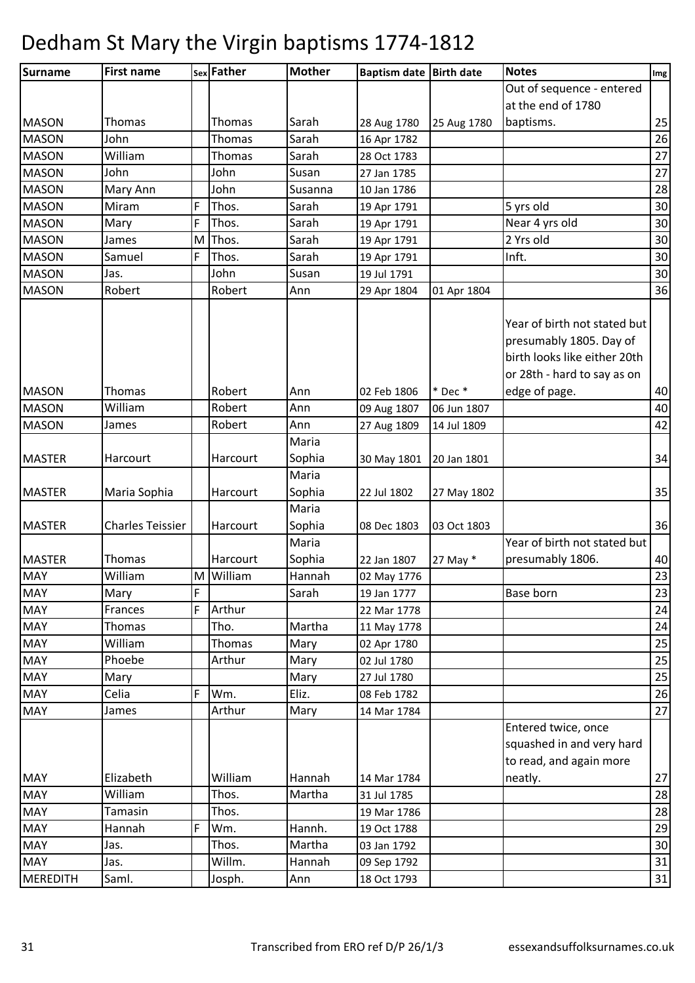| <b>Surname</b>  | <b>First name</b>       |   | sex Father    | <b>Mother</b> | Baptism date Birth date |             | <b>Notes</b>                                                                                                           | Img  |
|-----------------|-------------------------|---|---------------|---------------|-------------------------|-------------|------------------------------------------------------------------------------------------------------------------------|------|
|                 |                         |   |               |               |                         |             | Out of sequence - entered                                                                                              |      |
|                 |                         |   |               |               |                         |             | at the end of 1780                                                                                                     |      |
| <b>MASON</b>    | Thomas                  |   | Thomas        | Sarah         | 28 Aug 1780             | 25 Aug 1780 | baptisms.                                                                                                              | 25   |
| <b>MASON</b>    | John                    |   | Thomas        | Sarah         | 16 Apr 1782             |             |                                                                                                                        | 26   |
| <b>MASON</b>    | William                 |   | <b>Thomas</b> | Sarah         | 28 Oct 1783             |             |                                                                                                                        | 27   |
| <b>MASON</b>    | John                    |   | John          | Susan         | 27 Jan 1785             |             |                                                                                                                        | $27$ |
| <b>MASON</b>    | Mary Ann                |   | John          | Susanna       | 10 Jan 1786             |             |                                                                                                                        | 28   |
| <b>MASON</b>    | Miram                   | F | Thos.         | Sarah         | 19 Apr 1791             |             | 5 yrs old                                                                                                              | 30   |
| <b>MASON</b>    | Mary                    | F | Thos.         | Sarah         | 19 Apr 1791             |             | Near 4 yrs old                                                                                                         | 30   |
| <b>MASON</b>    | James                   | M | Thos.         | Sarah         | 19 Apr 1791             |             | 2 Yrs old                                                                                                              | 30   |
| <b>MASON</b>    | Samuel                  | F | Thos.         | Sarah         | 19 Apr 1791             |             | Inft.                                                                                                                  | 30   |
| <b>MASON</b>    | Jas.                    |   | John          | Susan         | 19 Jul 1791             |             |                                                                                                                        | 30   |
| <b>MASON</b>    | Robert                  |   | Robert        | Ann           | 29 Apr 1804             | 01 Apr 1804 |                                                                                                                        | 36   |
|                 |                         |   |               |               |                         |             | Year of birth not stated but<br>presumably 1805. Day of<br>birth looks like either 20th<br>or 28th - hard to say as on |      |
| <b>MASON</b>    | Thomas                  |   | Robert        | Ann           | 02 Feb 1806             | $*$ Dec $*$ | edge of page.                                                                                                          | 40   |
| <b>MASON</b>    | William                 |   | Robert        | Ann           | 09 Aug 1807             | 06 Jun 1807 |                                                                                                                        | 40   |
| <b>MASON</b>    | James                   |   | Robert        | Ann           | 27 Aug 1809             | 14 Jul 1809 |                                                                                                                        | 42   |
|                 |                         |   |               | Maria         |                         |             |                                                                                                                        |      |
| <b>MASTER</b>   | Harcourt                |   | Harcourt      | Sophia        | 30 May 1801             | 20 Jan 1801 |                                                                                                                        | 34   |
|                 |                         |   |               | Maria         |                         |             |                                                                                                                        |      |
| <b>MASTER</b>   | Maria Sophia            |   | Harcourt      | Sophia        | 22 Jul 1802             | 27 May 1802 |                                                                                                                        | 35   |
|                 |                         |   |               | Maria         |                         |             |                                                                                                                        |      |
| <b>MASTER</b>   | <b>Charles Teissier</b> |   | Harcourt      | Sophia        | 08 Dec 1803             | 03 Oct 1803 |                                                                                                                        | 36   |
|                 |                         |   |               | Maria         |                         |             | Year of birth not stated but                                                                                           |      |
| <b>MASTER</b>   | Thomas                  |   | Harcourt      | Sophia        | 22 Jan 1807             | 27 May *    | presumably 1806.                                                                                                       | 40   |
| <b>MAY</b>      | William                 |   | M William     | Hannah        | 02 May 1776             |             |                                                                                                                        | 23   |
| <b>MAY</b>      | Mary                    | F |               | Sarah         | 19 Jan 1777             |             | <b>Base born</b>                                                                                                       | 23   |
| <b>MAY</b>      | Frances                 | F | Arthur        |               | 22 Mar 1778             |             |                                                                                                                        | 24   |
| <b>MAY</b>      | Thomas                  |   | Tho.          | Martha        | 11 May 1778             |             |                                                                                                                        | 24   |
| <b>MAY</b>      | William                 |   | Thomas        | Mary          | 02 Apr 1780             |             |                                                                                                                        | 25   |
| <b>MAY</b>      | Phoebe                  |   | Arthur        | Mary          | 02 Jul 1780             |             |                                                                                                                        | 25   |
| <b>MAY</b>      | Mary                    |   |               | Mary          | 27 Jul 1780             |             |                                                                                                                        | 25   |
| <b>MAY</b>      | Celia                   | F | Wm.           | Eliz.         | 08 Feb 1782             |             |                                                                                                                        | 26   |
| <b>MAY</b>      | James                   |   | Arthur        | Mary          | 14 Mar 1784             |             |                                                                                                                        | 27   |
|                 |                         |   |               |               |                         |             | Entered twice, once<br>squashed in and very hard<br>to read, and again more                                            |      |
| <b>MAY</b>      | Elizabeth               |   | William       | Hannah        | 14 Mar 1784             |             | neatly.                                                                                                                | 27   |
| <b>MAY</b>      | William                 |   | Thos.         | Martha        | 31 Jul 1785             |             |                                                                                                                        | 28   |
| <b>MAY</b>      | Tamasin                 |   | Thos.         |               | 19 Mar 1786             |             |                                                                                                                        | 28   |
| <b>MAY</b>      | Hannah                  | F | Wm.           | Hannh.        | 19 Oct 1788             |             |                                                                                                                        | 29   |
| <b>MAY</b>      | Jas.                    |   | Thos.         | Martha        | 03 Jan 1792             |             |                                                                                                                        | 30   |
| <b>MAY</b>      | Jas.                    |   | Willm.        | Hannah        | 09 Sep 1792             |             |                                                                                                                        | 31   |
| <b>MEREDITH</b> | Saml.                   |   | Josph.        | Ann           | 18 Oct 1793             |             |                                                                                                                        | 31   |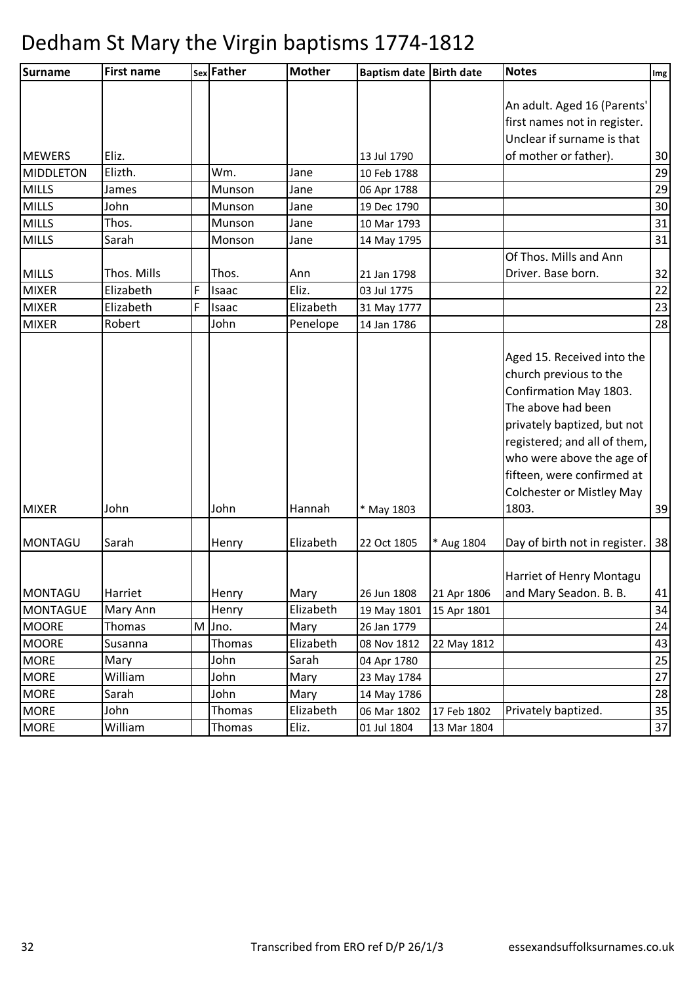| <b>Surname</b>             | <b>First name</b> |   | sex Father     | <b>Mother</b>     | <b>Baptism date</b>        | <b>Birth date</b> | <b>Notes</b>                                                                                                                                                                                                                                                                | $\lfloor \text{Im} g \rfloor$ |
|----------------------------|-------------------|---|----------------|-------------------|----------------------------|-------------------|-----------------------------------------------------------------------------------------------------------------------------------------------------------------------------------------------------------------------------------------------------------------------------|-------------------------------|
|                            |                   |   |                |                   |                            |                   | An adult. Aged 16 (Parents'                                                                                                                                                                                                                                                 |                               |
|                            |                   |   |                |                   |                            |                   | first names not in register.                                                                                                                                                                                                                                                |                               |
|                            |                   |   |                |                   |                            |                   | Unclear if surname is that                                                                                                                                                                                                                                                  |                               |
| <b>MEWERS</b>              | Eliz.             |   |                |                   | 13 Jul 1790                |                   | of mother or father).                                                                                                                                                                                                                                                       | 30                            |
| <b>MIDDLETON</b>           | Elizth.           |   | Wm.            | Jane              | 10 Feb 1788                |                   |                                                                                                                                                                                                                                                                             | 29                            |
| <b>MILLS</b>               | James             |   | Munson         | Jane              | 06 Apr 1788                |                   |                                                                                                                                                                                                                                                                             | 29                            |
| <b>MILLS</b>               | John              |   | Munson         | Jane              | 19 Dec 1790                |                   |                                                                                                                                                                                                                                                                             | 30                            |
| <b>MILLS</b>               | Thos.             |   | Munson         | Jane              | 10 Mar 1793                |                   |                                                                                                                                                                                                                                                                             | 31                            |
| <b>MILLS</b>               | Sarah             |   | Monson         | Jane              | 14 May 1795                |                   |                                                                                                                                                                                                                                                                             | 31                            |
|                            |                   |   |                |                   |                            |                   | Of Thos. Mills and Ann                                                                                                                                                                                                                                                      |                               |
| <b>MILLS</b>               | Thos. Mills       |   | Thos.          | Ann               | 21 Jan 1798                |                   | Driver. Base born.                                                                                                                                                                                                                                                          | 32                            |
| <b>MIXER</b>               | Elizabeth         | F | Isaac          | Eliz.             | 03 Jul 1775                |                   |                                                                                                                                                                                                                                                                             | 22                            |
| <b>MIXER</b>               | Elizabeth         | F | Isaac          | Elizabeth         | 31 May 1777                |                   |                                                                                                                                                                                                                                                                             | 23                            |
| <b>MIXER</b>               | Robert            |   | John           | Penelope          | 14 Jan 1786                |                   |                                                                                                                                                                                                                                                                             | 28                            |
| <b>MIXER</b>               | John              |   | John           | Hannah            | * May 1803                 |                   | Aged 15. Received into the<br>church previous to the<br>Confirmation May 1803.<br>The above had been<br>privately baptized, but not<br>registered; and all of them,<br>who were above the age of<br>fifteen, were confirmed at<br><b>Colchester or Mistley May</b><br>1803. | 39                            |
| <b>MONTAGU</b>             | Sarah             |   | Henry          | Elizabeth         | 22 Oct 1805                | * Aug 1804        | Day of birth not in register.                                                                                                                                                                                                                                               | 38                            |
| <b>MONTAGU</b>             | Harriet           |   | Henry          | Mary              | 26 Jun 1808                | 21 Apr 1806       | Harriet of Henry Montagu<br>and Mary Seadon. B. B.                                                                                                                                                                                                                          | 41                            |
| <b>MONTAGUE</b>            | Mary Ann          |   | Henry          | Elizabeth         | 19 May 1801                | 15 Apr 1801       |                                                                                                                                                                                                                                                                             | 34                            |
| <b>MOORE</b>               |                   |   | Jno.           | Mary              | 26 Jan 1779                |                   |                                                                                                                                                                                                                                                                             | 24                            |
| <b>MOORE</b>               |                   |   |                |                   |                            |                   |                                                                                                                                                                                                                                                                             |                               |
| <b>MORE</b>                | Thomas            | M |                |                   |                            |                   |                                                                                                                                                                                                                                                                             |                               |
|                            | Susanna           |   | Thomas         | Elizabeth         | 08 Nov 1812                | 22 May 1812       |                                                                                                                                                                                                                                                                             |                               |
|                            | Mary<br>William   |   | John<br>John   | Sarah             | 04 Apr 1780                |                   |                                                                                                                                                                                                                                                                             | 43<br>25                      |
| <b>MORE</b>                |                   |   |                | Mary              | 23 May 1784                |                   |                                                                                                                                                                                                                                                                             | 27                            |
| <b>MORE</b><br><b>MORE</b> | Sarah<br>John     |   | John<br>Thomas | Mary<br>Elizabeth | 14 May 1786<br>06 Mar 1802 | 17 Feb 1802       | Privately baptized.                                                                                                                                                                                                                                                         | 28<br>35                      |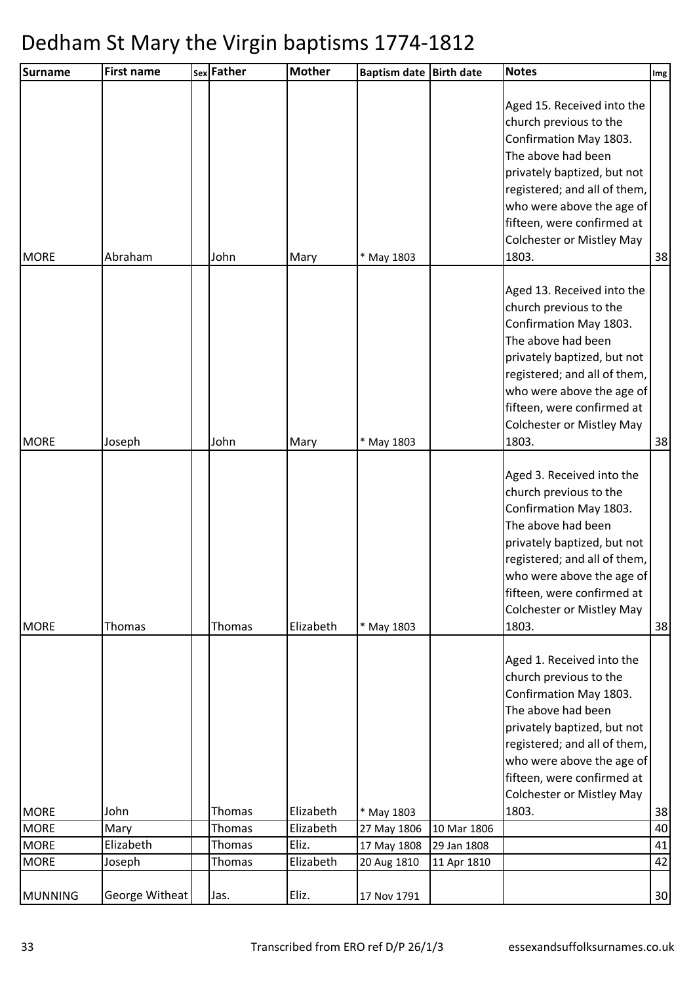| Surname        | <b>First name</b> | sex Father | <b>Mother</b> | <b>Baptism date</b> | <b>Birth date</b> | <b>Notes</b>                                                                                                                                                                                                                                                                | Img |
|----------------|-------------------|------------|---------------|---------------------|-------------------|-----------------------------------------------------------------------------------------------------------------------------------------------------------------------------------------------------------------------------------------------------------------------------|-----|
| <b>MORE</b>    | Abraham           | John       | Mary          | * May 1803          |                   | Aged 15. Received into the<br>church previous to the<br>Confirmation May 1803.<br>The above had been<br>privately baptized, but not<br>registered; and all of them,<br>who were above the age of<br>fifteen, were confirmed at<br><b>Colchester or Mistley May</b><br>1803. | 38  |
| <b>MORE</b>    | Joseph            | John       | Mary          | * May 1803          |                   | Aged 13. Received into the<br>church previous to the<br>Confirmation May 1803.<br>The above had been<br>privately baptized, but not<br>registered; and all of them,<br>who were above the age of<br>fifteen, were confirmed at<br><b>Colchester or Mistley May</b><br>1803. | 38  |
| <b>MORE</b>    | Thomas            | Thomas     | Elizabeth     | * May 1803          |                   | Aged 3. Received into the<br>church previous to the<br>Confirmation May 1803.<br>The above had been<br>privately baptized, but not<br>registered; and all of them,<br>who were above the age of<br>fifteen, were confirmed at<br><b>Colchester or Mistley May</b><br>1803.  | 38  |
|                |                   |            |               |                     |                   | Aged 1. Received into the<br>church previous to the<br>Confirmation May 1803.<br>The above had been<br>privately baptized, but not<br>registered; and all of them,<br>who were above the age of<br>fifteen, were confirmed at<br><b>Colchester or Mistley May</b>           |     |
| <b>MORE</b>    | John              | Thomas     | Elizabeth     | * May 1803          |                   | 1803.                                                                                                                                                                                                                                                                       | 38  |
| <b>MORE</b>    | Mary              | Thomas     | Elizabeth     | 27 May 1806         | 10 Mar 1806       |                                                                                                                                                                                                                                                                             | 40  |
| <b>MORE</b>    | Elizabeth         | Thomas     | Eliz.         | 17 May 1808         | 29 Jan 1808       |                                                                                                                                                                                                                                                                             | 41  |
| <b>MORE</b>    | Joseph            | Thomas     | Elizabeth     | 20 Aug 1810         | 11 Apr 1810       |                                                                                                                                                                                                                                                                             | 42  |
| <b>MUNNING</b> | George Witheat    | Jas.       | Eliz.         | 17 Nov 1791         |                   |                                                                                                                                                                                                                                                                             | 30  |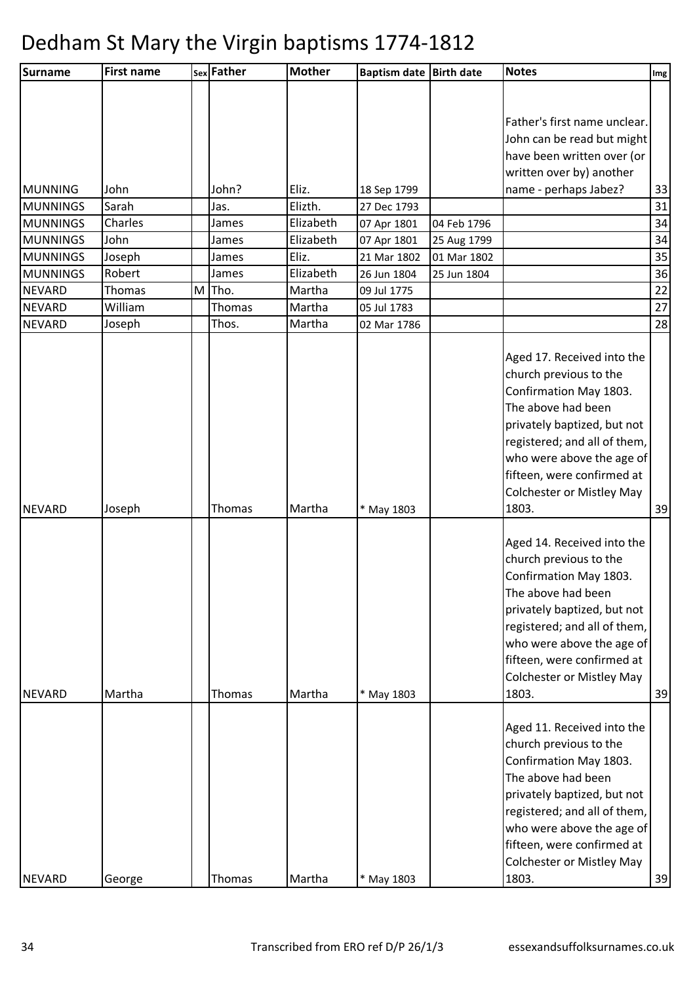| Father's first name unclear.<br>John can be read but might<br>have been written over (or<br>written over by) another<br>name - perhaps Jabez?<br>John<br>John?<br>Eliz.<br><b>MUNNING</b><br>33<br>18 Sep 1799<br>31<br>Elizth.<br><b>MUNNINGS</b><br>Sarah<br>27 Dec 1793<br>Jas.<br>34<br><b>MUNNINGS</b><br>Charles<br>Elizabeth<br>James<br>07 Apr 1801<br>04 Feb 1796<br>34<br><b>MUNNINGS</b><br>John<br>Elizabeth<br>07 Apr 1801<br>James<br>25 Aug 1799<br>35<br>Eliz.<br><b>MUNNINGS</b><br>Joseph<br>James<br>21 Mar 1802<br>01 Mar 1802<br>Robert<br>Elizabeth<br>36<br><b>MUNNINGS</b><br>James<br>26 Jun 1804<br>25 Jun 1804<br>22<br><b>NEVARD</b><br>Tho.<br>Martha<br>Thomas<br>M<br>09 Jul 1775<br>Martha<br>27<br><b>NEVARD</b><br>William<br>Thomas<br>05 Jul 1783<br>28<br><b>NEVARD</b><br>Thos.<br>Joseph<br>Martha<br>02 Mar 1786<br>Aged 17. Received into the<br>church previous to the<br>Confirmation May 1803.<br>The above had been<br>privately baptized, but not<br>registered; and all of them,<br>who were above the age of<br>fifteen, were confirmed at<br><b>Colchester or Mistley May</b><br>1803.<br>Joseph<br>Thomas<br>Martha<br>39<br><b>NEVARD</b><br>* May 1803<br>Aged 14. Received into the<br>church previous to the<br>Confirmation May 1803.<br>The above had been<br>privately baptized, but not<br>registered; and all of them,<br>who were above the age of<br>fifteen, were confirmed at<br><b>Colchester or Mistley May</b><br>1803.<br><b>NEVARD</b><br>Martha<br>Thomas<br>Martha<br>* May 1803<br>39<br>Aged 11. Received into the<br>church previous to the<br>Confirmation May 1803.<br>The above had been<br>privately baptized, but not<br>registered; and all of them,<br>who were above the age of<br>fifteen, were confirmed at<br><b>Colchester or Mistley May</b><br>George<br>Thomas<br>Martha<br>1803.<br><b>NEVARD</b><br>* May 1803 | <b>Surname</b> | <b>First name</b> | sex Father | <b>Mother</b> | Baptism date Birth date | <b>Notes</b> | Img |
|----------------------------------------------------------------------------------------------------------------------------------------------------------------------------------------------------------------------------------------------------------------------------------------------------------------------------------------------------------------------------------------------------------------------------------------------------------------------------------------------------------------------------------------------------------------------------------------------------------------------------------------------------------------------------------------------------------------------------------------------------------------------------------------------------------------------------------------------------------------------------------------------------------------------------------------------------------------------------------------------------------------------------------------------------------------------------------------------------------------------------------------------------------------------------------------------------------------------------------------------------------------------------------------------------------------------------------------------------------------------------------------------------------------------------------------------------------------------------------------------------------------------------------------------------------------------------------------------------------------------------------------------------------------------------------------------------------------------------------------------------------------------------------------------------------------------------------------------------------------------------------------------------------|----------------|-------------------|------------|---------------|-------------------------|--------------|-----|
| 39                                                                                                                                                                                                                                                                                                                                                                                                                                                                                                                                                                                                                                                                                                                                                                                                                                                                                                                                                                                                                                                                                                                                                                                                                                                                                                                                                                                                                                                                                                                                                                                                                                                                                                                                                                                                                                                                                                       |                |                   |            |               |                         |              |     |
|                                                                                                                                                                                                                                                                                                                                                                                                                                                                                                                                                                                                                                                                                                                                                                                                                                                                                                                                                                                                                                                                                                                                                                                                                                                                                                                                                                                                                                                                                                                                                                                                                                                                                                                                                                                                                                                                                                          |                |                   |            |               |                         |              |     |
|                                                                                                                                                                                                                                                                                                                                                                                                                                                                                                                                                                                                                                                                                                                                                                                                                                                                                                                                                                                                                                                                                                                                                                                                                                                                                                                                                                                                                                                                                                                                                                                                                                                                                                                                                                                                                                                                                                          |                |                   |            |               |                         |              |     |
|                                                                                                                                                                                                                                                                                                                                                                                                                                                                                                                                                                                                                                                                                                                                                                                                                                                                                                                                                                                                                                                                                                                                                                                                                                                                                                                                                                                                                                                                                                                                                                                                                                                                                                                                                                                                                                                                                                          |                |                   |            |               |                         |              |     |
|                                                                                                                                                                                                                                                                                                                                                                                                                                                                                                                                                                                                                                                                                                                                                                                                                                                                                                                                                                                                                                                                                                                                                                                                                                                                                                                                                                                                                                                                                                                                                                                                                                                                                                                                                                                                                                                                                                          |                |                   |            |               |                         |              |     |
|                                                                                                                                                                                                                                                                                                                                                                                                                                                                                                                                                                                                                                                                                                                                                                                                                                                                                                                                                                                                                                                                                                                                                                                                                                                                                                                                                                                                                                                                                                                                                                                                                                                                                                                                                                                                                                                                                                          |                |                   |            |               |                         |              |     |
|                                                                                                                                                                                                                                                                                                                                                                                                                                                                                                                                                                                                                                                                                                                                                                                                                                                                                                                                                                                                                                                                                                                                                                                                                                                                                                                                                                                                                                                                                                                                                                                                                                                                                                                                                                                                                                                                                                          |                |                   |            |               |                         |              |     |
|                                                                                                                                                                                                                                                                                                                                                                                                                                                                                                                                                                                                                                                                                                                                                                                                                                                                                                                                                                                                                                                                                                                                                                                                                                                                                                                                                                                                                                                                                                                                                                                                                                                                                                                                                                                                                                                                                                          |                |                   |            |               |                         |              |     |
|                                                                                                                                                                                                                                                                                                                                                                                                                                                                                                                                                                                                                                                                                                                                                                                                                                                                                                                                                                                                                                                                                                                                                                                                                                                                                                                                                                                                                                                                                                                                                                                                                                                                                                                                                                                                                                                                                                          |                |                   |            |               |                         |              |     |
|                                                                                                                                                                                                                                                                                                                                                                                                                                                                                                                                                                                                                                                                                                                                                                                                                                                                                                                                                                                                                                                                                                                                                                                                                                                                                                                                                                                                                                                                                                                                                                                                                                                                                                                                                                                                                                                                                                          |                |                   |            |               |                         |              |     |
|                                                                                                                                                                                                                                                                                                                                                                                                                                                                                                                                                                                                                                                                                                                                                                                                                                                                                                                                                                                                                                                                                                                                                                                                                                                                                                                                                                                                                                                                                                                                                                                                                                                                                                                                                                                                                                                                                                          |                |                   |            |               |                         |              |     |
|                                                                                                                                                                                                                                                                                                                                                                                                                                                                                                                                                                                                                                                                                                                                                                                                                                                                                                                                                                                                                                                                                                                                                                                                                                                                                                                                                                                                                                                                                                                                                                                                                                                                                                                                                                                                                                                                                                          |                |                   |            |               |                         |              |     |
|                                                                                                                                                                                                                                                                                                                                                                                                                                                                                                                                                                                                                                                                                                                                                                                                                                                                                                                                                                                                                                                                                                                                                                                                                                                                                                                                                                                                                                                                                                                                                                                                                                                                                                                                                                                                                                                                                                          |                |                   |            |               |                         |              |     |
|                                                                                                                                                                                                                                                                                                                                                                                                                                                                                                                                                                                                                                                                                                                                                                                                                                                                                                                                                                                                                                                                                                                                                                                                                                                                                                                                                                                                                                                                                                                                                                                                                                                                                                                                                                                                                                                                                                          |                |                   |            |               |                         |              |     |
|                                                                                                                                                                                                                                                                                                                                                                                                                                                                                                                                                                                                                                                                                                                                                                                                                                                                                                                                                                                                                                                                                                                                                                                                                                                                                                                                                                                                                                                                                                                                                                                                                                                                                                                                                                                                                                                                                                          |                |                   |            |               |                         |              |     |
|                                                                                                                                                                                                                                                                                                                                                                                                                                                                                                                                                                                                                                                                                                                                                                                                                                                                                                                                                                                                                                                                                                                                                                                                                                                                                                                                                                                                                                                                                                                                                                                                                                                                                                                                                                                                                                                                                                          |                |                   |            |               |                         |              |     |
|                                                                                                                                                                                                                                                                                                                                                                                                                                                                                                                                                                                                                                                                                                                                                                                                                                                                                                                                                                                                                                                                                                                                                                                                                                                                                                                                                                                                                                                                                                                                                                                                                                                                                                                                                                                                                                                                                                          |                |                   |            |               |                         |              |     |
|                                                                                                                                                                                                                                                                                                                                                                                                                                                                                                                                                                                                                                                                                                                                                                                                                                                                                                                                                                                                                                                                                                                                                                                                                                                                                                                                                                                                                                                                                                                                                                                                                                                                                                                                                                                                                                                                                                          |                |                   |            |               |                         |              |     |
|                                                                                                                                                                                                                                                                                                                                                                                                                                                                                                                                                                                                                                                                                                                                                                                                                                                                                                                                                                                                                                                                                                                                                                                                                                                                                                                                                                                                                                                                                                                                                                                                                                                                                                                                                                                                                                                                                                          |                |                   |            |               |                         |              |     |
|                                                                                                                                                                                                                                                                                                                                                                                                                                                                                                                                                                                                                                                                                                                                                                                                                                                                                                                                                                                                                                                                                                                                                                                                                                                                                                                                                                                                                                                                                                                                                                                                                                                                                                                                                                                                                                                                                                          |                |                   |            |               |                         |              |     |
|                                                                                                                                                                                                                                                                                                                                                                                                                                                                                                                                                                                                                                                                                                                                                                                                                                                                                                                                                                                                                                                                                                                                                                                                                                                                                                                                                                                                                                                                                                                                                                                                                                                                                                                                                                                                                                                                                                          |                |                   |            |               |                         |              |     |
|                                                                                                                                                                                                                                                                                                                                                                                                                                                                                                                                                                                                                                                                                                                                                                                                                                                                                                                                                                                                                                                                                                                                                                                                                                                                                                                                                                                                                                                                                                                                                                                                                                                                                                                                                                                                                                                                                                          |                |                   |            |               |                         |              |     |
|                                                                                                                                                                                                                                                                                                                                                                                                                                                                                                                                                                                                                                                                                                                                                                                                                                                                                                                                                                                                                                                                                                                                                                                                                                                                                                                                                                                                                                                                                                                                                                                                                                                                                                                                                                                                                                                                                                          |                |                   |            |               |                         |              |     |
|                                                                                                                                                                                                                                                                                                                                                                                                                                                                                                                                                                                                                                                                                                                                                                                                                                                                                                                                                                                                                                                                                                                                                                                                                                                                                                                                                                                                                                                                                                                                                                                                                                                                                                                                                                                                                                                                                                          |                |                   |            |               |                         |              |     |
|                                                                                                                                                                                                                                                                                                                                                                                                                                                                                                                                                                                                                                                                                                                                                                                                                                                                                                                                                                                                                                                                                                                                                                                                                                                                                                                                                                                                                                                                                                                                                                                                                                                                                                                                                                                                                                                                                                          |                |                   |            |               |                         |              |     |
|                                                                                                                                                                                                                                                                                                                                                                                                                                                                                                                                                                                                                                                                                                                                                                                                                                                                                                                                                                                                                                                                                                                                                                                                                                                                                                                                                                                                                                                                                                                                                                                                                                                                                                                                                                                                                                                                                                          |                |                   |            |               |                         |              |     |
|                                                                                                                                                                                                                                                                                                                                                                                                                                                                                                                                                                                                                                                                                                                                                                                                                                                                                                                                                                                                                                                                                                                                                                                                                                                                                                                                                                                                                                                                                                                                                                                                                                                                                                                                                                                                                                                                                                          |                |                   |            |               |                         |              |     |
|                                                                                                                                                                                                                                                                                                                                                                                                                                                                                                                                                                                                                                                                                                                                                                                                                                                                                                                                                                                                                                                                                                                                                                                                                                                                                                                                                                                                                                                                                                                                                                                                                                                                                                                                                                                                                                                                                                          |                |                   |            |               |                         |              |     |
|                                                                                                                                                                                                                                                                                                                                                                                                                                                                                                                                                                                                                                                                                                                                                                                                                                                                                                                                                                                                                                                                                                                                                                                                                                                                                                                                                                                                                                                                                                                                                                                                                                                                                                                                                                                                                                                                                                          |                |                   |            |               |                         |              |     |
|                                                                                                                                                                                                                                                                                                                                                                                                                                                                                                                                                                                                                                                                                                                                                                                                                                                                                                                                                                                                                                                                                                                                                                                                                                                                                                                                                                                                                                                                                                                                                                                                                                                                                                                                                                                                                                                                                                          |                |                   |            |               |                         |              |     |
|                                                                                                                                                                                                                                                                                                                                                                                                                                                                                                                                                                                                                                                                                                                                                                                                                                                                                                                                                                                                                                                                                                                                                                                                                                                                                                                                                                                                                                                                                                                                                                                                                                                                                                                                                                                                                                                                                                          |                |                   |            |               |                         |              |     |
|                                                                                                                                                                                                                                                                                                                                                                                                                                                                                                                                                                                                                                                                                                                                                                                                                                                                                                                                                                                                                                                                                                                                                                                                                                                                                                                                                                                                                                                                                                                                                                                                                                                                                                                                                                                                                                                                                                          |                |                   |            |               |                         |              |     |
|                                                                                                                                                                                                                                                                                                                                                                                                                                                                                                                                                                                                                                                                                                                                                                                                                                                                                                                                                                                                                                                                                                                                                                                                                                                                                                                                                                                                                                                                                                                                                                                                                                                                                                                                                                                                                                                                                                          |                |                   |            |               |                         |              |     |
|                                                                                                                                                                                                                                                                                                                                                                                                                                                                                                                                                                                                                                                                                                                                                                                                                                                                                                                                                                                                                                                                                                                                                                                                                                                                                                                                                                                                                                                                                                                                                                                                                                                                                                                                                                                                                                                                                                          |                |                   |            |               |                         |              |     |
|                                                                                                                                                                                                                                                                                                                                                                                                                                                                                                                                                                                                                                                                                                                                                                                                                                                                                                                                                                                                                                                                                                                                                                                                                                                                                                                                                                                                                                                                                                                                                                                                                                                                                                                                                                                                                                                                                                          |                |                   |            |               |                         |              |     |
|                                                                                                                                                                                                                                                                                                                                                                                                                                                                                                                                                                                                                                                                                                                                                                                                                                                                                                                                                                                                                                                                                                                                                                                                                                                                                                                                                                                                                                                                                                                                                                                                                                                                                                                                                                                                                                                                                                          |                |                   |            |               |                         |              |     |
|                                                                                                                                                                                                                                                                                                                                                                                                                                                                                                                                                                                                                                                                                                                                                                                                                                                                                                                                                                                                                                                                                                                                                                                                                                                                                                                                                                                                                                                                                                                                                                                                                                                                                                                                                                                                                                                                                                          |                |                   |            |               |                         |              |     |
|                                                                                                                                                                                                                                                                                                                                                                                                                                                                                                                                                                                                                                                                                                                                                                                                                                                                                                                                                                                                                                                                                                                                                                                                                                                                                                                                                                                                                                                                                                                                                                                                                                                                                                                                                                                                                                                                                                          |                |                   |            |               |                         |              |     |
|                                                                                                                                                                                                                                                                                                                                                                                                                                                                                                                                                                                                                                                                                                                                                                                                                                                                                                                                                                                                                                                                                                                                                                                                                                                                                                                                                                                                                                                                                                                                                                                                                                                                                                                                                                                                                                                                                                          |                |                   |            |               |                         |              |     |
|                                                                                                                                                                                                                                                                                                                                                                                                                                                                                                                                                                                                                                                                                                                                                                                                                                                                                                                                                                                                                                                                                                                                                                                                                                                                                                                                                                                                                                                                                                                                                                                                                                                                                                                                                                                                                                                                                                          |                |                   |            |               |                         |              |     |
|                                                                                                                                                                                                                                                                                                                                                                                                                                                                                                                                                                                                                                                                                                                                                                                                                                                                                                                                                                                                                                                                                                                                                                                                                                                                                                                                                                                                                                                                                                                                                                                                                                                                                                                                                                                                                                                                                                          |                |                   |            |               |                         |              |     |
|                                                                                                                                                                                                                                                                                                                                                                                                                                                                                                                                                                                                                                                                                                                                                                                                                                                                                                                                                                                                                                                                                                                                                                                                                                                                                                                                                                                                                                                                                                                                                                                                                                                                                                                                                                                                                                                                                                          |                |                   |            |               |                         |              |     |
|                                                                                                                                                                                                                                                                                                                                                                                                                                                                                                                                                                                                                                                                                                                                                                                                                                                                                                                                                                                                                                                                                                                                                                                                                                                                                                                                                                                                                                                                                                                                                                                                                                                                                                                                                                                                                                                                                                          |                |                   |            |               |                         |              |     |
|                                                                                                                                                                                                                                                                                                                                                                                                                                                                                                                                                                                                                                                                                                                                                                                                                                                                                                                                                                                                                                                                                                                                                                                                                                                                                                                                                                                                                                                                                                                                                                                                                                                                                                                                                                                                                                                                                                          |                |                   |            |               |                         |              |     |
|                                                                                                                                                                                                                                                                                                                                                                                                                                                                                                                                                                                                                                                                                                                                                                                                                                                                                                                                                                                                                                                                                                                                                                                                                                                                                                                                                                                                                                                                                                                                                                                                                                                                                                                                                                                                                                                                                                          |                |                   |            |               |                         |              |     |
|                                                                                                                                                                                                                                                                                                                                                                                                                                                                                                                                                                                                                                                                                                                                                                                                                                                                                                                                                                                                                                                                                                                                                                                                                                                                                                                                                                                                                                                                                                                                                                                                                                                                                                                                                                                                                                                                                                          |                |                   |            |               |                         |              |     |
|                                                                                                                                                                                                                                                                                                                                                                                                                                                                                                                                                                                                                                                                                                                                                                                                                                                                                                                                                                                                                                                                                                                                                                                                                                                                                                                                                                                                                                                                                                                                                                                                                                                                                                                                                                                                                                                                                                          |                |                   |            |               |                         |              |     |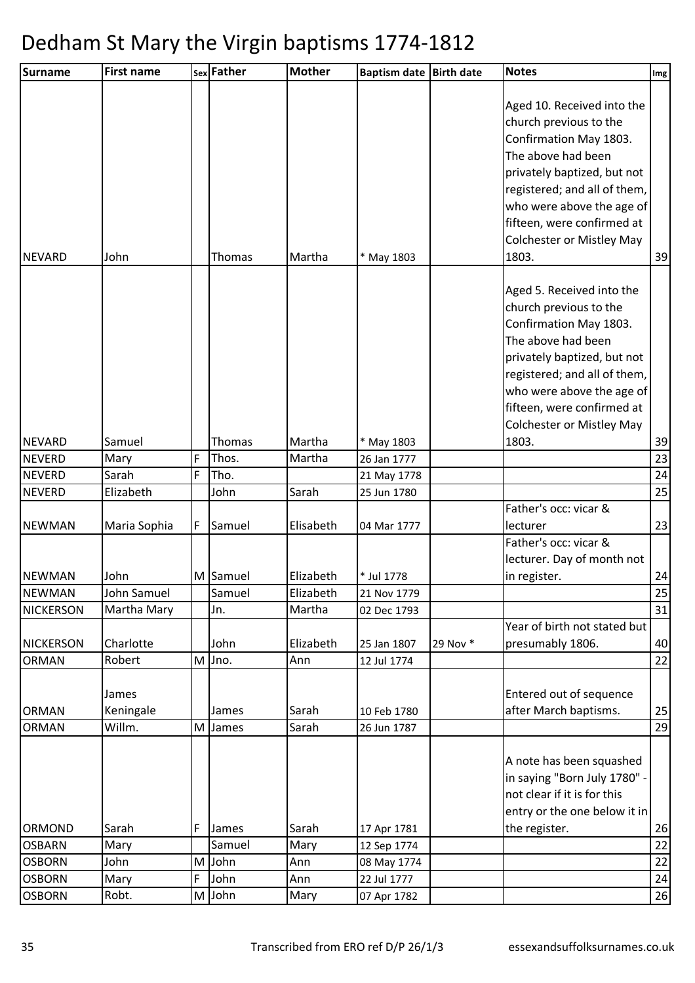| <b>Surname</b>                 | <b>First name</b>   |   | sex Father         | <b>Mother</b>          | Baptism date Birth date |          | <b>Notes</b>                                                                                                                                                                                                                                                                | Im <sub>g</sub> |
|--------------------------------|---------------------|---|--------------------|------------------------|-------------------------|----------|-----------------------------------------------------------------------------------------------------------------------------------------------------------------------------------------------------------------------------------------------------------------------------|-----------------|
| <b>NEVARD</b>                  | John                |   | Thomas             | Martha                 | * May 1803              |          | Aged 10. Received into the<br>church previous to the<br>Confirmation May 1803.<br>The above had been<br>privately baptized, but not<br>registered; and all of them,<br>who were above the age of<br>fifteen, were confirmed at<br><b>Colchester or Mistley May</b><br>1803. | 39              |
|                                |                     |   |                    |                        |                         |          | Aged 5. Received into the<br>church previous to the<br>Confirmation May 1803.<br>The above had been<br>privately baptized, but not<br>registered; and all of them,<br>who were above the age of<br>fifteen, were confirmed at<br><b>Colchester or Mistley May</b>           |                 |
| <b>NEVARD</b>                  | Samuel              |   | Thomas             | Martha                 | * May 1803              |          | 1803.                                                                                                                                                                                                                                                                       | 39              |
| <b>NEVERD</b>                  | Mary                | F | Thos.              | Martha                 | 26 Jan 1777             |          |                                                                                                                                                                                                                                                                             | 23              |
| <b>NEVERD</b>                  | Sarah               | F | Tho.               |                        | 21 May 1778             |          |                                                                                                                                                                                                                                                                             | 24              |
| <b>NEVERD</b>                  | Elizabeth           |   | John               | Sarah                  | 25 Jun 1780             |          |                                                                                                                                                                                                                                                                             | 25              |
|                                |                     |   |                    |                        |                         |          | Father's occ: vicar &                                                                                                                                                                                                                                                       |                 |
| <b>NEWMAN</b>                  | Maria Sophia        | F | Samuel             | Elisabeth              | 04 Mar 1777             |          | lecturer                                                                                                                                                                                                                                                                    | 23              |
|                                |                     |   |                    |                        |                         |          | Father's occ: vicar &<br>lecturer. Day of month not                                                                                                                                                                                                                         |                 |
| <b>NEWMAN</b><br><b>NEWMAN</b> | John<br>John Samuel |   | M Samuel<br>Samuel | Elizabeth<br>Elizabeth | * Jul 1778              |          | in register.                                                                                                                                                                                                                                                                | 24              |
| <b>NICKERSON</b>               | Martha Mary         |   | Jn.                | Martha                 | 21 Nov 1779             |          |                                                                                                                                                                                                                                                                             | 25<br>31        |
|                                |                     |   |                    |                        | 02 Dec 1793             |          | Year of birth not stated but                                                                                                                                                                                                                                                |                 |
| <b>NICKERSON</b>               | Charlotte           |   | John               | Elizabeth              | 25 Jan 1807             | 29 Nov * | presumably 1806.                                                                                                                                                                                                                                                            | 40              |
| <b>ORMAN</b>                   | Robert              | M | Jno.               | Ann                    | 12 Jul 1774             |          |                                                                                                                                                                                                                                                                             | 22              |
| <b>ORMAN</b>                   | James<br>Keningale  |   | James              | Sarah                  | 10 Feb 1780             |          | Entered out of sequence<br>after March baptisms.                                                                                                                                                                                                                            | 25              |
| <b>ORMAN</b>                   | Willm.              | M | James              | Sarah                  | 26 Jun 1787             |          |                                                                                                                                                                                                                                                                             | 29              |
|                                |                     |   |                    |                        |                         |          | A note has been squashed<br>in saying "Born July 1780" -<br>not clear if it is for this<br>entry or the one below it in                                                                                                                                                     |                 |
| ORMOND                         | Sarah               | F | James              | Sarah                  | 17 Apr 1781             |          | the register.                                                                                                                                                                                                                                                               | 26              |
| <b>OSBARN</b>                  | Mary                |   | Samuel             | Mary                   | 12 Sep 1774             |          |                                                                                                                                                                                                                                                                             | 22              |
| <b>OSBORN</b>                  | John                | M | John               | Ann                    | 08 May 1774             |          |                                                                                                                                                                                                                                                                             | 22              |
| <b>OSBORN</b>                  | Mary                | F | John               | Ann                    | 22 Jul 1777             |          |                                                                                                                                                                                                                                                                             | 24              |
| <b>OSBORN</b>                  | Robt.               |   | M John             | Mary                   | 07 Apr 1782             |          |                                                                                                                                                                                                                                                                             | 26              |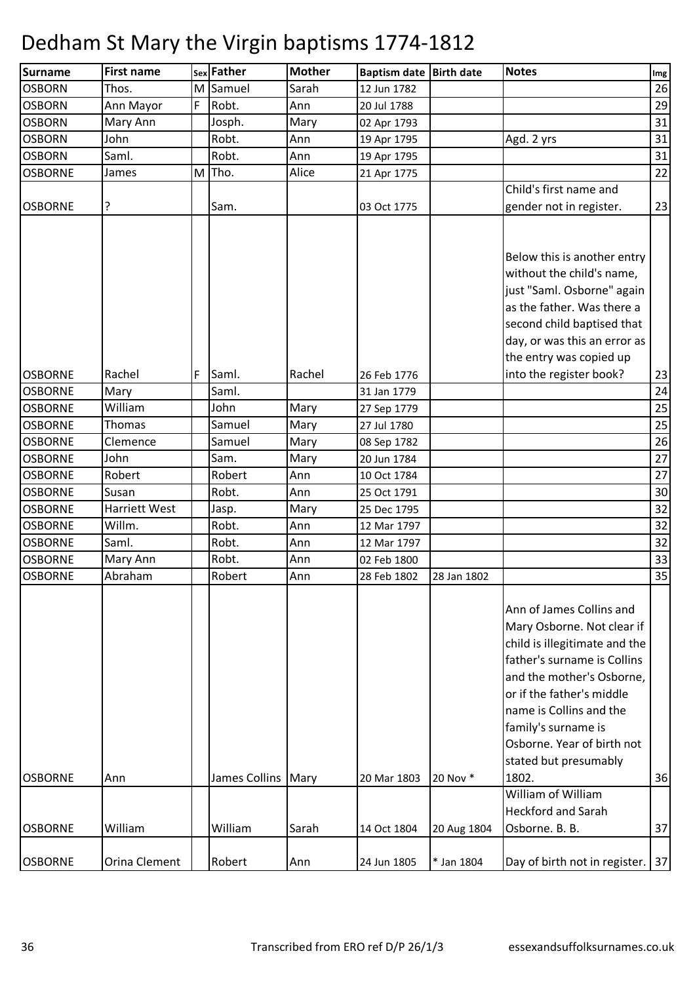| <b>Surname</b> | <b>First name</b> |             | sex Father           | <b>Mother</b> | Baptism date Birth date |             | <b>Notes</b>                                                                                                                                                                                                                                                                                                             | Img |
|----------------|-------------------|-------------|----------------------|---------------|-------------------------|-------------|--------------------------------------------------------------------------------------------------------------------------------------------------------------------------------------------------------------------------------------------------------------------------------------------------------------------------|-----|
| <b>OSBORN</b>  | Thos.             | M           | Samuel               | Sarah         | 12 Jun 1782             |             |                                                                                                                                                                                                                                                                                                                          | 26  |
| <b>OSBORN</b>  | Ann Mayor         | $\mathsf F$ | Robt.                | Ann           | 20 Jul 1788             |             |                                                                                                                                                                                                                                                                                                                          | 29  |
| <b>OSBORN</b>  | Mary Ann          |             | Josph.               | Mary          | 02 Apr 1793             |             |                                                                                                                                                                                                                                                                                                                          | 31  |
| <b>OSBORN</b>  | John              |             | Robt.                | Ann           | 19 Apr 1795             |             | Agd. 2 yrs                                                                                                                                                                                                                                                                                                               | 31  |
| <b>OSBORN</b>  | Saml.             |             | Robt.                | Ann           | 19 Apr 1795             |             |                                                                                                                                                                                                                                                                                                                          | 31  |
| <b>OSBORNE</b> | James             | M           | Tho.                 | Alice         | 21 Apr 1775             |             |                                                                                                                                                                                                                                                                                                                          | 22  |
|                |                   |             |                      |               |                         |             | Child's first name and                                                                                                                                                                                                                                                                                                   |     |
| <b>OSBORNE</b> | ?                 |             | Sam.                 |               | 03 Oct 1775             |             | gender not in register.                                                                                                                                                                                                                                                                                                  | 23  |
|                |                   |             |                      |               |                         |             | Below this is another entry<br>without the child's name,<br>just "Saml. Osborne" again<br>as the father. Was there a<br>second child baptised that<br>day, or was this an error as                                                                                                                                       |     |
|                |                   |             |                      |               |                         |             | the entry was copied up                                                                                                                                                                                                                                                                                                  |     |
| <b>OSBORNE</b> | Rachel            | F           | Saml.                | Rachel        | 26 Feb 1776             |             | into the register book?                                                                                                                                                                                                                                                                                                  | 23  |
| <b>OSBORNE</b> | Mary              |             | Saml.                |               | 31 Jan 1779             |             |                                                                                                                                                                                                                                                                                                                          | 24  |
| <b>OSBORNE</b> | William           |             | John                 | Mary          | 27 Sep 1779             |             |                                                                                                                                                                                                                                                                                                                          | 25  |
| <b>OSBORNE</b> | <b>Thomas</b>     |             | Samuel               | Mary          | 27 Jul 1780             |             |                                                                                                                                                                                                                                                                                                                          | 25  |
| <b>OSBORNE</b> | Clemence          |             | Samuel               | Mary          | 08 Sep 1782             |             |                                                                                                                                                                                                                                                                                                                          | 26  |
| <b>OSBORNE</b> | John              |             | Sam.                 | Mary          | 20 Jun 1784             |             |                                                                                                                                                                                                                                                                                                                          | 27  |
| <b>OSBORNE</b> | Robert            |             | Robert               | Ann           | 10 Oct 1784             |             |                                                                                                                                                                                                                                                                                                                          | 27  |
| <b>OSBORNE</b> | Susan             |             | Robt.                | Ann           | 25 Oct 1791             |             |                                                                                                                                                                                                                                                                                                                          | 30  |
| <b>OSBORNE</b> | Harriett West     |             | Jasp.                | Mary          | 25 Dec 1795             |             |                                                                                                                                                                                                                                                                                                                          | 32  |
| <b>OSBORNE</b> | Willm.            |             | Robt.                | Ann           | 12 Mar 1797             |             |                                                                                                                                                                                                                                                                                                                          | 32  |
| <b>OSBORNE</b> | Saml.             |             | Robt.                | Ann           | 12 Mar 1797             |             |                                                                                                                                                                                                                                                                                                                          | 32  |
| <b>OSBORNE</b> | Mary Ann          |             | Robt.                | Ann           | 02 Feb 1800             |             |                                                                                                                                                                                                                                                                                                                          | 33  |
| <b>OSBORNE</b> | Abraham           |             | Robert               | Ann           | 28 Feb 1802             | 28 Jan 1802 |                                                                                                                                                                                                                                                                                                                          | 35  |
| <b>OSBORNE</b> | Ann               |             | James Collins   Mary |               | 20 Mar 1803             | 20 Nov *    | Ann of James Collins and<br>Mary Osborne. Not clear if<br>child is illegitimate and the<br>father's surname is Collins<br>and the mother's Osborne,<br>or if the father's middle<br>name is Collins and the<br>family's surname is<br>Osborne. Year of birth not<br>stated but presumably<br>1802.<br>William of William | 36  |
|                |                   |             |                      |               |                         |             | <b>Heckford and Sarah</b>                                                                                                                                                                                                                                                                                                |     |
| <b>OSBORNE</b> | William           |             | William              | Sarah         | 14 Oct 1804             | 20 Aug 1804 | Osborne. B. B.                                                                                                                                                                                                                                                                                                           | 37  |
| <b>OSBORNE</b> | Orina Clement     |             | Robert               | Ann           | 24 Jun 1805             | * Jan 1804  | Day of birth not in register.   37                                                                                                                                                                                                                                                                                       |     |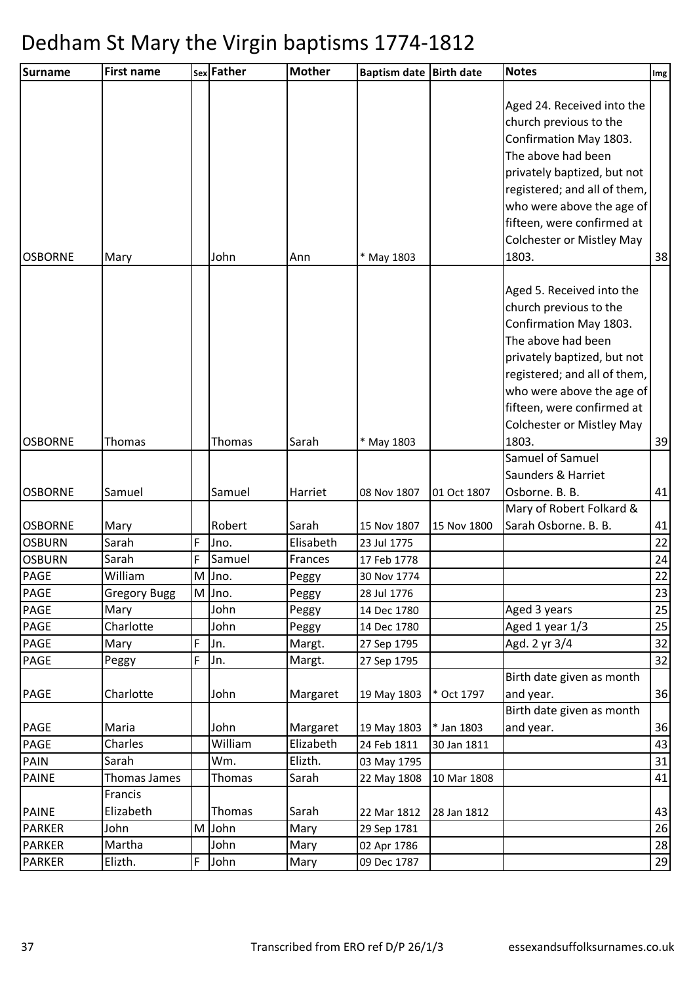| <b>Surname</b> | <b>First name</b>   |   | sex Father | <b>Mother</b> | Baptism date Birth date |             | <b>Notes</b>                                                                                                                                                                                                                                                                | $\lfloor$ lmg $\rfloor$ |
|----------------|---------------------|---|------------|---------------|-------------------------|-------------|-----------------------------------------------------------------------------------------------------------------------------------------------------------------------------------------------------------------------------------------------------------------------------|-------------------------|
| <b>OSBORNE</b> | Mary                |   | John       | Ann           | * May 1803              |             | Aged 24. Received into the<br>church previous to the<br>Confirmation May 1803.<br>The above had been<br>privately baptized, but not<br>registered; and all of them,<br>who were above the age of<br>fifteen, were confirmed at<br><b>Colchester or Mistley May</b><br>1803. | 38                      |
|                |                     |   |            |               |                         |             | Aged 5. Received into the<br>church previous to the<br>Confirmation May 1803.<br>The above had been<br>privately baptized, but not<br>registered; and all of them,<br>who were above the age of<br>fifteen, were confirmed at<br><b>Colchester or Mistley May</b>           |                         |
| <b>OSBORNE</b> | Thomas              |   | Thomas     | Sarah         | * May 1803              |             | 1803.                                                                                                                                                                                                                                                                       | 39                      |
| <b>OSBORNE</b> | Samuel              |   | Samuel     | Harriet       | 08 Nov 1807             | 01 Oct 1807 | Samuel of Samuel<br>Saunders & Harriet<br>Osborne. B. B.                                                                                                                                                                                                                    | 41                      |
|                |                     |   |            |               |                         |             | Mary of Robert Folkard &                                                                                                                                                                                                                                                    |                         |
| <b>OSBORNE</b> | Mary                |   | Robert     | Sarah         | 15 Nov 1807             | 15 Nov 1800 | Sarah Osborne. B. B.                                                                                                                                                                                                                                                        | 41                      |
| <b>OSBURN</b>  | Sarah               | F | Jno.       | Elisabeth     | 23 Jul 1775             |             |                                                                                                                                                                                                                                                                             | 22                      |
| <b>OSBURN</b>  | Sarah               | F | Samuel     | Frances       | 17 Feb 1778             |             |                                                                                                                                                                                                                                                                             | 24                      |
| <b>PAGE</b>    | William             |   | M Jno.     | Peggy         | 30 Nov 1774             |             |                                                                                                                                                                                                                                                                             | 22                      |
| <b>PAGE</b>    | <b>Gregory Bugg</b> |   | M Jno.     | Peggy         | 28 Jul 1776             |             |                                                                                                                                                                                                                                                                             | 23                      |
| <b>PAGE</b>    | Mary                |   | John       | Peggy         | 14 Dec 1780             |             | Aged 3 years                                                                                                                                                                                                                                                                | 25                      |
| <b>PAGE</b>    | Charlotte           |   | John       | Peggy         | 14 Dec 1780             |             | Aged 1 year 1/3                                                                                                                                                                                                                                                             | 25                      |
| PAGE           | Mary                | F | Jn.        | Margt.        | 27 Sep 1795             |             | Agd. 2 yr 3/4                                                                                                                                                                                                                                                               | 32                      |
| <b>PAGE</b>    | Peggy               | F | Jn.        | Margt.        | 27 Sep 1795             |             |                                                                                                                                                                                                                                                                             | 32                      |
| <b>PAGE</b>    | Charlotte           |   | John       | Margaret      | 19 May 1803             | * Oct 1797  | Birth date given as month<br>and year.                                                                                                                                                                                                                                      | 36                      |
|                |                     |   |            |               |                         |             | Birth date given as month                                                                                                                                                                                                                                                   |                         |
| <b>PAGE</b>    | Maria               |   | John       | Margaret      | 19 May 1803             | * Jan 1803  | and year.                                                                                                                                                                                                                                                                   | 36                      |
| <b>PAGE</b>    | Charles             |   | William    | Elizabeth     | 24 Feb 1811             | 30 Jan 1811 |                                                                                                                                                                                                                                                                             | 43                      |
| <b>PAIN</b>    | Sarah               |   | Wm.        | Elizth.       | 03 May 1795             |             |                                                                                                                                                                                                                                                                             | 31                      |
| <b>PAINE</b>   | Thomas James        |   | Thomas     | Sarah         | 22 May 1808             | 10 Mar 1808 |                                                                                                                                                                                                                                                                             | 41                      |
|                | Francis             |   |            |               |                         |             |                                                                                                                                                                                                                                                                             |                         |
| <b>PAINE</b>   | Elizabeth           |   | Thomas     | Sarah         | 22 Mar 1812             | 28 Jan 1812 |                                                                                                                                                                                                                                                                             | 43                      |
| <b>PARKER</b>  | John                | M | John       | Mary          | 29 Sep 1781             |             |                                                                                                                                                                                                                                                                             | 26                      |
| <b>PARKER</b>  | Martha              |   | John       | Mary          | 02 Apr 1786             |             |                                                                                                                                                                                                                                                                             | 28                      |
| <b>PARKER</b>  | Elizth.             | F | John       | Mary          | 09 Dec 1787             |             |                                                                                                                                                                                                                                                                             | 29                      |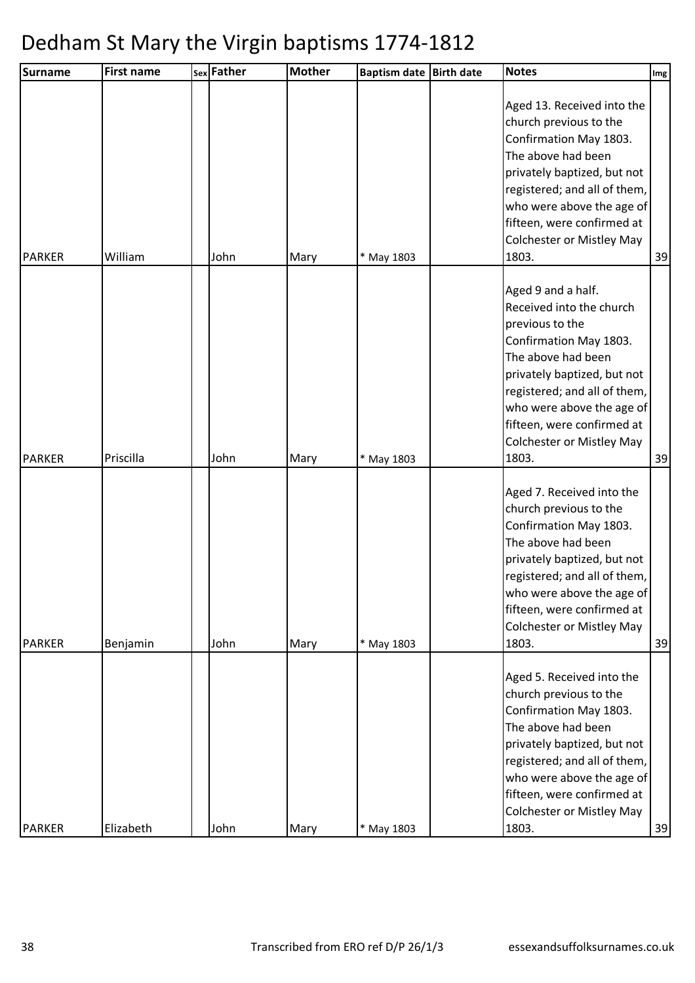| <b>Surname</b> | <b>First name</b> | sex Father | <b>Mother</b> | Baptism date Birth date | <b>Notes</b>                                                                                                                                                                                                                                                                      | Img |
|----------------|-------------------|------------|---------------|-------------------------|-----------------------------------------------------------------------------------------------------------------------------------------------------------------------------------------------------------------------------------------------------------------------------------|-----|
| <b>PARKER</b>  | William           | John       | Mary          | * May 1803              | Aged 13. Received into the<br>church previous to the<br>Confirmation May 1803.<br>The above had been<br>privately baptized, but not<br>registered; and all of them,<br>who were above the age of<br>fifteen, were confirmed at<br>Colchester or Mistley May<br>1803.              | 39  |
| <b>PARKER</b>  | Priscilla         | John       | Mary          | * May 1803              | Aged 9 and a half.<br>Received into the church<br>previous to the<br>Confirmation May 1803.<br>The above had been<br>privately baptized, but not<br>registered; and all of them,<br>who were above the age of<br>fifteen, were confirmed at<br>Colchester or Mistley May<br>1803. | 39  |
| <b>PARKER</b>  | Benjamin          | John       | Mary          | * May 1803              | Aged 7. Received into the<br>church previous to the<br>Confirmation May 1803.<br>The above had been<br>privately baptized, but not<br>registered; and all of them,<br>who were above the age of<br>fifteen, were confirmed at<br><b>Colchester or Mistley May</b><br>1803.        | 39  |
| <b>PARKER</b>  | Elizabeth         | John       | Mary          | * May 1803              | Aged 5. Received into the<br>church previous to the<br>Confirmation May 1803.<br>The above had been<br>privately baptized, but not<br>registered; and all of them,<br>who were above the age of<br>fifteen, were confirmed at<br><b>Colchester or Mistley May</b><br>1803.        | 39  |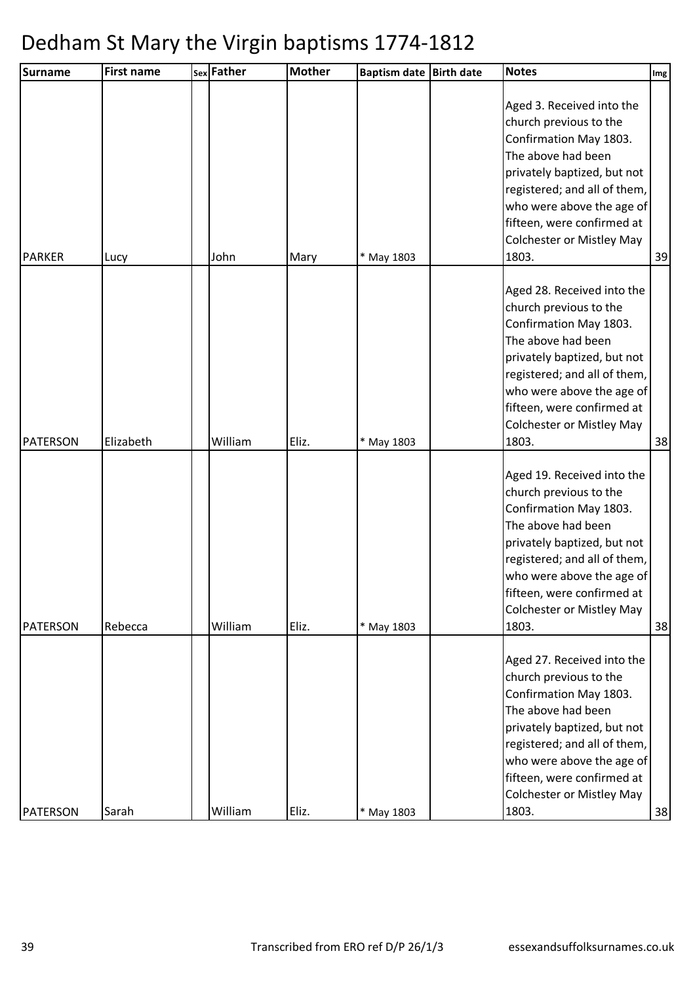| <b>Surname</b>  | <b>First name</b> | sex Father | <b>Mother</b> | <b>Baptism date</b><br><b>Birth date</b> | <b>Notes</b>                                                                                                                                                                                                                                                                | Img |
|-----------------|-------------------|------------|---------------|------------------------------------------|-----------------------------------------------------------------------------------------------------------------------------------------------------------------------------------------------------------------------------------------------------------------------------|-----|
| <b>PARKER</b>   | Lucy              | John       | Mary          | * May 1803                               | Aged 3. Received into the<br>church previous to the<br>Confirmation May 1803.<br>The above had been<br>privately baptized, but not<br>registered; and all of them,<br>who were above the age of<br>fifteen, were confirmed at<br><b>Colchester or Mistley May</b><br>1803.  | 39  |
| PATERSON        | Elizabeth         | William    | Eliz.         | * May 1803                               | Aged 28. Received into the<br>church previous to the<br>Confirmation May 1803.<br>The above had been<br>privately baptized, but not<br>registered; and all of them,<br>who were above the age of<br>fifteen, were confirmed at<br><b>Colchester or Mistley May</b><br>1803. | 38  |
| <b>PATERSON</b> | Rebecca           | William    | Eliz.         | * May 1803                               | Aged 19. Received into the<br>church previous to the<br>Confirmation May 1803.<br>The above had been<br>privately baptized, but not<br>registered; and all of them,<br>who were above the age of<br>fifteen, were confirmed at<br><b>Colchester or Mistley May</b><br>1803. | 38  |
| <b>PATERSON</b> | Sarah             | William    | Eliz.         | * May 1803                               | Aged 27. Received into the<br>church previous to the<br>Confirmation May 1803.<br>The above had been<br>privately baptized, but not<br>registered; and all of them,<br>who were above the age of<br>fifteen, were confirmed at<br>Colchester or Mistley May<br>1803.        | 38  |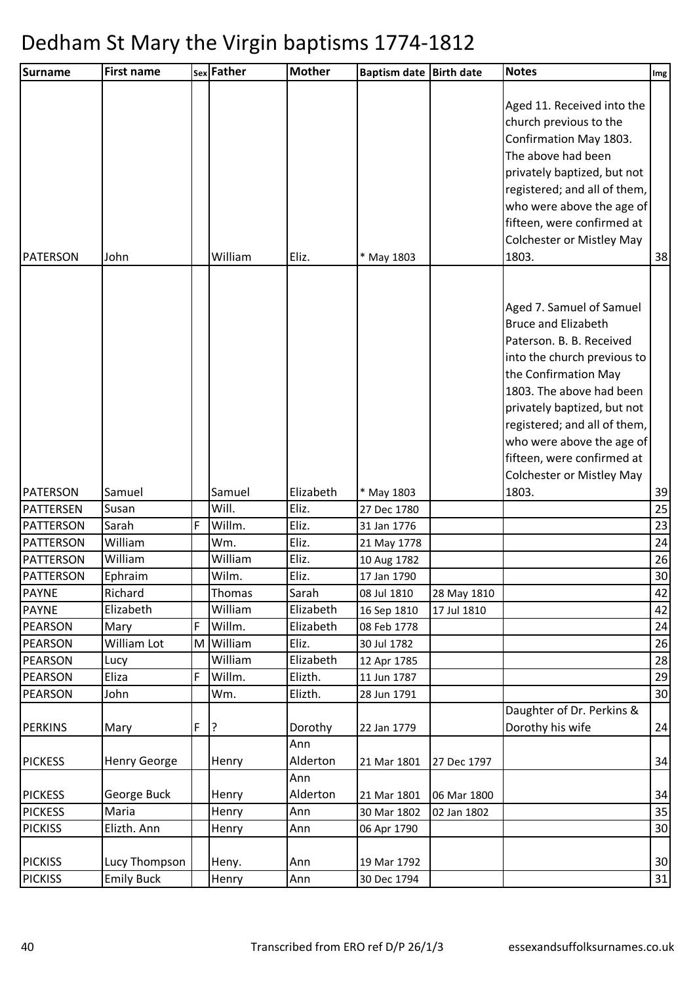| <b>Surname</b>   | <b>First name</b> |   | sex Father | <b>Mother</b> | <b>Baptism date</b> | <b>Birth date</b> | <b>Notes</b>                                                                                                                                                                                                                                                                                                                        | $\lfloor \text{Im} g \rfloor$ |
|------------------|-------------------|---|------------|---------------|---------------------|-------------------|-------------------------------------------------------------------------------------------------------------------------------------------------------------------------------------------------------------------------------------------------------------------------------------------------------------------------------------|-------------------------------|
| PATERSON         | John              |   | William    | Eliz.         | * May 1803          |                   | Aged 11. Received into the<br>church previous to the<br>Confirmation May 1803.<br>The above had been<br>privately baptized, but not<br>registered; and all of them,<br>who were above the age of<br>fifteen, were confirmed at<br><b>Colchester or Mistley May</b><br>1803.                                                         | 38                            |
|                  |                   |   |            |               |                     |                   | Aged 7. Samuel of Samuel<br><b>Bruce and Elizabeth</b><br>Paterson. B. B. Received<br>into the church previous to<br>the Confirmation May<br>1803. The above had been<br>privately baptized, but not<br>registered; and all of them,<br>who were above the age of<br>fifteen, were confirmed at<br><b>Colchester or Mistley May</b> |                               |
| <b>PATERSON</b>  | Samuel            |   | Samuel     | Elizabeth     | * May 1803          |                   | 1803.                                                                                                                                                                                                                                                                                                                               | 39                            |
| PATTERSEN        | Susan             |   | Will.      | Eliz.         | 27 Dec 1780         |                   |                                                                                                                                                                                                                                                                                                                                     | 25                            |
| <b>PATTERSON</b> | Sarah             | F | Willm.     | Eliz.         | 31 Jan 1776         |                   |                                                                                                                                                                                                                                                                                                                                     | 23                            |
| <b>PATTERSON</b> | William           |   | Wm.        | Eliz.         | 21 May 1778         |                   |                                                                                                                                                                                                                                                                                                                                     | 24                            |
| <b>PATTERSON</b> | William           |   | William    | Eliz.         | 10 Aug 1782         |                   |                                                                                                                                                                                                                                                                                                                                     | 26                            |
| <b>PATTERSON</b> | Ephraim           |   | Wilm.      | Eliz.         | 17 Jan 1790         |                   |                                                                                                                                                                                                                                                                                                                                     | 30                            |
| <b>PAYNE</b>     | Richard           |   | Thomas     | Sarah         | 08 Jul 1810         | 28 May 1810       |                                                                                                                                                                                                                                                                                                                                     | 42                            |
| <b>PAYNE</b>     | Elizabeth         |   | William    | Elizabeth     | 16 Sep 1810         | 17 Jul 1810       |                                                                                                                                                                                                                                                                                                                                     | 42                            |
| <b>PEARSON</b>   | Mary              | F | Willm.     | Elizabeth     | 08 Feb 1778         |                   |                                                                                                                                                                                                                                                                                                                                     | 24                            |
| <b>PEARSON</b>   | William Lot       | M | William    | Eliz.         | 30 Jul 1782         |                   |                                                                                                                                                                                                                                                                                                                                     | 26                            |
| <b>PEARSON</b>   | Lucy              |   | William    | Elizabeth     | 12 Apr 1785         |                   |                                                                                                                                                                                                                                                                                                                                     | 28                            |
| <b>PEARSON</b>   | Eliza             | F | Willm.     | Elizth.       | 11 Jun 1787         |                   |                                                                                                                                                                                                                                                                                                                                     | 29                            |
| <b>PEARSON</b>   | John              |   | Wm.        | Elizth.       | 28 Jun 1791         |                   |                                                                                                                                                                                                                                                                                                                                     | 30                            |
|                  |                   |   |            |               |                     |                   | Daughter of Dr. Perkins &                                                                                                                                                                                                                                                                                                           |                               |
| <b>PERKINS</b>   | Mary              | F | ?          | Dorothy       | 22 Jan 1779         |                   | Dorothy his wife                                                                                                                                                                                                                                                                                                                    | 24                            |
|                  |                   |   |            | Ann           |                     |                   |                                                                                                                                                                                                                                                                                                                                     |                               |
| <b>PICKESS</b>   | Henry George      |   | Henry      | Alderton      | 21 Mar 1801         | 27 Dec 1797       |                                                                                                                                                                                                                                                                                                                                     | 34                            |
|                  |                   |   |            | Ann           |                     |                   |                                                                                                                                                                                                                                                                                                                                     |                               |
| <b>PICKESS</b>   | George Buck       |   | Henry      | Alderton      | 21 Mar 1801         | 06 Mar 1800       |                                                                                                                                                                                                                                                                                                                                     | 34                            |
| <b>PICKESS</b>   | Maria             |   | Henry      | Ann           | 30 Mar 1802         | 02 Jan 1802       |                                                                                                                                                                                                                                                                                                                                     | 35                            |
| <b>PICKISS</b>   | Elizth. Ann       |   | Henry      | Ann           | 06 Apr 1790         |                   |                                                                                                                                                                                                                                                                                                                                     | 30                            |
| <b>PICKISS</b>   | Lucy Thompson     |   | Heny.      | Ann           | 19 Mar 1792         |                   |                                                                                                                                                                                                                                                                                                                                     | 30                            |
| <b>PICKISS</b>   | <b>Emily Buck</b> |   | Henry      | Ann           | 30 Dec 1794         |                   |                                                                                                                                                                                                                                                                                                                                     | 31                            |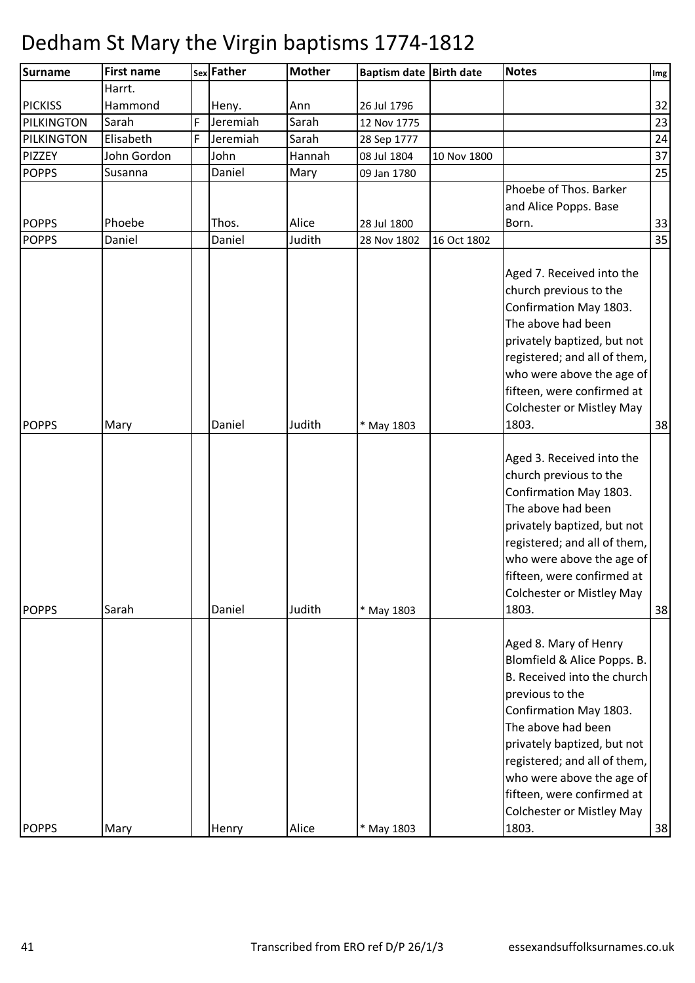| <b>Surname</b> | <b>First name</b> |   | sex Father | <b>Mother</b> | Baptism date Birth date |             | <b>Notes</b>                                                                                                                                                                                                                                                                                                                  | Img |
|----------------|-------------------|---|------------|---------------|-------------------------|-------------|-------------------------------------------------------------------------------------------------------------------------------------------------------------------------------------------------------------------------------------------------------------------------------------------------------------------------------|-----|
|                | Harrt.            |   |            |               |                         |             |                                                                                                                                                                                                                                                                                                                               |     |
| <b>PICKISS</b> | Hammond           |   | Heny.      | Ann           | 26 Jul 1796             |             |                                                                                                                                                                                                                                                                                                                               | 32  |
| PILKINGTON     | Sarah             | F | Jeremiah   | Sarah         | 12 Nov 1775             |             |                                                                                                                                                                                                                                                                                                                               | 23  |
| PILKINGTON     | Elisabeth         | F | Jeremiah   | Sarah         | 28 Sep 1777             |             |                                                                                                                                                                                                                                                                                                                               | 24  |
| PIZZEY         | John Gordon       |   | John       | Hannah        | 08 Jul 1804             | 10 Nov 1800 |                                                                                                                                                                                                                                                                                                                               | 37  |
| <b>POPPS</b>   | Susanna           |   | Daniel     | Mary          | 09 Jan 1780             |             |                                                                                                                                                                                                                                                                                                                               | 25  |
|                |                   |   |            |               |                         |             | Phoebe of Thos. Barker                                                                                                                                                                                                                                                                                                        |     |
|                |                   |   |            |               |                         |             | and Alice Popps. Base                                                                                                                                                                                                                                                                                                         |     |
| <b>POPPS</b>   | Phoebe            |   | Thos.      | Alice         | 28 Jul 1800             |             | Born.                                                                                                                                                                                                                                                                                                                         | 33  |
| <b>POPPS</b>   | Daniel            |   | Daniel     | Judith        | 28 Nov 1802             | 16 Oct 1802 |                                                                                                                                                                                                                                                                                                                               | 35  |
| <b>POPPS</b>   | Mary              |   | Daniel     | Judith        | * May 1803              |             | Aged 7. Received into the<br>church previous to the<br>Confirmation May 1803.<br>The above had been<br>privately baptized, but not<br>registered; and all of them,<br>who were above the age of<br>fifteen, were confirmed at<br><b>Colchester or Mistley May</b><br>1803.                                                    | 38  |
| <b>POPPS</b>   | Sarah             |   | Daniel     | Judith        | * May 1803              |             | Aged 3. Received into the<br>church previous to the<br>Confirmation May 1803.<br>The above had been<br>privately baptized, but not<br>registered; and all of them,<br>who were above the age of<br>fifteen, were confirmed at<br><b>Colchester or Mistley May</b><br>1803.                                                    | 38  |
| <b>POPPS</b>   | Mary              |   | Henry      | Alice         | * May 1803              |             | Aged 8. Mary of Henry<br>Blomfield & Alice Popps. B.<br>B. Received into the church<br>previous to the<br>Confirmation May 1803.<br>The above had been<br>privately baptized, but not<br>registered; and all of them,<br>who were above the age of<br>fifteen, were confirmed at<br><b>Colchester or Mistley May</b><br>1803. | 38  |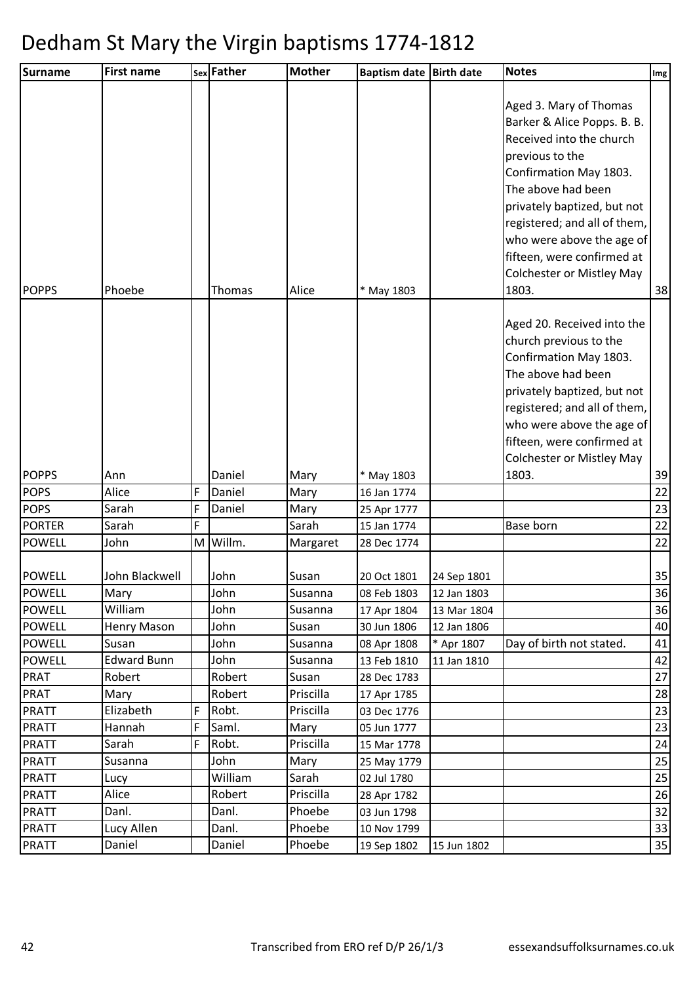| <b>Surname</b>               | <b>First name</b>  |        | sex Father       | <b>Mother</b> | Baptism date Birth date    |             | <b>Notes</b>                                                                                                                                                                                                                                                                                                                | Img      |
|------------------------------|--------------------|--------|------------------|---------------|----------------------------|-------------|-----------------------------------------------------------------------------------------------------------------------------------------------------------------------------------------------------------------------------------------------------------------------------------------------------------------------------|----------|
| <b>POPPS</b>                 | Phoebe             |        | Thomas           | Alice         | * May 1803                 |             | Aged 3. Mary of Thomas<br>Barker & Alice Popps. B. B.<br>Received into the church<br>previous to the<br>Confirmation May 1803.<br>The above had been<br>privately baptized, but not<br>registered; and all of them,<br>who were above the age of<br>fifteen, were confirmed at<br><b>Colchester or Mistley May</b><br>1803. | 38       |
|                              |                    |        |                  |               |                            |             | Aged 20. Received into the<br>church previous to the<br>Confirmation May 1803.                                                                                                                                                                                                                                              |          |
|                              |                    |        |                  |               |                            |             | The above had been<br>privately baptized, but not<br>registered; and all of them,<br>who were above the age of<br>fifteen, were confirmed at                                                                                                                                                                                |          |
|                              |                    |        |                  |               |                            |             | <b>Colchester or Mistley May</b>                                                                                                                                                                                                                                                                                            |          |
| <b>POPPS</b>                 | Ann                |        | Daniel           | Mary          | * May 1803                 |             | 1803.                                                                                                                                                                                                                                                                                                                       | 39       |
| <b>POPS</b>                  | Alice<br>Sarah     | F<br>F | Daniel<br>Daniel | Mary          | 16 Jan 1774                |             |                                                                                                                                                                                                                                                                                                                             | 22       |
| <b>POPS</b><br><b>PORTER</b> | Sarah              | F      |                  | Mary<br>Sarah | 25 Apr 1777<br>15 Jan 1774 |             | Base born                                                                                                                                                                                                                                                                                                                   | 23<br>22 |
| <b>POWELL</b>                | John               | M      | Willm.           | Margaret      | 28 Dec 1774                |             |                                                                                                                                                                                                                                                                                                                             | 22       |
|                              |                    |        |                  |               |                            |             |                                                                                                                                                                                                                                                                                                                             |          |
| <b>POWELL</b>                | John Blackwell     |        | John             | Susan         | 20 Oct 1801                | 24 Sep 1801 |                                                                                                                                                                                                                                                                                                                             | 35       |
| <b>POWELL</b>                | Mary               |        | John             | Susanna       | 08 Feb 1803                | 12 Jan 1803 |                                                                                                                                                                                                                                                                                                                             | 36       |
| <b>POWELL</b>                | William            |        | John             | Susanna       | 17 Apr 1804                | 13 Mar 1804 |                                                                                                                                                                                                                                                                                                                             | 36       |
| <b>POWELL</b>                | Henry Mason        |        | John             | Susan         | 30 Jun 1806                | 12 Jan 1806 |                                                                                                                                                                                                                                                                                                                             | 40       |
| <b>POWELL</b>                | Susan              |        | John             | Susanna       | 08 Apr 1808                | * Apr 1807  | Day of birth not stated.                                                                                                                                                                                                                                                                                                    | 41       |
| <b>POWELL</b>                | <b>Edward Bunn</b> |        | John             | Susanna       | 13 Feb 1810                | 11 Jan 1810 |                                                                                                                                                                                                                                                                                                                             | 42       |
| <b>PRAT</b>                  | Robert             |        | Robert           | Susan         | 28 Dec 1783                |             |                                                                                                                                                                                                                                                                                                                             | 27       |
| <b>PRAT</b>                  | Mary               |        | Robert           | Priscilla     | 17 Apr 1785                |             |                                                                                                                                                                                                                                                                                                                             | 28       |
| <b>PRATT</b>                 | Elizabeth          | F      | Robt.            | Priscilla     | 03 Dec 1776                |             |                                                                                                                                                                                                                                                                                                                             | 23       |
| <b>PRATT</b>                 | Hannah             | F      | Saml.            | Mary          | 05 Jun 1777                |             |                                                                                                                                                                                                                                                                                                                             | 23       |
| <b>PRATT</b>                 | Sarah<br>Susanna   | F      | Robt.<br>John    | Priscilla     | 15 Mar 1778                |             |                                                                                                                                                                                                                                                                                                                             | 24       |
| <b>PRATT</b><br><b>PRATT</b> | Lucy               |        | William          | Mary<br>Sarah | 25 May 1779<br>02 Jul 1780 |             |                                                                                                                                                                                                                                                                                                                             | 25<br>25 |
| <b>PRATT</b>                 | Alice              |        | Robert           | Priscilla     | 28 Apr 1782                |             |                                                                                                                                                                                                                                                                                                                             | 26       |
| <b>PRATT</b>                 | Danl.              |        | Danl.            | Phoebe        | 03 Jun 1798                |             |                                                                                                                                                                                                                                                                                                                             | 32       |
| <b>PRATT</b>                 | Lucy Allen         |        | Danl.            | Phoebe        | 10 Nov 1799                |             |                                                                                                                                                                                                                                                                                                                             | 33       |
| <b>PRATT</b>                 | Daniel             |        | Daniel           | Phoebe        | 19 Sep 1802                | 15 Jun 1802 |                                                                                                                                                                                                                                                                                                                             | 35       |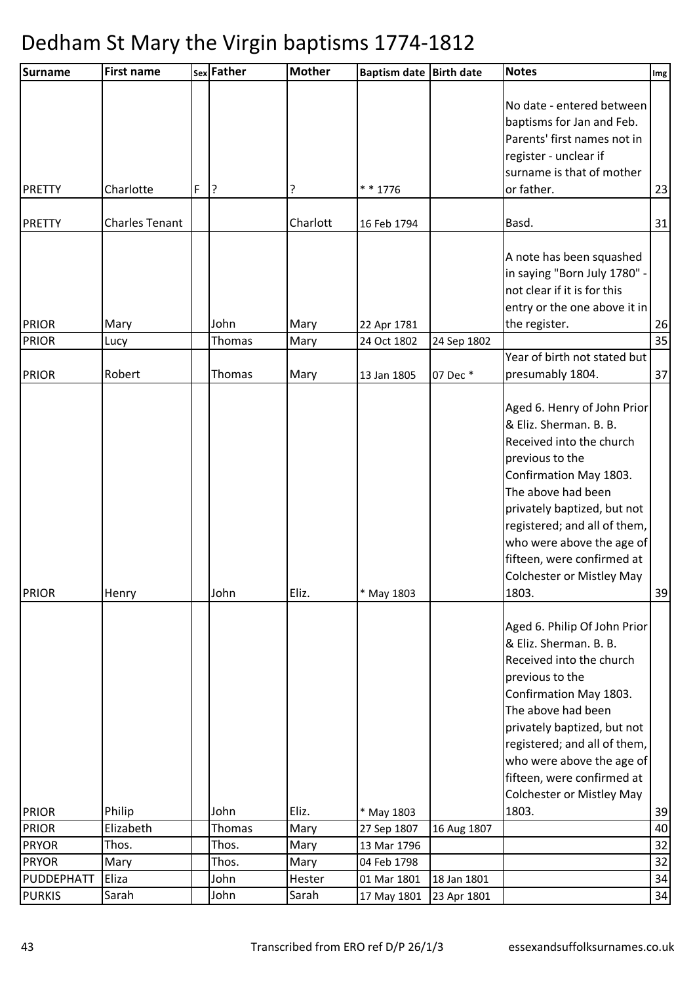| <b>Surname</b>               | <b>First name</b>     |   | sex Father     | <b>Mother</b> | Baptism date Birth date   |             | <b>Notes</b>                     | Img      |
|------------------------------|-----------------------|---|----------------|---------------|---------------------------|-------------|----------------------------------|----------|
|                              |                       |   |                |               |                           |             |                                  |          |
|                              |                       |   |                |               |                           |             | No date - entered between        |          |
|                              |                       |   |                |               |                           |             | baptisms for Jan and Feb.        |          |
|                              |                       |   |                |               |                           |             | Parents' first names not in      |          |
|                              |                       |   |                |               |                           |             | register - unclear if            |          |
|                              |                       |   |                |               |                           |             | surname is that of mother        |          |
| <b>PRETTY</b>                | Charlotte             | F | 3              | ?             | * * 1776                  |             | or father.                       | 23       |
| <b>PRETTY</b>                | <b>Charles Tenant</b> |   |                | Charlott      | 16 Feb 1794               |             | Basd.                            | 31       |
|                              |                       |   |                |               |                           |             | A note has been squashed         |          |
|                              |                       |   |                |               |                           |             | in saying "Born July 1780" -     |          |
|                              |                       |   |                |               |                           |             | not clear if it is for this      |          |
|                              |                       |   |                |               |                           |             | entry or the one above it in     |          |
| <b>PRIOR</b>                 | Mary                  |   | John           | Mary          | 22 Apr 1781               |             | the register.                    | 26       |
| <b>PRIOR</b>                 | Lucy                  |   | Thomas         | Mary          | 24 Oct 1802               | 24 Sep 1802 |                                  | 35       |
|                              |                       |   |                |               |                           |             | Year of birth not stated but     |          |
| <b>PRIOR</b>                 | Robert                |   | Thomas         | Mary          | 13 Jan 1805               | 07 Dec *    | presumably 1804.                 | 37       |
|                              |                       |   |                |               |                           |             | Aged 6. Henry of John Prior      |          |
|                              |                       |   |                |               |                           |             | & Eliz. Sherman. B. B.           |          |
|                              |                       |   |                |               |                           |             | Received into the church         |          |
|                              |                       |   |                |               |                           |             | previous to the                  |          |
|                              |                       |   |                |               |                           |             | Confirmation May 1803.           |          |
|                              |                       |   |                |               |                           |             | The above had been               |          |
|                              |                       |   |                |               |                           |             | privately baptized, but not      |          |
|                              |                       |   |                |               |                           |             | registered; and all of them,     |          |
|                              |                       |   |                |               |                           |             | who were above the age of        |          |
|                              |                       |   |                |               |                           |             | fifteen, were confirmed at       |          |
|                              |                       |   |                |               |                           |             | Colchester or Mistley May        |          |
| <b>PRIOR</b>                 | Henry                 |   | John           | Eliz.         | * May 1803                |             | 1803.                            | 39       |
|                              |                       |   |                |               |                           |             |                                  |          |
|                              |                       |   |                |               |                           |             | Aged 6. Philip Of John Prior     |          |
|                              |                       |   |                |               |                           |             | & Eliz. Sherman. B. B.           |          |
|                              |                       |   |                |               |                           |             | Received into the church         |          |
|                              |                       |   |                |               |                           |             | previous to the                  |          |
|                              |                       |   |                |               |                           |             | Confirmation May 1803.           |          |
|                              |                       |   |                |               |                           |             | The above had been               |          |
|                              |                       |   |                |               |                           |             | privately baptized, but not      |          |
|                              |                       |   |                |               |                           |             | registered; and all of them,     |          |
|                              |                       |   |                |               |                           |             | who were above the age of        |          |
|                              |                       |   |                |               |                           |             | fifteen, were confirmed at       |          |
|                              |                       |   |                |               |                           |             | <b>Colchester or Mistley May</b> |          |
| <b>PRIOR</b><br><b>PRIOR</b> | Philip<br>Elizabeth   |   | John<br>Thomas | Eliz.<br>Mary | * May 1803<br>27 Sep 1807 | 16 Aug 1807 | 1803.                            | 39<br>40 |
| <b>PRYOR</b>                 | Thos.                 |   | Thos.          | Mary          | 13 Mar 1796               |             |                                  | 32       |
| <b>PRYOR</b>                 | Mary                  |   | Thos.          | Mary          | 04 Feb 1798               |             |                                  | 32       |
| PUDDEPHATT                   | Eliza                 |   | John           | Hester        | 01 Mar 1801               | 18 Jan 1801 |                                  | 34       |
| <b>PURKIS</b>                | Sarah                 |   | John           | Sarah         | 17 May 1801               | 23 Apr 1801 |                                  | 34       |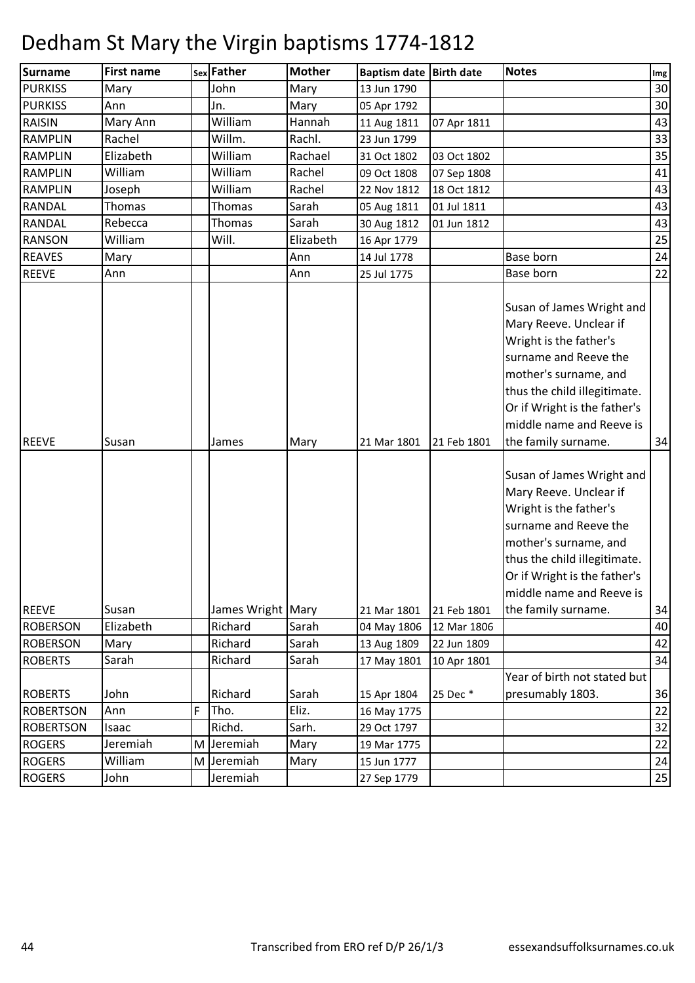| <b>Surname</b>   | <b>First name</b> |   | sex Father   | <b>Mother</b> | <b>Baptism date</b> | <b>Birth date</b> | <b>Notes</b>                                                                                                                                                                                                                                                                                                                                                                                                                                          | Img |
|------------------|-------------------|---|--------------|---------------|---------------------|-------------------|-------------------------------------------------------------------------------------------------------------------------------------------------------------------------------------------------------------------------------------------------------------------------------------------------------------------------------------------------------------------------------------------------------------------------------------------------------|-----|
| <b>PURKISS</b>   | Mary              |   | John         | Mary          | 13 Jun 1790         |                   |                                                                                                                                                                                                                                                                                                                                                                                                                                                       | 30  |
| <b>PURKISS</b>   | Ann               |   | Jn.          | Mary          | 05 Apr 1792         |                   |                                                                                                                                                                                                                                                                                                                                                                                                                                                       | 30  |
| <b>RAISIN</b>    | Mary Ann          |   | William      | Hannah        | 11 Aug 1811         | 07 Apr 1811       |                                                                                                                                                                                                                                                                                                                                                                                                                                                       | 43  |
| <b>RAMPLIN</b>   | Rachel            |   | Willm.       | Rachl.        | 23 Jun 1799         |                   |                                                                                                                                                                                                                                                                                                                                                                                                                                                       | 33  |
| <b>RAMPLIN</b>   | Elizabeth         |   | William      | Rachael       | 31 Oct 1802         | 03 Oct 1802       |                                                                                                                                                                                                                                                                                                                                                                                                                                                       | 35  |
| <b>RAMPLIN</b>   | William           |   | William      | Rachel        | 09 Oct 1808         | 07 Sep 1808       |                                                                                                                                                                                                                                                                                                                                                                                                                                                       | 41  |
| <b>RAMPLIN</b>   | Joseph            |   | William      | Rachel        | 22 Nov 1812         | 18 Oct 1812       |                                                                                                                                                                                                                                                                                                                                                                                                                                                       | 43  |
| <b>RANDAL</b>    | Thomas            |   | Thomas       | Sarah         | 05 Aug 1811         | 01 Jul 1811       |                                                                                                                                                                                                                                                                                                                                                                                                                                                       | 43  |
| RANDAL           | Rebecca           |   | Thomas       | Sarah         | 30 Aug 1812         | 01 Jun 1812       |                                                                                                                                                                                                                                                                                                                                                                                                                                                       | 43  |
| <b>RANSON</b>    | William           |   | Will.        | Elizabeth     | 16 Apr 1779         |                   |                                                                                                                                                                                                                                                                                                                                                                                                                                                       | 25  |
| <b>REAVES</b>    | Mary              |   |              | Ann           | 14 Jul 1778         |                   | Base born                                                                                                                                                                                                                                                                                                                                                                                                                                             | 24  |
| <b>REEVE</b>     | Ann               |   |              | Ann           | 25 Jul 1775         |                   | Base born                                                                                                                                                                                                                                                                                                                                                                                                                                             | 22  |
| <b>REEVE</b>     | Susan             |   | James        | Mary          | 21 Mar 1801         | 21 Feb 1801       | Susan of James Wright and<br>Mary Reeve. Unclear if<br>Wright is the father's<br>surname and Reeve the<br>mother's surname, and<br>thus the child illegitimate.<br>Or if Wright is the father's<br>middle name and Reeve is<br>the family surname.<br>Susan of James Wright and<br>Mary Reeve. Unclear if<br>Wright is the father's<br>surname and Reeve the<br>mother's surname, and<br>thus the child illegitimate.<br>Or if Wright is the father's | 34  |
|                  |                   |   |              |               |                     |                   | middle name and Reeve is                                                                                                                                                                                                                                                                                                                                                                                                                              |     |
| <b>REEVE</b>     | Susan             |   | James Wright | Mary          | 21 Mar 1801         | 21 Feb 1801       | the family surname.                                                                                                                                                                                                                                                                                                                                                                                                                                   | 34  |
| <b>ROBERSON</b>  | Elizabeth         |   | Richard      | Sarah         | 04 May 1806         | 12 Mar 1806       |                                                                                                                                                                                                                                                                                                                                                                                                                                                       | 40  |
| <b>ROBERSON</b>  | Mary              |   | Richard      | Sarah         | 13 Aug 1809         | 22 Jun 1809       |                                                                                                                                                                                                                                                                                                                                                                                                                                                       | 42  |
| <b>ROBERTS</b>   | Sarah             |   | Richard      | Sarah         | 17 May 1801         | 10 Apr 1801       |                                                                                                                                                                                                                                                                                                                                                                                                                                                       | 34  |
| <b>ROBERTS</b>   | John              |   | Richard      | Sarah         | 15 Apr 1804         | 25 Dec *          | Year of birth not stated but<br>presumably 1803.                                                                                                                                                                                                                                                                                                                                                                                                      | 36  |
| <b>ROBERTSON</b> | Ann               | F | Tho.         | Eliz.         | 16 May 1775         |                   |                                                                                                                                                                                                                                                                                                                                                                                                                                                       | 22  |
| <b>ROBERTSON</b> | Isaac             |   | Richd.       | Sarh.         | 29 Oct 1797         |                   |                                                                                                                                                                                                                                                                                                                                                                                                                                                       | 32  |
| <b>ROGERS</b>    | Jeremiah          | M | Jeremiah     | Mary          | 19 Mar 1775         |                   |                                                                                                                                                                                                                                                                                                                                                                                                                                                       | 22  |
| <b>ROGERS</b>    | William           | M | Jeremiah     | Mary          | 15 Jun 1777         |                   |                                                                                                                                                                                                                                                                                                                                                                                                                                                       | 24  |
| <b>ROGERS</b>    | John              |   | Jeremiah     |               | 27 Sep 1779         |                   |                                                                                                                                                                                                                                                                                                                                                                                                                                                       | 25  |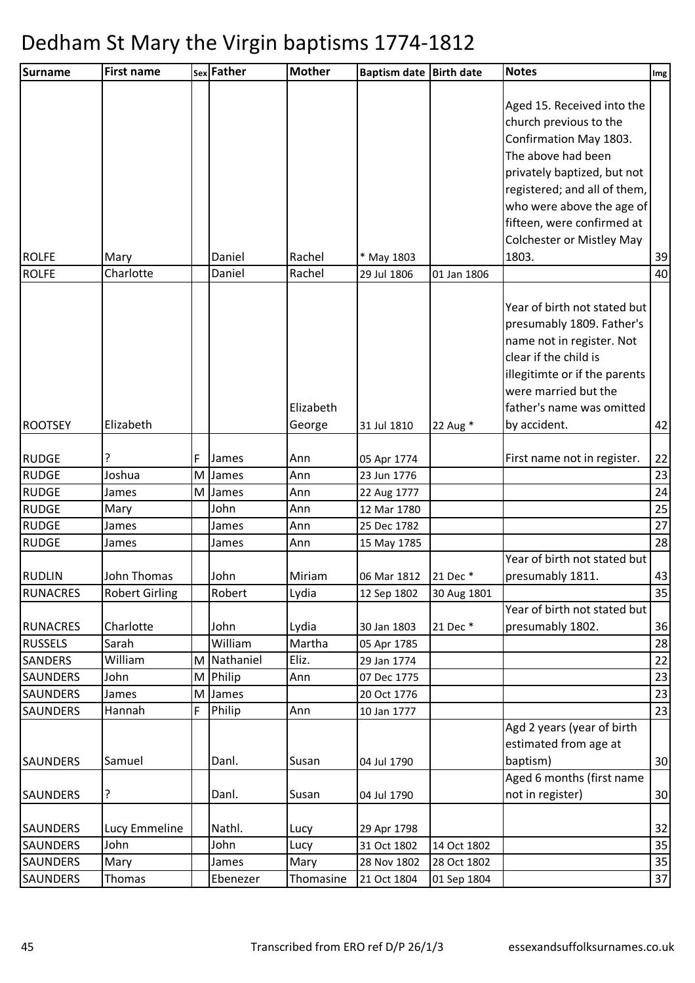| <b>Surname</b>  | <b>First name</b>     |   | sex Father | <b>Mother</b> | Baptism date Birth date |             | <b>Notes</b>                                         | Img |
|-----------------|-----------------------|---|------------|---------------|-------------------------|-------------|------------------------------------------------------|-----|
|                 |                       |   |            |               |                         |             |                                                      |     |
|                 |                       |   |            |               |                         |             | Aged 15. Received into the<br>church previous to the |     |
|                 |                       |   |            |               |                         |             | Confirmation May 1803.                               |     |
|                 |                       |   |            |               |                         |             | The above had been                                   |     |
|                 |                       |   |            |               |                         |             | privately baptized, but not                          |     |
|                 |                       |   |            |               |                         |             | registered; and all of them,                         |     |
|                 |                       |   |            |               |                         |             | who were above the age of                            |     |
|                 |                       |   |            |               |                         |             | fifteen, were confirmed at                           |     |
|                 |                       |   |            |               |                         |             | <b>Colchester or Mistley May</b>                     |     |
| <b>ROLFE</b>    | Mary                  |   | Daniel     | Rachel        | * May 1803              |             | 1803.                                                | 39  |
| <b>ROLFE</b>    | Charlotte             |   | Daniel     | Rachel        | 29 Jul 1806             | 01 Jan 1806 |                                                      | 40  |
|                 |                       |   |            |               |                         |             |                                                      |     |
|                 |                       |   |            |               |                         |             | Year of birth not stated but                         |     |
|                 |                       |   |            |               |                         |             | presumably 1809. Father's                            |     |
|                 |                       |   |            |               |                         |             | name not in register. Not                            |     |
|                 |                       |   |            |               |                         |             | clear if the child is                                |     |
|                 |                       |   |            |               |                         |             | illegitimte or if the parents                        |     |
|                 |                       |   |            |               |                         |             | were married but the                                 |     |
|                 |                       |   |            | Elizabeth     |                         |             | father's name was omitted                            |     |
| <b>ROOTSEY</b>  | Elizabeth             |   |            | George        | 31 Jul 1810             | 22 Aug *    | by accident.                                         | 42  |
| <b>RUDGE</b>    | 5.                    | F | James      | Ann           | 05 Apr 1774             |             | First name not in register.                          | 22  |
| <b>RUDGE</b>    | Joshua                | M | James      | Ann           | 23 Jun 1776             |             |                                                      | 23  |
| <b>RUDGE</b>    | James                 | M | James      | Ann           | 22 Aug 1777             |             |                                                      | 24  |
| <b>RUDGE</b>    | Mary                  |   | John       | Ann           | 12 Mar 1780             |             |                                                      | 25  |
| <b>RUDGE</b>    | James                 |   | James      | Ann           | 25 Dec 1782             |             |                                                      | 27  |
| <b>RUDGE</b>    | James                 |   | James      | Ann           | 15 May 1785             |             |                                                      | 28  |
|                 |                       |   |            |               |                         |             | Year of birth not stated but                         |     |
| <b>RUDLIN</b>   | John Thomas           |   | John       | Miriam        | 06 Mar 1812             | 21 Dec *    | presumably 1811.                                     | 43  |
| <b>RUNACRES</b> | <b>Robert Girling</b> |   | Robert     | Lydia         | 12 Sep 1802             | 30 Aug 1801 | Year of birth not stated but                         | 35  |
| <b>RUNACRES</b> | Charlotte             |   | John       | Lydia         | 30 Jan 1803             | 21 Dec *    | presumably 1802.                                     | 36  |
| <b>RUSSELS</b>  | Sarah                 |   | William    | Martha        | 05 Apr 1785             |             |                                                      | 28  |
| <b>SANDERS</b>  | William               | M | Nathaniel  | Eliz.         | 29 Jan 1774             |             |                                                      | 22  |
| <b>SAUNDERS</b> | John                  | M | Philip     | Ann           | 07 Dec 1775             |             |                                                      | 23  |
| <b>SAUNDERS</b> | James                 | M | James      |               | 20 Oct 1776             |             |                                                      | 23  |
| <b>SAUNDERS</b> | Hannah                | F | Philip     | Ann           | 10 Jan 1777             |             |                                                      | 23  |
|                 |                       |   |            |               |                         |             | Agd 2 years (year of birth                           |     |
|                 |                       |   |            |               |                         |             | estimated from age at                                |     |
| <b>SAUNDERS</b> | Samuel                |   | Danl.      | Susan         | 04 Jul 1790             |             | baptism)                                             | 30  |
|                 |                       |   |            |               |                         |             | Aged 6 months (first name                            |     |
| <b>SAUNDERS</b> | ?                     |   | Danl.      | Susan         | 04 Jul 1790             |             | not in register)                                     | 30  |
| <b>SAUNDERS</b> | Lucy Emmeline         |   | Nathl.     | Lucy          | 29 Apr 1798             |             |                                                      | 32  |
| <b>SAUNDERS</b> | John                  |   | John       | Lucy          | 31 Oct 1802             | 14 Oct 1802 |                                                      | 35  |
| <b>SAUNDERS</b> | Mary                  |   | James      | Mary          | 28 Nov 1802             | 28 Oct 1802 |                                                      | 35  |
| <b>SAUNDERS</b> | Thomas                |   | Ebenezer   | Thomasine     | 21 Oct 1804             | 01 Sep 1804 |                                                      | 37  |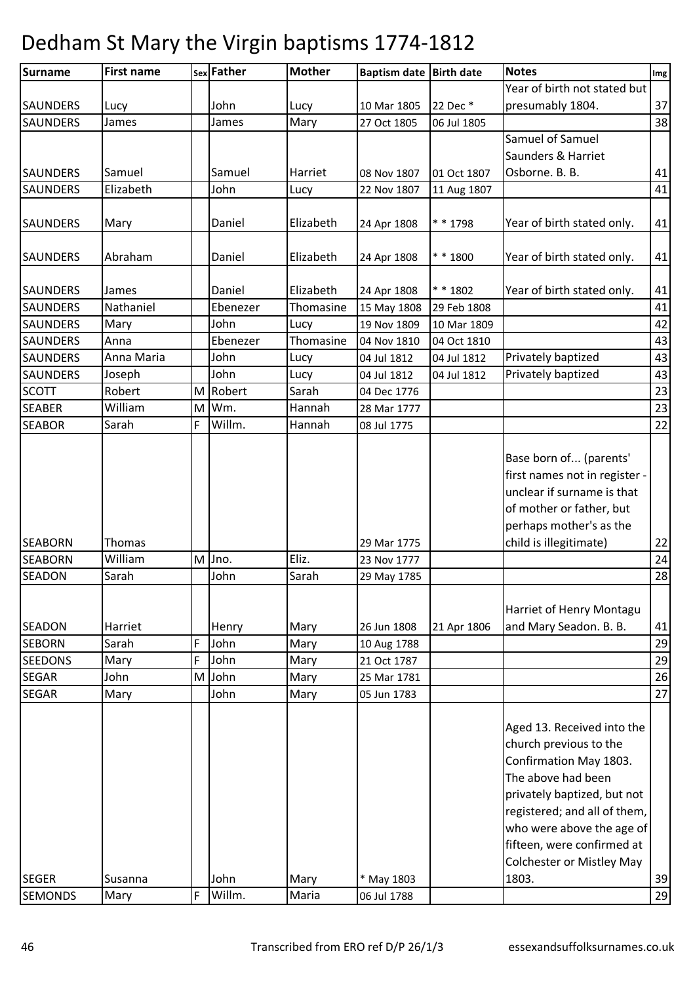| Surname         | <b>First name</b> |   | sex Father | Mother    | Baptism date Birth date |             | <b>Notes</b>                     | Img |
|-----------------|-------------------|---|------------|-----------|-------------------------|-------------|----------------------------------|-----|
|                 |                   |   |            |           |                         |             | Year of birth not stated but     |     |
| <b>SAUNDERS</b> | Lucy              |   | John       | Lucy      | 10 Mar 1805             | 22 Dec *    | presumably 1804.                 | 37  |
| <b>SAUNDERS</b> | James             |   | James      | Mary      | 27 Oct 1805             | 06 Jul 1805 |                                  | 38  |
|                 |                   |   |            |           |                         |             | Samuel of Samuel                 |     |
|                 |                   |   |            |           |                         |             | Saunders & Harriet               |     |
| <b>SAUNDERS</b> | Samuel            |   | Samuel     | Harriet   | 08 Nov 1807             | 01 Oct 1807 | Osborne. B. B.                   | 41  |
| <b>SAUNDERS</b> | Elizabeth         |   | John       | Lucy      | 22 Nov 1807             | 11 Aug 1807 |                                  | 41  |
|                 |                   |   |            |           |                         |             |                                  |     |
| <b>SAUNDERS</b> | Mary              |   | Daniel     | Elizabeth | 24 Apr 1808             | * * 1798    | Year of birth stated only.       | 41  |
|                 |                   |   |            |           |                         |             |                                  |     |
| <b>SAUNDERS</b> | Abraham           |   | Daniel     | Elizabeth | 24 Apr 1808             | * * 1800    | Year of birth stated only.       | 41  |
|                 |                   |   |            |           |                         |             |                                  |     |
| <b>SAUNDERS</b> | James             |   | Daniel     | Elizabeth | 24 Apr 1808             | $* * 1802$  | Year of birth stated only.       | 41  |
| SAUNDERS        | Nathaniel         |   | Ebenezer   | Thomasine | 15 May 1808             | 29 Feb 1808 |                                  | 41  |
| SAUNDERS        | Mary              |   | John       | Lucy      | 19 Nov 1809             | 10 Mar 1809 |                                  | 42  |
| <b>SAUNDERS</b> | Anna              |   | Ebenezer   | Thomasine | 04 Nov 1810             | 04 Oct 1810 |                                  | 43  |
| SAUNDERS        | Anna Maria        |   | John       | Lucy      | 04 Jul 1812             | 04 Jul 1812 | Privately baptized               | 43  |
| SAUNDERS        | Joseph            |   | John       | Lucy      | 04 Jul 1812             | 04 Jul 1812 | Privately baptized               | 43  |
| <b>SCOTT</b>    | Robert            | M | Robert     | Sarah     | 04 Dec 1776             |             |                                  | 23  |
| <b>SEABER</b>   | William           | M | Wm.        | Hannah    | 28 Mar 1777             |             |                                  | 23  |
| <b>SEABOR</b>   | Sarah             | F | Willm.     | Hannah    | 08 Jul 1775             |             |                                  | 22  |
|                 |                   |   |            |           |                         |             |                                  |     |
|                 |                   |   |            |           |                         |             | Base born of (parents'           |     |
|                 |                   |   |            |           |                         |             | first names not in register -    |     |
|                 |                   |   |            |           |                         |             | unclear if surname is that       |     |
|                 |                   |   |            |           |                         |             | of mother or father, but         |     |
|                 |                   |   |            |           |                         |             | perhaps mother's as the          |     |
| <b>SEABORN</b>  | Thomas            |   |            |           | 29 Mar 1775             |             | child is illegitimate)           | 22  |
| <b>SEABORN</b>  | William           | M | Jno.       | Eliz.     | 23 Nov 1777             |             |                                  | 24  |
| <b>SEADON</b>   | Sarah             |   | John       | Sarah     | 29 May 1785             |             |                                  | 28  |
|                 |                   |   |            |           |                         |             |                                  |     |
|                 |                   |   |            |           |                         |             | Harriet of Henry Montagu         |     |
| <b>SEADON</b>   | Harriet           |   | Henry      | Mary      | 26 Jun 1808             | 21 Apr 1806 | and Mary Seadon. B. B.           | 41  |
| <b>SEBORN</b>   | Sarah             | F | John       | Mary      | 10 Aug 1788             |             |                                  | 29  |
| <b>SEEDONS</b>  | Mary              | F | John       | Mary      | 21 Oct 1787             |             |                                  | 29  |
| <b>SEGAR</b>    | John              | M | John       | Mary      | 25 Mar 1781             |             |                                  | 26  |
| <b>SEGAR</b>    | Mary              |   | John       | Mary      | 05 Jun 1783             |             |                                  | 27  |
|                 |                   |   |            |           |                         |             |                                  |     |
|                 |                   |   |            |           |                         |             | Aged 13. Received into the       |     |
|                 |                   |   |            |           |                         |             | church previous to the           |     |
|                 |                   |   |            |           |                         |             | Confirmation May 1803.           |     |
|                 |                   |   |            |           |                         |             | The above had been               |     |
|                 |                   |   |            |           |                         |             | privately baptized, but not      |     |
|                 |                   |   |            |           |                         |             | registered; and all of them,     |     |
|                 |                   |   |            |           |                         |             | who were above the age of        |     |
|                 |                   |   |            |           |                         |             | fifteen, were confirmed at       |     |
|                 |                   |   |            |           |                         |             | <b>Colchester or Mistley May</b> |     |
| <b>SEGER</b>    | Susanna           |   | John       | Mary      | * May 1803              |             | 1803.                            | 39  |
| <b>SEMONDS</b>  | Mary              | F | Willm.     | Maria     | 06 Jul 1788             |             |                                  | 29  |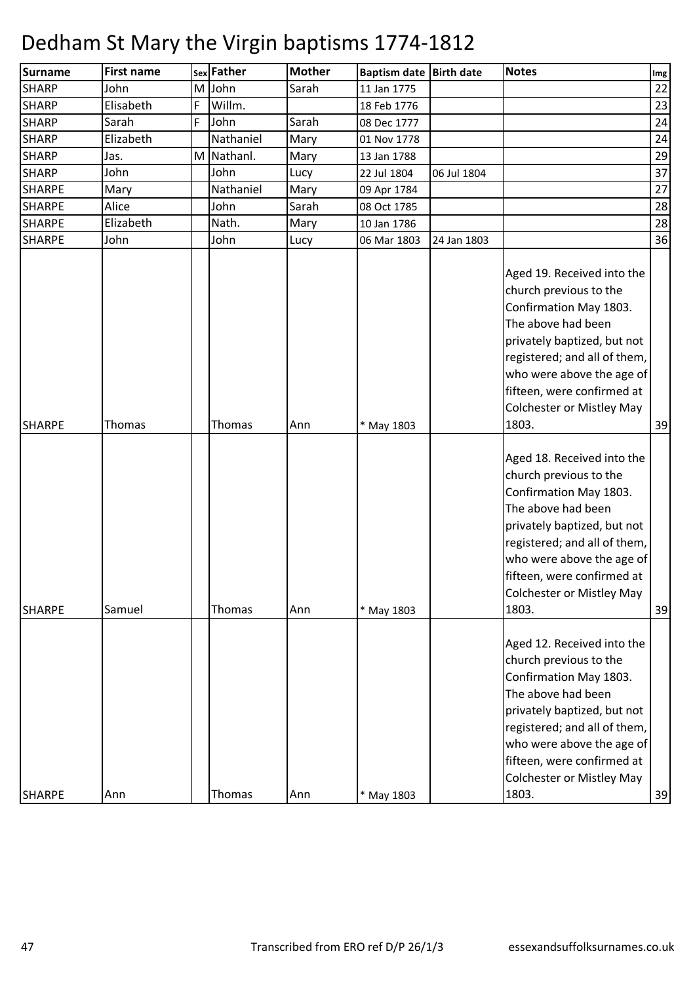| <b>Surname</b> | <b>First name</b> |   | sex Father | <b>Mother</b> | <b>Baptism date Birth date</b> |             | <b>Notes</b>                                                                                                                                                                                                                                                                | Img |
|----------------|-------------------|---|------------|---------------|--------------------------------|-------------|-----------------------------------------------------------------------------------------------------------------------------------------------------------------------------------------------------------------------------------------------------------------------------|-----|
| <b>SHARP</b>   | John              | M | John       | Sarah         | 11 Jan 1775                    |             |                                                                                                                                                                                                                                                                             | 22  |
| <b>SHARP</b>   | Elisabeth         | F | Willm.     |               | 18 Feb 1776                    |             |                                                                                                                                                                                                                                                                             | 23  |
| <b>SHARP</b>   | Sarah             | F | John       | Sarah         | 08 Dec 1777                    |             |                                                                                                                                                                                                                                                                             | 24  |
| <b>SHARP</b>   | Elizabeth         |   | Nathaniel  | Mary          | 01 Nov 1778                    |             |                                                                                                                                                                                                                                                                             | 24  |
| <b>SHARP</b>   | Jas.              | M | Nathanl.   | Mary          | 13 Jan 1788                    |             |                                                                                                                                                                                                                                                                             | 29  |
| <b>SHARP</b>   | John              |   | John       | Lucy          | 22 Jul 1804                    | 06 Jul 1804 |                                                                                                                                                                                                                                                                             | 37  |
| <b>SHARPE</b>  | Mary              |   | Nathaniel  | Mary          | 09 Apr 1784                    |             |                                                                                                                                                                                                                                                                             | 27  |
| <b>SHARPE</b>  | Alice             |   | John       | Sarah         | 08 Oct 1785                    |             |                                                                                                                                                                                                                                                                             | 28  |
| <b>SHARPE</b>  | Elizabeth         |   | Nath.      | Mary          | 10 Jan 1786                    |             |                                                                                                                                                                                                                                                                             | 28  |
| <b>SHARPE</b>  | John              |   | John       | Lucy          | 06 Mar 1803                    | 24 Jan 1803 |                                                                                                                                                                                                                                                                             | 36  |
| <b>SHARPE</b>  | Thomas            |   | Thomas     | Ann           | * May 1803                     |             | Aged 19. Received into the<br>church previous to the<br>Confirmation May 1803.<br>The above had been<br>privately baptized, but not<br>registered; and all of them,<br>who were above the age of<br>fifteen, were confirmed at<br><b>Colchester or Mistley May</b><br>1803. | 39  |
| <b>SHARPE</b>  | Samuel            |   | Thomas     | Ann           | * May 1803                     |             | Aged 18. Received into the<br>church previous to the<br>Confirmation May 1803.<br>The above had been<br>privately baptized, but not<br>registered; and all of them,<br>who were above the age of<br>fifteen, were confirmed at<br><b>Colchester or Mistley May</b><br>1803. | 39  |
| <b>SHARPE</b>  | Ann               |   | Thomas     | Ann           | * May 1803                     |             | Aged 12. Received into the<br>church previous to the<br>Confirmation May 1803.<br>The above had been<br>privately baptized, but not<br>registered; and all of them,<br>who were above the age of<br>fifteen, were confirmed at<br><b>Colchester or Mistley May</b><br>1803. | 39  |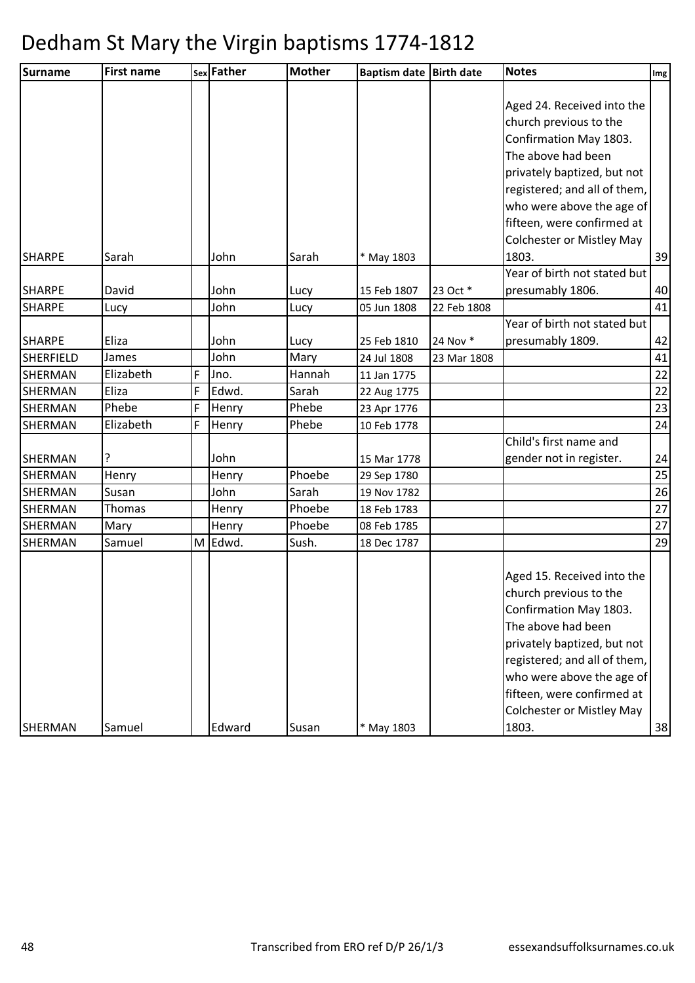| <b>Surname</b> | <b>First name</b> |   | sex Father | <b>Mother</b> | Baptism date   Birth date |             | <b>Notes</b>                     | Img            |
|----------------|-------------------|---|------------|---------------|---------------------------|-------------|----------------------------------|----------------|
|                |                   |   |            |               |                           |             |                                  |                |
|                |                   |   |            |               |                           |             | Aged 24. Received into the       |                |
|                |                   |   |            |               |                           |             | church previous to the           |                |
|                |                   |   |            |               |                           |             | Confirmation May 1803.           |                |
|                |                   |   |            |               |                           |             | The above had been               |                |
|                |                   |   |            |               |                           |             | privately baptized, but not      |                |
|                |                   |   |            |               |                           |             | registered; and all of them,     |                |
|                |                   |   |            |               |                           |             | who were above the age of        |                |
|                |                   |   |            |               |                           |             | fifteen, were confirmed at       |                |
|                |                   |   |            |               |                           |             | <b>Colchester or Mistley May</b> |                |
| <b>SHARPE</b>  | Sarah             |   | John       | Sarah         | * May 1803                |             | 1803.                            | 39             |
|                |                   |   |            |               |                           |             | Year of birth not stated but     |                |
| <b>SHARPE</b>  | David             |   | John       | Lucy          | 15 Feb 1807               | 23 Oct *    | presumably 1806.                 | 40             |
| <b>SHARPE</b>  | Lucy              |   | John       | Lucy          | 05 Jun 1808               | 22 Feb 1808 |                                  | 41             |
|                |                   |   |            |               |                           |             | Year of birth not stated but     |                |
| <b>SHARPE</b>  | Eliza             |   | John       | Lucy          | 25 Feb 1810               | 24 Nov *    | presumably 1809.                 | 42             |
| SHERFIELD      | James             |   | John       | Mary          | 24 Jul 1808               | 23 Mar 1808 |                                  | 41             |
| <b>SHERMAN</b> | Elizabeth         | F | Jno.       | Hannah        | 11 Jan 1775               |             |                                  | 22             |
| <b>SHERMAN</b> | Eliza             | F | Edwd.      | Sarah         | 22 Aug 1775               |             |                                  | 22             |
| <b>SHERMAN</b> | Phebe             | F | Henry      | Phebe         | 23 Apr 1776               |             |                                  | 23             |
| <b>SHERMAN</b> | Elizabeth         | F | Henry      | Phebe         | 10 Feb 1778               |             |                                  | 24             |
|                |                   |   |            |               |                           |             | Child's first name and           |                |
| <b>SHERMAN</b> |                   |   | John       |               | 15 Mar 1778               |             | gender not in register.          | 24             |
| <b>SHERMAN</b> | Henry             |   | Henry      | Phoebe        | 29 Sep 1780               |             |                                  | 25             |
| <b>SHERMAN</b> | Susan             |   | John       | Sarah         | 19 Nov 1782               |             |                                  | 26             |
| <b>SHERMAN</b> | Thomas            |   | Henry      | Phoebe        | 18 Feb 1783               |             |                                  | 27             |
| <b>SHERMAN</b> | Mary              |   | Henry      | Phoebe        | 08 Feb 1785               |             |                                  | 27             |
| <b>SHERMAN</b> | Samuel            | M | Edwd.      | Sush.         | 18 Dec 1787               |             |                                  | 29             |
|                |                   |   |            |               |                           |             |                                  |                |
|                |                   |   |            |               |                           |             | Aged 15. Received into the       |                |
|                |                   |   |            |               |                           |             | church previous to the           |                |
|                |                   |   |            |               |                           |             | Confirmation May 1803.           |                |
|                |                   |   |            |               |                           |             | The above had been               |                |
|                |                   |   |            |               |                           |             | privately baptized, but not      |                |
|                |                   |   |            |               |                           |             | registered; and all of them,     |                |
|                |                   |   |            |               |                           |             | who were above the age of        |                |
|                |                   |   |            |               |                           |             | fifteen, were confirmed at       |                |
|                |                   |   |            |               |                           |             | <b>Colchester or Mistley May</b> |                |
| <b>SHERMAN</b> | Samuel            |   | Edward     | Susan         | * May 1803                |             | 1803.                            | $\frac{38}{1}$ |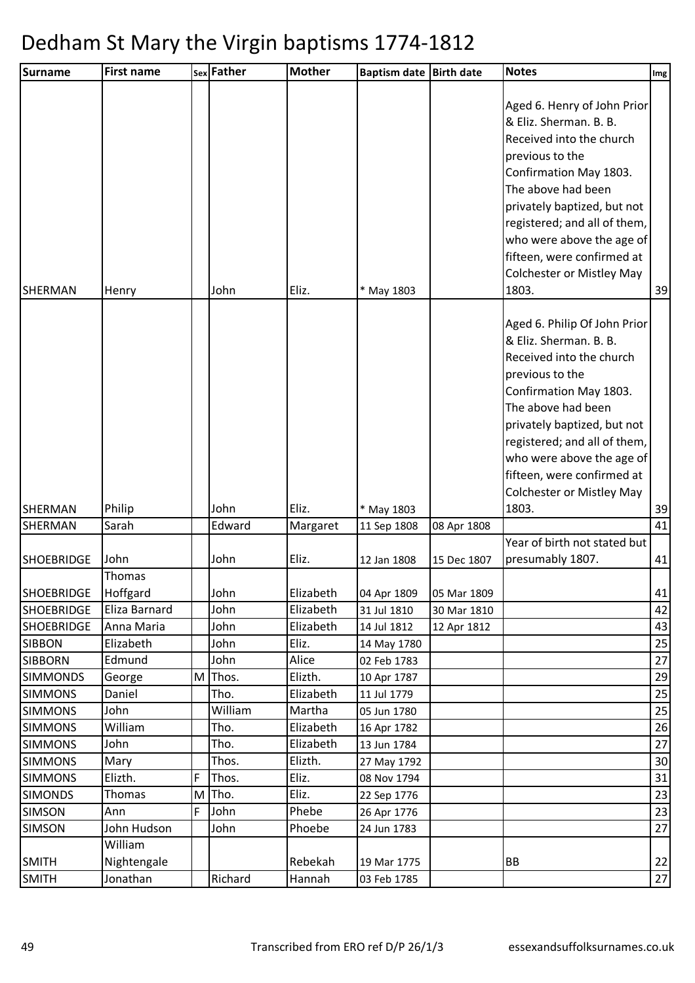| Aged 6. Henry of John Prior<br>& Eliz. Sherman. B. B.<br>Received into the church<br>previous to the<br>Confirmation May 1803.<br>The above had been<br>privately baptized, but not<br>registered; and all of them,<br>who were above the age of<br>fifteen, were confirmed at<br><b>Colchester or Mistley May</b><br>Eliz.<br>1803.<br>39<br>John<br>* May 1803<br>Henry<br>Aged 6. Philip Of John Prior<br>& Eliz. Sherman. B. B.<br>Received into the church<br>previous to the<br>Confirmation May 1803.<br>The above had been<br>privately baptized, but not<br>registered; and all of them,<br>who were above the age of<br>fifteen, were confirmed at<br><b>Colchester or Mistley May</b><br>39<br>Philip<br>John<br>Eliz.<br>1803.<br><b>SHERMAN</b><br>* May 1803<br>41<br><b>SHERMAN</b><br>Sarah<br>Edward<br>Margaret<br>11 Sep 1808<br>08 Apr 1808<br>Year of birth not stated but<br>John<br>John<br>Eliz.<br>presumably 1807.<br>41<br>12 Jan 1808<br>15 Dec 1807<br>Thomas<br>Hoffgard<br>John<br>Elizabeth<br>04 Apr 1809<br>05 Mar 1809<br>Elizabeth<br>Eliza Barnard<br>John<br>31 Jul 1810<br>30 Mar 1810<br>John<br>Elizabeth<br>Anna Maria<br>14 Jul 1812<br>12 Apr 1812<br>25<br>Elizabeth<br>John<br>Eliz.<br>14 May 1780<br>Edmund<br>John<br>Alice<br>27<br>02 Feb 1783<br>Thos.<br>Elizth.<br>29<br>George<br>M<br>10 Apr 1787<br>25<br>Tho.<br>Elizabeth<br>Daniel<br>11 Jul 1779<br>William<br>John<br>Martha<br>25<br>05 Jun 1780<br>26<br>William<br>Tho.<br>Elizabeth<br>16 Apr 1782<br>John<br>Tho.<br>Elizabeth<br>27<br>13 Jun 1784<br>Elizth.<br>Thos.<br>Mary<br>27 May 1792<br>Elizth.<br>F<br>Thos.<br>Eliz.<br>08 Nov 1794<br>31<br>Eliz.<br>Tho.<br>Thomas<br>M<br>22 Sep 1776<br>F<br>John<br>Phebe<br>26 Apr 1776<br>Ann<br>John Hudson<br>John<br>Phoebe<br>24 Jun 1783<br>William<br><b>SMITH</b><br>Nightengale<br>Rebekah<br>BB<br>19 Mar 1775 | Surname           | <b>First name</b> | sex Father | <b>Mother</b> | Baptism date Birth date | <b>Notes</b> | Img |
|-----------------------------------------------------------------------------------------------------------------------------------------------------------------------------------------------------------------------------------------------------------------------------------------------------------------------------------------------------------------------------------------------------------------------------------------------------------------------------------------------------------------------------------------------------------------------------------------------------------------------------------------------------------------------------------------------------------------------------------------------------------------------------------------------------------------------------------------------------------------------------------------------------------------------------------------------------------------------------------------------------------------------------------------------------------------------------------------------------------------------------------------------------------------------------------------------------------------------------------------------------------------------------------------------------------------------------------------------------------------------------------------------------------------------------------------------------------------------------------------------------------------------------------------------------------------------------------------------------------------------------------------------------------------------------------------------------------------------------------------------------------------------------------------------------------------------------------------------------------------------------------------------|-------------------|-------------------|------------|---------------|-------------------------|--------------|-----|
|                                                                                                                                                                                                                                                                                                                                                                                                                                                                                                                                                                                                                                                                                                                                                                                                                                                                                                                                                                                                                                                                                                                                                                                                                                                                                                                                                                                                                                                                                                                                                                                                                                                                                                                                                                                                                                                                                               | <b>SHERMAN</b>    |                   |            |               |                         |              |     |
| 43<br>23<br>23<br>27                                                                                                                                                                                                                                                                                                                                                                                                                                                                                                                                                                                                                                                                                                                                                                                                                                                                                                                                                                                                                                                                                                                                                                                                                                                                                                                                                                                                                                                                                                                                                                                                                                                                                                                                                                                                                                                                          |                   |                   |            |               |                         |              |     |
| 41<br>42<br>30<br>22<br>$27$                                                                                                                                                                                                                                                                                                                                                                                                                                                                                                                                                                                                                                                                                                                                                                                                                                                                                                                                                                                                                                                                                                                                                                                                                                                                                                                                                                                                                                                                                                                                                                                                                                                                                                                                                                                                                                                                  |                   |                   |            |               |                         |              |     |
|                                                                                                                                                                                                                                                                                                                                                                                                                                                                                                                                                                                                                                                                                                                                                                                                                                                                                                                                                                                                                                                                                                                                                                                                                                                                                                                                                                                                                                                                                                                                                                                                                                                                                                                                                                                                                                                                                               |                   |                   |            |               |                         |              |     |
|                                                                                                                                                                                                                                                                                                                                                                                                                                                                                                                                                                                                                                                                                                                                                                                                                                                                                                                                                                                                                                                                                                                                                                                                                                                                                                                                                                                                                                                                                                                                                                                                                                                                                                                                                                                                                                                                                               | <b>SHOEBRIDGE</b> |                   |            |               |                         |              |     |
|                                                                                                                                                                                                                                                                                                                                                                                                                                                                                                                                                                                                                                                                                                                                                                                                                                                                                                                                                                                                                                                                                                                                                                                                                                                                                                                                                                                                                                                                                                                                                                                                                                                                                                                                                                                                                                                                                               | <b>SHOEBRIDGE</b> |                   |            |               |                         |              |     |
|                                                                                                                                                                                                                                                                                                                                                                                                                                                                                                                                                                                                                                                                                                                                                                                                                                                                                                                                                                                                                                                                                                                                                                                                                                                                                                                                                                                                                                                                                                                                                                                                                                                                                                                                                                                                                                                                                               | <b>SHOEBRIDGE</b> |                   |            |               |                         |              |     |
|                                                                                                                                                                                                                                                                                                                                                                                                                                                                                                                                                                                                                                                                                                                                                                                                                                                                                                                                                                                                                                                                                                                                                                                                                                                                                                                                                                                                                                                                                                                                                                                                                                                                                                                                                                                                                                                                                               | <b>SHOEBRIDGE</b> |                   |            |               |                         |              |     |
|                                                                                                                                                                                                                                                                                                                                                                                                                                                                                                                                                                                                                                                                                                                                                                                                                                                                                                                                                                                                                                                                                                                                                                                                                                                                                                                                                                                                                                                                                                                                                                                                                                                                                                                                                                                                                                                                                               | <b>SIBBON</b>     |                   |            |               |                         |              |     |
|                                                                                                                                                                                                                                                                                                                                                                                                                                                                                                                                                                                                                                                                                                                                                                                                                                                                                                                                                                                                                                                                                                                                                                                                                                                                                                                                                                                                                                                                                                                                                                                                                                                                                                                                                                                                                                                                                               | <b>SIBBORN</b>    |                   |            |               |                         |              |     |
|                                                                                                                                                                                                                                                                                                                                                                                                                                                                                                                                                                                                                                                                                                                                                                                                                                                                                                                                                                                                                                                                                                                                                                                                                                                                                                                                                                                                                                                                                                                                                                                                                                                                                                                                                                                                                                                                                               | <b>SIMMONDS</b>   |                   |            |               |                         |              |     |
|                                                                                                                                                                                                                                                                                                                                                                                                                                                                                                                                                                                                                                                                                                                                                                                                                                                                                                                                                                                                                                                                                                                                                                                                                                                                                                                                                                                                                                                                                                                                                                                                                                                                                                                                                                                                                                                                                               | <b>SIMMONS</b>    |                   |            |               |                         |              |     |
|                                                                                                                                                                                                                                                                                                                                                                                                                                                                                                                                                                                                                                                                                                                                                                                                                                                                                                                                                                                                                                                                                                                                                                                                                                                                                                                                                                                                                                                                                                                                                                                                                                                                                                                                                                                                                                                                                               | <b>SIMMONS</b>    |                   |            |               |                         |              |     |
|                                                                                                                                                                                                                                                                                                                                                                                                                                                                                                                                                                                                                                                                                                                                                                                                                                                                                                                                                                                                                                                                                                                                                                                                                                                                                                                                                                                                                                                                                                                                                                                                                                                                                                                                                                                                                                                                                               | <b>SIMMONS</b>    |                   |            |               |                         |              |     |
|                                                                                                                                                                                                                                                                                                                                                                                                                                                                                                                                                                                                                                                                                                                                                                                                                                                                                                                                                                                                                                                                                                                                                                                                                                                                                                                                                                                                                                                                                                                                                                                                                                                                                                                                                                                                                                                                                               | <b>SIMMONS</b>    |                   |            |               |                         |              |     |
|                                                                                                                                                                                                                                                                                                                                                                                                                                                                                                                                                                                                                                                                                                                                                                                                                                                                                                                                                                                                                                                                                                                                                                                                                                                                                                                                                                                                                                                                                                                                                                                                                                                                                                                                                                                                                                                                                               | <b>SIMMONS</b>    |                   |            |               |                         |              |     |
|                                                                                                                                                                                                                                                                                                                                                                                                                                                                                                                                                                                                                                                                                                                                                                                                                                                                                                                                                                                                                                                                                                                                                                                                                                                                                                                                                                                                                                                                                                                                                                                                                                                                                                                                                                                                                                                                                               | <b>SIMMONS</b>    |                   |            |               |                         |              |     |
|                                                                                                                                                                                                                                                                                                                                                                                                                                                                                                                                                                                                                                                                                                                                                                                                                                                                                                                                                                                                                                                                                                                                                                                                                                                                                                                                                                                                                                                                                                                                                                                                                                                                                                                                                                                                                                                                                               | <b>SIMONDS</b>    |                   |            |               |                         |              |     |
|                                                                                                                                                                                                                                                                                                                                                                                                                                                                                                                                                                                                                                                                                                                                                                                                                                                                                                                                                                                                                                                                                                                                                                                                                                                                                                                                                                                                                                                                                                                                                                                                                                                                                                                                                                                                                                                                                               | <b>SIMSON</b>     |                   |            |               |                         |              |     |
|                                                                                                                                                                                                                                                                                                                                                                                                                                                                                                                                                                                                                                                                                                                                                                                                                                                                                                                                                                                                                                                                                                                                                                                                                                                                                                                                                                                                                                                                                                                                                                                                                                                                                                                                                                                                                                                                                               | <b>SIMSON</b>     |                   |            |               |                         |              |     |
|                                                                                                                                                                                                                                                                                                                                                                                                                                                                                                                                                                                                                                                                                                                                                                                                                                                                                                                                                                                                                                                                                                                                                                                                                                                                                                                                                                                                                                                                                                                                                                                                                                                                                                                                                                                                                                                                                               |                   |                   |            |               |                         |              |     |
|                                                                                                                                                                                                                                                                                                                                                                                                                                                                                                                                                                                                                                                                                                                                                                                                                                                                                                                                                                                                                                                                                                                                                                                                                                                                                                                                                                                                                                                                                                                                                                                                                                                                                                                                                                                                                                                                                               | <b>SMITH</b>      | Jonathan          | Richard    | Hannah        | 03 Feb 1785             |              |     |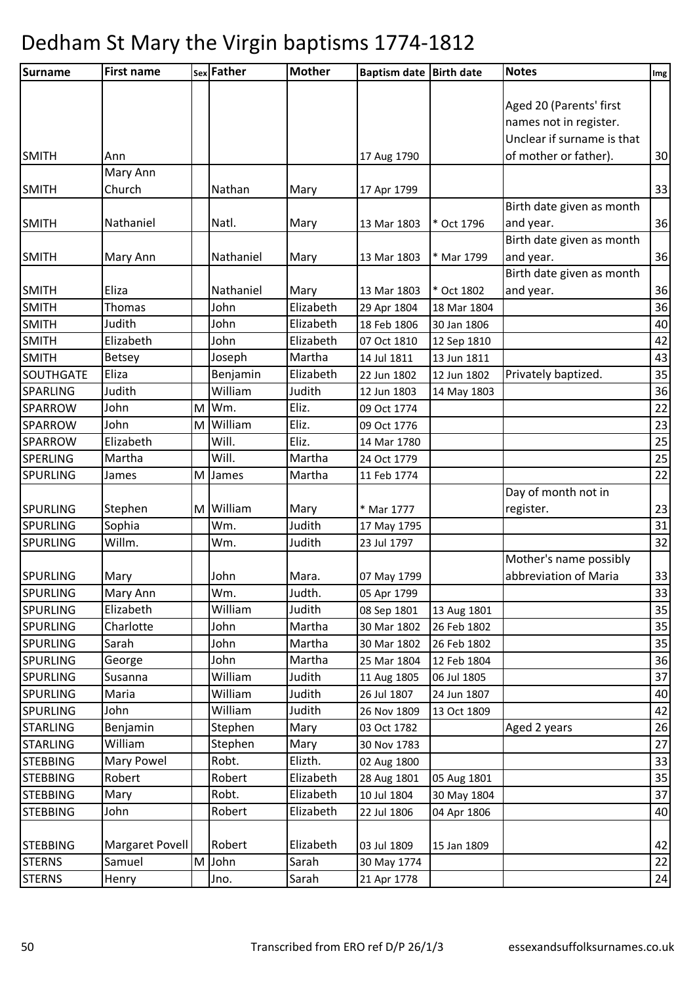| <b>Surname</b>               | <b>First name</b> |   | sex Father   | <b>Mother</b>          | Baptism date Birth date    |                            | <b>Notes</b>               | Img      |
|------------------------------|-------------------|---|--------------|------------------------|----------------------------|----------------------------|----------------------------|----------|
|                              |                   |   |              |                        |                            |                            |                            |          |
|                              |                   |   |              |                        |                            |                            | Aged 20 (Parents' first    |          |
|                              |                   |   |              |                        |                            |                            | names not in register.     |          |
|                              |                   |   |              |                        |                            |                            | Unclear if surname is that |          |
| <b>SMITH</b>                 | Ann               |   |              |                        | 17 Aug 1790                |                            | of mother or father).      | 30       |
|                              | Mary Ann          |   |              |                        |                            |                            |                            |          |
| <b>SMITH</b>                 | Church            |   | Nathan       | Mary                   | 17 Apr 1799                |                            |                            | 33       |
|                              |                   |   |              |                        |                            |                            | Birth date given as month  |          |
| <b>SMITH</b>                 | Nathaniel         |   | Natl.        | Mary                   | 13 Mar 1803                | * Oct 1796                 | and year.                  | 36       |
|                              |                   |   |              |                        |                            |                            | Birth date given as month  |          |
| <b>SMITH</b>                 | Mary Ann          |   | Nathaniel    | Mary                   | 13 Mar 1803                | * Mar 1799                 | and year.                  | 36       |
|                              |                   |   |              |                        |                            |                            | Birth date given as month  |          |
| <b>SMITH</b>                 | Eliza             |   | Nathaniel    | Mary<br>Elizabeth      | 13 Mar 1803                | * Oct 1802                 | and year.                  | 36       |
| <b>SMITH</b><br><b>SMITH</b> | Thomas<br>Judith  |   | John<br>John |                        | 29 Apr 1804                | 18 Mar 1804                |                            | 36       |
|                              | Elizabeth         |   | John         | Elizabeth<br>Elizabeth | 18 Feb 1806                | 30 Jan 1806                |                            | 40       |
| <b>SMITH</b><br><b>SMITH</b> | <b>Betsey</b>     |   | Joseph       | Martha                 | 07 Oct 1810<br>14 Jul 1811 | 12 Sep 1810<br>13 Jun 1811 |                            | 42<br>43 |
| SOUTHGATE                    | Eliza             |   | Benjamin     | Elizabeth              | 22 Jun 1802                | 12 Jun 1802                | Privately baptized.        | 35       |
| <b>SPARLING</b>              | Judith            |   | William      | Judith                 | 12 Jun 1803                | 14 May 1803                |                            | 36       |
| <b>SPARROW</b>               | John              | M | Wm.          | Eliz.                  | 09 Oct 1774                |                            |                            | 22       |
| <b>SPARROW</b>               | John              | M | William      | Eliz.                  | 09 Oct 1776                |                            |                            | 23       |
| <b>SPARROW</b>               | Elizabeth         |   | Will.        | Eliz.                  | 14 Mar 1780                |                            |                            | 25       |
| <b>SPERLING</b>              | Martha            |   | Will.        | Martha                 | 24 Oct 1779                |                            |                            | 25       |
| <b>SPURLING</b>              | James             |   | M James      | Martha                 | 11 Feb 1774                |                            |                            | 22       |
|                              |                   |   |              |                        |                            |                            | Day of month not in        |          |
| <b>SPURLING</b>              | Stephen           | M | William      | Mary                   | * Mar 1777                 |                            | register.                  | 23       |
| <b>SPURLING</b>              | Sophia            |   | Wm.          | Judith                 | 17 May 1795                |                            |                            | 31       |
| <b>SPURLING</b>              | Willm.            |   | Wm.          | Judith                 | 23 Jul 1797                |                            |                            | 32       |
|                              |                   |   |              |                        |                            |                            | Mother's name possibly     |          |
| <b>SPURLING</b>              | Mary              |   | John         | Mara.                  | 07 May 1799                |                            | abbreviation of Maria      | 33       |
| <b>SPURLING</b>              | Mary Ann          |   | Wm.          | Judth.                 | 05 Apr 1799                |                            |                            | 33       |
| <b>SPURLING</b>              | Elizabeth         |   | William      | Judith                 | 08 Sep 1801                | 13 Aug 1801                |                            | 35       |
| <b>SPURLING</b>              | Charlotte         |   | John         | Martha                 | 30 Mar 1802                | 26 Feb 1802                |                            | 35       |
| <b>SPURLING</b>              | Sarah             |   | John         | Martha                 | 30 Mar 1802                | 26 Feb 1802                |                            | 35       |
| <b>SPURLING</b>              | George            |   | John         | Martha                 | 25 Mar 1804                | 12 Feb 1804                |                            | 36       |
| <b>SPURLING</b>              | Susanna           |   | William      | Judith                 | 11 Aug 1805                | 06 Jul 1805                |                            | 37       |
| <b>SPURLING</b>              | Maria             |   | William      | Judith                 | 26 Jul 1807                | 24 Jun 1807                |                            | 40       |
| <b>SPURLING</b>              | John              |   | William      | Judith                 | 26 Nov 1809                | 13 Oct 1809                |                            | 42       |
| <b>STARLING</b>              | Benjamin          |   | Stephen      | Mary                   | 03 Oct 1782                |                            | Aged 2 years               | 26       |
| <b>STARLING</b>              | William           |   | Stephen      | Mary                   | 30 Nov 1783                |                            |                            | 27       |
| <b>STEBBING</b>              | Mary Powel        |   | Robt.        | Elizth.                | 02 Aug 1800                |                            |                            | 33       |
| <b>STEBBING</b>              | Robert            |   | Robert       | Elizabeth              | 28 Aug 1801                | 05 Aug 1801                |                            | 35       |
| <b>STEBBING</b>              | Mary              |   | Robt.        | Elizabeth              | 10 Jul 1804                | 30 May 1804                |                            | 37       |
| <b>STEBBING</b>              | John              |   | Robert       | Elizabeth              | 22 Jul 1806                | 04 Apr 1806                |                            | 40       |
|                              |                   |   |              |                        |                            |                            |                            |          |
| <b>STEBBING</b>              | Margaret Povell   |   | Robert       | Elizabeth              | 03 Jul 1809                | 15 Jan 1809                |                            | 42       |
| <b>STERNS</b>                | Samuel            | M | John         | Sarah                  | 30 May 1774                |                            |                            | 22       |
| <b>STERNS</b>                | Henry             |   | Jno.         | Sarah                  | 21 Apr 1778                |                            |                            | 24       |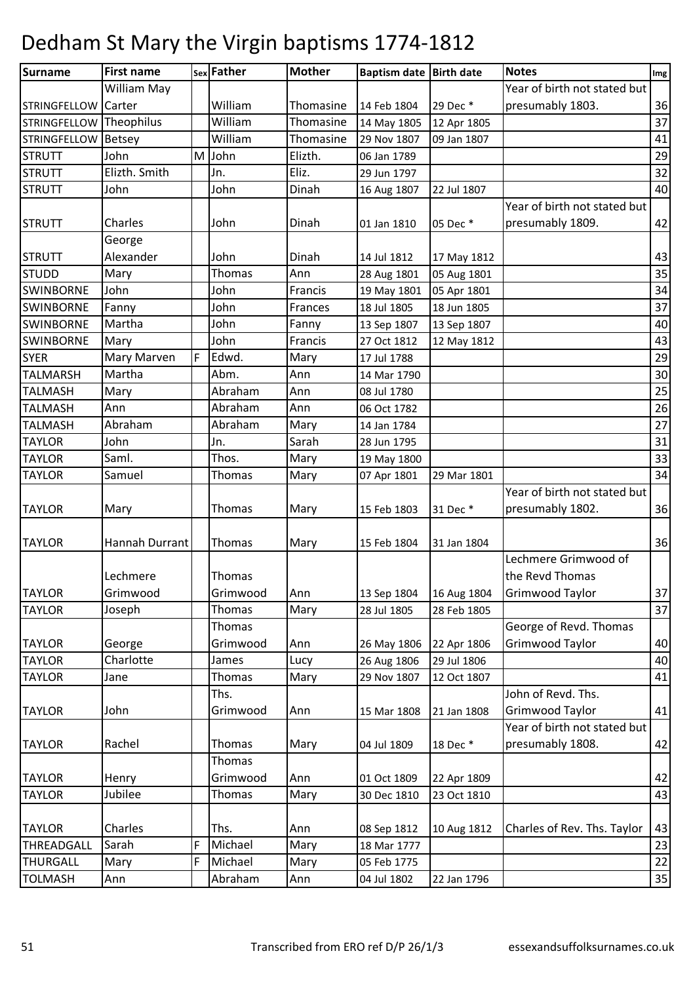| <b>Surname</b>          | <b>First name</b> |   | sex Father | <b>Mother</b> | Baptism date Birth date |             | <b>Notes</b>                 | Img |
|-------------------------|-------------------|---|------------|---------------|-------------------------|-------------|------------------------------|-----|
|                         | William May       |   |            |               |                         |             | Year of birth not stated but |     |
| <b>STRINGFELLOW</b>     | Carter            |   | William    | Thomasine     | 14 Feb 1804             | 29 Dec *    | presumably 1803.             | 36  |
| STRINGFELLOW Theophilus |                   |   | William    | Thomasine     | 14 May 1805             | 12 Apr 1805 |                              | 37  |
| <b>STRINGFELLOW</b>     | Betsey            |   | William    | Thomasine     | 29 Nov 1807             | 09 Jan 1807 |                              | 41  |
| <b>STRUTT</b>           | John              | M | John       | Elizth.       | 06 Jan 1789             |             |                              | 29  |
| <b>STRUTT</b>           | Elizth. Smith     |   | Jn.        | Eliz.         | 29 Jun 1797             |             |                              | 32  |
| <b>STRUTT</b>           | John              |   | John       | Dinah         | 16 Aug 1807             | 22 Jul 1807 |                              | 40  |
|                         |                   |   |            |               |                         |             | Year of birth not stated but |     |
| <b>STRUTT</b>           | Charles           |   | John       | Dinah         | 01 Jan 1810             | 05 Dec *    | presumably 1809.             | 42  |
|                         | George            |   |            |               |                         |             |                              |     |
| <b>STRUTT</b>           | Alexander         |   | John       | Dinah         | 14 Jul 1812             | 17 May 1812 |                              | 43  |
| <b>STUDD</b>            | Mary              |   | Thomas     | Ann           | 28 Aug 1801             | 05 Aug 1801 |                              | 35  |
| <b>SWINBORNE</b>        | John              |   | John       | Francis       | 19 May 1801             | 05 Apr 1801 |                              | 34  |
| <b>SWINBORNE</b>        | Fanny             |   | John       | Frances       | 18 Jul 1805             | 18 Jun 1805 |                              | 37  |
| <b>SWINBORNE</b>        | Martha            |   | John       | Fanny         | 13 Sep 1807             | 13 Sep 1807 |                              | 40  |
| <b>SWINBORNE</b>        | Mary              |   | John       | Francis       | 27 Oct 1812             | 12 May 1812 |                              | 43  |
| <b>SYER</b>             | Mary Marven       | F | Edwd.      | Mary          | 17 Jul 1788             |             |                              | 29  |
| <b>TALMARSH</b>         | Martha            |   | Abm.       | Ann           | 14 Mar 1790             |             |                              | 30  |
| <b>TALMASH</b>          | Mary              |   | Abraham    | Ann           | 08 Jul 1780             |             |                              | 25  |
| <b>TALMASH</b>          | Ann               |   | Abraham    | Ann           | 06 Oct 1782             |             |                              | 26  |
| <b>TALMASH</b>          | Abraham           |   | Abraham    | Mary          | 14 Jan 1784             |             |                              | 27  |
| <b>TAYLOR</b>           | John              |   | Jn.        | Sarah         | 28 Jun 1795             |             |                              | 31  |
| <b>TAYLOR</b>           | Saml.             |   | Thos.      | Mary          | 19 May 1800             |             |                              | 33  |
| <b>TAYLOR</b>           | Samuel            |   | Thomas     | Mary          | 07 Apr 1801             | 29 Mar 1801 |                              | 34  |
|                         |                   |   |            |               |                         |             | Year of birth not stated but |     |
| <b>TAYLOR</b>           | Mary              |   | Thomas     | Mary          | 15 Feb 1803             | 31 Dec *    | presumably 1802.             | 36  |
|                         |                   |   |            |               |                         |             |                              |     |
| <b>TAYLOR</b>           | Hannah Durrant    |   | Thomas     | Mary          | 15 Feb 1804             | 31 Jan 1804 |                              | 36  |
|                         |                   |   |            |               |                         |             | Lechmere Grimwood of         |     |
|                         | Lechmere          |   | Thomas     |               |                         |             | the Revd Thomas              |     |
| <b>TAYLOR</b>           | Grimwood          |   | Grimwood   | Ann           | 13 Sep 1804             | 16 Aug 1804 | Grimwood Taylor              | 37  |
| <b>TAYLOR</b>           | Joseph            |   | Thomas     | Mary          | 28 Jul 1805             | 28 Feb 1805 |                              | 37  |
|                         |                   |   | Thomas     |               |                         |             | George of Revd. Thomas       |     |
| <b>TAYLOR</b>           | George            |   | Grimwood   | Ann           | 26 May 1806             | 22 Apr 1806 | Grimwood Taylor              | 40  |
| <b>TAYLOR</b>           | Charlotte         |   | James      | Lucy          | 26 Aug 1806             | 29 Jul 1806 |                              | 40  |
| <b>TAYLOR</b>           | Jane              |   | Thomas     | Mary          | 29 Nov 1807             | 12 Oct 1807 |                              | 41  |
|                         |                   |   | Ths.       |               |                         |             | John of Revd. Ths.           |     |
| <b>TAYLOR</b>           | John              |   | Grimwood   | Ann           | 15 Mar 1808             | 21 Jan 1808 | Grimwood Taylor              | 41  |
|                         |                   |   |            |               |                         |             | Year of birth not stated but |     |
| <b>TAYLOR</b>           | Rachel            |   | Thomas     | Mary          | 04 Jul 1809             | 18 Dec *    | presumably 1808.             | 42  |
|                         |                   |   | Thomas     |               |                         |             |                              |     |
| <b>TAYLOR</b>           | Henry             |   | Grimwood   | Ann           | 01 Oct 1809             | 22 Apr 1809 |                              | 42  |
| <b>TAYLOR</b>           | Jubilee           |   | Thomas     | Mary          | 30 Dec 1810             | 23 Oct 1810 |                              | 43  |
|                         |                   |   |            |               |                         |             |                              |     |
| <b>TAYLOR</b>           | Charles           |   | Ths.       | Ann           | 08 Sep 1812             | 10 Aug 1812 | Charles of Rev. Ths. Taylor  | 43  |
| THREADGALL              | Sarah             | F | Michael    | Mary          | 18 Mar 1777             |             |                              | 23  |
| THURGALL                | Mary              | F | Michael    | Mary          | 05 Feb 1775             |             |                              | 22  |
| <b>TOLMASH</b>          | Ann               |   | Abraham    | Ann           | 04 Jul 1802             | 22 Jan 1796 |                              | 35  |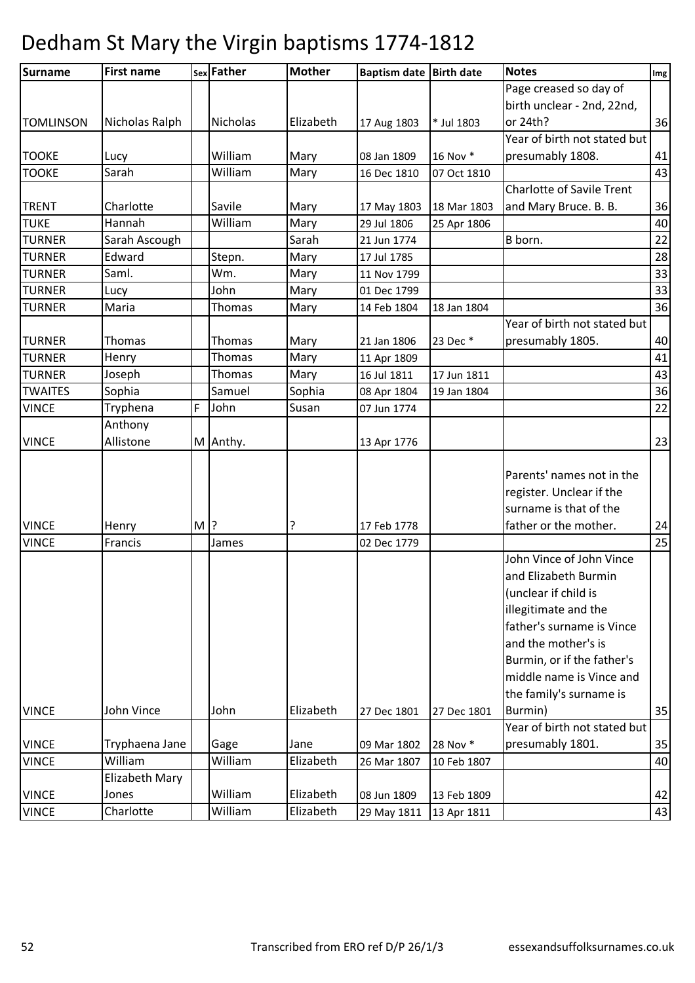| <b>Surname</b>   | <b>First name</b> |       | sex Father      | <b>Mother</b> | Baptism date Birth date |             | <b>Notes</b>                     | Img |
|------------------|-------------------|-------|-----------------|---------------|-------------------------|-------------|----------------------------------|-----|
|                  |                   |       |                 |               |                         |             | Page creased so day of           |     |
|                  |                   |       |                 |               |                         |             | birth unclear - 2nd, 22nd,       |     |
| <b>TOMLINSON</b> | Nicholas Ralph    |       | <b>Nicholas</b> | Elizabeth     | 17 Aug 1803             | * Jul 1803  | or 24th?                         | 36  |
|                  |                   |       |                 |               |                         |             | Year of birth not stated but     |     |
| <b>TOOKE</b>     | Lucy              |       | William         | Mary          | 08 Jan 1809             | 16 Nov *    | presumably 1808.                 | 41  |
| <b>TOOKE</b>     | Sarah             |       | William         | Mary          | 16 Dec 1810             | 07 Oct 1810 |                                  | 43  |
|                  |                   |       |                 |               |                         |             | <b>Charlotte of Savile Trent</b> |     |
| <b>TRENT</b>     | Charlotte         |       | Savile          | Mary          | 17 May 1803             | 18 Mar 1803 | and Mary Bruce. B. B.            | 36  |
| <b>TUKE</b>      | Hannah            |       | William         | Mary          | 29 Jul 1806             | 25 Apr 1806 |                                  | 40  |
| <b>TURNER</b>    | Sarah Ascough     |       |                 | Sarah         | 21 Jun 1774             |             | B born.                          | 22  |
| <b>TURNER</b>    | Edward            |       | Stepn.          | Mary          | 17 Jul 1785             |             |                                  | 28  |
| <b>TURNER</b>    | Saml.             |       | Wm.             | Mary          | 11 Nov 1799             |             |                                  | 33  |
| <b>TURNER</b>    | Lucy              |       | John            | Mary          | 01 Dec 1799             |             |                                  | 33  |
| <b>TURNER</b>    | Maria             |       | Thomas          | Mary          | 14 Feb 1804             | 18 Jan 1804 |                                  | 36  |
|                  |                   |       |                 |               |                         |             | Year of birth not stated but     |     |
| <b>TURNER</b>    | Thomas            |       | Thomas          | Mary          | 21 Jan 1806             | 23 Dec *    | presumably 1805.                 | 40  |
| <b>TURNER</b>    | Henry             |       | Thomas          | Mary          | 11 Apr 1809             |             |                                  | 41  |
| <b>TURNER</b>    | Joseph            |       | Thomas          | Mary          | 16 Jul 1811             | 17 Jun 1811 |                                  | 43  |
| <b>TWAITES</b>   | Sophia            |       | Samuel          | Sophia        | 08 Apr 1804             | 19 Jan 1804 |                                  | 36  |
| <b>VINCE</b>     | Tryphena          | F     | John            | Susan         | 07 Jun 1774             |             |                                  | 22  |
|                  | Anthony           |       |                 |               |                         |             |                                  |     |
| <b>VINCE</b>     | Allistone         |       | M Anthy.        |               | 13 Apr 1776             |             |                                  | 23  |
|                  |                   |       |                 |               |                         |             |                                  |     |
|                  |                   |       |                 |               |                         |             | Parents' names not in the        |     |
|                  |                   |       |                 |               |                         |             | register. Unclear if the         |     |
|                  |                   |       |                 |               |                         |             | surname is that of the           |     |
| <b>VINCE</b>     | Henry             | $M$ ? |                 | ?             | 17 Feb 1778             |             | father or the mother.            | 24  |
| <b>VINCE</b>     | Francis           |       | James           |               | 02 Dec 1779             |             |                                  | 25  |
|                  |                   |       |                 |               |                         |             | John Vince of John Vince         |     |
|                  |                   |       |                 |               |                         |             | and Elizabeth Burmin             |     |
|                  |                   |       |                 |               |                         |             | (unclear if child is             |     |
|                  |                   |       |                 |               |                         |             | illegitimate and the             |     |
|                  |                   |       |                 |               |                         |             | father's surname is Vince        |     |
|                  |                   |       |                 |               |                         |             | and the mother's is              |     |
|                  |                   |       |                 |               |                         |             | Burmin, or if the father's       |     |
|                  |                   |       |                 |               |                         |             | middle name is Vince and         |     |
|                  |                   |       |                 |               |                         |             | the family's surname is          |     |
| <b>VINCE</b>     | John Vince        |       | John            | Elizabeth     | 27 Dec 1801             | 27 Dec 1801 | Burmin)                          | 35  |
|                  |                   |       |                 |               |                         |             | Year of birth not stated but     |     |
| <b>VINCE</b>     | Tryphaena Jane    |       | Gage            | Jane          | 09 Mar 1802             | 28 Nov *    | presumably 1801.                 | 35  |
| <b>VINCE</b>     | William           |       | William         | Elizabeth     | 26 Mar 1807             | 10 Feb 1807 |                                  | 40  |
|                  | Elizabeth Mary    |       |                 |               |                         |             |                                  |     |
| <b>VINCE</b>     | Jones             |       | William         | Elizabeth     | 08 Jun 1809             | 13 Feb 1809 |                                  | 42  |
| <b>VINCE</b>     | Charlotte         |       | William         | Elizabeth     | 29 May 1811             | 13 Apr 1811 |                                  | 43  |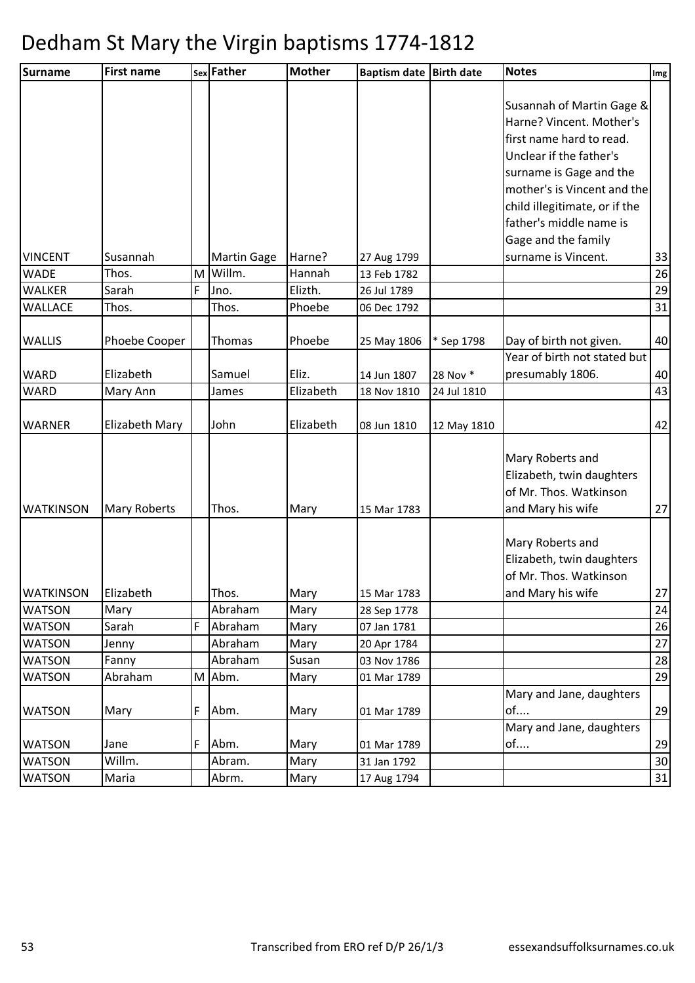| <b>Surname</b>   | <b>First name</b>   |   | sex Father         | <b>Mother</b> | Baptism date Birth date |             | <b>Notes</b>                  | Img |
|------------------|---------------------|---|--------------------|---------------|-------------------------|-------------|-------------------------------|-----|
|                  |                     |   |                    |               |                         |             | Susannah of Martin Gage &     |     |
|                  |                     |   |                    |               |                         |             | Harne? Vincent. Mother's      |     |
|                  |                     |   |                    |               |                         |             | first name hard to read.      |     |
|                  |                     |   |                    |               |                         |             | Unclear if the father's       |     |
|                  |                     |   |                    |               |                         |             | surname is Gage and the       |     |
|                  |                     |   |                    |               |                         |             | mother's is Vincent and the   |     |
|                  |                     |   |                    |               |                         |             | child illegitimate, or if the |     |
|                  |                     |   |                    |               |                         |             | father's middle name is       |     |
|                  |                     |   |                    |               |                         |             | Gage and the family           |     |
| <b>VINCENT</b>   | Susannah            |   | <b>Martin Gage</b> | Harne?        | 27 Aug 1799             |             | surname is Vincent.           | 33  |
| <b>WADE</b>      | Thos.               | M | Willm.             | Hannah        | 13 Feb 1782             |             |                               | 26  |
| <b>WALKER</b>    | Sarah               | F | Jno.               | Elizth.       | 26 Jul 1789             |             |                               | 29  |
| <b>WALLACE</b>   | Thos.               |   | Thos.              | Phoebe        | 06 Dec 1792             |             |                               | 31  |
|                  |                     |   |                    |               |                         |             |                               |     |
| <b>WALLIS</b>    | Phoebe Cooper       |   | Thomas             | Phoebe        | 25 May 1806             | * Sep 1798  | Day of birth not given.       | 40  |
|                  |                     |   |                    |               |                         |             | Year of birth not stated but  |     |
| WARD             | Elizabeth           |   | Samuel             | Eliz.         | 14 Jun 1807             | 28 Nov *    | presumably 1806.              | 40  |
| <b>WARD</b>      | Mary Ann            |   | James              | Elizabeth     | 18 Nov 1810             | 24 Jul 1810 |                               | 43  |
| <b>WARNER</b>    | Elizabeth Mary      |   | John               | Elizabeth     | 08 Jun 1810             |             |                               | 42  |
|                  |                     |   |                    |               |                         | 12 May 1810 |                               |     |
|                  |                     |   |                    |               |                         |             | Mary Roberts and              |     |
|                  |                     |   |                    |               |                         |             | Elizabeth, twin daughters     |     |
|                  |                     |   |                    |               |                         |             | of Mr. Thos. Watkinson        |     |
| <b>WATKINSON</b> | <b>Mary Roberts</b> |   | Thos.              | Mary          | 15 Mar 1783             |             | and Mary his wife             | 27  |
|                  |                     |   |                    |               |                         |             |                               |     |
|                  |                     |   |                    |               |                         |             | Mary Roberts and              |     |
|                  |                     |   |                    |               |                         |             | Elizabeth, twin daughters     |     |
|                  |                     |   |                    |               |                         |             | of Mr. Thos. Watkinson        |     |
| <b>WATKINSON</b> | Elizabeth           |   | Thos.              | Mary          | 15 Mar 1783             |             | and Mary his wife             | 27  |
| <b>WATSON</b>    | Mary                |   | Abraham            | Mary          | 28 Sep 1778             |             |                               | 24  |
| <b>WATSON</b>    | Sarah               | F | Abraham            | Mary          | 07 Jan 1781             |             |                               | 26  |
| <b>WATSON</b>    | Jenny               |   | Abraham            | Mary          | 20 Apr 1784             |             |                               | 27  |
| <b>WATSON</b>    | Fanny               |   | Abraham            | Susan         | 03 Nov 1786             |             |                               | 28  |
| <b>WATSON</b>    | Abraham             | M | Abm.               | Mary          | 01 Mar 1789             |             |                               | 29  |
|                  |                     |   |                    |               |                         |             | Mary and Jane, daughters      |     |
| <b>WATSON</b>    | Mary                | F | Abm.               | Mary          | 01 Mar 1789             |             | of                            | 29  |
|                  |                     |   |                    |               |                         |             | Mary and Jane, daughters      |     |
| <b>WATSON</b>    | Jane                | F | Abm.               | Mary          | 01 Mar 1789             |             | of                            | 29  |
| <b>WATSON</b>    | Willm.              |   | Abram.             | Mary          | 31 Jan 1792             |             |                               | 30  |
| <b>WATSON</b>    | Maria               |   | Abrm.              | Mary          | 17 Aug 1794             |             |                               | 31  |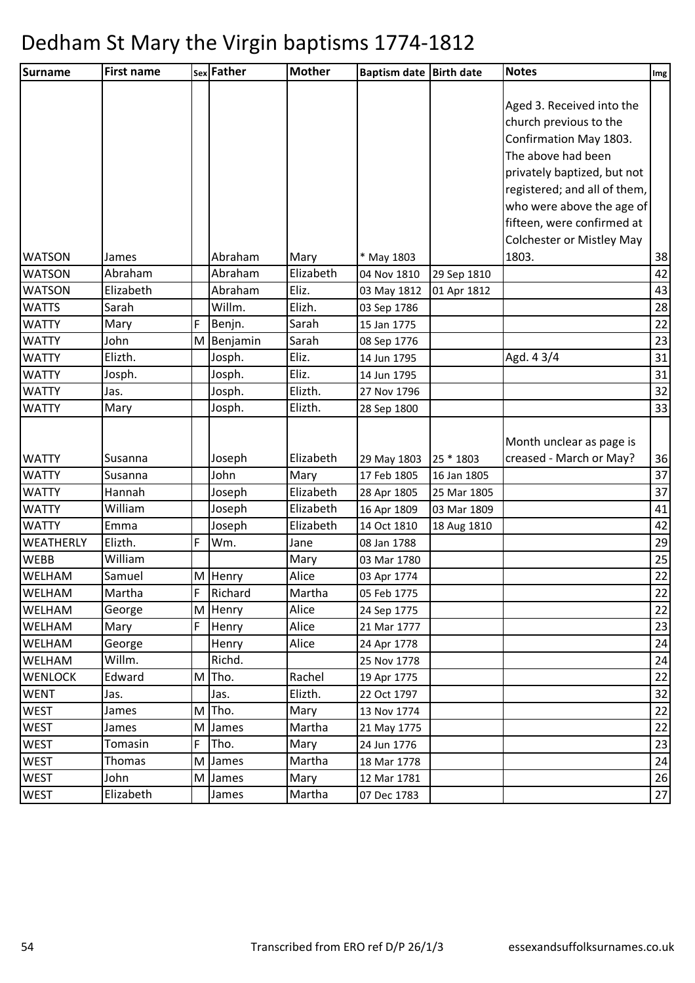| Surname          | <b>First name</b> |   | sex Father | <b>Mother</b> | <b>Baptism date</b> | <b>Birth date</b> | <b>Notes</b>                     | Img |
|------------------|-------------------|---|------------|---------------|---------------------|-------------------|----------------------------------|-----|
|                  |                   |   |            |               |                     |                   |                                  |     |
|                  |                   |   |            |               |                     |                   | Aged 3. Received into the        |     |
|                  |                   |   |            |               |                     |                   | church previous to the           |     |
|                  |                   |   |            |               |                     |                   | Confirmation May 1803.           |     |
|                  |                   |   |            |               |                     |                   | The above had been               |     |
|                  |                   |   |            |               |                     |                   | privately baptized, but not      |     |
|                  |                   |   |            |               |                     |                   | registered; and all of them,     |     |
|                  |                   |   |            |               |                     |                   | who were above the age of        |     |
|                  |                   |   |            |               |                     |                   | fifteen, were confirmed at       |     |
|                  |                   |   |            |               |                     |                   | <b>Colchester or Mistley May</b> |     |
| <b>WATSON</b>    | James             |   | Abraham    | Mary          | * May 1803          |                   | 1803.                            | 38  |
| <b>WATSON</b>    | Abraham           |   | Abraham    | Elizabeth     | 04 Nov 1810         | 29 Sep 1810       |                                  | 42  |
| <b>WATSON</b>    | Elizabeth         |   | Abraham    | Eliz.         | 03 May 1812         | 01 Apr 1812       |                                  | 43  |
| <b>WATTS</b>     | Sarah             |   | Willm.     | Elizh.        | 03 Sep 1786         |                   |                                  | 28  |
| <b>WATTY</b>     | Mary              | F | Benjn.     | Sarah         | 15 Jan 1775         |                   |                                  | 22  |
| <b>WATTY</b>     | John              | M | Benjamin   | Sarah         | 08 Sep 1776         |                   |                                  | 23  |
| <b>WATTY</b>     | Elizth.           |   | Josph.     | Eliz.         | 14 Jun 1795         |                   | Agd. 43/4                        | 31  |
| <b>WATTY</b>     | Josph.            |   | Josph.     | Eliz.         | 14 Jun 1795         |                   |                                  | 31  |
| <b>WATTY</b>     | Jas.              |   | Josph.     | Elizth.       | 27 Nov 1796         |                   |                                  | 32  |
| <b>WATTY</b>     | Mary              |   | Josph.     | Elizth.       | 28 Sep 1800         |                   |                                  | 33  |
|                  |                   |   |            |               |                     |                   |                                  |     |
|                  |                   |   |            |               |                     |                   | Month unclear as page is         |     |
| <b>WATTY</b>     | Susanna           |   | Joseph     | Elizabeth     | 29 May 1803         | 25 * 1803         | creased - March or May?          | 36  |
| <b>WATTY</b>     | Susanna           |   | John       | Mary          | 17 Feb 1805         | 16 Jan 1805       |                                  | 37  |
| <b>WATTY</b>     | Hannah            |   | Joseph     | Elizabeth     | 28 Apr 1805         | 25 Mar 1805       |                                  | 37  |
| <b>WATTY</b>     | William           |   | Joseph     | Elizabeth     | 16 Apr 1809         | 03 Mar 1809       |                                  | 41  |
| <b>WATTY</b>     | Emma              |   | Joseph     | Elizabeth     | 14 Oct 1810         | 18 Aug 1810       |                                  | 42  |
| <b>WEATHERLY</b> | Elizth.           | F | Wm.        | Jane          | 08 Jan 1788         |                   |                                  | 29  |
| <b>WEBB</b>      | William           |   |            | Mary          | 03 Mar 1780         |                   |                                  | 25  |
| <b>WELHAM</b>    | Samuel            |   | M Henry    | Alice         | 03 Apr 1774         |                   |                                  | 22  |
| WELHAM           | Martha            | F | Richard    | Martha        | 05 Feb 1775         |                   |                                  | 22  |
| WELHAM           | George            | M | Henry      | Alice         | 24 Sep 1775         |                   |                                  | 22  |
| <b>WELHAM</b>    | Mary              | F | Henry      | Alice         | 21 Mar 1777         |                   |                                  | 23  |
| <b>WELHAM</b>    | George            |   | Henry      | Alice         | 24 Apr 1778         |                   |                                  | 24  |
| <b>WELHAM</b>    | Willm.            |   | Richd.     |               | 25 Nov 1778         |                   |                                  | 24  |
| <b>WENLOCK</b>   | Edward            | M | Tho.       | Rachel        | 19 Apr 1775         |                   |                                  | 22  |
| <b>WENT</b>      | Jas.              |   | Jas.       | Elizth.       | 22 Oct 1797         |                   |                                  | 32  |
| <b>WEST</b>      | James             | M | Tho.       | Mary          | 13 Nov 1774         |                   |                                  | 22  |
| <b>WEST</b>      | James             | M | James      | Martha        | 21 May 1775         |                   |                                  | 22  |
| <b>WEST</b>      | Tomasin           | F | Tho.       | Mary          | 24 Jun 1776         |                   |                                  | 23  |
| <b>WEST</b>      | Thomas            | M | James      | Martha        | 18 Mar 1778         |                   |                                  | 24  |
| <b>WEST</b>      | John              | M | James      | Mary          | 12 Mar 1781         |                   |                                  | 26  |
| <b>WEST</b>      | Elizabeth         |   | James      | Martha        | 07 Dec 1783         |                   |                                  | 27  |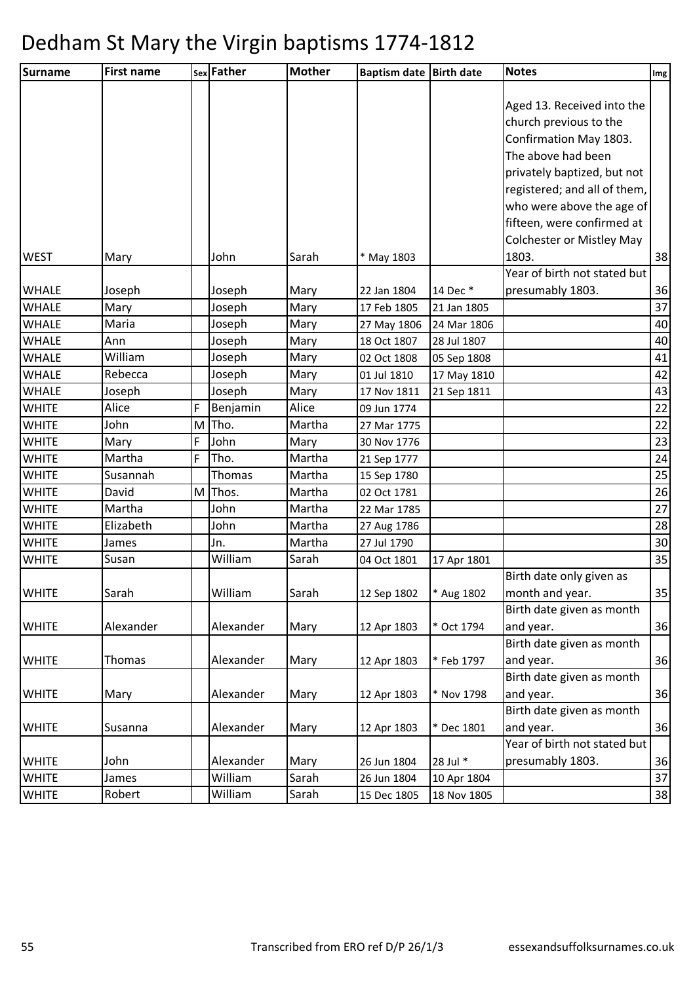| <b>First name</b> |                                                                                                                                                                                                                                               |                       | <b>Mother</b>                                                                                                                                                                                                                                                               |                                                                                                                                                                                                                         | <b>Birth date</b>                                                                                                                                                                                                                                                                                                                                                                   | <b>Notes</b>                                                                                                                                                                                                                                             | Im <sub>g</sub>                                                                                                                                                                                                                                                                                                                                          |
|-------------------|-----------------------------------------------------------------------------------------------------------------------------------------------------------------------------------------------------------------------------------------------|-----------------------|-----------------------------------------------------------------------------------------------------------------------------------------------------------------------------------------------------------------------------------------------------------------------------|-------------------------------------------------------------------------------------------------------------------------------------------------------------------------------------------------------------------------|-------------------------------------------------------------------------------------------------------------------------------------------------------------------------------------------------------------------------------------------------------------------------------------------------------------------------------------------------------------------------------------|----------------------------------------------------------------------------------------------------------------------------------------------------------------------------------------------------------------------------------------------------------|----------------------------------------------------------------------------------------------------------------------------------------------------------------------------------------------------------------------------------------------------------------------------------------------------------------------------------------------------------|
|                   |                                                                                                                                                                                                                                               |                       |                                                                                                                                                                                                                                                                             |                                                                                                                                                                                                                         |                                                                                                                                                                                                                                                                                                                                                                                     |                                                                                                                                                                                                                                                          |                                                                                                                                                                                                                                                                                                                                                          |
|                   |                                                                                                                                                                                                                                               |                       |                                                                                                                                                                                                                                                                             |                                                                                                                                                                                                                         |                                                                                                                                                                                                                                                                                                                                                                                     | Aged 13. Received into the                                                                                                                                                                                                                               |                                                                                                                                                                                                                                                                                                                                                          |
|                   |                                                                                                                                                                                                                                               |                       |                                                                                                                                                                                                                                                                             |                                                                                                                                                                                                                         |                                                                                                                                                                                                                                                                                                                                                                                     | church previous to the                                                                                                                                                                                                                                   |                                                                                                                                                                                                                                                                                                                                                          |
|                   |                                                                                                                                                                                                                                               |                       |                                                                                                                                                                                                                                                                             |                                                                                                                                                                                                                         |                                                                                                                                                                                                                                                                                                                                                                                     | Confirmation May 1803.                                                                                                                                                                                                                                   |                                                                                                                                                                                                                                                                                                                                                          |
|                   |                                                                                                                                                                                                                                               |                       |                                                                                                                                                                                                                                                                             |                                                                                                                                                                                                                         |                                                                                                                                                                                                                                                                                                                                                                                     | The above had been                                                                                                                                                                                                                                       |                                                                                                                                                                                                                                                                                                                                                          |
|                   |                                                                                                                                                                                                                                               |                       |                                                                                                                                                                                                                                                                             |                                                                                                                                                                                                                         |                                                                                                                                                                                                                                                                                                                                                                                     | privately baptized, but not                                                                                                                                                                                                                              |                                                                                                                                                                                                                                                                                                                                                          |
|                   |                                                                                                                                                                                                                                               |                       |                                                                                                                                                                                                                                                                             |                                                                                                                                                                                                                         |                                                                                                                                                                                                                                                                                                                                                                                     | registered; and all of them,                                                                                                                                                                                                                             |                                                                                                                                                                                                                                                                                                                                                          |
|                   |                                                                                                                                                                                                                                               |                       |                                                                                                                                                                                                                                                                             |                                                                                                                                                                                                                         |                                                                                                                                                                                                                                                                                                                                                                                     |                                                                                                                                                                                                                                                          |                                                                                                                                                                                                                                                                                                                                                          |
|                   |                                                                                                                                                                                                                                               |                       |                                                                                                                                                                                                                                                                             |                                                                                                                                                                                                                         |                                                                                                                                                                                                                                                                                                                                                                                     | fifteen, were confirmed at                                                                                                                                                                                                                               |                                                                                                                                                                                                                                                                                                                                                          |
|                   |                                                                                                                                                                                                                                               |                       |                                                                                                                                                                                                                                                                             |                                                                                                                                                                                                                         |                                                                                                                                                                                                                                                                                                                                                                                     | <b>Colchester or Mistley May</b>                                                                                                                                                                                                                         |                                                                                                                                                                                                                                                                                                                                                          |
| Mary              |                                                                                                                                                                                                                                               | John                  | Sarah                                                                                                                                                                                                                                                                       | * May 1803                                                                                                                                                                                                              |                                                                                                                                                                                                                                                                                                                                                                                     | 1803.                                                                                                                                                                                                                                                    | 38                                                                                                                                                                                                                                                                                                                                                       |
|                   |                                                                                                                                                                                                                                               |                       |                                                                                                                                                                                                                                                                             |                                                                                                                                                                                                                         |                                                                                                                                                                                                                                                                                                                                                                                     |                                                                                                                                                                                                                                                          |                                                                                                                                                                                                                                                                                                                                                          |
|                   |                                                                                                                                                                                                                                               |                       |                                                                                                                                                                                                                                                                             |                                                                                                                                                                                                                         |                                                                                                                                                                                                                                                                                                                                                                                     |                                                                                                                                                                                                                                                          | 36                                                                                                                                                                                                                                                                                                                                                       |
|                   |                                                                                                                                                                                                                                               |                       |                                                                                                                                                                                                                                                                             |                                                                                                                                                                                                                         |                                                                                                                                                                                                                                                                                                                                                                                     |                                                                                                                                                                                                                                                          | 37                                                                                                                                                                                                                                                                                                                                                       |
|                   |                                                                                                                                                                                                                                               |                       |                                                                                                                                                                                                                                                                             |                                                                                                                                                                                                                         |                                                                                                                                                                                                                                                                                                                                                                                     |                                                                                                                                                                                                                                                          | 40                                                                                                                                                                                                                                                                                                                                                       |
|                   |                                                                                                                                                                                                                                               |                       |                                                                                                                                                                                                                                                                             |                                                                                                                                                                                                                         |                                                                                                                                                                                                                                                                                                                                                                                     |                                                                                                                                                                                                                                                          | 40                                                                                                                                                                                                                                                                                                                                                       |
|                   |                                                                                                                                                                                                                                               |                       |                                                                                                                                                                                                                                                                             |                                                                                                                                                                                                                         |                                                                                                                                                                                                                                                                                                                                                                                     |                                                                                                                                                                                                                                                          | 41                                                                                                                                                                                                                                                                                                                                                       |
|                   |                                                                                                                                                                                                                                               |                       |                                                                                                                                                                                                                                                                             |                                                                                                                                                                                                                         |                                                                                                                                                                                                                                                                                                                                                                                     |                                                                                                                                                                                                                                                          | 42                                                                                                                                                                                                                                                                                                                                                       |
|                   |                                                                                                                                                                                                                                               |                       |                                                                                                                                                                                                                                                                             |                                                                                                                                                                                                                         |                                                                                                                                                                                                                                                                                                                                                                                     |                                                                                                                                                                                                                                                          | 43                                                                                                                                                                                                                                                                                                                                                       |
|                   |                                                                                                                                                                                                                                               |                       |                                                                                                                                                                                                                                                                             |                                                                                                                                                                                                                         |                                                                                                                                                                                                                                                                                                                                                                                     |                                                                                                                                                                                                                                                          | 22                                                                                                                                                                                                                                                                                                                                                       |
|                   |                                                                                                                                                                                                                                               |                       |                                                                                                                                                                                                                                                                             |                                                                                                                                                                                                                         |                                                                                                                                                                                                                                                                                                                                                                                     |                                                                                                                                                                                                                                                          | 22                                                                                                                                                                                                                                                                                                                                                       |
|                   |                                                                                                                                                                                                                                               |                       |                                                                                                                                                                                                                                                                             |                                                                                                                                                                                                                         |                                                                                                                                                                                                                                                                                                                                                                                     |                                                                                                                                                                                                                                                          | 23                                                                                                                                                                                                                                                                                                                                                       |
|                   |                                                                                                                                                                                                                                               |                       |                                                                                                                                                                                                                                                                             |                                                                                                                                                                                                                         |                                                                                                                                                                                                                                                                                                                                                                                     |                                                                                                                                                                                                                                                          | 24                                                                                                                                                                                                                                                                                                                                                       |
|                   |                                                                                                                                                                                                                                               |                       |                                                                                                                                                                                                                                                                             |                                                                                                                                                                                                                         |                                                                                                                                                                                                                                                                                                                                                                                     |                                                                                                                                                                                                                                                          | 25                                                                                                                                                                                                                                                                                                                                                       |
|                   |                                                                                                                                                                                                                                               |                       |                                                                                                                                                                                                                                                                             |                                                                                                                                                                                                                         |                                                                                                                                                                                                                                                                                                                                                                                     |                                                                                                                                                                                                                                                          | 26                                                                                                                                                                                                                                                                                                                                                       |
|                   |                                                                                                                                                                                                                                               |                       |                                                                                                                                                                                                                                                                             |                                                                                                                                                                                                                         |                                                                                                                                                                                                                                                                                                                                                                                     |                                                                                                                                                                                                                                                          | 27                                                                                                                                                                                                                                                                                                                                                       |
|                   |                                                                                                                                                                                                                                               |                       |                                                                                                                                                                                                                                                                             |                                                                                                                                                                                                                         |                                                                                                                                                                                                                                                                                                                                                                                     |                                                                                                                                                                                                                                                          | 28                                                                                                                                                                                                                                                                                                                                                       |
|                   |                                                                                                                                                                                                                                               |                       |                                                                                                                                                                                                                                                                             |                                                                                                                                                                                                                         |                                                                                                                                                                                                                                                                                                                                                                                     |                                                                                                                                                                                                                                                          | 30                                                                                                                                                                                                                                                                                                                                                       |
|                   |                                                                                                                                                                                                                                               |                       |                                                                                                                                                                                                                                                                             |                                                                                                                                                                                                                         |                                                                                                                                                                                                                                                                                                                                                                                     |                                                                                                                                                                                                                                                          | 35                                                                                                                                                                                                                                                                                                                                                       |
|                   |                                                                                                                                                                                                                                               |                       |                                                                                                                                                                                                                                                                             |                                                                                                                                                                                                                         |                                                                                                                                                                                                                                                                                                                                                                                     |                                                                                                                                                                                                                                                          |                                                                                                                                                                                                                                                                                                                                                          |
|                   |                                                                                                                                                                                                                                               |                       |                                                                                                                                                                                                                                                                             |                                                                                                                                                                                                                         |                                                                                                                                                                                                                                                                                                                                                                                     |                                                                                                                                                                                                                                                          | 35                                                                                                                                                                                                                                                                                                                                                       |
|                   |                                                                                                                                                                                                                                               |                       |                                                                                                                                                                                                                                                                             |                                                                                                                                                                                                                         |                                                                                                                                                                                                                                                                                                                                                                                     |                                                                                                                                                                                                                                                          |                                                                                                                                                                                                                                                                                                                                                          |
|                   |                                                                                                                                                                                                                                               |                       |                                                                                                                                                                                                                                                                             |                                                                                                                                                                                                                         |                                                                                                                                                                                                                                                                                                                                                                                     |                                                                                                                                                                                                                                                          | 36                                                                                                                                                                                                                                                                                                                                                       |
|                   |                                                                                                                                                                                                                                               |                       |                                                                                                                                                                                                                                                                             |                                                                                                                                                                                                                         |                                                                                                                                                                                                                                                                                                                                                                                     |                                                                                                                                                                                                                                                          |                                                                                                                                                                                                                                                                                                                                                          |
|                   |                                                                                                                                                                                                                                               |                       |                                                                                                                                                                                                                                                                             |                                                                                                                                                                                                                         |                                                                                                                                                                                                                                                                                                                                                                                     |                                                                                                                                                                                                                                                          | 36                                                                                                                                                                                                                                                                                                                                                       |
|                   |                                                                                                                                                                                                                                               |                       |                                                                                                                                                                                                                                                                             |                                                                                                                                                                                                                         |                                                                                                                                                                                                                                                                                                                                                                                     |                                                                                                                                                                                                                                                          | 36                                                                                                                                                                                                                                                                                                                                                       |
|                   |                                                                                                                                                                                                                                               |                       |                                                                                                                                                                                                                                                                             |                                                                                                                                                                                                                         |                                                                                                                                                                                                                                                                                                                                                                                     |                                                                                                                                                                                                                                                          |                                                                                                                                                                                                                                                                                                                                                          |
|                   |                                                                                                                                                                                                                                               |                       |                                                                                                                                                                                                                                                                             |                                                                                                                                                                                                                         |                                                                                                                                                                                                                                                                                                                                                                                     |                                                                                                                                                                                                                                                          | 36                                                                                                                                                                                                                                                                                                                                                       |
|                   |                                                                                                                                                                                                                                               |                       |                                                                                                                                                                                                                                                                             |                                                                                                                                                                                                                         |                                                                                                                                                                                                                                                                                                                                                                                     |                                                                                                                                                                                                                                                          |                                                                                                                                                                                                                                                                                                                                                          |
|                   |                                                                                                                                                                                                                                               |                       |                                                                                                                                                                                                                                                                             |                                                                                                                                                                                                                         |                                                                                                                                                                                                                                                                                                                                                                                     |                                                                                                                                                                                                                                                          | 36                                                                                                                                                                                                                                                                                                                                                       |
|                   |                                                                                                                                                                                                                                               |                       |                                                                                                                                                                                                                                                                             |                                                                                                                                                                                                                         |                                                                                                                                                                                                                                                                                                                                                                                     |                                                                                                                                                                                                                                                          | 37                                                                                                                                                                                                                                                                                                                                                       |
|                   |                                                                                                                                                                                                                                               |                       |                                                                                                                                                                                                                                                                             |                                                                                                                                                                                                                         |                                                                                                                                                                                                                                                                                                                                                                                     |                                                                                                                                                                                                                                                          | 38                                                                                                                                                                                                                                                                                                                                                       |
|                   | Joseph<br>Mary<br>Maria<br>Ann<br>William<br>Rebecca<br>Joseph<br>Alice<br>John<br>Mary<br>Martha<br>Susannah<br>David<br>Martha<br>Elizabeth<br>James<br>Susan<br>Sarah<br>Alexander<br>Thomas<br>Mary<br>Susanna<br>John<br>James<br>Robert | F<br>M<br>F<br>F<br>M | sex Father<br>Joseph<br>Joseph<br>Joseph<br>Joseph<br>Joseph<br>Joseph<br>Joseph<br>Benjamin<br>Tho.<br>John<br>Tho.<br>Thomas<br>Thos.<br>John<br>John<br>Jn.<br>William<br>William<br>Alexander<br>Alexander<br>Alexander<br>Alexander<br>Alexander<br>William<br>William | Mary<br>Mary<br>Mary<br>Mary<br>Mary<br>Mary<br>Mary<br>Alice<br>Martha<br>Mary<br>Martha<br>Martha<br>Martha<br>Martha<br>Martha<br>Martha<br>Sarah<br>Sarah<br>Mary<br>Mary<br>Mary<br>Mary<br>Mary<br>Sarah<br>Sarah | 22 Jan 1804<br>17 Feb 1805<br>27 May 1806<br>18 Oct 1807<br>02 Oct 1808<br>01 Jul 1810<br>17 Nov 1811<br>09 Jun 1774<br>27 Mar 1775<br>30 Nov 1776<br>21 Sep 1777<br>15 Sep 1780<br>02 Oct 1781<br>22 Mar 1785<br>27 Aug 1786<br>27 Jul 1790<br>04 Oct 1801<br>12 Sep 1802<br>12 Apr 1803<br>12 Apr 1803<br>12 Apr 1803<br>12 Apr 1803<br>26 Jun 1804<br>26 Jun 1804<br>15 Dec 1805 | <b>Baptism date</b><br>14 Dec *<br>21 Jan 1805<br>24 Mar 1806<br>28 Jul 1807<br>05 Sep 1808<br>17 May 1810<br>21 Sep 1811<br>17 Apr 1801<br>* Aug 1802<br>* Oct 1794<br>* Feb 1797<br>* Nov 1798<br>* Dec 1801<br>28 Jul *<br>10 Apr 1804<br>18 Nov 1805 | who were above the age of<br>Year of birth not stated but<br>presumably 1803.<br>Birth date only given as<br>month and year.<br>Birth date given as month<br>and year.<br>Birth date given as month<br>and year.<br>Birth date given as month<br>and year.<br>Birth date given as month<br>and year.<br>Year of birth not stated but<br>presumably 1803. |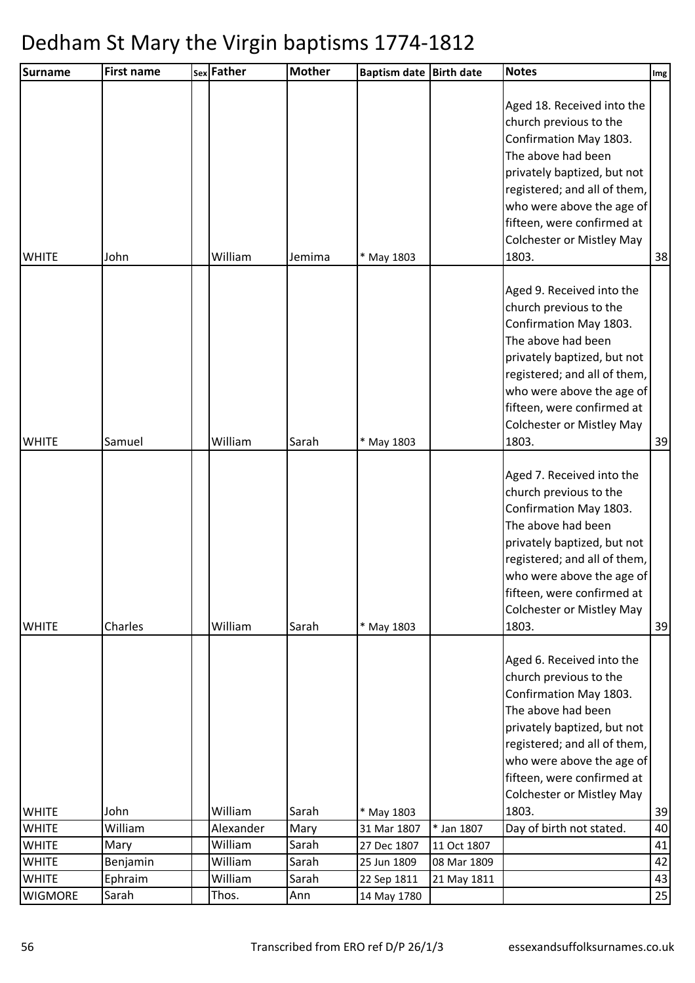| Surname        | <b>First name</b> | sex Father | <b>Mother</b> | <b>Baptism date</b> | <b>Birth date</b> | <b>Notes</b>                                                                                                                                                                                                                                                                | Img |
|----------------|-------------------|------------|---------------|---------------------|-------------------|-----------------------------------------------------------------------------------------------------------------------------------------------------------------------------------------------------------------------------------------------------------------------------|-----|
| <b>WHITE</b>   | John              | William    | Jemima        | * May 1803          |                   | Aged 18. Received into the<br>church previous to the<br>Confirmation May 1803.<br>The above had been<br>privately baptized, but not<br>registered; and all of them,<br>who were above the age of<br>fifteen, were confirmed at<br><b>Colchester or Mistley May</b><br>1803. | 38  |
| <b>WHITE</b>   | Samuel            | William    | Sarah         | * May 1803          |                   | Aged 9. Received into the<br>church previous to the<br>Confirmation May 1803.<br>The above had been<br>privately baptized, but not<br>registered; and all of them,<br>who were above the age of<br>fifteen, were confirmed at<br><b>Colchester or Mistley May</b><br>1803.  | 39  |
| <b>WHITE</b>   | Charles           | William    | Sarah         | * May 1803          |                   | Aged 7. Received into the<br>church previous to the<br>Confirmation May 1803.<br>The above had been<br>privately baptized, but not<br>registered; and all of them,<br>who were above the age of<br>fifteen, were confirmed at<br><b>Colchester or Mistley May</b><br>1803.  | 39  |
|                |                   |            |               |                     |                   | Aged 6. Received into the<br>church previous to the<br>Confirmation May 1803.<br>The above had been<br>privately baptized, but not<br>registered; and all of them,<br>who were above the age of<br>fifteen, were confirmed at<br><b>Colchester or Mistley May</b>           |     |
| <b>WHITE</b>   | John              | William    | Sarah         | * May 1803          |                   | 1803.                                                                                                                                                                                                                                                                       | 39  |
| <b>WHITE</b>   | William           | Alexander  | Mary          | 31 Mar 1807         | * Jan 1807        | Day of birth not stated.                                                                                                                                                                                                                                                    | 40  |
| <b>WHITE</b>   | Mary              | William    | Sarah         | 27 Dec 1807         | 11 Oct 1807       |                                                                                                                                                                                                                                                                             | 41  |
| <b>WHITE</b>   | Benjamin          | William    | Sarah         | 25 Jun 1809         | 08 Mar 1809       |                                                                                                                                                                                                                                                                             | 42  |
| <b>WHITE</b>   | Ephraim           | William    | Sarah         | 22 Sep 1811         | 21 May 1811       |                                                                                                                                                                                                                                                                             | 43  |
| <b>WIGMORE</b> | Sarah             | Thos.      | Ann           | 14 May 1780         |                   |                                                                                                                                                                                                                                                                             | 25  |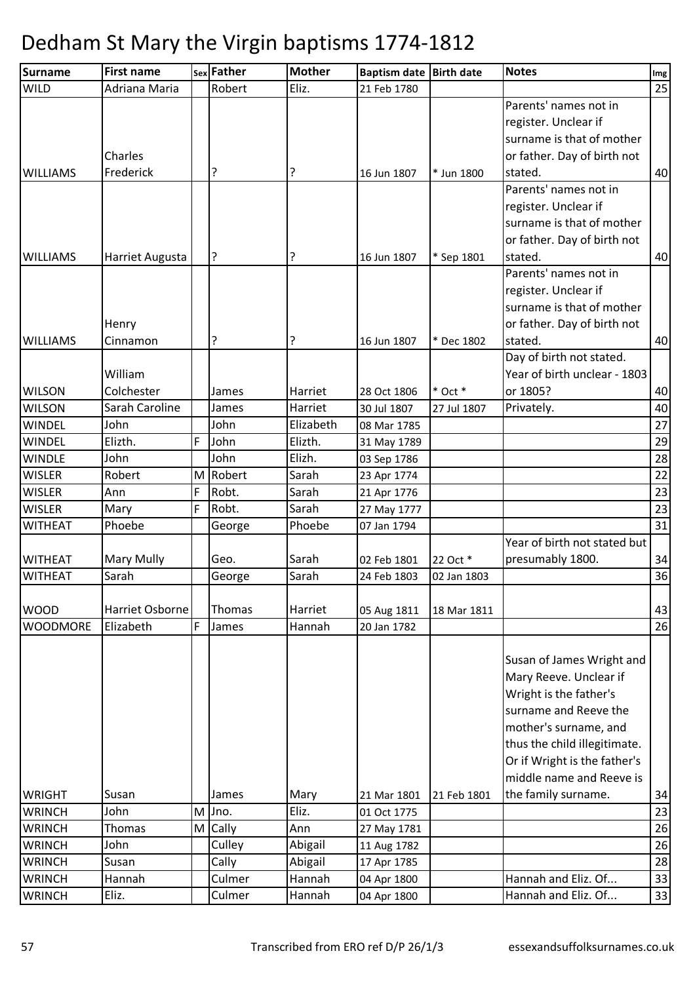| <b>Surname</b>  | <b>First name</b> |   | sex Father | <b>Mother</b> | Baptism date Birth date |             | <b>Notes</b>                 | Img |
|-----------------|-------------------|---|------------|---------------|-------------------------|-------------|------------------------------|-----|
| <b>WILD</b>     | Adriana Maria     |   | Robert     | Eliz.         | 21 Feb 1780             |             |                              | 25  |
|                 |                   |   |            |               |                         |             | Parents' names not in        |     |
|                 |                   |   |            |               |                         |             | register. Unclear if         |     |
|                 |                   |   |            |               |                         |             | surname is that of mother    |     |
|                 | Charles           |   |            |               |                         |             | or father. Day of birth not  |     |
| <b>WILLIAMS</b> | Frederick         |   | ?          | ?             | 16 Jun 1807             | * Jun 1800  | stated.                      | 40  |
|                 |                   |   |            |               |                         |             | Parents' names not in        |     |
|                 |                   |   |            |               |                         |             | register. Unclear if         |     |
|                 |                   |   |            |               |                         |             | surname is that of mother    |     |
|                 |                   |   |            |               |                         |             | or father. Day of birth not  |     |
| <b>WILLIAMS</b> | Harriet Augusta   |   | ?          | ?             | 16 Jun 1807             | * Sep 1801  | stated.                      | 40  |
|                 |                   |   |            |               |                         |             | Parents' names not in        |     |
|                 |                   |   |            |               |                         |             | register. Unclear if         |     |
|                 |                   |   |            |               |                         |             | surname is that of mother    |     |
|                 | Henry             |   |            |               |                         |             | or father. Day of birth not  |     |
| <b>WILLIAMS</b> | Cinnamon          |   | ?          | ?             | 16 Jun 1807             | * Dec 1802  | stated.                      | 40  |
|                 |                   |   |            |               |                         |             | Day of birth not stated.     |     |
|                 | William           |   |            |               |                         |             | Year of birth unclear - 1803 |     |
| <b>WILSON</b>   | Colchester        |   | James      | Harriet       | 28 Oct 1806             | $*$ Oct $*$ | or 1805?                     | 40  |
| <b>WILSON</b>   | Sarah Caroline    |   | James      | Harriet       | 30 Jul 1807             | 27 Jul 1807 | Privately.                   | 40  |
| <b>WINDEL</b>   | John              |   | John       | Elizabeth     | 08 Mar 1785             |             |                              | 27  |
| <b>WINDEL</b>   | Elizth.           | F | John       | Elizth.       | 31 May 1789             |             |                              | 29  |
| <b>WINDLE</b>   | John              |   | John       | Elizh.        | 03 Sep 1786             |             |                              | 28  |
| <b>WISLER</b>   | Robert            | M | Robert     | Sarah         | 23 Apr 1774             |             |                              | 22  |
| <b>WISLER</b>   | Ann               | F | Robt.      | Sarah         | 21 Apr 1776             |             |                              | 23  |
| <b>WISLER</b>   | Mary              | F | Robt.      | Sarah         | 27 May 1777             |             |                              | 23  |
| <b>WITHEAT</b>  | Phoebe            |   | George     | Phoebe        | 07 Jan 1794             |             |                              | 31  |
|                 |                   |   |            |               |                         |             | Year of birth not stated but |     |
| <b>WITHEAT</b>  | Mary Mully        |   | Geo.       | Sarah         | 02 Feb 1801             | 22 Oct *    | presumably 1800.             | 34  |
| <b>WITHEAT</b>  | Sarah             |   | George     | Sarah         | 24 Feb 1803             | 02 Jan 1803 |                              | 36  |
|                 |                   |   |            |               |                         |             |                              |     |
| <b>WOOD</b>     | Harriet Osborne   |   | Thomas     | Harriet       | 05 Aug 1811             | 18 Mar 1811 |                              | 43  |
| <b>WOODMORE</b> | Elizabeth         | F | James      | Hannah        | 20 Jan 1782             |             |                              | 26  |
|                 |                   |   |            |               |                         |             |                              |     |
|                 |                   |   |            |               |                         |             | Susan of James Wright and    |     |
|                 |                   |   |            |               |                         |             | Mary Reeve. Unclear if       |     |
|                 |                   |   |            |               |                         |             | Wright is the father's       |     |
|                 |                   |   |            |               |                         |             | surname and Reeve the        |     |
|                 |                   |   |            |               |                         |             | mother's surname, and        |     |
|                 |                   |   |            |               |                         |             | thus the child illegitimate. |     |
|                 |                   |   |            |               |                         |             | Or if Wright is the father's |     |
|                 |                   |   |            |               |                         |             | middle name and Reeve is     |     |
| <b>WRIGHT</b>   | Susan             |   | James      | Mary          | 21 Mar 1801             | 21 Feb 1801 | the family surname.          | 34  |
| <b>WRINCH</b>   | John              | M | Jno.       | Eliz.         | 01 Oct 1775             |             |                              | 23  |
| <b>WRINCH</b>   | Thomas            |   | M Cally    | Ann           | 27 May 1781             |             |                              | 26  |
| <b>WRINCH</b>   | John              |   | Culley     | Abigail       | 11 Aug 1782             |             |                              | 26  |
| <b>WRINCH</b>   | Susan             |   | Cally      | Abigail       | 17 Apr 1785             |             |                              | 28  |
| <b>WRINCH</b>   | Hannah            |   | Culmer     | Hannah        | 04 Apr 1800             |             | Hannah and Eliz. Of          | 33  |
| <b>WRINCH</b>   | Eliz.             |   | Culmer     | Hannah        | 04 Apr 1800             |             | Hannah and Eliz. Of          | 33  |